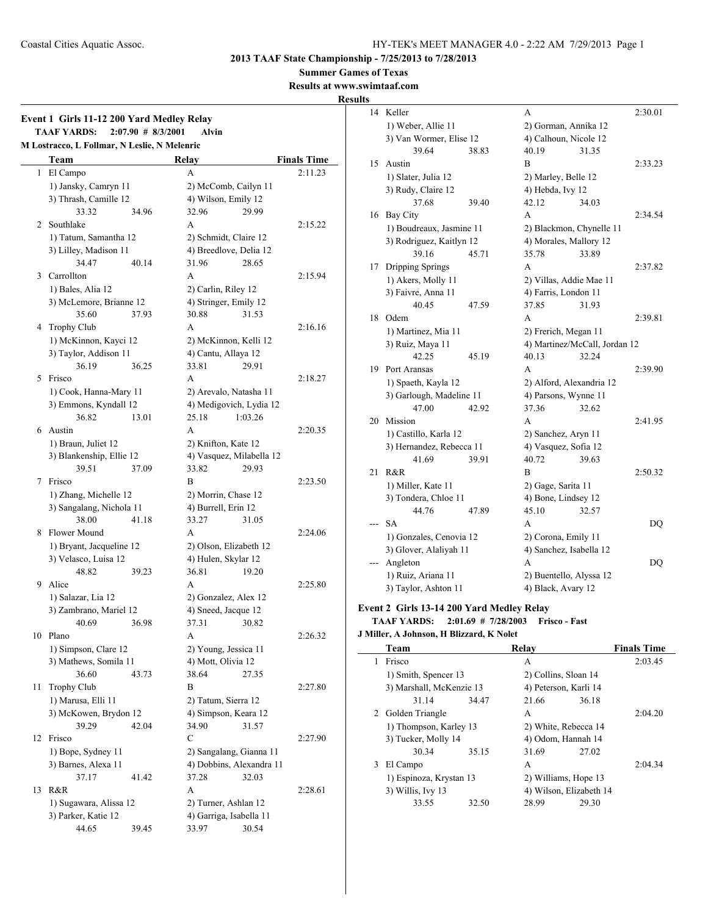**Summer Games of Texas**

**Results at www.swimtaaf.com**

## **Results**

|    | M Lostracco, L Follmar, N Leslie, N Melenric |       |                          |                    |
|----|----------------------------------------------|-------|--------------------------|--------------------|
|    | Team                                         | Relay |                          | <b>Finals Time</b> |
| 1  | El Campo                                     | A     |                          | 2:11.23            |
|    | 1) Jansky, Camryn 11                         |       | 2) McComb, Cailyn 11     |                    |
|    | 3) Thrash, Camille 12                        |       | 4) Wilson, Emily 12      |                    |
|    | 33.32                                        | 34.96 | 32.96<br>29.99           |                    |
| 2  | Southlake                                    | A     |                          | 2:15.22            |
|    | 1) Tatum, Samantha 12                        |       | 2) Schmidt, Claire 12    |                    |
|    | 3) Lilley, Madison 11                        |       | 4) Breedlove, Delia 12   |                    |
|    | 34.47                                        | 40.14 | 31.96<br>28.65           |                    |
| 3  | Carrollton                                   | A     |                          | 2:15.94            |
|    | 1) Bales, Alia 12                            |       | 2) Carlin, Riley 12      |                    |
|    | 3) McLemore, Brianne 12                      |       | 4) Stringer, Emily 12    |                    |
|    | 35.60                                        | 37.93 | 30.88<br>31.53           |                    |
| 4  | Trophy Club                                  | A     |                          | 2:16.16            |
|    | 1) McKinnon, Kayci 12                        |       | 2) McKinnon, Kelli 12    |                    |
|    | 3) Taylor, Addison 11                        |       | 4) Cantu, Allaya 12      |                    |
|    | 36.19                                        | 36.25 | 33.81<br>29.91           |                    |
| 5  | Frisco                                       | A     |                          | 2:18.27            |
|    | 1) Cook, Hanna-Mary 11                       |       | 2) Arevalo, Natasha 11   |                    |
|    | 3) Emmons, Kyndall 12                        |       | 4) Medigovich, Lydia 12  |                    |
|    | 36.82                                        | 13.01 | 25.18<br>1:03.26         |                    |
| 6  | Austin                                       | A     |                          | 2:20.35            |
|    | 1) Braun, Juliet 12                          |       | 2) Knifton, Kate 12      |                    |
|    | 3) Blankenship, Ellie 12                     |       | 4) Vasquez, Milabella 12 |                    |
|    | 39.51                                        | 37.09 | 33.82<br>29.93           |                    |
| 7  | Frisco                                       | B     |                          | 2:23.50            |
|    | 1) Zhang, Michelle 12                        |       | 2) Morrin, Chase 12      |                    |
|    | 3) Sangalang, Nichola 11                     |       | 4) Burrell, Erin 12      |                    |
|    | 38.00                                        | 41.18 | 33.27<br>31.05           |                    |
| 8  | Flower Mound                                 | A     |                          | 2:24.06            |
|    | 1) Bryant, Jacqueline 12                     |       | 2) Olson, Elizabeth 12   |                    |
|    | 3) Velasco, Luisa 12                         |       | 4) Hulen, Skylar 12      |                    |
|    | 48.82                                        | 39.23 | 36.81<br>19.20           |                    |
| 9  | Alice                                        | A     |                          |                    |
|    |                                              |       |                          | 2:25.80            |
|    | 1) Salazar, Lia 12                           |       | 2) Gonzalez, Alex 12     |                    |
|    | 3) Zambrano, Mariel 12                       |       | 4) Sneed, Jacque 12      |                    |
|    | 40.69                                        | 36.98 | 37.31 30.82              |                    |
| 10 | Plano                                        | А     |                          | 2:26.32            |
|    | 1) Simpson, Clare 12                         |       | 2) Young, Jessica 11     |                    |
|    | 3) Mathews, Somila 11                        |       | 4) Mott, Olivia 12       |                    |
|    | 36.60                                        | 43.73 | 38.64<br>27.35           |                    |
| 11 | Trophy Club                                  | B     |                          | 2:27.80            |
|    | 1) Marusa, Elli 11                           |       | 2) Tatum, Sierra 12      |                    |
|    | 3) McKowen, Brydon 12                        |       | 4) Simpson, Keara 12     |                    |
|    | 39.29                                        | 42.04 | 34.90<br>31.57           |                    |
| 12 | Frisco                                       | С     |                          | 2:27.90            |
|    | 1) Bope, Sydney 11                           |       | 2) Sangalang, Gianna 11  |                    |
|    | 3) Barnes, Alexa 11                          |       | 4) Dobbins, Alexandra 11 |                    |
|    | 37.17                                        | 41.42 | 37.28<br>32.03           |                    |
| 13 | R&R                                          | A     |                          | 2:28.61            |
|    | 1) Sugawara, Alissa 12                       |       | 2) Turner, Ashlan 12     |                    |
|    | 3) Parker, Katie 12                          |       | 4) Garriga, Isabella 11  |                    |
|    | 44.65                                        | 39.45 | 30.54<br>33.97           |                    |

| ĽS |                          |       |                          |                               |           |
|----|--------------------------|-------|--------------------------|-------------------------------|-----------|
| 14 | Keller                   |       | А                        |                               | 2:30.01   |
|    | 1) Weber, Allie 11       |       | 2) Gorman, Annika 12     |                               |           |
|    | 3) Van Wormer, Elise 12  |       | 4) Calhoun, Nicole 12    |                               |           |
|    | 39.64                    | 38.83 | 40.19                    | 31.35                         |           |
| 15 | Austin                   |       | В                        |                               | 2:33.23   |
|    | 1) Slater, Julia 12      |       | 2) Marley, Belle 12      |                               |           |
|    | 3) Rudy, Claire 12       |       | 4) Hebda, Ivy 12         |                               |           |
|    | 37.68                    | 39.40 | 42.12                    | 34.03                         |           |
| 16 | <b>Bay City</b>          |       | A                        |                               | 2:34.54   |
|    | 1) Boudreaux, Jasmine 11 |       | 2) Blackmon, Chynelle 11 |                               |           |
|    | 3) Rodriguez, Kaitlyn 12 |       | 4) Morales, Mallory 12   |                               |           |
|    | 39.16                    | 45.71 | 35.78                    | 33.89                         |           |
| 17 | <b>Dripping Springs</b>  |       | A                        |                               | 2:37.82   |
|    | 1) Akers, Molly 11       |       | 2) Villas, Addie Mae 11  |                               |           |
|    | 3) Faivre, Anna 11       |       | 4) Farris, London 11     |                               |           |
|    | 40.45                    | 47.59 | 37.85                    | 31.93                         |           |
| 18 | Odem                     |       | A                        |                               | 2:39.81   |
|    | 1) Martinez, Mia 11      |       | 2) Frerich, Megan 11     |                               |           |
|    | 3) Ruiz, Maya 11         |       |                          | 4) Martinez/McCall, Jordan 12 |           |
|    | 42.25                    | 45.19 | 40.13                    | 32.24                         |           |
| 19 | Port Aransas             |       | A                        |                               | 2:39.90   |
|    | 1) Spaeth, Kayla 12      |       | 2) Alford, Alexandria 12 |                               |           |
|    | 3) Garlough, Madeline 11 |       | 4) Parsons, Wynne 11     |                               |           |
|    | 47.00                    | 42.92 | 37.36                    | 32.62                         |           |
| 20 | Mission                  |       | A                        |                               | 2:41.95   |
|    | 1) Castillo, Karla 12    |       | 2) Sanchez, Aryn 11      |                               |           |
|    | 3) Hernandez, Rebecca 11 |       | 4) Vasquez, Sofia 12     |                               |           |
|    | 41.69                    | 39.91 | 40.72                    | 39.63                         |           |
| 21 | R&R                      |       | B                        |                               | 2:50.32   |
|    | 1) Miller, Kate 11       |       | 2) Gage, Sarita 11       |                               |           |
|    | 3) Tondera, Chloe 11     |       | 4) Bone, Lindsey 12      |                               |           |
|    | 44.76                    | 47.89 | 45.10                    | 32.57                         |           |
|    | <b>SA</b>                |       | A                        |                               | DQ        |
|    | 1) Gonzales, Cenovia 12  |       | 2) Corona, Emily 11      |                               |           |
|    | 3) Glover, Alaliyah 11   |       | 4) Sanchez, Isabella 12  |                               |           |
|    | Angleton                 |       | А                        |                               | <b>DQ</b> |
|    | 1) Ruiz, Ariana 11       |       | 2) Buentello, Alyssa 12  |                               |           |
|    | 3) Taylor, Ashton 11     |       | 4) Black, Avary 12       |                               |           |

## **Event 2 Girls 13-14 200 Yard Medley Relay**

**TAAF YARDS: 2:01.69 # 7/28/2003 Frisco - Fast**

#### **J Miller, A Johnson, H Blizzard, K Nolet**

|   | Team                     |       | Relav                   |       | <b>Finals Time</b> |
|---|--------------------------|-------|-------------------------|-------|--------------------|
| 1 | Frisco                   |       | А                       |       | 2:03.45            |
|   | 1) Smith, Spencer 13     |       | 2) Collins, Sloan 14    |       |                    |
|   | 3) Marshall, McKenzie 13 |       | 4) Peterson, Karli 14   |       |                    |
|   | 31.14                    | 34.47 | 21.66                   | 36.18 |                    |
|   | 2 Golden Triangle        |       | A                       |       | 2:04.20            |
|   | 1) Thompson, Karley 13   |       | 2) White, Rebecca 14    |       |                    |
|   | 3) Tucker, Molly 14      |       | 4) Odom, Hannah 14      |       |                    |
|   | 30.34                    | 35.15 | 31.69                   | 27.02 |                    |
| 3 | El Campo                 |       | A                       |       | 2:04.34            |
|   | 1) Espinoza, Krystan 13  |       | 2) Williams, Hope 13    |       |                    |
|   | 3) Willis, Ivy 13        |       | 4) Wilson, Elizabeth 14 |       |                    |
|   | 33.55                    | 32.50 | 28.99                   | 29.30 |                    |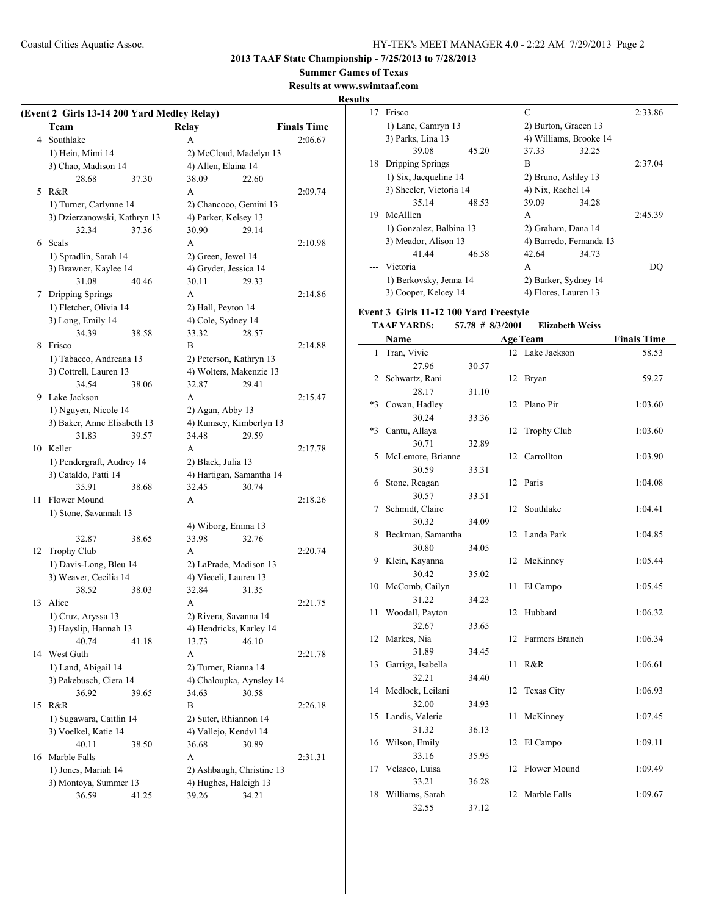**2013 TAAF State Championship - 7/25/2013 to 7/28/2013**

**Summer Games of Texas**

#### **Results at www.swimtaaf.com**

**Results**

| (Event 2 Girls 13-14 200 Yard Medley Relay) |                                              |       |                                                    |       |                    |  |
|---------------------------------------------|----------------------------------------------|-------|----------------------------------------------------|-------|--------------------|--|
|                                             | Team                                         |       | <b>Relay</b>                                       |       | <b>Finals Time</b> |  |
| $\overline{4}$                              | Southlake                                    |       | A                                                  |       | 2:06.67            |  |
|                                             | 1) Hein, Mimi 14                             |       | 2) McCloud, Madelyn 13                             |       |                    |  |
|                                             | 3) Chao, Madison 14                          |       | 4) Allen, Elaina 14                                |       |                    |  |
|                                             | 28.68                                        | 37.30 | 38.09                                              | 22.60 |                    |  |
|                                             | 5 R&R                                        |       | A                                                  |       | 2:09.74            |  |
|                                             | 1) Turner, Carlynne 14                       |       | 2) Chancoco, Gemini 13                             |       |                    |  |
|                                             | 3) Dzierzanowski, Kathryn 13                 |       | 4) Parker, Kelsey 13                               |       |                    |  |
|                                             | 32.34                                        | 37.36 | 30.90                                              | 29.14 |                    |  |
| 6                                           | Seals                                        |       | A                                                  |       | 2:10.98            |  |
|                                             | 1) Spradlin, Sarah 14                        |       | 2) Green, Jewel 14                                 |       |                    |  |
|                                             | 3) Brawner, Kaylee 14                        |       | 4) Gryder, Jessica 14                              |       |                    |  |
|                                             | 31.08                                        | 40.46 | 30.11                                              | 29.33 |                    |  |
| 7                                           | Dripping Springs                             |       | A                                                  |       | 2:14.86            |  |
|                                             | 1) Fletcher, Olivia 14                       |       | 2) Hall, Peyton 14                                 |       |                    |  |
|                                             | 3) Long, Emily 14                            |       | 4) Cole, Sydney 14                                 |       |                    |  |
|                                             | 34.39                                        | 38.58 | 33.32                                              | 28.57 |                    |  |
| 8                                           | Frisco                                       |       | B                                                  |       | 2:14.88            |  |
|                                             | 1) Tabacco, Andreana 13                      |       | 2) Peterson, Kathryn 13                            |       |                    |  |
|                                             | 3) Cottrell, Lauren 13                       |       | 4) Wolters, Makenzie 13                            |       |                    |  |
|                                             | 34.54                                        | 38.06 | 32.87                                              | 29.41 |                    |  |
| 9                                           | Lake Jackson                                 |       | A                                                  |       | 2:15.47            |  |
|                                             | 1) Nguyen, Nicole 14                         |       | 2) Agan, Abby 13                                   |       |                    |  |
|                                             | 3) Baker, Anne Elisabeth 13                  |       | 4) Rumsey, Kimberlyn 13                            |       |                    |  |
|                                             | 31.83                                        | 39.57 | 34.48                                              | 29.59 |                    |  |
|                                             | 10 Keller                                    |       | A                                                  |       | 2:17.78            |  |
|                                             | 1) Pendergraft, Audrey 14                    |       | 2) Black, Julia 13                                 |       |                    |  |
|                                             | 3) Cataldo, Patti 14                         |       | 4) Hartigan, Samantha 14                           |       |                    |  |
|                                             | 35.91                                        | 38.68 | 32.45                                              | 30.74 |                    |  |
| 11                                          | <b>Flower Mound</b>                          |       | A                                                  |       | 2:18.26            |  |
|                                             | 1) Stone, Savannah 13                        |       |                                                    |       |                    |  |
|                                             |                                              |       | 4) Wiborg, Emma 13                                 |       |                    |  |
|                                             | 32.87                                        | 38.65 | 33.98                                              | 32.76 |                    |  |
| 12                                          | Trophy Club                                  |       | A                                                  |       | 2:20.74            |  |
|                                             | 1) Davis-Long, Bleu 14                       |       | 2) LaPrade, Madison 13                             |       |                    |  |
|                                             | 3) Weaver, Cecilia 14                        |       | 4) Vieceli, Lauren 13                              |       |                    |  |
|                                             | 38.52                                        | 38.03 | 32.84                                              | 31.35 |                    |  |
| 13                                          | Alice                                        |       | A                                                  |       | 2:21.75            |  |
|                                             | 1) Cruz, Aryssa 13                           |       | 2) Rivera, Savanna 14                              |       |                    |  |
|                                             | 3) Hayslip, Hannah 13                        |       | 4) Hendricks, Karley 14                            |       |                    |  |
|                                             | 40.74                                        | 41.18 | 13.73                                              | 46.10 |                    |  |
| 14                                          | West Guth                                    |       | A                                                  |       | 2:21.78            |  |
|                                             | 1) Land, Abigail 14                          |       | 2) Turner, Rianna 14                               |       |                    |  |
|                                             | 3) Pakebusch, Ciera 14                       |       | 4) Chaloupka, Aynsley 14                           |       |                    |  |
|                                             | 36.92                                        | 39.65 | 34.63                                              | 30.58 |                    |  |
| 15                                          | R&R                                          |       | В                                                  |       | 2:26.18            |  |
|                                             | 1) Sugawara, Caitlin 14                      |       | 2) Suter, Rhiannon 14                              |       |                    |  |
|                                             | 3) Voelkel, Katie 14                         |       | 4) Vallejo, Kendyl 14                              | 30.89 |                    |  |
|                                             | 40.11                                        | 38.50 | 36.68                                              |       |                    |  |
| 16                                          | Marble Falls                                 |       | A                                                  |       | 2:31.31            |  |
|                                             | 1) Jones, Mariah 14<br>3) Montoya, Summer 13 |       | 2) Ashbaugh, Christine 13<br>4) Hughes, Haleigh 13 |       |                    |  |
|                                             | 36.59                                        | 41.25 | 39.26                                              | 34.21 |                    |  |
|                                             |                                              |       |                                                    |       |                    |  |

| S  |                         |       |                      |                         |         |
|----|-------------------------|-------|----------------------|-------------------------|---------|
| 17 | Frisco                  |       | C                    |                         | 2:33.86 |
|    | 1) Lane, Camryn 13      |       | 2) Burton, Gracen 13 |                         |         |
|    | 3) Parks, Lina 13       |       |                      | 4) Williams, Brooke 14  |         |
|    | 39.08                   | 45.20 | 37.33                | 32.25                   |         |
| 18 | Dripping Springs        |       | R                    |                         | 2:37.04 |
|    | 1) Six, Jacqueline 14   |       | 2) Bruno, Ashley 13  |                         |         |
|    | 3) Sheeler, Victoria 14 |       | 4) Nix, Rachel 14    |                         |         |
|    | 35.14                   | 48.53 | 39.09                | 34.28                   |         |
|    | 19 McAlllen             |       | A                    |                         | 2:45.39 |
|    | 1) Gonzalez, Balbina 13 |       | 2) Graham, Dana 14   |                         |         |
|    | 3) Meador, Alison 13    |       |                      | 4) Barredo, Fernanda 13 |         |
|    | 41.44                   | 46.58 | 42.64                | 34.73                   |         |
|    | Victoria                |       | A                    |                         | DO      |
|    | 1) Berkovsky, Jenna 14  |       |                      | 2) Barker, Sydney 14    |         |
|    | 3) Cooper, Kelcey 14    |       | 4) Flores, Lauren 13 |                         |         |

#### **Event 3 Girls 11-12 100 Yard Freestyle**

## **TAAF YARDS: 57.78 # 8/3/2001 Elizabeth Weiss**

|      | Name              |       |    | <b>Age Team</b>    | <b>Finals Time</b> |
|------|-------------------|-------|----|--------------------|--------------------|
| 1    | Tran, Vivie       |       | 12 | Lake Jackson       | 58.53              |
|      | 27.96             | 30.57 |    |                    |                    |
| 2    | Schwartz, Rani    |       | 12 | Bryan              | 59.27              |
|      | 28.17             | 31.10 |    |                    |                    |
| *3   | Cowan, Hadley     |       | 12 | Plano Pir          | 1:03.60            |
|      | 30.24             | 33.36 |    |                    |                    |
| $*3$ | Cantu, Allaya     |       | 12 | <b>Trophy Club</b> | 1:03.60            |
|      | 30.71             | 32.89 |    |                    |                    |
| 5    | McLemore, Brianne |       | 12 | Carrollton         | 1:03.90            |
|      | 30.59             | 33.31 |    |                    |                    |
| 6    | Stone, Reagan     |       | 12 | Paris              | 1:04.08            |
|      | 30.57             | 33.51 |    |                    |                    |
| 7    | Schmidt, Claire   |       | 12 | Southlake          | 1:04.41            |
|      | 30.32             | 34.09 |    |                    |                    |
| 8    | Beckman, Samantha |       | 12 | Landa Park         | 1:04.85            |
|      | 30.80             | 34.05 |    |                    |                    |
| 9    | Klein, Kayanna    |       | 12 | McKinney           | 1:05.44            |
|      | 30.42             | 35.02 |    |                    |                    |
| 10   | McComb, Cailyn    |       | 11 | El Campo           | 1:05.45            |
|      | 31.22             | 34.23 |    |                    |                    |
| 11   | Woodall, Payton   |       | 12 | Hubbard            | 1:06.32            |
|      | 32.67             | 33.65 |    |                    |                    |
| 12   | Markes, Nia       |       | 12 | Farmers Branch     | 1:06.34            |
|      | 31.89             | 34.45 |    |                    |                    |
| 13   | Garriga, Isabella |       | 11 | R&R                | 1:06.61            |
|      | 32.21             | 34.40 |    |                    |                    |
| 14   | Medlock, Leilani  |       | 12 | Texas City         | 1:06.93            |
|      | 32.00             | 34.93 |    |                    |                    |
| 15   | Landis, Valerie   |       | 11 | McKinney           | 1:07.45            |
|      | 31.32             | 36.13 |    |                    |                    |
| 16   | Wilson, Emily     |       | 12 | El Campo           | 1:09.11            |
|      | 33.16             | 35.95 |    |                    |                    |
| 17   | Velasco, Luisa    |       | 12 | Flower Mound       | 1:09.49            |
|      | 33.21             | 36.28 |    |                    |                    |
| 18   | Williams, Sarah   |       | 12 | Marble Falls       | 1:09.67            |
|      | 32.55             | 37.12 |    |                    |                    |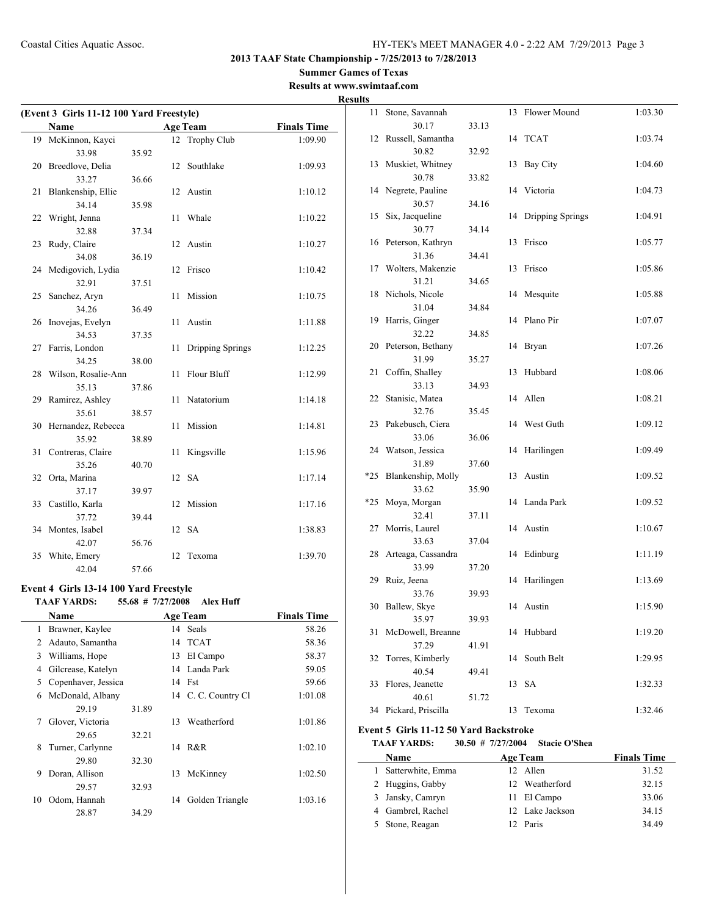#### **Summer Games of Texas Results at www.swimtaaf.com**

# **Results**

| (Event 3 Girls 11-12 100 Yard Freestyle) |                                        |                   |    |                  |                    |  |
|------------------------------------------|----------------------------------------|-------------------|----|------------------|--------------------|--|
|                                          | Name                                   |                   |    | <b>Age Team</b>  | <b>Finals Time</b> |  |
| 19                                       | McKinnon, Kayci                        |                   |    | 12 Trophy Club   | 1:09.90            |  |
|                                          | 33.98                                  | 35.92             |    |                  |                    |  |
| 20                                       | Breedlove, Delia                       |                   | 12 | Southlake        | 1:09.93            |  |
|                                          | 33.27                                  | 36.66             |    |                  |                    |  |
| 21                                       | Blankenship, Ellie                     |                   | 12 | Austin           | 1:10.12            |  |
|                                          | 34.14                                  | 35.98             |    |                  |                    |  |
| 22                                       | Wright, Jenna                          |                   | 11 | Whale            | 1:10.22            |  |
|                                          | 32.88                                  | 37.34             |    |                  |                    |  |
| 23                                       | Rudy, Claire                           |                   | 12 | Austin           | 1:10.27            |  |
|                                          | 34.08                                  | 36.19             |    |                  |                    |  |
| 24                                       | Medigovich, Lydia                      |                   | 12 | Frisco           | 1:10.42            |  |
|                                          | 32.91                                  | 37.51             |    |                  |                    |  |
| 25                                       | Sanchez, Aryn                          |                   | 11 | Mission          | 1:10.75            |  |
|                                          | 34.26                                  | 36.49             |    |                  |                    |  |
| 26                                       | Inovejas, Evelyn                       |                   | 11 | Austin           | 1:11.88            |  |
|                                          | 34.53                                  | 37.35             |    |                  |                    |  |
| 27                                       | Farris, London                         |                   | 11 | Dripping Springs | 1:12.25            |  |
|                                          | 34.25                                  | 38.00             |    |                  |                    |  |
| 28                                       | Wilson, Rosalie-Ann                    |                   | 11 | Flour Bluff      | 1:12.99            |  |
|                                          | 35.13                                  | 37.86             |    |                  |                    |  |
| 29                                       | Ramirez, Ashley                        |                   | 11 | Natatorium       | 1:14.18            |  |
|                                          | 35.61                                  | 38.57             |    |                  |                    |  |
| 30                                       | Hernandez, Rebecca                     |                   | 11 | Mission          | 1:14.81            |  |
|                                          | 35.92                                  | 38.89             |    |                  |                    |  |
| 31                                       | Contreras, Claire<br>35.26             |                   | 11 | Kingsville       | 1:15.96            |  |
|                                          |                                        | 40.70             |    |                  |                    |  |
| 32                                       | Orta, Marina<br>37.17                  | 39.97             |    | 12 SA            | 1:17.14            |  |
| 33                                       | Castillo, Karla                        |                   | 12 | Mission          | 1:17.16            |  |
|                                          | 37.72                                  | 39.44             |    |                  |                    |  |
| 34                                       | Montes, Isabel                         |                   |    | 12 SA            | 1:38.83            |  |
|                                          | 42.07                                  | 56.76             |    |                  |                    |  |
| 35                                       | White, Emery                           |                   | 12 | Texoma           | 1:39.70            |  |
|                                          | 42.04                                  | 57.66             |    |                  |                    |  |
|                                          |                                        |                   |    |                  |                    |  |
|                                          | Event 4 Girls 13-14 100 Yard Freestyle |                   |    |                  |                    |  |
|                                          | <b>TAAF YARDS:</b>                     | 55.68 # 7/27/2008 |    | <b>Alex Huff</b> |                    |  |
|                                          | Name                                   |                   |    | Age Team         | <b>Finals Time</b> |  |
| 1                                        | Brawner, Kaylee                        |                   | 14 | Seals            | 58.26              |  |
| $\overline{c}$                           | Adauto, Samantha                       |                   | 14 | <b>TCAT</b>      | 58.36              |  |
| 3                                        | Williams, Hope                         |                   | 13 | El Campo         | 58.37              |  |
| 4                                        | Gilcrease, Katelyn                     |                   | 14 | Landa Park       | 59.05              |  |
| 5                                        | Copenhaver, Jessica                    |                   | 14 | Fst              | 59.66              |  |
| 6                                        | McDonald, Albany                       |                   | 14 | C. C. Country Cl | 1:01.08            |  |
|                                          | 29.19                                  | 31.89             |    |                  |                    |  |
| 7                                        | Glover, Victoria                       |                   | 13 | Weatherford      | 1:01.86            |  |
|                                          | 29.65                                  | 32.21             |    |                  |                    |  |
| 8                                        | Turner, Carlynne                       |                   | 14 | R&R              | 1:02.10            |  |
|                                          | 29.80                                  | 32.30             |    |                  |                    |  |

9 Doran, Allison 13 McKinney 1:02.50

10 Odom, Hannah 14 Golden Triangle 1:03.16

29.57 32.93

28.87 34.29

| 11    | Stone, Savannah                               |                       | 13 | Flower Mound         | 1:03.30            |
|-------|-----------------------------------------------|-----------------------|----|----------------------|--------------------|
|       | 30.17                                         | 33.13                 |    |                      |                    |
| 12    | Russell, Samantha                             |                       | 14 | <b>TCAT</b>          | 1:03.74            |
|       | 30.82                                         | 32.92                 |    |                      |                    |
| 13    | Muskiet, Whitney                              |                       | 13 | Bay City             | 1:04.60            |
|       | 30.78                                         | 33.82                 |    |                      |                    |
|       | 14 Negrete, Pauline                           |                       | 14 | Victoria             | 1:04.73            |
|       | 30.57                                         | 34.16                 |    |                      |                    |
| 15    | Six, Jacqueline                               |                       | 14 | Dripping Springs     | 1:04.91            |
|       | 30.77                                         | 34.14                 |    |                      |                    |
|       | 16 Peterson, Kathryn                          |                       | 13 | Frisco               | 1:05.77            |
|       | 31.36                                         | 34.41                 |    |                      |                    |
| 17    | Wolters, Makenzie                             |                       | 13 | Frisco               | 1:05.86            |
|       | 31.21                                         | 34.65                 |    |                      |                    |
| 18    | Nichols, Nicole                               |                       | 14 | Mesquite             | 1:05.88            |
|       | 31.04                                         | 34.84                 |    |                      |                    |
| 19    | Harris, Ginger                                |                       | 14 | Plano Pir            | 1:07.07            |
|       | 32.22                                         | 34.85                 |    |                      |                    |
| 20    | Peterson, Bethany                             |                       | 14 | <b>Bryan</b>         | 1:07.26            |
|       | 31.99                                         | 35.27                 |    |                      |                    |
| 21    | Coffin, Shalley                               |                       | 13 | Hubbard              | 1:08.06            |
|       | 33.13                                         | 34.93                 |    |                      |                    |
| 22    | Stanisic, Matea<br>32.76                      |                       | 14 | Allen                | 1:08.21            |
| 23    |                                               | 35.45                 | 14 | West Guth            |                    |
|       | Pakebusch, Ciera<br>33.06                     | 36.06                 |    |                      | 1:09.12            |
|       | 24 Watson, Jessica                            |                       | 14 | Harilingen           | 1:09.49            |
|       | 31.89                                         | 37.60                 |    |                      |                    |
| $*25$ | Blankenship, Molly                            |                       | 13 | Austin               | 1:09.52            |
|       | 33.62                                         | 35.90                 |    |                      |                    |
| $*25$ | Moya, Morgan                                  |                       | 14 | Landa Park           | 1:09.52            |
|       | 32.41                                         | 37.11                 |    |                      |                    |
| 27    | Morris, Laurel                                |                       |    | 14 Austin            | 1:10.67            |
|       | 33.63                                         | 37.04                 |    |                      |                    |
| 28    | Arteaga, Cassandra                            |                       | 14 | Edinburg             | 1:11.19            |
|       | 33.99                                         | 37.20                 |    |                      |                    |
| 29    | Ruiz, Jeena                                   |                       | 14 | Harilingen           | 1:13.69            |
|       | 33.76                                         | 39.93                 |    |                      |                    |
| 30    | Ballew, Skye                                  |                       | 14 | Austin               | 1:15.90            |
|       | 35.97                                         | 39.93                 |    |                      |                    |
| 31    | McDowell, Breanne                             |                       |    | 14 Hubbard           | 1:19.20            |
|       | 37.29                                         | 41.91                 |    |                      |                    |
| 32    | Torres, Kimberly                              |                       |    | 14 South Belt        | 1:29.95            |
|       | 40.54                                         | 49.41                 |    |                      |                    |
| 33    | Flores, Jeanette                              |                       | 13 | SА                   | 1:32.33            |
|       | 40.61                                         | 51.72                 |    |                      |                    |
|       | 34 Pickard, Priscilla                         |                       | 13 | Texoma               | 1:32.46            |
|       | <b>Event 5 Girls 11-12 50 Yard Backstroke</b> |                       |    |                      |                    |
|       | <b>TAAF YARDS:</b>                            | $30.50$ # $7/27/2004$ |    | <b>Stacie O'Shea</b> |                    |
|       | Name                                          |                       |    | <b>Age Team</b>      | <b>Finals Time</b> |
| 1     | Satterwhite, Emma                             |                       |    | 12 Allen             | 31.52              |
|       | 2 Huggins Gabby                               |                       |    | 12 Weatherford       | 32.15              |

| 1 Satterwhite, Emma | 12 Allen        | 31.52 |
|---------------------|-----------------|-------|
| 2 Huggins, Gabby    | 12 Weatherford  | 32.15 |
| 3 Jansky, Camryn    | 11 El Campo     | 33.06 |
| 4 Gambrel, Rachel   | 12 Lake Jackson | 34.15 |
| 5 Stone, Reagan     | 12 Paris        | 34.49 |
|                     |                 |       |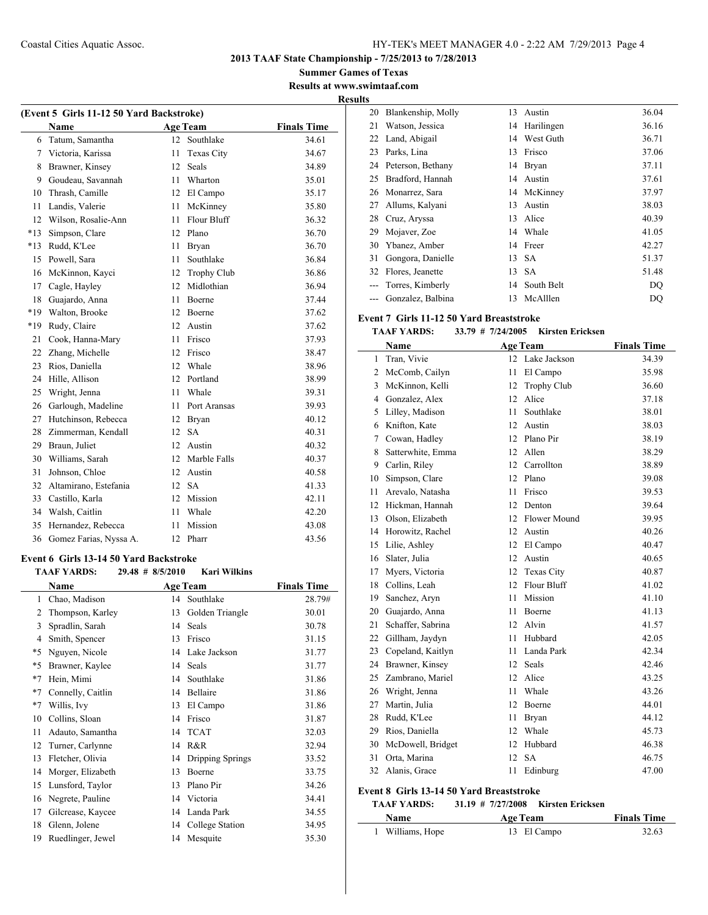**Summer Games of Texas Results at www.swimtaaf.com**

#### **Results**

 $\overline{a}$ 

| (Event 5 Girls 11-12 50 Yard Backstroke) |                        |    |                   |                    |  |  |  |  |
|------------------------------------------|------------------------|----|-------------------|--------------------|--|--|--|--|
|                                          | <b>Name</b>            |    | <b>Age Team</b>   | <b>Finals Time</b> |  |  |  |  |
| 6                                        | Tatum, Samantha        | 12 | Southlake         | 34.61              |  |  |  |  |
| 7                                        | Victoria, Karissa      | 11 | <b>Texas City</b> | 34.67              |  |  |  |  |
| 8                                        | Brawner, Kinsey        | 12 | Seals             | 34.89              |  |  |  |  |
| 9                                        | Goudeau, Savannah      | 11 | Wharton           | 35.01              |  |  |  |  |
| 10                                       | Thrash, Camille        |    | 12 El Campo       | 35.17              |  |  |  |  |
| 11                                       | Landis, Valerie        | 11 | McKinney          | 35.80              |  |  |  |  |
| 12                                       | Wilson, Rosalie-Ann    | 11 | Flour Bluff       | 36.32              |  |  |  |  |
| $*13$                                    | Simpson, Clare         | 12 | Plano             | 36.70              |  |  |  |  |
| $*13$                                    | Rudd, K'Lee            | 11 | <b>Bryan</b>      | 36.70              |  |  |  |  |
| 15                                       | Powell, Sara           | 11 | Southlake         | 36.84              |  |  |  |  |
| 16                                       | McKinnon, Kayci        | 12 | Trophy Club       | 36.86              |  |  |  |  |
| 17                                       | Cagle, Hayley          | 12 | Midlothian        | 36.94              |  |  |  |  |
| 18                                       | Guajardo, Anna         | 11 | Boerne            | 37.44              |  |  |  |  |
| $*19$                                    | Walton, Brooke         | 12 | Boerne            | 37.62              |  |  |  |  |
| $*19$                                    | Rudy, Claire           | 12 | Austin            | 37.62              |  |  |  |  |
| 21                                       | Cook, Hanna-Mary       | 11 | Frisco            | 37.93              |  |  |  |  |
| 22                                       | Zhang, Michelle        | 12 | Frisco            | 38.47              |  |  |  |  |
| 23                                       | Rios, Daniella         | 12 | Whale             | 38.96              |  |  |  |  |
| 24                                       | Hille, Allison         | 12 | Portland          | 38.99              |  |  |  |  |
| 25                                       | Wright, Jenna          | 11 | Whale             | 39.31              |  |  |  |  |
| 26                                       | Garlough, Madeline     | 11 | Port Aransas      | 39.93              |  |  |  |  |
| 27                                       | Hutchinson, Rebecca    | 12 | Bryan             | 40.12              |  |  |  |  |
| 28                                       | Zimmerman, Kendall     | 12 | <b>SA</b>         | 40.31              |  |  |  |  |
| 29                                       | Braun, Juliet          | 12 | Austin            | 40.32              |  |  |  |  |
| 30                                       | Williams, Sarah        | 12 | Marble Falls      | 40.37              |  |  |  |  |
| 31                                       | Johnson, Chloe         | 12 | Austin            | 40.58              |  |  |  |  |
| 32                                       | Altamirano, Estefania  | 12 | <b>SA</b>         | 41.33              |  |  |  |  |
| 33                                       | Castillo, Karla        | 12 | Mission           | 42.11              |  |  |  |  |
| 34                                       | Walsh, Caitlin         | 11 | Whale             | 42.20              |  |  |  |  |
| 35                                       | Hernandez, Rebecca     | 11 | Mission           | 43.08              |  |  |  |  |
| 36                                       | Gomez Farias, Nyssa A. |    | 12 Pharr          | 43.56              |  |  |  |  |

#### **Event 6 Girls 13-14 50 Yard Backstroke**

|      | <b>TAAF YARDS:</b> | $29.48$ # 8/5/2010 | <b>Kari Wilkins</b> |                    |
|------|--------------------|--------------------|---------------------|--------------------|
|      | Name               | <b>Age Team</b>    |                     | <b>Finals Time</b> |
| 1    | Chao, Madison      | 14                 | Southlake           | 28.79#             |
| 2    | Thompson, Karley   | 13                 | Golden Triangle     | 30.01              |
| 3    | Spradlin, Sarah    | 14                 | <b>Seals</b>        | 30.78              |
| 4    | Smith, Spencer     | 13                 | Frisco              | 31.15              |
| *5   | Nguyen, Nicole     | 14                 | Lake Jackson        | 31.77              |
| *5   | Brawner, Kaylee    | 14                 | Seals               | 31.77              |
| $*7$ | Hein, Mimi         | 14                 | Southlake           | 31.86              |
| $*7$ | Connelly, Caitlin  | 14                 | Bellaire            | 31.86              |
| $*7$ | Willis, Ivy        | 13                 | El Campo            | 31.86              |
| 10   | Collins, Sloan     | 14                 | Frisco              | 31.87              |
| 11   | Adauto, Samantha   | 14                 | <b>TCAT</b>         | 32.03              |
| 12   | Turner, Carlynne   | 14                 | R&R                 | 32.94              |
| 13   | Fletcher, Olivia   | 14                 | Dripping Springs    | 33.52              |
| 14   | Morger, Elizabeth  | 13                 | Boerne              | 33.75              |
| 15   | Lunsford, Taylor   | 13                 | Plano Pir           | 34.26              |
| 16   | Negrete, Pauline   | 14                 | Victoria            | 34.41              |
| 17   | Gilcrease, Kaycee  | 14                 | Landa Park          | 34.55              |
| 18   | Glenn, Jolene      | 14                 | College Station     | 34.95              |
| 19   | Ruedlinger, Jewel  | 14                 | Mesquite            | 35.30              |

| . |    |                      |    |             |       |
|---|----|----------------------|----|-------------|-------|
|   | 20 | Blankenship, Molly   | 13 | Austin      | 36.04 |
|   | 21 | Watson, Jessica      | 14 | Harilingen  | 36.16 |
|   | 22 | Land, Abigail        | 14 | West Guth   | 36.71 |
|   | 23 | Parks, Lina          | 13 | Frisco      | 37.06 |
|   |    | 24 Peterson, Bethany | 14 | Bryan       | 37.11 |
|   | 25 | Bradford, Hannah     | 14 | Austin      | 37.61 |
|   | 26 | Monarrez, Sara       |    | 14 McKinney | 37.97 |
|   | 27 | Allums, Kalyani      | 13 | Austin      | 38.03 |
|   | 28 | Cruz, Aryssa         | 13 | Alice       | 40.39 |
|   | 29 | Mojaver, Zoe         | 14 | Whale       | 41.05 |
|   | 30 | Ybanez, Amber        | 14 | Freer       | 42.27 |
|   | 31 | Gongora, Danielle    | 13 | <b>SA</b>   | 51.37 |
|   | 32 | Flores, Jeanette     | 13 | <b>SA</b>   | 51.48 |
|   |    | Torres, Kimberly     | 14 | South Belt  | DQ    |
|   |    | Gonzalez, Balbina    | 13 | McAlllen    | DQ    |

#### **Event 7 Girls 11-12 50 Yard Breaststroke**

## **TAAF YARDS: 33.79 # 7/24/2005 Kirsten Ericksen**

|                | Name                                     |                   | <b>Age Team</b>         | <b>Finals Time</b> |
|----------------|------------------------------------------|-------------------|-------------------------|--------------------|
| $\mathbf{1}$   | Tran, Vivie                              | 12                | Lake Jackson            | 34.39              |
| $\overline{2}$ | McComb, Cailyn                           | 11                | El Campo                | 35.98              |
| 3              | McKinnon, Kelli                          | 12                | <b>Trophy Club</b>      | 36.60              |
| 4              | Gonzalez, Alex                           | 12                | Alice                   | 37.18              |
| 5              | Lilley, Madison                          | 11                | Southlake               | 38.01              |
| 6              | Knifton, Kate                            | 12                | Austin                  | 38.03              |
| 7              | Cowan, Hadley                            | 12 <sup>2</sup>   | Plano Pir               | 38.19              |
| 8              | Satterwhite, Emma                        | 12                | Allen                   | 38.29              |
| 9              | Carlin, Riley                            | 12                | Carrollton              | 38.89              |
| 10             | Simpson, Clare                           | 12 <sup>2</sup>   | Plano                   | 39.08              |
| 11             | Arevalo, Natasha                         | 11                | Frisco                  | 39.53              |
| 12             | Hickman, Hannah                          | 12                | Denton                  | 39.64              |
| 13             | Olson, Elizabeth                         |                   | 12 Flower Mound         | 39.95              |
| 14             | Horowitz, Rachel                         |                   | 12 Austin               | 40.26              |
| 15             | Lilie, Ashley                            |                   | 12 El Campo             | 40.47              |
| 16             | Slater, Julia                            |                   | 12 Austin               | 40.65              |
| 17             | Myers, Victoria                          |                   | 12 Texas City           | 40.87              |
| 18             | Collins, Leah                            | 12                | Flour Bluff             | 41.02              |
| 19             | Sanchez, Aryn                            | 11                | Mission                 | 41.10              |
| 20             | Guajardo, Anna                           | 11                | Boerne                  | 41.13              |
| 21             | Schaffer, Sabrina                        | 12                | Alvin                   | 41.57              |
| 22             | Gillham, Jaydyn                          | 11                | Hubbard                 | 42.05              |
| 23             | Copeland, Kaitlyn                        | 11                | Landa Park              | 42.34              |
| 24             | Brawner, Kinsey                          | 12                | Seals                   | 42.46              |
| 25             | Zambrano, Mariel                         | 12                | Alice                   | 43.25              |
| 26             | Wright, Jenna                            | 11                | Whale                   | 43.26              |
| 27             | Martin, Julia                            | 12                | Boerne                  | 44.01              |
| 28             | Rudd, K'Lee                              | 11                | Bryan                   | 44.12              |
| 29             | Rios, Daniella                           | 12                | Whale                   | 45.73              |
| 30             | McDowell, Bridget                        | 12                | Hubbard                 | 46.38              |
| 31             | Orta, Marina                             | 12                | <b>SA</b>               | 46.75              |
| 32             | Alanis, Grace                            | 11                | Edinburg                | 47.00              |
|                | Event 8 Girls 13-14 50 Yard Breaststroke |                   |                         |                    |
|                | <b>TAAF YARDS:</b>                       | 31.19 # 7/27/2008 | <b>Kirsten Ericksen</b> |                    |
|                | <b>Name</b>                              |                   | <b>Age Team</b>         | <b>Finals Time</b> |

| 1 Williams, Hope | 13 El Campo | 32.63 |
|------------------|-------------|-------|
|------------------|-------------|-------|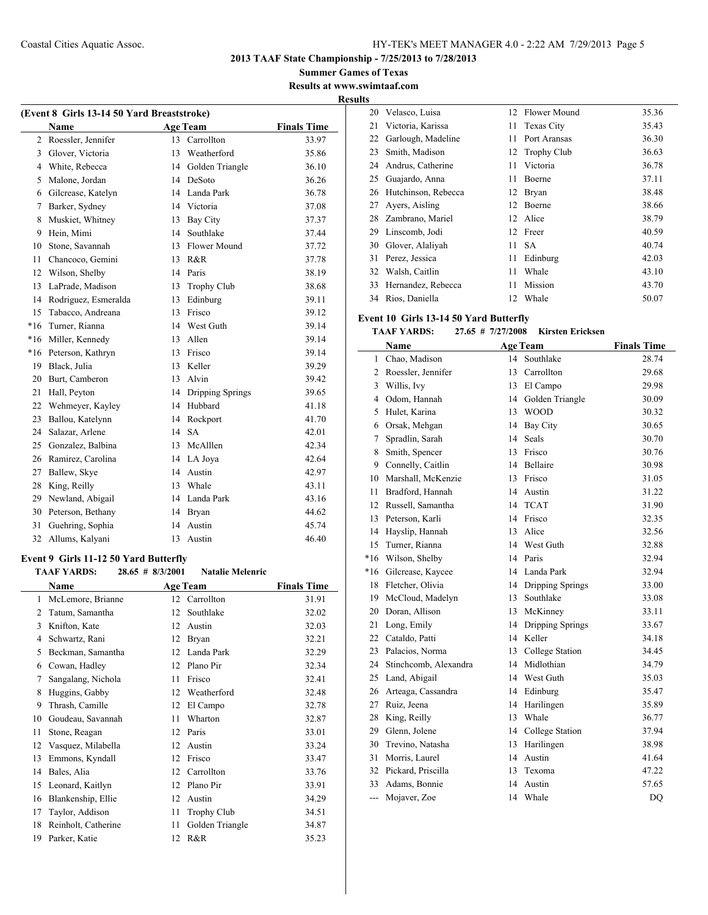**2013 TAAF State Championship - 7/25/2013 to 7/28/2013**

**Summer Games of Texas Results at www.swimtaaf.com**

**Results**

 $\overline{\phantom{0}}$ 

| (Event 8 Girls 13-14 50 Yard Breaststroke) |                      |    |                  |                    |  |
|--------------------------------------------|----------------------|----|------------------|--------------------|--|
|                                            | <b>Name</b>          |    | <b>Age Team</b>  | <b>Finals Time</b> |  |
| 2                                          | Roessler, Jennifer   | 13 | Carrollton       | 33.97              |  |
| 3                                          | Glover, Victoria     | 13 | Weatherford      | 35.86              |  |
| 4                                          | White, Rebecca       | 14 | Golden Triangle  | 36.10              |  |
| 5                                          | Malone, Jordan       | 14 | DeSoto           | 36.26              |  |
| 6                                          | Gilcrease, Katelyn   | 14 | Landa Park       | 36.78              |  |
| 7                                          | Barker, Sydney       | 14 | Victoria         | 37.08              |  |
| 8                                          | Muskiet, Whitney     | 13 | <b>Bay City</b>  | 37.37              |  |
| 9                                          | Hein, Mimi           | 14 | Southlake        | 37.44              |  |
| 10                                         | Stone, Savannah      | 13 | Flower Mound     | 37.72              |  |
| 11                                         | Chancoco, Gemini     | 13 | R&R              | 37.78              |  |
| 12                                         | Wilson, Shelby       | 14 | Paris            | 38.19              |  |
| 13                                         | LaPrade, Madison     | 13 | Trophy Club      | 38.68              |  |
| 14                                         | Rodriguez, Esmeralda | 13 | Edinburg         | 39.11              |  |
| 15                                         | Tabacco, Andreana    | 13 | Frisco           | 39.12              |  |
| $*16$                                      | Turner, Rianna       | 14 | West Guth        | 39.14              |  |
| $*16$                                      | Miller, Kennedy      | 13 | Allen            | 39.14              |  |
| $*16$                                      | Peterson, Kathryn    | 13 | Frisco           | 39.14              |  |
| 19                                         | Black, Julia         | 13 | Keller           | 39.29              |  |
| 20                                         | Burt, Camberon       | 13 | Alvin            | 39.42              |  |
| 21                                         | Hall, Peyton         | 14 | Dripping Springs | 39.65              |  |
| 22                                         | Wehmeyer, Kayley     | 14 | Hubbard          | 41.18              |  |
| 23                                         | Ballou, Katelynn     | 14 | Rockport         | 41.70              |  |
| 24                                         | Salazar, Arlene      | 14 | <b>SA</b>        | 42.01              |  |
| 25                                         | Gonzalez, Balbina    | 13 | McAlllen         | 42.34              |  |
| 26                                         | Ramirez, Carolina    | 14 | LA Joya          | 42.64              |  |
| 27                                         | Ballew, Skye         | 14 | Austin           | 42.97              |  |
| 28                                         | King, Reilly         | 13 | Whale            | 43.11              |  |
| 29                                         | Newland, Abigail     |    | 14 Landa Park    | 43.16              |  |
| 30                                         | Peterson, Bethany    | 14 | Bryan            | 44.62              |  |
| 31                                         | Guehring, Sophia     | 14 | Austin           | 45.74              |  |
| 32                                         | Allums, Kalvani      | 13 | Austin           | 46.40              |  |

#### **Event 9 Girls 11-12 50 Yard Butterfly TAAF YARDS: 28.65 # 8/3/2001 Natalie Melenric**

|    | <b>LIMMUS</b><br>$-0.00$ $\mu$ 0.01-001 |    |                    |                    |  |  |
|----|-----------------------------------------|----|--------------------|--------------------|--|--|
|    | Name                                    |    | <b>Age Team</b>    | <b>Finals Time</b> |  |  |
| 1  | McLemore, Brianne                       | 12 | Carrollton         | 31.91              |  |  |
| 2  | Tatum, Samantha                         | 12 | Southlake          | 32.02              |  |  |
| 3  | Knifton, Kate                           | 12 | Austin             | 32.03              |  |  |
| 4  | Schwartz, Rani                          | 12 | Bryan              | 32.21              |  |  |
| 5  | Beckman, Samantha                       | 12 | Landa Park         | 32.29              |  |  |
| 6  | Cowan, Hadley                           | 12 | Plano Pir          | 32.34              |  |  |
| 7  | Sangalang, Nichola                      | 11 | Frisco             | 32.41              |  |  |
| 8  | Huggins, Gabby                          | 12 | Weatherford        | 32.48              |  |  |
| 9  | Thrash, Camille                         | 12 | El Campo           | 32.78              |  |  |
| 10 | Goudeau, Savannah                       | 11 | Wharton            | 32.87              |  |  |
| 11 | Stone, Reagan                           | 12 | Paris              | 33.01              |  |  |
| 12 | Vasquez, Milabella                      | 12 | Austin             | 33.24              |  |  |
| 13 | Emmons, Kyndall                         | 12 | Frisco             | 33.47              |  |  |
| 14 | Bales, Alia                             | 12 | Carrollton         | 33.76              |  |  |
| 15 | Leonard, Kaitlyn                        | 12 | Plano Pir          | 33.91              |  |  |
| 16 | Blankenship, Ellie                      | 12 | Austin             | 34.29              |  |  |
| 17 | Taylor, Addison                         | 11 | <b>Trophy Club</b> | 34.51              |  |  |
| 18 | Reinholt, Catherine                     | 11 | Golden Triangle    | 34.87              |  |  |
| 19 | Parker, Katie                           | 12 | R&R                | 35.23              |  |  |
|    |                                         |    |                    |                    |  |  |

| .  |                     |     |                   |       |
|----|---------------------|-----|-------------------|-------|
| 20 | Velasco, Luisa      |     | 12 Flower Mound   | 35.36 |
| 21 | Victoria, Karissa   | 11. | <b>Texas City</b> | 35.43 |
| 22 | Garlough, Madeline  | 11  | Port Aransas      | 36.30 |
| 23 | Smith, Madison      |     | 12 Trophy Club    | 36.63 |
| 24 | Andrus, Catherine   | 11  | Victoria          | 36.78 |
| 25 | Guajardo, Anna      | 11  | Boerne            | 37.11 |
| 26 | Hutchinson, Rebecca | 12  | Bryan             | 38.48 |
| 27 | Ayers, Aisling      | 12  | Boerne            | 38.66 |
| 28 | Zambrano, Mariel    |     | 12 Alice          | 38.79 |
| 29 | Linscomb, Jodi      | 12  | Freer             | 40.59 |
| 30 | Glover, Alaliyah    | 11  | <b>SA</b>         | 40.74 |
| 31 | Perez, Jessica      | 11  | Edinburg          | 42.03 |
| 32 | Walsh, Caitlin      | 11  | Whale             | 43.10 |
| 33 | Hernandez, Rebecca  | 11  | Mission           | 43.70 |
| 34 | Rios, Daniella      | 12  | Whale             | 50.07 |

## **Event 10 Girls 13-14 50 Yard Butterfly**

## **TAAF YARDS: 27.65 # 7/27/2008 Kirsten Ericksen**

|                | Name                  |    | <b>Age Team</b>  | <b>Finals Time</b> |
|----------------|-----------------------|----|------------------|--------------------|
| 1              | Chao, Madison         |    | 14 Southlake     | 28.74              |
| 2              | Roessler, Jennifer    | 13 | Carrollton       | 29.68              |
| $\overline{3}$ | Willis, Ivy           | 13 | El Campo         | 29.98              |
| 4              | Odom, Hannah          | 14 | Golden Triangle  | 30.09              |
| 5              | Hulet, Karina         | 13 | <b>WOOD</b>      | 30.32              |
| 6              | Orsak, Mehgan         | 14 | <b>Bay City</b>  | 30.65              |
| 7              | Spradlin, Sarah       | 14 | Seals            | 30.70              |
| 8              | Smith, Spencer        | 13 | Frisco           | 30.76              |
| 9              | Connelly, Caitlin     | 14 | Bellaire         | 30.98              |
| 10             | Marshall, McKenzie    | 13 | Frisco           | 31.05              |
| 11             | Bradford, Hannah      | 14 | Austin           | 31.22              |
| 12             | Russell, Samantha     | 14 | <b>TCAT</b>      | 31.90              |
| 13             | Peterson, Karli       | 14 | Frisco           | 32.35              |
| 14             | Hayslip, Hannah       | 13 | Alice            | 32.56              |
| 15             | Turner, Rianna        | 14 | West Guth        | 32.88              |
| $*16$          | Wilson, Shelby        | 14 | Paris            | 32.94              |
| $*16$          | Gilcrease, Kaycee     | 14 | Landa Park       | 32.94              |
| 18             | Fletcher, Olivia      | 14 | Dripping Springs | 33.00              |
| 19             | McCloud, Madelyn      | 13 | Southlake        | 33.08              |
| 20             | Doran, Allison        | 13 | McKinney         | 33.11              |
| 21             | Long, Emily           | 14 | Dripping Springs | 33.67              |
| 22             | Cataldo, Patti        | 14 | Keller           | 34.18              |
| 23             | Palacios, Norma       | 13 | College Station  | 34.45              |
| 24             | Stinchcomb, Alexandra | 14 | Midlothian       | 34.79              |
| 25             | Land, Abigail         | 14 | West Guth        | 35.03              |
| 26             | Arteaga, Cassandra    | 14 | Edinburg         | 35.47              |
| 27             | Ruiz, Jeena           | 14 | Harilingen       | 35.89              |
| 28             | King, Reilly          | 13 | Whale            | 36.77              |
| 29             | Glenn, Jolene         | 14 | College Station  | 37.94              |
| 30             | Trevino, Natasha      | 13 | Harilingen       | 38.98              |
| 31             | Morris, Laurel        | 14 | Austin           | 41.64              |
| 32             | Pickard, Priscilla    | 13 | Texoma           | 47.22              |
| 33             | Adams, Bonnie         | 14 | Austin           | 57.65              |
| ---            | Mojaver, Zoe          | 14 | Whale            | DQ                 |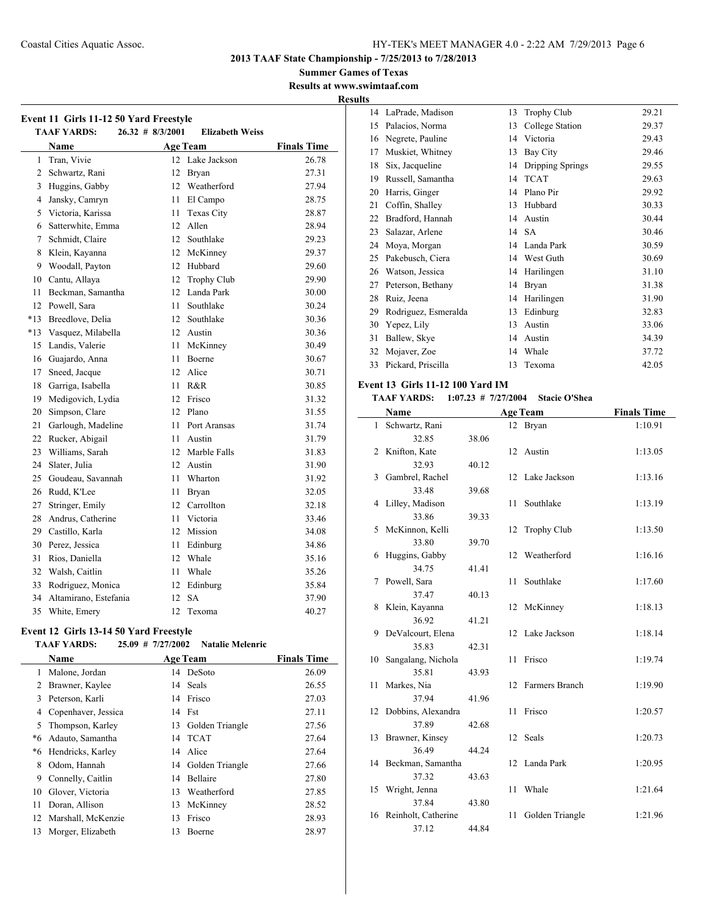**2013 TAAF State Championship - 7/25/2013 to 7/28/2013**

**Summer Games of Texas Results at www.swimtaaf.com**

**Results**

 $\overline{\phantom{a}}$ 

| Event 11 Girls 11-12 50 Yard Freestyle<br><b>TAAF YARDS:</b><br>$26.32 \# 8/3/2001$<br><b>Elizabeth Weiss</b> |                       |      |                   |                    |  |
|---------------------------------------------------------------------------------------------------------------|-----------------------|------|-------------------|--------------------|--|
|                                                                                                               | Name                  |      | Age Team          | <b>Finals Time</b> |  |
| $\mathbf{1}$                                                                                                  | Tran, Vivie           |      | 12 Lake Jackson   | 26.78              |  |
| 2                                                                                                             | Schwartz, Rani        | 12   | <b>Bryan</b>      | 27.31              |  |
| 3                                                                                                             | Huggins, Gabby        |      | 12 Weatherford    | 27.94              |  |
| 4                                                                                                             | Jansky, Camryn        | 11 - | El Campo          | 28.75              |  |
| 5                                                                                                             | Victoria, Karissa     | 11   | <b>Texas City</b> | 28.87              |  |
| 6                                                                                                             | Satterwhite, Emma     | 12   | Allen             | 28.94              |  |
| 7                                                                                                             | Schmidt, Claire       |      | 12 Southlake      | 29.23              |  |
| 8                                                                                                             | Klein, Kayanna        |      | 12 McKinney       | 29.37              |  |
| 9                                                                                                             | Woodall, Payton       |      | 12 Hubbard        | 29.60              |  |
| 10                                                                                                            | Cantu, Allaya         | 12   | Trophy Club       | 29.90              |  |
| 11                                                                                                            | Beckman, Samantha     |      | 12 Landa Park     | 30.00              |  |
| 12                                                                                                            | Powell, Sara          | 11   | Southlake         | 30.24              |  |
| $*13$                                                                                                         | Breedlove, Delia      |      | 12 Southlake      | 30.36              |  |
| $*13$                                                                                                         | Vasquez, Milabella    |      | 12 Austin         | 30.36              |  |
| 15                                                                                                            | Landis, Valerie       | 11   | McKinney          | 30.49              |  |
| 16                                                                                                            | Guajardo, Anna        | 11   | Boerne            | 30.67              |  |
| 17                                                                                                            | Sneed, Jacque         |      | 12 Alice          | 30.71              |  |
| 18                                                                                                            | Garriga, Isabella     | 11   | R&R               | 30.85              |  |
| 19                                                                                                            | Medigovich, Lydia     | 12   | Frisco            | 31.32              |  |
| 20                                                                                                            | Simpson, Clare        | 12   | Plano             | 31.55              |  |
| 21                                                                                                            | Garlough, Madeline    | 11   | Port Aransas      | 31.74              |  |
| 22                                                                                                            | Rucker, Abigail       | 11   | Austin            | 31.79              |  |
| 23                                                                                                            | Williams, Sarah       |      | 12 Marble Falls   | 31.83              |  |
| 24                                                                                                            | Slater, Julia         |      | 12 Austin         | 31.90              |  |
| 25                                                                                                            | Goudeau, Savannah     | 11   | Wharton           | 31.92              |  |
| 26                                                                                                            | Rudd, K'Lee           | 11   | <b>Bryan</b>      | 32.05              |  |
| 27                                                                                                            | Stringer, Emily       |      | 12 Carrollton     | 32.18              |  |
| 28                                                                                                            | Andrus, Catherine     |      | 11 Victoria       | 33.46              |  |
| 29                                                                                                            | Castillo, Karla       |      | 12 Mission        | 34.08              |  |
| 30                                                                                                            | Perez, Jessica        | 11   | Edinburg          | 34.86              |  |
| 31                                                                                                            | Rios, Daniella        |      | 12 Whale          | 35.16              |  |
| 32                                                                                                            | Walsh, Caitlin        | 11   | Whale             | 35.26              |  |
| 33                                                                                                            | Rodriguez, Monica     | 12   | Edinburg          | 35.84              |  |
| 34                                                                                                            | Altamirano, Estefania | 12   | <b>SA</b>         | 37.90              |  |
| 35                                                                                                            | White, Emery          | 12.  | Texoma            | 40.27              |  |

## **Event 12 Girls 13-14 50 Yard Freestyle**

L.

## **TAAF YARDS: 25.09 # 7/27/2002 Natalie Melenric**

|    | <b>Name</b>          |    | <b>Age Team</b>    | <b>Finals Time</b> |
|----|----------------------|----|--------------------|--------------------|
| 1  | Malone, Jordan       |    | 14 DeSoto          | 26.09              |
| 2  | Brawner, Kaylee      |    | 14 Seals           | 26.55              |
| 3  | Peterson, Karli      | 14 | Frisco             | 27.03              |
| 4  | Copenhaver, Jessica  |    | 14 Fst             | 27.11              |
| 5  | Thompson, Karley     |    | 13 Golden Triangle | 27.56              |
| *6 | Adauto, Samantha     |    | 14 TCAT            | 27.64              |
| *6 | Hendricks, Karley    |    | 14 Alice           | 27.64              |
| 8  | Odom, Hannah         |    | 14 Golden Triangle | 27.66              |
| 9  | Connelly, Caitlin    | 14 | Bellaire           | 27.80              |
| 10 | Glover, Victoria     | 13 | Weatherford        | 27.85              |
| 11 | Doran, Allison       | 13 | McKinney           | 28.52              |
| 12 | Marshall, McKenzie   | 13 | Frisco             | 28.93              |
|    | 13 Morger, Elizabeth | 13 | Boerne             | 28.97              |

| 14 | LaPrade, Madison     | 13 | <b>Trophy Club</b> | 29.21 |
|----|----------------------|----|--------------------|-------|
| 15 | Palacios, Norma      | 13 | College Station    | 29.37 |
| 16 | Negrete, Pauline     | 14 | Victoria           | 29.43 |
| 17 | Muskiet, Whitney     | 13 | Bay City           | 29.46 |
| 18 | Six, Jacqueline      | 14 | Dripping Springs   | 29.55 |
| 19 | Russell, Samantha    | 14 | <b>TCAT</b>        | 29.63 |
| 20 | Harris, Ginger       | 14 | Plano Pir          | 29.92 |
| 21 | Coffin, Shalley      | 13 | Hubbard            | 30.33 |
| 22 | Bradford, Hannah     | 14 | Austin             | 30.44 |
| 23 | Salazar, Arlene      |    | 14 SA              | 30.46 |
| 24 | Moya, Morgan         | 14 | Landa Park         | 30.59 |
| 25 | Pakebusch, Ciera     | 14 | West Guth          | 30.69 |
| 26 | Watson, Jessica      | 14 | Harilingen         | 31.10 |
| 27 | Peterson, Bethany    | 14 | Bryan              | 31.38 |
| 28 | Ruiz, Jeena          | 14 | Harilingen         | 31.90 |
| 29 | Rodriguez, Esmeralda | 13 | Edinburg           | 32.83 |
| 30 | Yepez, Lily          | 13 | Austin             | 33.06 |
| 31 | Ballew, Skye         | 14 | Austin             | 34.39 |
| 32 | Mojaver, Zoe         | 14 | Whale              | 37.72 |
| 33 | Pickard, Priscilla   | 13 | Texoma             | 42.05 |

## **Event 13 Girls 11-12 100 Yard IM**

## **TAAF YARDS: 1:07.23 # 7/27/2004 Stacie O'Shea**

|              | Name                   |       |    | <b>Age Team</b>    | <b>Finals Time</b> |
|--------------|------------------------|-------|----|--------------------|--------------------|
| $\mathbf{1}$ | Schwartz, Rani         |       |    | 12 Bryan           | 1:10.91            |
|              | 32.85                  | 38.06 |    |                    |                    |
| 2            | Knifton, Kate          |       |    | 12 Austin          | 1:13.05            |
|              | 32.93                  | 40.12 |    |                    |                    |
| 3            | Gambrel, Rachel        |       | 12 | Lake Jackson       | 1:13.16            |
|              | 33.48                  | 39.68 |    |                    |                    |
| 4            | Lilley, Madison        |       | 11 | Southlake          | 1:13.19            |
|              | 33.86                  | 39.33 |    |                    |                    |
| 5            | McKinnon, Kelli        |       | 12 | <b>Trophy Club</b> | 1:13.50            |
|              | 33.80                  | 39.70 |    |                    |                    |
| 6            | Huggins, Gabby         |       | 12 | Weatherford        | 1:16.16            |
|              | 34.75                  | 41.41 |    |                    |                    |
| 7            | Powell, Sara           |       | 11 | Southlake          | 1:17.60            |
|              | 37.47                  | 40.13 |    |                    |                    |
| 8            | Klein, Kayanna         |       |    | 12 McKinney        | 1:18.13            |
|              | 36.92                  | 41.21 |    |                    |                    |
| 9            | DeValcourt, Elena      |       |    | 12 Lake Jackson    | 1:18.14            |
|              | 35.83                  | 42.31 |    |                    |                    |
| 10           | Sangalang, Nichola     |       | 11 | Frisco             | 1:19.74            |
|              | 35.81                  | 43.93 |    |                    |                    |
| 11           | Markes, Nia            |       | 12 | Farmers Branch     | 1:19.90            |
|              | 37.94                  | 41.96 |    |                    |                    |
| 12           | Dobbins, Alexandra     |       | 11 | Frisco             | 1:20.57            |
|              | 37.89                  | 42.68 |    |                    |                    |
| 13           | Brawner, Kinsey        |       | 12 | Seals              | 1:20.73            |
|              | 36.49                  | 44.24 |    |                    |                    |
| 14           | Beckman, Samantha      |       | 12 | Landa Park         | 1:20.95            |
|              | 37.32                  | 43.63 |    |                    |                    |
| 15           | Wright, Jenna          |       | 11 | Whale              | 1:21.64            |
|              | 37.84                  | 43.80 |    |                    |                    |
|              | 16 Reinholt, Catherine |       | 11 | Golden Triangle    | 1:21.96            |
|              | 37.12                  | 44.84 |    |                    |                    |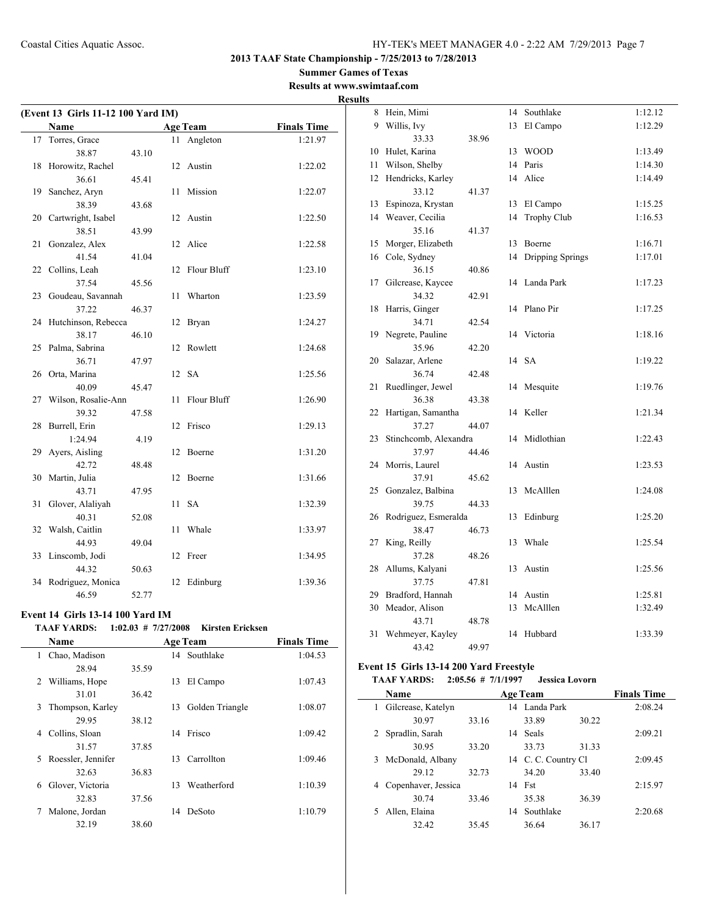#### **Summer Games of Texas Results at www.swimtaaf.com**

**Results**

| (Event 13 Girls 11-12 100 Yard IM) |                     |       |     |                 |                    |
|------------------------------------|---------------------|-------|-----|-----------------|--------------------|
|                                    | <b>Name</b>         |       |     | <b>Age Team</b> | <b>Finals Time</b> |
| 17                                 | Torres, Grace       |       | 11. | Angleton        | 1:21.97            |
|                                    | 38.87               | 43.10 |     |                 |                    |
| 18                                 | Horowitz, Rachel    |       | 12  | Austin          | 1:22.02            |
|                                    | 36.61               | 45.41 |     |                 |                    |
| 19                                 | Sanchez, Aryn       |       | 11  | Mission         | 1:22.07            |
|                                    | 38.39               | 43.68 |     |                 |                    |
| 20                                 | Cartwright, Isabel  |       | 12  | Austin          | 1:22.50            |
|                                    | 38.51               | 43.99 |     |                 |                    |
| 21                                 | Gonzalez, Alex      |       | 12  | Alice           | 1:22.58            |
|                                    | 41.54               | 41.04 |     |                 |                    |
| 22                                 | Collins, Leah       |       | 12  | Flour Bluff     | 1:23.10            |
|                                    | 37.54               | 45.56 |     |                 |                    |
| 23                                 | Goudeau, Savannah   |       | 11  | Wharton         | 1:23.59            |
|                                    | 37.22               | 46.37 |     |                 |                    |
| 24                                 | Hutchinson, Rebecca |       | 12  | Bryan           | 1:24.27            |
|                                    | 38.17               | 46.10 |     |                 |                    |
| 25                                 | Palma, Sabrina      |       | 12  | Rowlett         | 1:24.68            |
|                                    | 36.71               | 47.97 |     |                 |                    |
| 26                                 | Orta, Marina        |       | 12  | <b>SA</b>       | 1:25.56            |
|                                    | 40.09               | 45.47 |     |                 |                    |
| 27                                 | Wilson, Rosalie-Ann |       | 11  | Flour Bluff     | 1:26.90            |
|                                    | 39.32               | 47.58 |     |                 |                    |
| 28                                 | Burrell, Erin       |       | 12  | Frisco          | 1:29.13            |
|                                    | 1:24.94             | 4.19  |     |                 |                    |
| 29                                 | Ayers, Aisling      |       | 12  | Boerne          | 1:31.20            |
|                                    | 42.72               | 48.48 |     |                 |                    |
| 30                                 | Martin, Julia       |       | 12  | Boerne          | 1:31.66            |
|                                    | 43.71               | 47.95 |     |                 |                    |
| 31                                 | Glover, Alaliyah    |       | 11  | <b>SA</b>       | 1:32.39            |
|                                    | 40.31               | 52.08 |     |                 |                    |
| 32                                 | Walsh, Caitlin      |       | 11  | Whale           | 1:33.97            |
|                                    | 44.93               | 49.04 |     |                 |                    |
| 33                                 | Linscomb, Jodi      |       | 12  | Freer           | 1:34.95            |
|                                    | 44.32               | 50.63 |     |                 |                    |
| 34                                 | Rodriguez, Monica   |       | 12  | Edinburg        | 1:39.36            |
|                                    | 46.59               | 52.77 |     |                 |                    |

## **Event 14 Girls 13-14 100 Yard IM**

#### **TAAF YARDS: 1:02.03 # 7/27/2008 Kirsten Ericksen**

|   | <b>Name</b>        |       |    | <b>Age Team</b> | <b>Finals Time</b> |
|---|--------------------|-------|----|-----------------|--------------------|
| 1 | Chao, Madison      |       |    | 14 Southlake    | 1:04.53            |
|   | 28.94              | 35.59 |    |                 |                    |
| 2 | Williams, Hope     |       | 13 | El Campo        | 1:07.43            |
|   | 31.01              | 36.42 |    |                 |                    |
| 3 | Thompson, Karley   |       | 13 | Golden Triangle | 1:08.07            |
|   | 29.95              | 38.12 |    |                 |                    |
| 4 | Collins, Sloan     |       | 14 | Frisco          | 1:09.42            |
|   | 31.57              | 37.85 |    |                 |                    |
| 5 | Roessler, Jennifer |       | 13 | Carrollton      | 1:09.46            |
|   | 32.63              | 36.83 |    |                 |                    |
| 6 | Glover, Victoria   |       | 13 | Weatherford     | 1:10.39            |
|   | 32.83              | 37.56 |    |                 |                    |
| 7 | Malone, Jordan     |       | 14 | DeSoto          | 1:10.79            |
|   | 32.19              | 38.60 |    |                 |                    |

| 8  | Hein, Mimi            |       |    | 14 Southlake       | 1:12.12 |
|----|-----------------------|-------|----|--------------------|---------|
| 9  | Willis, Ivy           |       | 13 | El Campo           | 1:12.29 |
|    | 33.33                 | 38.96 |    |                    |         |
| 10 | Hulet, Karina         |       | 13 | <b>WOOD</b>        | 1:13.49 |
| 11 | Wilson, Shelby        |       |    | 14 Paris           | 1:14.30 |
| 12 | Hendricks, Karley     |       | 14 | Alice              | 1:14.49 |
|    | 33.12                 | 41.37 |    |                    |         |
| 13 | Espinoza, Krystan     |       | 13 | El Campo           | 1:15.25 |
| 14 | Weaver, Cecilia       |       | 14 | <b>Trophy Club</b> | 1:16.53 |
|    | 35.16                 | 41.37 |    |                    |         |
| 15 | Morger, Elizabeth     |       |    | 13 Boerne          | 1:16.71 |
| 16 | Cole, Sydney          |       | 14 | Dripping Springs   | 1:17.01 |
|    | 36.15                 | 40.86 |    |                    |         |
| 17 | Gilcrease, Kaycee     |       | 14 | Landa Park         | 1:17.23 |
|    | 34.32                 | 42.91 |    |                    |         |
| 18 | Harris, Ginger        |       | 14 | Plano Pir          | 1:17.25 |
|    | 34.71                 | 42.54 |    |                    |         |
| 19 | Negrete, Pauline      |       |    | 14 Victoria        | 1:18.16 |
|    | 35.96                 | 42.20 |    |                    |         |
| 20 | Salazar, Arlene       |       |    | 14 SA              | 1:19.22 |
|    | 36.74                 | 42.48 |    |                    |         |
| 21 | Ruedlinger, Jewel     |       | 14 | Mesquite           | 1:19.76 |
|    | 36.38                 | 43.38 |    |                    |         |
| 22 | Hartigan, Samantha    |       | 14 | Keller             | 1:21.34 |
|    | 37.27                 | 44.07 |    |                    |         |
| 23 | Stinchcomb, Alexandra |       | 14 | Midlothian         | 1:22.43 |
|    | 37.97                 | 44.46 |    |                    |         |
| 24 | Morris, Laurel        |       | 14 | Austin             | 1:23.53 |
|    | 37.91                 | 45.62 |    |                    |         |
| 25 | Gonzalez, Balbina     |       |    | 13 McAlllen        | 1:24.08 |
|    | 39.75                 | 44.33 |    |                    |         |
| 26 | Rodriguez, Esmeralda  |       | 13 | Edinburg           | 1:25.20 |
|    | 38.47                 | 46.73 |    |                    |         |
| 27 | King, Reilly          |       | 13 | Whale              | 1:25.54 |
|    | 37.28                 | 48.26 |    |                    |         |
| 28 | Allums, Kalyani       |       | 13 | Austin             | 1:25.56 |
|    | 37.75                 | 47.81 |    |                    |         |
| 29 | Bradford, Hannah      |       |    | 14 Austin          | 1:25.81 |
| 30 | Meador, Alison        |       | 13 | McAlllen           | 1:32.49 |
|    | 43.71                 | 48.78 |    |                    |         |
| 31 | Wehmeyer, Kayley      |       | 14 | Hubbard            | 1:33.39 |
|    | 43.42                 | 49.97 |    |                    |         |

## **Event 15 Girls 13-14 200 Yard Freestyle**

## **TAAF YARDS: 2:05.56 # 7/1/1997 Jessica Lovorn**

|   | <b>Name</b>         |       |    | <b>Age Team</b>     |       | <b>Finals Time</b> |
|---|---------------------|-------|----|---------------------|-------|--------------------|
| 1 | Gilcrease, Katelyn  |       |    | 14 Landa Park       |       | 2:08.24            |
|   | 30.97               | 33.16 |    | 33.89               | 30.22 |                    |
|   | Spradlin, Sarah     |       | 14 | <b>Seals</b>        |       | 2:09.21            |
|   | 30.95               | 33.20 |    | 33.73               | 31.33 |                    |
| 3 | McDonald, Albany    |       |    | 14 C. C. Country Cl |       | 2:09.45            |
|   | 29.12               | 32.73 |    | 34.20               | 33.40 |                    |
| 4 | Copenhaver, Jessica |       | 14 | Fst                 |       | 2:15.97            |
|   | 30.74               | 33.46 |    | 35.38               | 36.39 |                    |
|   | Allen, Elaina       |       | 14 | Southlake           |       | 2:20.68            |
|   | 32.42               | 35.45 |    | 36.64               | 36.17 |                    |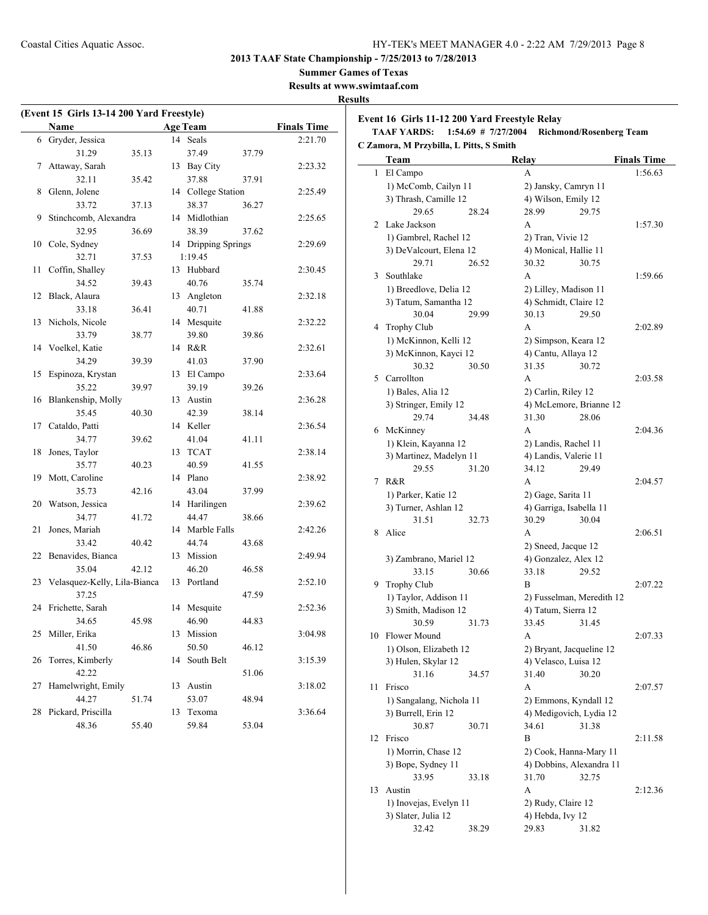**Summer Games of Texas**

**Results at www.swimtaaf.com**

#### **Results**

|    | (Event 15 Girls 13-14 200 Yard Freestyle) |       |    |                     |       |                    |  |
|----|-------------------------------------------|-------|----|---------------------|-------|--------------------|--|
|    | <b>Name</b>                               |       |    | <b>Age Team</b>     |       | <b>Finals Time</b> |  |
|    | 6 Gryder, Jessica                         |       |    | 14 Seals            |       | 2:21.70            |  |
|    | 31.29                                     | 35.13 |    | 37.49               | 37.79 |                    |  |
| 7  | Attaway, Sarah                            |       |    | 13 Bay City         |       | 2:23.32            |  |
|    | 32.11                                     | 35.42 |    | 37.88               | 37.91 |                    |  |
| 8  | Glenn, Jolene                             |       |    | 14 College Station  |       | 2:25.49            |  |
|    | 33.72                                     | 37.13 |    | 38.37               | 36.27 |                    |  |
| 9  | Stinchcomb, Alexandra                     |       |    | 14 Midlothian       |       | 2:25.65            |  |
|    | 32.95                                     | 36.69 |    | 38.39               | 37.62 |                    |  |
| 10 | Cole, Sydney                              |       |    | 14 Dripping Springs |       | 2:29.69            |  |
|    | 32.71                                     | 37.53 |    | 1:19.45             |       |                    |  |
| 11 | Coffin, Shalley                           |       |    | 13 Hubbard          |       | 2:30.45            |  |
|    | 34.52                                     | 39.43 |    | 40.76               | 35.74 |                    |  |
| 12 | Black, Alaura                             |       | 13 | Angleton            |       | 2:32.18            |  |
|    | 33.18                                     | 36.41 |    | 40.71               | 41.88 |                    |  |
| 13 | Nichols, Nicole                           |       |    | 14 Mesquite         |       | 2:32.22            |  |
|    | 33.79                                     | 38.77 |    | 39.80               | 39.86 |                    |  |
| 14 | Voelkel, Katie                            |       |    | 14 R&R              |       | 2:32.61            |  |
|    | 34.29                                     | 39.39 |    | 41.03               | 37.90 |                    |  |
| 15 | Espinoza, Krystan                         |       |    | 13 El Campo         |       | 2:33.64            |  |
|    | 35.22                                     | 39.97 |    | 39.19               | 39.26 |                    |  |
| 16 | Blankenship, Molly                        |       | 13 | Austin              |       | 2:36.28            |  |
|    | 35.45                                     | 40.30 |    | 42.39               | 38.14 |                    |  |
| 17 | Cataldo, Patti                            |       |    | 14 Keller           |       | 2:36.54            |  |
|    | 34.77                                     | 39.62 |    | 41.04               | 41.11 |                    |  |
| 18 | Jones, Taylor                             |       | 13 | <b>TCAT</b>         |       | 2:38.14            |  |
|    | 35.77                                     | 40.23 |    | 40.59               | 41.55 |                    |  |
| 19 | Mott, Caroline                            |       |    | 14 Plano            |       | 2:38.92            |  |
|    | 35.73                                     | 42.16 |    | 43.04               | 37.99 |                    |  |
| 20 | Watson, Jessica                           |       |    | 14 Harilingen       |       | 2:39.62            |  |
|    | 34.77                                     | 41.72 |    | 44.47               | 38.66 |                    |  |
| 21 | Jones, Mariah                             |       |    | 14 Marble Falls     |       | 2:42.26            |  |
|    | 33.42                                     | 40.42 |    | 44.74               | 43.68 |                    |  |
| 22 | Benavides, Bianca                         |       |    | 13 Mission          |       | 2:49.94            |  |
|    | 35.04                                     | 42.12 |    | 46.20               | 46.58 |                    |  |
| 23 | Velasquez-Kelly, Lila-Bianca              |       |    | 13 Portland         |       | 2:52.10            |  |
|    | 37.25                                     |       |    |                     | 47.59 |                    |  |
| 24 | Frichette, Sarah                          |       | 14 | Mesquite            |       | 2:52.36            |  |
|    | 34.65                                     | 45.98 |    | 46.90               | 44.83 |                    |  |
| 25 | Miller, Erika                             |       |    | 13 Mission          |       | 3:04.98            |  |
|    | 41.50                                     | 46.86 |    | 50.50               | 46.12 |                    |  |
| 26 | Torres, Kimberly                          |       | 14 | South Belt          |       | 3:15.39            |  |
|    | 42.22                                     |       |    |                     | 51.06 |                    |  |
| 27 | Hamelwright, Emily                        |       | 13 | Austin              |       | 3:18.02            |  |
|    | 44.27                                     | 51.74 |    | 53.07               | 48.94 |                    |  |
| 28 | Pickard, Priscilla                        |       | 13 | Texoma              |       | 3:36.64            |  |
|    | 48.36                                     | 55.40 |    | 59.84               | 53.04 |                    |  |

**Event 16 Girls 11-12 200 Yard Freestyle Relay TAAF YARDS: 1:54.69 # 7/27/2004 Richmond/Rosenberg Team**

**C Zamora, M Przybilla, L Pitts, S Smith**

|    | Team                                          |       | Relay                     |       | <b>Finals Time</b> |
|----|-----------------------------------------------|-------|---------------------------|-------|--------------------|
| 1  | El Campo                                      |       | A                         |       | 1:56.63            |
|    | 1) McComb, Cailyn 11                          |       | 2) Jansky, Camryn 11      |       |                    |
|    | 3) Thrash, Camille 12                         |       | 4) Wilson, Emily 12       |       |                    |
|    | 29.65                                         | 28.24 | 28.99                     | 29.75 |                    |
| 2  | Lake Jackson                                  |       | A                         |       | 1:57.30            |
|    | 1) Gambrel, Rachel 12                         |       | 2) Tran, Vivie 12         |       |                    |
|    | 3) DeValcourt, Elena 12                       |       | 4) Monical, Hallie 11     |       |                    |
|    | 29.71                                         | 26.52 | 30.32                     | 30.75 |                    |
| 3  | Southlake                                     |       | A                         |       | 1:59.66            |
|    | 1) Breedlove, Delia 12                        |       | 2) Lilley, Madison 11     |       |                    |
|    | 3) Tatum, Samantha 12                         |       | 4) Schmidt, Claire 12     |       |                    |
|    | 30.04                                         | 29.99 | 30.13                     | 29.50 |                    |
| 4  | <b>Trophy Club</b>                            |       | A                         |       | 2:02.89            |
|    | 1) McKinnon, Kelli 12                         |       | 2) Simpson, Keara 12      |       |                    |
|    | 3) McKinnon, Kayci 12                         |       | 4) Cantu, Allaya 12       |       |                    |
|    | 30.32                                         | 30.50 | 31.35                     | 30.72 |                    |
| 5  | Carrollton                                    |       | A                         |       | 2:03.58            |
|    | 1) Bales, Alia 12                             |       | 2) Carlin, Riley 12       |       |                    |
|    | 3) Stringer, Emily 12                         |       | 4) McLemore, Brianne 12   |       |                    |
|    | 29.74                                         | 34.48 | 31.30                     | 28.06 |                    |
| 6  | McKinney                                      |       | A                         |       | 2:04.36            |
|    | 1) Klein, Kayanna 12                          |       | 2) Landis, Rachel 11      |       |                    |
|    | 3) Martinez, Madelyn 11                       |       | 4) Landis, Valerie 11     |       |                    |
|    | 29.55                                         | 31.20 | 34.12                     | 29.49 |                    |
| 7  | R&R                                           |       | A                         |       | 2:04.57            |
|    | 1) Parker, Katie 12                           |       | 2) Gage, Sarita 11        |       |                    |
|    | 3) Turner, Ashlan 12                          |       | 4) Garriga, Isabella 11   |       |                    |
|    | 31.51                                         | 32.73 | 30.29                     | 30.04 |                    |
| 8. | Alice                                         |       | A                         |       | 2:06.51            |
|    |                                               |       | 2) Sneed, Jacque 12       |       |                    |
|    | 3) Zambrano, Mariel 12                        |       | 4) Gonzalez, Alex 12      |       |                    |
|    | 33.15                                         | 30.66 | 33.18                     | 29.52 |                    |
| 9  | <b>Trophy Club</b>                            |       | B                         |       | 2:07.22            |
|    | 1) Taylor, Addison 11                         |       | 2) Fusselman, Meredith 12 |       |                    |
|    | 3) Smith, Madison 12                          |       | 4) Tatum, Sierra 12       |       |                    |
|    | 30.59                                         | 31.73 | 33.45                     | 31.45 |                    |
| 10 | Flower Mound                                  |       | A                         |       | 2:07.33            |
|    | 1) Olson, Elizabeth 12                        |       | 2) Bryant, Jacqueline 12  |       |                    |
|    | 3) Hulen, Skylar 12                           |       | 4) Velasco, Luisa 12      |       |                    |
|    | 31.16                                         | 34.57 | 31.40                     | 30.20 |                    |
| 11 | Frisco                                        |       | A                         |       | 2:07.57            |
|    | 1) Sangalang, Nichola 11                      |       | 2) Emmons, Kyndall 12     |       |                    |
|    | 3) Burrell, Erin 12                           |       | 4) Medigovich, Lydia 12   |       |                    |
|    | 30.87<br>Frisco                               | 30.71 | 34.61                     | 31.38 |                    |
| 12 |                                               |       | B                         |       | 2:11.58            |
|    | 1) Morrin, Chase 12                           |       | 2) Cook, Hanna-Mary 11    |       |                    |
|    | 3) Bope, Sydney 11                            |       | 4) Dobbins, Alexandra 11  |       |                    |
|    | 33.95<br>Austin                               | 33.18 | 31.70<br>А                | 32.75 |                    |
| 13 |                                               |       | 2) Rudy, Claire 12        |       | 2:12.36            |
|    | 1) Inovejas, Evelyn 11<br>3) Slater, Julia 12 |       | 4) Hebda, Ivy 12          |       |                    |
|    | 32.42                                         | 38.29 | 29.83                     | 31.82 |                    |
|    |                                               |       |                           |       |                    |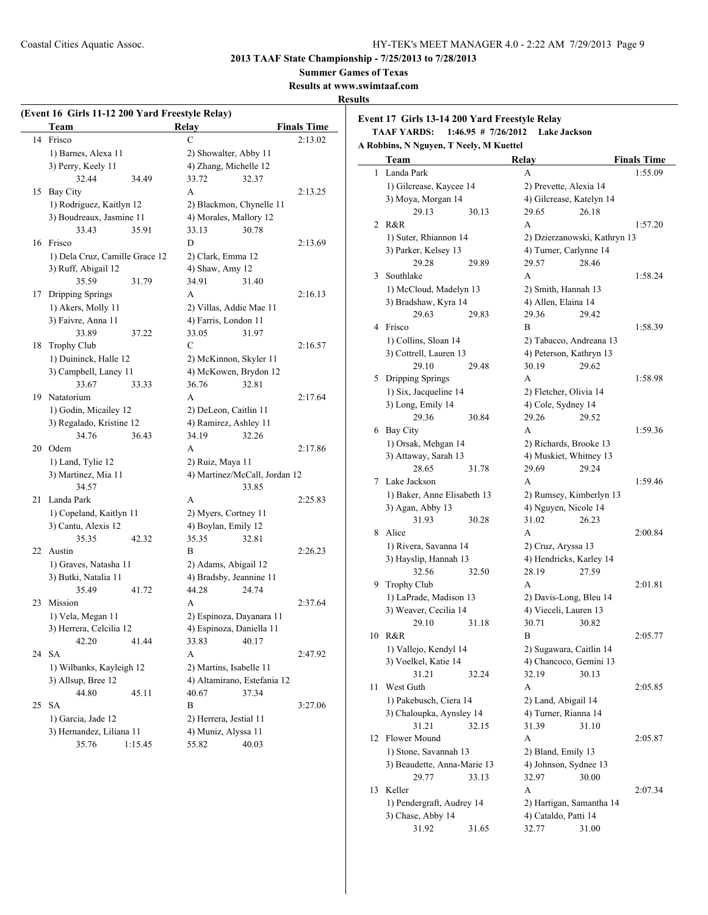**Summer Games of Texas**

**Results at www.swimtaaf.com**

## **Results**

|    | Team                           | <b>Relay</b>                                    | <b>Finals Time</b> |
|----|--------------------------------|-------------------------------------------------|--------------------|
| 14 | Frisco                         | $\mathcal{C}$                                   | 2:13.02            |
|    | 1) Barnes, Alexa 11            | 2) Showalter, Abby 11                           |                    |
|    | 3) Perry, Keely 11             | 4) Zhang, Michelle 12                           |                    |
|    | 32.44<br>34.49                 | 33.72<br>32.37                                  |                    |
| 15 | Bay City                       | A                                               | 2:13.25            |
|    | 1) Rodriguez, Kaitlyn 12       | 2) Blackmon, Chynelle 11                        |                    |
|    | 3) Boudreaux, Jasmine 11       | 4) Morales, Mallory 12                          |                    |
|    | 33.43<br>35.91                 | 33.13<br>30.78                                  |                    |
|    | 16 Frisco                      | D                                               | 2:13.69            |
|    | 1) Dela Cruz, Camille Grace 12 | 2) Clark, Emma 12                               |                    |
|    | 3) Ruff, Abigail 12            | 4) Shaw, Amy 12                                 |                    |
|    | 35.59<br>31.79                 | 34.91<br>31.40                                  |                    |
| 17 | Dripping Springs               | A                                               | 2:16.13            |
|    | 1) Akers, Molly 11             | 2) Villas, Addie Mae 11                         |                    |
|    | 3) Faivre, Anna 11             | 4) Farris, London 11                            |                    |
|    | 33.89<br>37.22                 | 33.05<br>31.97                                  |                    |
| 18 | Trophy Club                    | C                                               | 2:16.57            |
|    | 1) Duininck, Halle 12          |                                                 |                    |
|    |                                | 2) McKinnon, Skyler 11<br>4) McKowen, Brydon 12 |                    |
|    | 3) Campbell, Laney 11<br>33.67 |                                                 |                    |
|    | 33.33                          | 36.76<br>32.81                                  |                    |
|    | 19 Natatorium                  | A                                               | 2:17.64            |
|    | 1) Godin, Micailey 12          | 2) DeLeon, Caitlin 11                           |                    |
|    | 3) Regalado, Kristine 12       | 4) Ramirez, Ashley 11                           |                    |
|    | 34.76<br>36.43                 | 34.19<br>32.26                                  |                    |
|    | 20 Odem                        | A                                               | 2:17.86            |
|    | 1) Land, Tylie 12              | 2) Ruiz, Maya 11                                |                    |
|    | 3) Martinez, Mia 11            | 4) Martinez/McCall, Jordan 12                   |                    |
|    | 34.57                          | 33.85                                           |                    |
| 21 | Landa Park                     | A                                               | 2:25.83            |
|    | 1) Copeland, Kaitlyn 11        | 2) Myers, Cortney 11                            |                    |
|    | 3) Cantu, Alexis 12            | 4) Boylan, Emily 12                             |                    |
|    | 35.35<br>42.32                 | 35.35<br>32.81                                  |                    |
| 22 | Austin                         | B                                               | 2:26.23            |
|    | 1) Graves, Natasha 11          | 2) Adams, Abigail 12                            |                    |
|    | 3) Butki, Natalia 11           | 4) Bradsby, Jeannine 11                         |                    |
|    | 35.49<br>41.72                 | 44.28<br>24.74                                  |                    |
| 23 | Mission                        | A                                               | 2:37.64            |
|    | 1) Vela, Megan 11              | 2) Espinoza, Dayanara 11                        |                    |
|    | 3) Herrera, Celcilia 12        | 4) Espinoza, Daniella 11                        |                    |
|    | 42.20<br>41.44                 | 33.83<br>40.17                                  |                    |
| 24 | <b>SA</b>                      | A                                               | 2:47.92            |
|    | 1) Wilbanks, Kayleigh 12       | 2) Martins, Isabelle 11                         |                    |
|    | 3) Allsup, Bree 12             | 4) Altamirano, Estefania 12                     |                    |
|    | 44.80<br>45.11                 | 40.67<br>37.34                                  |                    |
| 25 | <b>SA</b>                      | B                                               | 3:27.06            |
|    | 1) Garcia, Jade 12             |                                                 |                    |
|    | 3) Hernandez, Liliana 11       | 2) Herrera, Jestial 11<br>4) Muniz, Alyssa 11   |                    |
|    |                                |                                                 |                    |

**Event 17 Girls 13-14 200 Yard Freestyle Relay**

**TAAF YARDS: 1:46.95 # 7/26/2012 Lake Jackson**

**A Robbins, N Nguyen, T Neely, M Kuettel**

|    | Team                                           | Relay                                         |                              | <b>Finals Time</b> |
|----|------------------------------------------------|-----------------------------------------------|------------------------------|--------------------|
| 1  | Landa Park                                     | А                                             |                              | 1:55.09            |
|    | 1) Gilcrease, Kaycee 14                        | 2) Prevette, Alexia 14                        |                              |                    |
|    | 3) Moya, Morgan 14                             | 4) Gilcrease, Katelyn 14                      |                              |                    |
|    | 29.13<br>30.13                                 | 29.65                                         | 26.18                        |                    |
| 2  | R&R                                            | A                                             |                              | 1:57.20            |
|    | 1) Suter, Rhiannon 14                          |                                               | 2) Dzierzanowski, Kathryn 13 |                    |
|    | 3) Parker, Kelsey 13                           | 4) Turner, Carlynne 14                        |                              |                    |
|    | 29.28<br>29.89                                 | 29.57                                         | 28.46                        |                    |
| 3  | Southlake                                      | A                                             |                              | 1:58.24            |
|    | 1) McCloud, Madelyn 13                         | 2) Smith, Hannah 13                           |                              |                    |
|    | 3) Bradshaw, Kyra 14                           | 4) Allen, Elaina 14                           |                              |                    |
|    | 29.63<br>29.83                                 | 29.36                                         | 29.42                        |                    |
| 4  | Frisco                                         | B                                             |                              | 1:58.39            |
|    | 1) Collins, Sloan 14                           | 2) Tabacco, Andreana 13                       |                              |                    |
|    | 3) Cottrell, Lauren 13                         | 4) Peterson, Kathryn 13                       |                              |                    |
|    | 29.10<br>29.48                                 | 30.19                                         | 29.62                        |                    |
| 5  | Dripping Springs                               | A                                             |                              | 1:58.98            |
|    | 1) Six, Jacqueline 14                          | 2) Fletcher, Olivia 14                        |                              |                    |
|    | 3) Long, Emily 14                              | 4) Cole, Sydney 14                            |                              |                    |
|    | 29.36<br>30.84                                 | 29.26                                         | 29.52                        |                    |
| 6  | Bay City                                       | A                                             |                              | 1:59.36            |
|    | 1) Orsak, Mehgan 14                            | 2) Richards, Brooke 13                        |                              |                    |
|    | 3) Attaway, Sarah 13                           | 4) Muskiet, Whitney 13                        |                              |                    |
|    | 28.65<br>31.78                                 | 29.69                                         | 29.24                        |                    |
| 7  | Lake Jackson                                   | A                                             |                              | 1:59.46            |
|    | 1) Baker, Anne Elisabeth 13                    |                                               | 2) Rumsey, Kimberlyn 13      |                    |
|    | 3) Agan, Abby 13                               | 4) Nguyen, Nicole 14                          |                              |                    |
| 8  | 31.93<br>30.28<br>Alice                        | 31.02<br>A                                    | 26.23                        |                    |
|    |                                                |                                               |                              | 2:00.84            |
|    | 1) Rivera, Savanna 14<br>3) Hayslip, Hannah 13 | 2) Cruz, Aryssa 13<br>4) Hendricks, Karley 14 |                              |                    |
|    | 32.56<br>32.50                                 | 28.19                                         | 27.59                        |                    |
| 9  | Trophy Club                                    | A                                             |                              | 2:01.81            |
|    | 1) LaPrade, Madison 13                         | 2) Davis-Long, Bleu 14                        |                              |                    |
|    | 3) Weaver, Cecilia 14                          | 4) Vieceli, Lauren 13                         |                              |                    |
|    | 29.10<br>31.18                                 | 30.71                                         | 30.82                        |                    |
| 10 | R&R                                            | B                                             |                              | 2:05.77            |
|    | 1) Vallejo, Kendyl 14                          | 2) Sugawara, Caitlin 14                       |                              |                    |
|    | 3) Voelkel, Katie 14                           | 4) Chancoco, Gemini 13                        |                              |                    |
|    | 31.21<br>32.24                                 | 32.19                                         | 30.13                        |                    |
| 11 | West Guth                                      | А                                             |                              | 2:05.85            |
|    | 1) Pakebusch, Ciera 14                         | 2) Land, Abigail 14                           |                              |                    |
|    | 3) Chaloupka, Aynsley 14                       | 4) Turner, Rianna 14                          |                              |                    |
|    | 31.21<br>32.15                                 | 31.39                                         | 31.10                        |                    |
| 12 | Flower Mound                                   | А                                             |                              | 2:05.87            |
|    | 1) Stone, Savannah 13                          | 2) Bland, Emily 13                            |                              |                    |
|    | 3) Beaudette, Anna-Marie 13                    | 4) Johnson, Sydnee 13                         |                              |                    |
|    | 29.77<br>33.13                                 | 32.97                                         | 30.00                        |                    |
| 13 | Keller                                         | А                                             |                              | 2:07.34            |
|    | 1) Pendergraft, Audrey 14                      | 2) Hartigan, Samantha 14                      |                              |                    |
|    | 3) Chase, Abby 14                              | 4) Cataldo, Patti 14                          |                              |                    |
|    | 31.92<br>31.65                                 | 32.77                                         | 31.00                        |                    |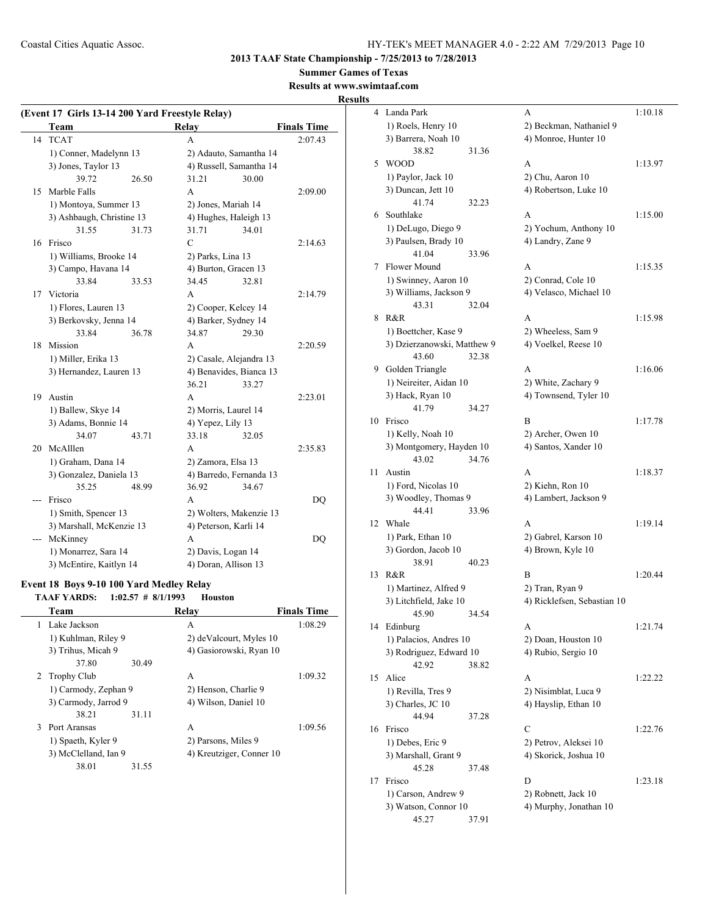**2013 TAAF State Championship - 7/25/2013 to 7/28/2013**

**Summer Games of Texas**

**Results at www.swimtaaf.com**

## **Results**

|       | (Event 17 Girls 13-14 200 Yard Freestyle Relay) |                      |                         |       |                    |
|-------|-------------------------------------------------|----------------------|-------------------------|-------|--------------------|
|       | Team                                            |                      | Relay                   |       | <b>Finals Time</b> |
| 14    | <b>TCAT</b>                                     |                      | A                       |       | 2:07.43            |
|       | 1) Conner, Madelynn 13                          |                      | 2) Adauto, Samantha 14  |       |                    |
|       | 3) Jones, Taylor 13                             |                      | 4) Russell, Samantha 14 |       |                    |
|       | 39.72                                           | 26.50                | 31.21                   | 30.00 |                    |
| 15    | Marble Falls                                    |                      | A                       |       | 2:09.00            |
|       | 1) Montoya, Summer 13                           |                      | 2) Jones, Mariah 14     |       |                    |
|       | 3) Ashbaugh, Christine 13                       |                      | 4) Hughes, Haleigh 13   |       |                    |
|       | 31.55                                           | 31.73                | 31.71                   | 34.01 |                    |
| 16    | Frisco                                          |                      | C                       |       | 2:14.63            |
|       | 1) Williams, Brooke 14                          |                      | 2) Parks, Lina 13       |       |                    |
|       | 3) Campo, Havana 14                             |                      | 4) Burton, Gracen 13    |       |                    |
|       | 33.84                                           | 33.53                | 34.45                   | 32.81 |                    |
| 17    | Victoria                                        |                      | А                       |       | 2:14.79            |
|       | 1) Flores, Lauren 13                            |                      | 2) Cooper, Kelcey 14    |       |                    |
|       | 3) Berkovsky, Jenna 14                          |                      | 4) Barker, Sydney 14    |       |                    |
|       | 33.84                                           | 36.78                | 34.87                   | 29.30 |                    |
| 18    | Mission                                         |                      | A                       |       | 2:20.59            |
|       | 1) Miller, Erika 13                             |                      | 2) Casale, Alejandra 13 |       |                    |
|       | 3) Hernandez, Lauren 13                         |                      | 4) Benavides, Bianca 13 |       |                    |
|       |                                                 |                      | 36.21                   | 33.27 |                    |
| 19    | Austin                                          |                      | A                       |       | 2:23.01            |
|       | 1) Ballew, Skye 14                              |                      | 2) Morris, Laurel 14    |       |                    |
|       | 3) Adams, Bonnie 14                             |                      | 4) Yepez, Lily 13       |       |                    |
|       | 34.07                                           | 43.71                | 33.18                   | 32.05 |                    |
| 20    | McAlllen                                        |                      | A                       |       | 2:35.83            |
|       |                                                 |                      |                         |       |                    |
|       | 1) Graham, Dana 14                              |                      | 2) Zamora, Elsa 13      |       |                    |
|       | 3) Gonzalez, Daniela 13<br>35.25                |                      | 4) Barredo, Fernanda 13 |       |                    |
|       |                                                 | 48.99                | 36.92                   | 34.67 |                    |
| $---$ | Frisco                                          |                      | A                       |       | DQ                 |
|       | 1) Smith, Spencer 13                            |                      | 2) Wolters, Makenzie 13 |       |                    |
|       | 3) Marshall, McKenzie 13                        |                      | 4) Peterson, Karli 14   |       |                    |
| ---   | McKinney                                        |                      | A                       |       | DQ                 |
|       | 1) Monarrez, Sara 14                            |                      | 2) Davis, Logan 14      |       |                    |
|       | 3) McEntire, Kaitlyn 14                         |                      | 4) Doran, Allison 13    |       |                    |
|       | Event 18 Boys 9-10 100 Yard Medley Relay        |                      |                         |       |                    |
|       | <b>TAAF YARDS:</b>                              | $1:02.57$ # 8/1/1993 | Houston                 |       |                    |
|       | Team                                            |                      | Relay                   |       | <b>Finals Time</b> |
|       | 1 Lake Jackson                                  |                      | A                       |       | 1:08.29            |
|       | 1) Kuhlman, Riley 9                             |                      | 2) deValcourt, Myles 10 |       |                    |
|       | 3) Trihus, Micah 9                              |                      | 4) Gasiorowski, Ryan 10 |       |                    |
|       | 37.80                                           | 30.49                |                         |       |                    |
| 2     | <b>Trophy Club</b>                              |                      | A                       |       | 1:09.32            |
|       | 1) Carmody, Zephan 9                            |                      | 2) Henson, Charlie 9    |       |                    |
|       |                                                 |                      | 4) Wilson, Daniel 10    |       |                    |
|       | 3) Carmody, Jarrod 9<br>38.21                   | 31.11                |                         |       |                    |
|       | Port Aransas                                    |                      |                         |       | 1:09.56            |
| 3     |                                                 |                      | А                       |       |                    |

1) Spaeth, Kyler 9 2) Parsons, Miles 9 3) McClelland, Ian 9 4) Kreutziger, Conner 10

38.01 31.55

| 4  | Landa Park                                  | A                                         | 1:10.18 |
|----|---------------------------------------------|-------------------------------------------|---------|
|    | 1) Roels, Henry 10                          | 2) Beckman, Nathaniel 9                   |         |
|    | 3) Barrera, Noah 10                         | 4) Monroe, Hunter 10                      |         |
|    | 38.82                                       | 31.36                                     |         |
| 5  | <b>WOOD</b>                                 | A                                         | 1:13.97 |
|    | 1) Paylor, Jack 10                          | 2) Chu, Aaron 10                          |         |
|    | 3) Duncan, Jett 10<br>41.74                 | 4) Robertson, Luke 10<br>32.23            |         |
|    | 6 Southlake                                 | A                                         | 1:15.00 |
|    | 1) DeLugo, Diego 9                          | 2) Yochum, Anthony 10                     |         |
|    | 3) Paulsen, Brady 10                        | 4) Landry, Zane 9                         |         |
|    | 41.04                                       | 33.96                                     |         |
| 7  | Flower Mound                                | A                                         | 1:15.35 |
|    | 1) Swinney, Aaron 10                        | 2) Conrad, Cole 10                        |         |
|    | 3) Williams, Jackson 9                      | 4) Velasco, Michael 10                    |         |
|    | 43.31                                       | 32.04                                     |         |
| 8  | R&R                                         | A                                         | 1:15.98 |
|    | 1) Boettcher, Kase 9                        | 2) Wheeless, Sam 9                        |         |
|    | 3) Dzierzanowski, Matthew 9                 | 4) Voelkel, Reese 10                      |         |
|    | 43.60                                       | 32.38                                     |         |
| 9. | Golden Triangle                             | A                                         | 1:16.06 |
|    | 1) Neireiter, Aidan 10                      | 2) White, Zachary 9                       |         |
|    | 3) Hack, Ryan 10                            | 4) Townsend, Tyler 10                     |         |
|    | 41.79                                       | 34.27                                     |         |
| 10 | Frisco                                      | B                                         | 1:17.78 |
|    | 1) Kelly, Noah 10                           | 2) Archer, Owen 10                        |         |
|    | 3) Montgomery, Hayden 10                    | 4) Santos, Xander 10                      |         |
|    | 43.02                                       | 34.76                                     |         |
| 11 | Austin                                      | A                                         | 1:18.37 |
|    | 1) Ford, Nicolas 10<br>3) Woodley, Thomas 9 | 2) Kiehn, Ron 10<br>4) Lambert, Jackson 9 |         |
|    | 44.41                                       | 33.96                                     |         |
| 12 | Whale                                       | A                                         | 1:19.14 |
|    | 1) Park, Ethan 10                           | 2) Gabrel, Karson 10                      |         |
|    | 3) Gordon, Jacob 10                         | 4) Brown, Kyle 10                         |         |
|    | 38.91                                       | 40.23                                     |         |
| 13 | R&R                                         | B                                         | 1:20.44 |
|    | 1) Martinez, Alfred 9                       | 2) Tran, Ryan 9                           |         |
|    | 3) Litchfield, Jake 10                      | 4) Ricklefsen, Sebastian 10               |         |
|    | 45.90                                       | 34.54                                     |         |
| 14 | Edinburg                                    | А                                         | 1:21.74 |
|    | 1) Palacios, Andres 10                      | 2) Doan, Houston 10                       |         |
|    | 3) Rodriguez, Edward 10                     | 4) Rubio, Sergio 10                       |         |
|    | 42.92                                       | 38.82                                     |         |
| 15 | Alice                                       | А                                         | 1:22.22 |
|    | 1) Revilla, Tres 9                          | 2) Nisimblat, Luca 9                      |         |
|    | 3) Charles, JC 10                           | 4) Hayslip, Ethan 10                      |         |
|    | 44.94                                       | 37.28                                     |         |
| 16 | Frisco                                      | $\mathcal{C}$                             | 1:22.76 |
|    | 1) Debes, Eric 9                            | 2) Petrov, Aleksei 10                     |         |
|    | 3) Marshall, Grant 9<br>45.28               | 4) Skorick, Joshua 10<br>37.48            |         |
| 17 | Frisco                                      | D                                         | 1:23.18 |
|    | 1) Carson, Andrew 9                         | 2) Robnett, Jack 10                       |         |
|    | 3) Watson, Connor 10                        | 4) Murphy, Jonathan 10                    |         |
|    | 45.27                                       | 37.91                                     |         |
|    |                                             |                                           |         |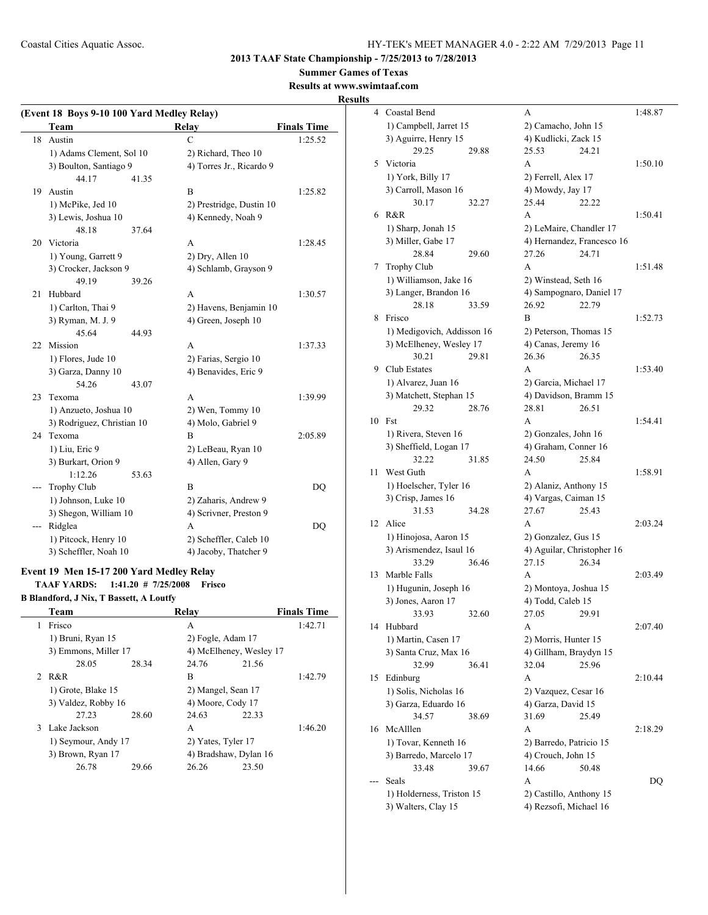**2013 TAAF State Championship - 7/25/2013 to 7/28/2013**

**Summer Games of Texas**

## **Results at www.swimtaaf.com**

**Results**

|     | (Event 18 Boys 9-10 100 Yard Medley Relay) |       |                          |                    |
|-----|--------------------------------------------|-------|--------------------------|--------------------|
|     | <b>Team</b>                                |       | Relay                    | <b>Finals Time</b> |
| 18  | Austin                                     |       | $\overline{C}$           | 1:25.52            |
|     | 1) Adams Clement, Sol 10                   |       | 2) Richard, Theo 10      |                    |
|     | 3) Boulton, Santiago 9                     |       | 4) Torres Jr., Ricardo 9 |                    |
|     | 44.17                                      | 41.35 |                          |                    |
| 19  | Austin                                     |       | B                        | 1:25.82            |
|     | 1) McPike, Jed 10                          |       | 2) Prestridge, Dustin 10 |                    |
|     | 3) Lewis, Joshua 10                        |       | 4) Kennedy, Noah 9       |                    |
|     | 48.18                                      | 37.64 |                          |                    |
| 20  | Victoria                                   |       | A                        | 1:28.45            |
|     | 1) Young, Garrett 9                        |       | 2) Dry, Allen 10         |                    |
|     | 3) Crocker, Jackson 9                      |       | 4) Schlamb, Grayson 9    |                    |
|     | 49.19                                      | 39.26 |                          |                    |
| 21  | Hubbard                                    |       | A                        | 1:30.57            |
|     | 1) Carlton, Thai 9                         |       | 2) Havens, Benjamin 10   |                    |
|     | 3) Ryman, M. J. 9                          |       | 4) Green, Joseph 10      |                    |
|     | 45.64                                      | 44.93 |                          |                    |
| 22  | Mission                                    |       | A                        | 1:37.33            |
|     | 1) Flores, Jude 10                         |       | 2) Farias, Sergio 10     |                    |
|     | 3) Garza, Danny 10                         |       | 4) Benavides, Eric 9     |                    |
|     | 54.26                                      | 43.07 |                          |                    |
| 23  | Texoma                                     |       | A                        | 1:39.99            |
|     | 1) Anzueto, Joshua 10                      |       | $2)$ Wen, Tommy $10$     |                    |
|     | 3) Rodriguez, Christian 10                 |       | 4) Molo, Gabriel 9       |                    |
| 24  | Texoma                                     |       | B                        | 2:05.89            |
|     | 1) Liu, Eric 9                             |       | 2) LeBeau, Ryan 10       |                    |
|     | 3) Burkart, Orion 9                        |       | 4) Allen, Gary 9         |                    |
|     | 1:12.26                                    | 53.63 |                          |                    |
| --- | <b>Trophy Club</b>                         |       | B                        | DQ                 |
|     | 1) Johnson, Luke 10                        |       | 2) Zaharis, Andrew 9     |                    |
|     | 3) Shegon, William 10                      |       | 4) Scrivner, Preston 9   |                    |
| --- | Ridglea                                    |       | A                        | DO                 |
|     | 1) Pitcock, Henry 10                       |       | 2) Scheffler, Caleb 10   |                    |
|     | 3) Scheffler, Noah 10                      |       | 4) Jacoby, Thatcher 9    |                    |

## **Event 19 Men 15-17 200 Yard Medley Relay TAAF YARDS: 1:41.20 # 7/25/2008 Frisco**

**B Blandford, J Nix, T Bassett, A Loutfy**

|   | Team                 |       | Relay                   |       | <b>Finals Time</b> |
|---|----------------------|-------|-------------------------|-------|--------------------|
| 1 | Frisco               |       | A                       |       | 1:42.71            |
|   | 1) Bruni, Ryan 15    |       | 2) Fogle, Adam 17       |       |                    |
|   | 3) Emmons, Miller 17 |       | 4) McElheney, Wesley 17 |       |                    |
|   | 28.05                | 28.34 | 24.76                   | 21.56 |                    |
|   | 2 R&R                |       | В                       |       | 1:42.79            |
|   | 1) Grote, Blake 15   |       | 2) Mangel, Sean 17      |       |                    |
|   | 3) Valdez, Robby 16  |       | 4) Moore, Cody 17       |       |                    |
|   | 27.23                | 28.60 | 24.63                   | 22.33 |                    |
|   | 3 Lake Jackson       |       | A                       |       | 1:46.20            |
|   | 1) Seymour, Andy 17  |       | 2) Yates, Tyler 17      |       |                    |
|   | 3) Brown, Ryan 17    |       | 4) Bradshaw, Dylan 16   |       |                    |
|   | 26.78                | 29.66 | 26.26                   | 23.50 |                    |
|   |                      |       |                         |       |                    |

|    | 4 Coastal Bend                               |       | A                                             |       | 1:48.87 |
|----|----------------------------------------------|-------|-----------------------------------------------|-------|---------|
|    | 1) Campbell, Jarret 15                       |       | 2) Camacho, John 15                           |       |         |
|    | 3) Aguirre, Henry 15                         |       | 4) Kudlicki, Zack 15                          |       |         |
|    | 29.25                                        | 29.88 | 25.53                                         | 24.21 |         |
| 5  | Victoria                                     |       | A                                             |       | 1:50.10 |
|    | 1) York, Billy 17                            |       | 2) Ferrell, Alex 17                           |       |         |
|    | 3) Carroll, Mason 16                         |       | 4) Mowdy, Jay 17                              |       |         |
|    | 30.17                                        | 32.27 | 25.44                                         | 22.22 |         |
| 6  | R&R                                          |       | A                                             |       | 1:50.41 |
|    | 1) Sharp, Jonah 15                           |       | 2) LeMaire, Chandler 17                       |       |         |
|    | 3) Miller, Gabe 17                           |       | 4) Hernandez, Francesco 16                    |       |         |
|    | 28.84                                        | 29.60 | 27.26                                         | 24.71 |         |
| 7  | <b>Trophy Club</b>                           |       | A                                             |       | 1:51.48 |
|    | 1) Williamson, Jake 16                       |       | 2) Winstead, Seth 16                          |       |         |
|    | 3) Langer, Brandon 16                        |       | 4) Sampognaro, Daniel 17                      |       |         |
|    | 28.18                                        | 33.59 | 26.92                                         | 22.79 |         |
| 8  | Frisco                                       |       | B                                             |       | 1:52.73 |
|    | 1) Medigovich, Addisson 16                   |       | 2) Peterson, Thomas 15                        |       |         |
|    | 3) McElheney, Wesley 17                      |       | 4) Canas, Jeremy 16                           |       |         |
|    | 30.21                                        | 29.81 | 26.36                                         | 26.35 |         |
| 9  | Club Estates                                 |       | A                                             |       | 1:53.40 |
|    | 1) Alvarez, Juan 16                          |       | 2) Garcia, Michael 17                         |       |         |
|    | 3) Matchett, Stephan 15                      |       | 4) Davidson, Bramm 15                         |       |         |
|    | 29.32                                        | 28.76 | 28.81                                         | 26.51 |         |
| 10 | Fst                                          |       | A                                             |       | 1:54.41 |
|    | 1) Rivera, Steven 16                         |       | 2) Gonzales, John 16                          |       |         |
|    | 3) Sheffield, Logan 17                       |       | 4) Graham, Conner 16                          |       |         |
| 11 | 32.22<br>West Guth                           | 31.85 | 24.50<br>A                                    | 25.84 | 1:58.91 |
|    |                                              |       |                                               |       |         |
|    | 1) Hoelscher, Tyler 16<br>3) Crisp, James 16 |       | 2) Alaniz, Anthony 15<br>4) Vargas, Caiman 15 |       |         |
|    | 31.53                                        | 34.28 | 27.67                                         | 25.43 |         |
| 12 | Alice                                        |       | A                                             |       | 2:03.24 |
|    | 1) Hinojosa, Aaron 15                        |       | 2) Gonzalez, Gus 15                           |       |         |
|    | 3) Arismendez, Isaul 16                      |       | 4) Aguilar, Christopher 16                    |       |         |
|    | 33.29                                        | 36.46 | 27.15                                         | 26.34 |         |
| 13 | Marble Falls                                 |       | A                                             |       | 2:03.49 |
|    | 1) Hugunin, Joseph 16                        |       | 2) Montoya, Joshua 15                         |       |         |
|    | 3) Jones, Aaron 17                           |       | 4) Todd, Caleb 15                             |       |         |
|    | 33.93                                        | 32.60 | 27.05                                         | 29.91 |         |
| 14 | Hubbard                                      |       | А                                             |       | 2:07.40 |
|    | 1) Martin, Casen 17                          |       | 2) Morris, Hunter 15                          |       |         |
|    | 3) Santa Cruz, Max 16                        |       | 4) Gillham, Braydyn 15                        |       |         |
|    | 32.99                                        | 36.41 | 32.04                                         | 25.96 |         |
| 15 | Edinburg                                     |       | А                                             |       | 2:10.44 |
|    | 1) Solis, Nicholas 16                        |       | 2) Vazquez, Cesar 16                          |       |         |
|    | 3) Garza, Eduardo 16                         |       | 4) Garza, David 15                            |       |         |
|    | 34.57                                        | 38.69 | 31.69                                         | 25.49 |         |
| 16 | McAlllen                                     |       | A                                             |       | 2:18.29 |
|    | 1) Tovar, Kenneth 16                         |       | 2) Barredo, Patricio 15                       |       |         |
|    | 3) Barredo, Marcelo 17                       |       | 4) Crouch, John 15                            |       |         |
|    | 33.48                                        | 39.67 | 14.66                                         | 50.48 |         |
|    | Seals                                        |       | А                                             |       | DQ      |
|    | 1) Holderness, Triston 15                    |       | 2) Castillo, Anthony 15                       |       |         |
|    | 3) Walters, Clay 15                          |       | 4) Rezsofi, Michael 16                        |       |         |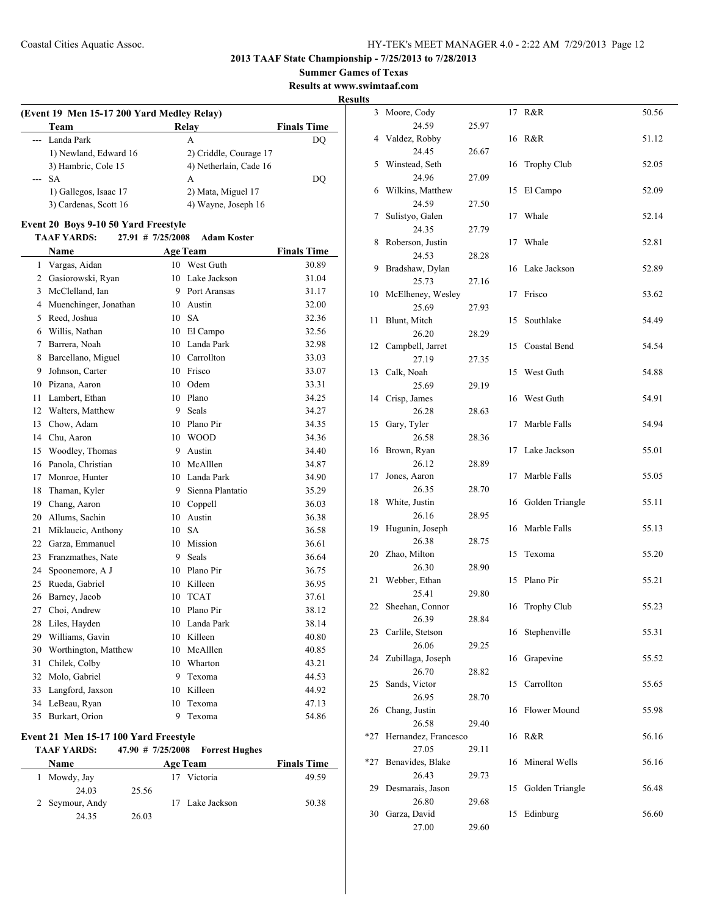## **Summer Games of Texas**

**Results at www.swimtaaf.com**

**Results**

| (Event 19 Men 15-17 200 Yard Medley Relay)<br>Team | Relav                  | <b>Finals Time</b> |
|----------------------------------------------------|------------------------|--------------------|
| --- Landa Park                                     | А                      | DO                 |
| 1) Newland, Edward 16                              | 2) Criddle, Courage 17 |                    |
| 3) Hambric, Cole 15                                | 4) Netherlain, Cade 16 |                    |
| --- SA                                             | A                      | DO                 |
| 1) Gallegos, Isaac 17                              | 2) Mata, Miguel 17     |                    |
| 3) Cardenas, Scott 16                              | 4) Wayne, Joseph 16    |                    |

## **Event 20 Boys 9-10 50 Yard Freestyle**

#### **TAAF YARDS: 27.91 # 7/25/2008 Adam Koster**

|    | Name                  | <b>Age Team</b> |                  | <b>Finals Time</b> |
|----|-----------------------|-----------------|------------------|--------------------|
| 1  | Vargas, Aidan         | 10              | West Guth        | 30.89              |
| 2  | Gasiorowski, Ryan     | 10              | Lake Jackson     | 31.04              |
| 3  | McClelland, Ian       | 9               | Port Aransas     | 31.17              |
| 4  | Muenchinger, Jonathan | 10              | Austin           | 32.00              |
| 5  | Reed, Joshua          | 10              | <b>SA</b>        | 32.36              |
| 6  | Willis, Nathan        | 10              | El Campo         | 32.56              |
| 7  | Barrera, Noah         | 10              | Landa Park       | 32.98              |
| 8  | Barcellano, Miguel    | 10              | Carrollton       | 33.03              |
| 9  | Johnson, Carter       | 10              | Frisco           | 33.07              |
| 10 | Pizana, Aaron         | 10              | Odem             | 33.31              |
| 11 | Lambert, Ethan        | 10              | Plano            | 34.25              |
| 12 | Walters, Matthew      | 9               | Seals            | 34.27              |
| 13 | Chow, Adam            | 10              | Plano Pir        | 34.35              |
| 14 | Chu, Aaron            | 10              | <b>WOOD</b>      | 34.36              |
| 15 | Woodley, Thomas       | 9               | Austin           | 34.40              |
| 16 | Panola, Christian     | 10              | McAlllen         | 34.87              |
| 17 | Monroe, Hunter        | 10              | Landa Park       | 34.90              |
| 18 | Thaman, Kyler         | 9               | Sienna Plantatio | 35.29              |
| 19 | Chang, Aaron          | 10              | Coppell          | 36.03              |
| 20 | Allums, Sachin        | 10              | Austin           | 36.38              |
| 21 | Miklaucic, Anthony    | 10              | <b>SA</b>        | 36.58              |
| 22 | Garza, Emmanuel       | 10              | Mission          | 36.61              |
| 23 | Franzmathes, Nate     | 9               | <b>Seals</b>     | 36.64              |
| 24 | Spoonemore, A J       | 10              | Plano Pir        | 36.75              |
| 25 | Rueda, Gabriel        | 10              | Killeen          | 36.95              |
| 26 | Barney, Jacob         | 10              | <b>TCAT</b>      | 37.61              |
| 27 | Choi, Andrew          | 10              | Plano Pir        | 38.12              |
| 28 | Liles, Hayden         | 10              | Landa Park       | 38.14              |
| 29 | Williams, Gavin       | 10              | Killeen          | 40.80              |
| 30 | Worthington, Matthew  | 10              | McAlllen         | 40.85              |
| 31 | Chilek, Colby         | 10              | Wharton          | 43.21              |
| 32 | Molo, Gabriel         | 9               | Texoma           | 44.53              |
| 33 | Langford, Jaxson      | 10              | Killeen          | 44.92              |
| 34 | LeBeau, Ryan          | 10              | Texoma           | 47.13              |
| 35 | Burkart, Orion        | 9               | Texoma           | 54.86              |

## **Event 21 Men 15-17 100 Yard Freestyle**

#### **TAAF YARDS: 47.90 # 7/25/2008 Forrest Hughes**

| Name            | Age Team    | <b>Finals Time</b>       |
|-----------------|-------------|--------------------------|
| Mowdy, Jay      | 17 Victoria | 49.59                    |
| 24.03           | 25.56       |                          |
| 2 Seymour, Andy |             | 50.38<br>17 Lake Jackson |
| 24.35           | 26.03       |                          |

| S   |                          |       |    |                    |       |
|-----|--------------------------|-------|----|--------------------|-------|
| 3   | Moore, Cody              |       | 17 | R&R                | 50.56 |
|     | 24.59                    | 25.97 |    |                    |       |
| 4   | Valdez, Robby<br>24.45   | 26.67 | 16 | R&R                | 51.12 |
| 5   | Winstead, Seth           |       | 16 | <b>Trophy Club</b> | 52.05 |
|     | 24.96                    | 27.09 |    |                    |       |
| 6   | Wilkins, Matthew         |       | 15 | El Campo           | 52.09 |
|     | 24.59                    | 27.50 |    |                    |       |
| 7   | Sulistyo, Galen          |       | 17 | Whale              | 52.14 |
|     | 24.35                    | 27.79 |    |                    |       |
| 8   | Roberson, Justin         |       | 17 | Whale              | 52.81 |
| 9   | 24.53<br>Bradshaw, Dylan | 28.28 | 16 | Lake Jackson       | 52.89 |
|     | 25.73                    | 27.16 |    |                    |       |
| 10  | McElheney, Wesley        |       | 17 | Frisco             | 53.62 |
|     | 25.69                    | 27.93 |    |                    |       |
| 11  | Blunt, Mitch             |       | 15 | Southlake          | 54.49 |
|     | 26.20                    | 28.29 |    |                    |       |
| 12  | Campbell, Jarret         |       | 15 | Coastal Bend       | 54.54 |
|     | 27.19                    | 27.35 |    |                    |       |
| 13  | Calk, Noah<br>25.69      | 29.19 | 15 | West Guth          | 54.88 |
| 14  | Crisp, James             |       | 16 | West Guth          | 54.91 |
|     | 26.28                    | 28.63 |    |                    |       |
| 15  | Gary, Tyler              |       | 17 | Marble Falls       | 54.94 |
|     | 26.58                    | 28.36 |    |                    |       |
| 16  | Brown, Ryan              |       | 17 | Lake Jackson       | 55.01 |
|     | 26.12                    | 28.89 |    |                    |       |
| 17  | Jones, Aaron             |       | 17 | Marble Falls       | 55.05 |
| 18  | 26.35<br>White, Justin   | 28.70 | 16 | Golden Triangle    | 55.11 |
|     | 26.16                    | 28.95 |    |                    |       |
| 19  | Hugunin, Joseph          |       | 16 | Marble Falls       | 55.13 |
|     | 26.38                    | 28.75 |    |                    |       |
| 20  | Zhao, Milton             |       | 15 | Texoma             | 55.20 |
|     | 26.30                    | 28.90 |    |                    |       |
| 21  | Webber, Ethan            |       | 15 | Plano Pir          | 55.21 |
|     | 25.41                    | 29.80 |    | <b>Trophy Club</b> |       |
| 22  | Sheehan, Connor<br>26.39 | 28.84 | 16 |                    | 55.23 |
| 23  | Carlile, Stetson         |       | 16 | Stephenville       | 55.31 |
|     | 26.06                    | 29.25 |    |                    |       |
| 24  | Zubillaga, Joseph        |       | 16 | Grapevine          | 55.52 |
|     | 26.70                    | 28.82 |    |                    |       |
| 25  | Sands, Victor            |       | 15 | Carrollton         | 55.65 |
|     | 26.95                    | 28.70 |    |                    |       |
| 26  | Chang, Justin<br>26.58   | 29.40 | 16 | Flower Mound       | 55.98 |
| *27 | Hernandez, Francesco     |       | 16 | R&R                | 56.16 |
|     | 27.05                    | 29.11 |    |                    |       |
| *27 | Benavides, Blake         |       | 16 | Mineral Wells      | 56.16 |
|     | 26.43                    | 29.73 |    |                    |       |
| 29  | Desmarais, Jason         |       | 15 | Golden Triangle    | 56.48 |
|     | 26.80                    | 29.68 |    |                    |       |
| 30  | Garza, David             |       | 15 | Edinburg           | 56.60 |
|     | 27.00                    | 29.60 |    |                    |       |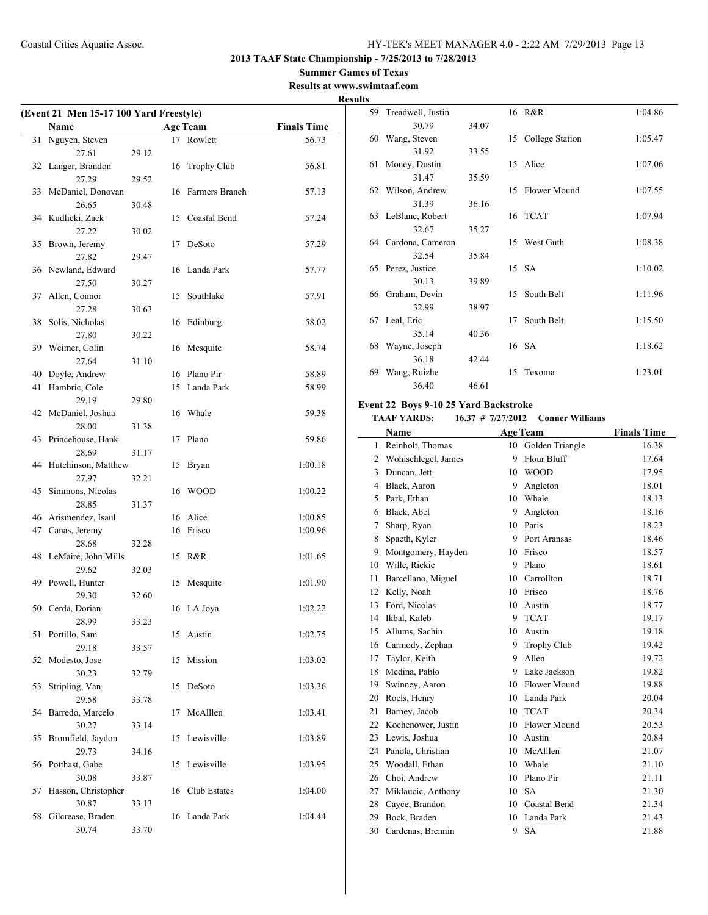## **Summer Games of Texas**

**Results at www.swimtaaf.com Results**

 $\sim$ 

|    | (Event 21 Men 15-17 100 Yard Freestyle) |       |    |                    |                    |  |
|----|-----------------------------------------|-------|----|--------------------|--------------------|--|
|    | Name                                    |       |    | <b>Age Team</b>    | <b>Finals Time</b> |  |
| 31 | Nguyen, Steven                          |       |    | 17 Rowlett         | 56.73              |  |
|    | 27.61                                   | 29.12 |    |                    |                    |  |
| 32 | Langer, Brandon                         |       | 16 | <b>Trophy Club</b> | 56.81              |  |
|    | 27.29                                   | 29.52 |    |                    |                    |  |
| 33 | McDaniel, Donovan                       |       |    | 16 Farmers Branch  | 57.13              |  |
|    | 26.65                                   | 30.48 |    |                    |                    |  |
|    | 34 Kudlicki, Zack                       |       |    | 15 Coastal Bend    | 57.24              |  |
|    | 27.22                                   | 30.02 |    |                    |                    |  |
| 35 | Brown, Jeremy                           |       | 17 | DeSoto             | 57.29              |  |
|    | 27.82                                   | 29.47 |    |                    |                    |  |
| 36 | Newland, Edward                         |       | 16 | Landa Park         | 57.77              |  |
|    | 27.50                                   | 30.27 |    |                    |                    |  |
| 37 | Allen, Connor                           |       | 15 | Southlake          | 57.91              |  |
|    | 27.28                                   | 30.63 |    |                    |                    |  |
| 38 | Solis, Nicholas                         |       |    | 16 Edinburg        | 58.02              |  |
|    | 27.80                                   | 30.22 |    |                    |                    |  |
| 39 | Weimer, Colin                           |       | 16 | Mesquite           | 58.74              |  |
|    | 27.64                                   | 31.10 |    |                    |                    |  |
| 40 | Doyle, Andrew                           |       |    | 16 Plano Pir       | 58.89              |  |
| 41 | Hambric, Cole                           |       | 15 | Landa Park         | 58.99              |  |
|    | 29.19                                   | 29.80 |    |                    |                    |  |
| 42 | McDaniel, Joshua                        |       |    | 16 Whale           | 59.38              |  |
|    | 28.00                                   | 31.38 |    |                    |                    |  |
| 43 | Princehouse, Hank                       |       | 17 | Plano              | 59.86              |  |
|    | 28.69                                   | 31.17 |    |                    |                    |  |
| 44 | Hutchinson, Matthew                     |       | 15 | Bryan              | 1:00.18            |  |
|    | 27.97                                   | 32.21 |    |                    |                    |  |
| 45 | Simmons, Nicolas                        |       |    | 16 WOOD            | 1:00.22            |  |
|    | 28.85                                   | 31.37 |    |                    |                    |  |
| 46 | Arismendez, Isaul                       |       |    | 16 Alice           | 1:00.85            |  |
| 47 | Canas, Jeremy                           |       |    | 16 Frisco          | 1:00.96            |  |
|    | 28.68                                   | 32.28 |    |                    |                    |  |
| 48 | LeMaire, John Mills                     |       | 15 | R&R                | 1:01.65            |  |
|    | 29.62                                   | 32.03 |    |                    |                    |  |
| 49 | Powell, Hunter                          |       | 15 | Mesquite           | 1:01.90            |  |
|    | 29.30                                   | 32.60 |    |                    |                    |  |
|    | 50 Cerda, Dorian                        |       |    | 16 LA Joya         | 1:02.22            |  |
|    | 28.99                                   | 33.23 |    |                    |                    |  |
| 51 | Portillo, Sam                           |       |    | 15 Austin          | 1:02.75            |  |
|    | 29.18                                   | 33.57 |    |                    |                    |  |
| 52 | Modesto, Jose                           |       | 15 | Mission            | 1:03.02            |  |
|    | 30.23                                   | 32.79 |    |                    |                    |  |
| 53 | Stripling, Van<br>29.58                 |       | 15 | DeSoto             | 1:03.36            |  |
|    |                                         | 33.78 |    |                    |                    |  |
| 54 | Barredo, Marcelo                        |       | 17 | McAlllen           | 1:03.41            |  |
|    | 30.27                                   | 33.14 |    |                    |                    |  |
| 55 | Bromfield, Jaydon                       |       | 15 | Lewisville         | 1:03.89            |  |
|    | 29.73                                   | 34.16 |    |                    |                    |  |
| 56 | Potthast, Gabe                          |       |    | 15 Lewisville      | 1:03.95            |  |
|    | 30.08                                   | 33.87 |    |                    |                    |  |
| 57 | Hasson, Christopher                     |       | 16 | Club Estates       | 1:04.00            |  |
|    | 30.87                                   | 33.13 |    |                    |                    |  |
| 58 | Gilcrease, Braden                       |       | 16 | Landa Park         | 1:04.44            |  |
|    | 30.74                                   | 33.70 |    |                    |                    |  |

| ι., |                    |       |    |                 |         |
|-----|--------------------|-------|----|-----------------|---------|
| 59  | Treadwell, Justin  |       |    | 16 R&R          | 1:04.86 |
|     | 30.79              | 34.07 |    |                 |         |
| 60  | Wang, Steven       |       | 15 | College Station | 1:05.47 |
|     | 31.92              | 33.55 |    |                 |         |
| 61  | Money, Dustin      |       |    | 15 Alice        | 1:07.06 |
|     | 31.47              | 35.59 |    |                 |         |
|     | 62 Wilson, Andrew  |       | 15 | Flower Mound    | 1:07.55 |
|     | 31.39              | 36.16 |    |                 |         |
|     | 63 LeBlanc, Robert |       |    | 16 TCAT         | 1:07.94 |
|     | 32.67              | 35.27 |    |                 |         |
| 64  | Cardona, Cameron   |       | 15 | West Guth       | 1:08.38 |
|     | 32.54              | 35.84 |    |                 |         |
| 65  | Perez, Justice     |       |    | 15 SA           | 1:10.02 |
|     | 30.13              | 39.89 |    |                 |         |
| 66  | Graham, Devin      |       | 15 | South Belt      | 1:11.96 |
|     | 32.99              | 38.97 |    |                 |         |
| 67  | Leal, Eric         |       | 17 | South Belt      | 1:15.50 |
|     | 35.14              | 40.36 |    |                 |         |
| 68  | Wayne, Joseph      |       |    | 16 SA           | 1:18.62 |
|     | 36.18              | 42.44 |    |                 |         |
| 69  | Wang, Ruizhe       |       | 15 | Texoma          | 1:23.01 |
|     | 36.40              | 46.61 |    |                 |         |
|     |                    |       |    |                 |         |

## **Event 22 Boys 9-10 25 Yard Backstroke**

**TAAF YARDS: 16.37 # 7/27/2012 Conner Williams**

|                | Name                |    | <b>Age Team</b> | <b>Finals Time</b> |
|----------------|---------------------|----|-----------------|--------------------|
| $\mathbf{1}$   | Reinholt, Thomas    | 10 | Golden Triangle | 16.38              |
| $\overline{2}$ | Wohlschlegel, James | 9  | Flour Bluff     | 17.64              |
| 3              | Duncan, Jett        | 10 | <b>WOOD</b>     | 17.95              |
| $\overline{4}$ | Black, Aaron        | 9  | Angleton        | 18.01              |
| 5              | Park, Ethan         | 10 | Whale           | 18.13              |
| 6              | Black, Abel         | 9  | Angleton        | 18.16              |
| 7              | Sharp, Ryan         | 10 | Paris           | 18.23              |
| 8              | Spaeth, Kyler       | 9  | Port Aransas    | 18.46              |
| 9              | Montgomery, Hayden  | 10 | Frisco          | 18.57              |
| 10             | Wille, Rickie       | 9  | Plano           | 18.61              |
| 11             | Barcellano, Miguel  | 10 | Carrollton      | 18.71              |
| 12             | Kelly, Noah         | 10 | Frisco          | 18.76              |
| 13             | Ford, Nicolas       | 10 | Austin          | 18.77              |
| 14             | Ikbal, Kaleb        | 9  | <b>TCAT</b>     | 19.17              |
| 15             | Allums, Sachin      | 10 | Austin          | 19.18              |
| 16             | Carmody, Zephan     | 9  | Trophy Club     | 19.42              |
| 17             | Taylor, Keith       | 9  | Allen           | 19.72              |
| 18             | Medina, Pablo       | 9  | Lake Jackson    | 19.82              |
| 19             | Swinney, Aaron      | 10 | Flower Mound    | 19.88              |
| 20             | Roels, Henry        | 10 | Landa Park      | 20.04              |
| 21             | Barney, Jacob       | 10 | <b>TCAT</b>     | 20.34              |
| 22             | Kochenower, Justin  | 10 | Flower Mound    | 20.53              |
| 23             | Lewis, Joshua       | 10 | Austin          | 20.84              |
| 24             | Panola, Christian   | 10 | McAlllen        | 21.07              |
| 25             | Woodall, Ethan      | 10 | Whale           | 21.10              |
| 26             | Choi, Andrew        | 10 | Plano Pir       | 21.11              |
| 27             | Miklaucic, Anthony  | 10 | <b>SA</b>       | 21.30              |
| 28             | Cayce, Brandon      | 10 | Coastal Bend    | 21.34              |
| 29             | Bock, Braden        | 10 | Landa Park      | 21.43              |
| 30             | Cardenas, Brennin   | 9  | <b>SA</b>       | 21.88              |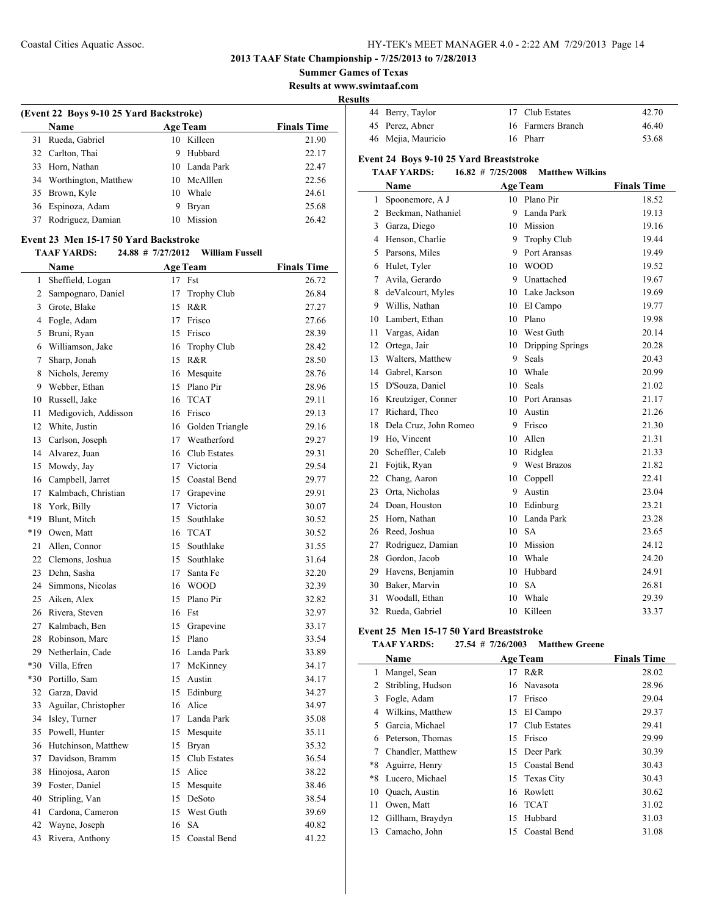**2013 TAAF State Championship - 7/25/2013 to 7/28/2013**

**Summer Games of Texas**

**Results at www.swimtaaf.com**

**Results**

| --- |                    |                   |       |
|-----|--------------------|-------------------|-------|
|     | 44 Berry, Taylor   | 17 Club Estates   | 42.70 |
|     | 45 Perez, Abner    | 16 Farmers Branch | 46.40 |
|     | 46 Mejia, Mauricio | 16 Pharr          | 53.68 |

## **Event 24 Boys 9-10 25 Yard Breaststroke**

## **TAAF YARDS: 16.82 # 7/25/2008 Matthew Wilkins**

|    | Name                  |                 | <b>Age Team</b>    | <b>Finals Time</b> |
|----|-----------------------|-----------------|--------------------|--------------------|
| 1  | Spoonemore, A J       | 10 <sup>1</sup> | Plano Pir          | 18.52              |
| 2  | Beckman, Nathaniel    | 9               | Landa Park         | 19.13              |
| 3  | Garza, Diego          | 10              | Mission            | 19.16              |
| 4  | Henson, Charlie       | 9               | <b>Trophy Club</b> | 19.44              |
| 5  | Parsons, Miles        | 9               | Port Aransas       | 19.49              |
| 6  | Hulet, Tyler          | 10              | <b>WOOD</b>        | 19.52              |
| 7  | Avila, Gerardo        | 9               | Unattached         | 19.67              |
| 8  | deValcourt, Myles     | 10              | Lake Jackson       | 19.69              |
| 9  | Willis, Nathan        |                 | 10 El Campo        | 19.77              |
| 10 | Lambert, Ethan        | 10              | Plano              | 19.98              |
| 11 | Vargas, Aidan         | 10              | West Guth          | 20.14              |
| 12 | Ortega, Jair          | 10              | Dripping Springs   | 20.28              |
| 13 | Walters, Matthew      | 9               | Seals              | 20.43              |
| 14 | Gabrel, Karson        | 10              | Whale              | 20.99              |
| 15 | D'Souza, Daniel       | 10              | Seals              | 21.02              |
| 16 | Kreutziger, Conner    | 10 <sup>1</sup> | Port Aransas       | 21.17              |
| 17 | Richard, Theo         | 10              | Austin             | 21.26              |
| 18 | Dela Cruz, John Romeo | 9               | Frisco             | 21.30              |
| 19 | Ho. Vincent           | 10              | Allen              | 21.31              |
| 20 | Scheffler, Caleb      | 10              | Ridglea            | 21.33              |
| 21 | Fojtik, Ryan          | 9               | <b>West Brazos</b> | 21.82              |
| 22 | Chang, Aaron          | 10              | Coppell            | 22.41              |
| 23 | Orta, Nicholas        | 9               | Austin             | 23.04              |
| 24 | Doan, Houston         | 10              | Edinburg           | 23.21              |
| 25 | Horn, Nathan          | 10              | Landa Park         | 23.28              |
| 26 | Reed, Joshua          | 10              | <b>SA</b>          | 23.65              |
| 27 | Rodriguez, Damian     | 10              | Mission            | 24.12              |
| 28 | Gordon, Jacob         | 10              | Whale              | 24.20              |
| 29 | Havens, Benjamin      | 10              | Hubbard            | 24.91              |
| 30 | Baker, Marvin         | 10              | <b>SA</b>          | 26.81              |
| 31 | Woodall, Ethan        | 10              | Whale              | 29.39              |
| 32 | Rueda, Gabriel        | 10              | Killeen            | 33.37              |

## **Event 25 Men 15-17 50 Yard Breaststroke**

| <b>TAAF YARDS:</b> | $27.54$ # $7/26/2003$ | <b>Matthew Greene</b> |
|--------------------|-----------------------|-----------------------|
|                    |                       |                       |

|                | Name              |    | <b>Age Team</b> | <b>Finals Time</b> |
|----------------|-------------------|----|-----------------|--------------------|
| 1.             | Mangel, Sean      | 17 | R&R             | 28.02              |
| $\overline{2}$ | Stribling, Hudson |    | 16 Navasota     | 28.96              |
| 3              | Fogle, Adam       | 17 | Frisco          | 29.04              |
| 4              | Wilkins, Matthew  | 15 | El Campo        | 29.37              |
| 5.             | Garcia, Michael   | 17 | Club Estates    | 29.41              |
| 6              | Peterson, Thomas  | 15 | Frisco          | 29.99              |
| 7              | Chandler, Matthew | 15 | Deer Park       | 30.39              |
| *8             | Aguirre, Henry    | 15 | Coastal Bend    | 30.43              |
| *8             | Lucero, Michael   |    | 15 Texas City   | 30.43              |
| 10             | Quach, Austin     |    | 16 Rowlett      | 30.62              |
| 11             | Owen, Matt        | 16 | <b>TCAT</b>     | 31.02              |
| 12             | Gillham, Braydyn  | 15 | Hubbard         | 31.03              |
| 13             | Camacho, John     | 15 | Coastal Bend    | 31.08              |

#### **Event 23 Men 15-17 50 Yard Backstroke TAAF YARDS: 24.88 # 7/27/2012 William Fussell**

|                | Name                 |    | <b>Age Team</b>    | <b>Finals Time</b> |
|----------------|----------------------|----|--------------------|--------------------|
| $\mathbf{1}$   | Sheffield, Logan     | 17 | Fst                | 26.72              |
| $\overline{2}$ | Sampognaro, Daniel   | 17 | <b>Trophy Club</b> | 26.84              |
| $\overline{3}$ | Grote, Blake         | 15 | R&R                | 27.27              |
| $\overline{4}$ | Fogle, Adam          | 17 | Frisco             | 27.66              |
| 5              | Bruni, Ryan          | 15 | Frisco             | 28.39              |
| 6              | Williamson, Jake     | 16 | <b>Trophy Club</b> | 28.42              |
| $\overline{7}$ | Sharp, Jonah         | 15 | R&R                | 28.50              |
| 8              | Nichols, Jeremy      |    | 16 Mesquite        | 28.76              |
| 9              | Webber, Ethan        | 15 | Plano Pir          | 28.96              |
| 10             | Russell, Jake        | 16 | <b>TCAT</b>        | 29.11              |
| 11             | Medigovich, Addisson | 16 | Frisco             | 29.13              |
| 12             | White, Justin        |    | 16 Golden Triangle | 29.16              |
| 13             | Carlson, Joseph      |    | 17 Weatherford     | 29.27              |
| 14             | Alvarez, Juan        |    | 16 Club Estates    | 29.31              |
| 15             | Mowdy, Jay           |    | 17 Victoria        | 29.54              |
| 16             | Campbell, Jarret     | 15 | Coastal Bend       | 29.77              |
| 17             | Kalmbach, Christian  | 17 | Grapevine          | 29.91              |
| 18             | York, Billy          | 17 | Victoria           | 30.07              |
| $*19$          | Blunt, Mitch         | 15 | Southlake          | 30.52              |
| $*19$          | Owen, Matt           |    | 16 TCAT            | 30.52              |
| 21             | Allen, Connor        | 15 | Southlake          | 31.55              |
| 22             | Clemons, Joshua      | 15 | Southlake          | 31.64              |
| 23             | Dehn, Sasha          | 17 | Santa Fe           | 32.20              |
| 24             | Simmons, Nicolas     |    | 16 WOOD            | 32.39              |
| 25             | Aiken, Alex          | 15 | Plano Pir          | 32.82              |
| 26             | Rivera, Steven       | 16 | Fst                | 32.97              |
| 27             | Kalmbach, Ben        | 15 | Grapevine          | 33.17              |
| 28             | Robinson, Marc       | 15 | Plano              | 33.54              |
| 29             | Netherlain, Cade     |    | 16 Landa Park      | 33.89              |
| $*30$          | Villa, Efren         |    | 17 McKinney        | 34.17              |
| $*30$          | Portillo, Sam        | 15 | Austin             | 34.17              |
| 32             | Garza, David         | 15 | Edinburg           | 34.27              |
| 33             | Aguilar, Christopher |    | 16 Alice           | 34.97              |
| 34             | Isley, Turner        | 17 | Landa Park         | 35.08              |
| 35             | Powell, Hunter       | 15 | Mesquite           | 35.11              |
| 36             | Hutchinson, Matthew  | 15 | Bryan              | 35.32              |
| 37             | Davidson, Bramm      | 15 | Club Estates       | 36.54              |
| 38             | Hinojosa, Aaron      | 15 | Alice              | 38.22              |
| 39             | Foster, Daniel       | 15 | Mesquite           | 38.46              |
| 40             | Stripling, Van       | 15 | DeSoto             | 38.54              |
| 41             | Cardona, Cameron     | 15 | West Guth          | 39.69              |
| 42             | Wayne, Joseph        | 16 | <b>SA</b>          | 40.82              |
| 43             | Rivera, Anthony      | 15 | Coastal Bend       | 41.22              |
|                |                      |    |                    |                    |

|    | (Event 22 Boys 9-10 25 Yard Backstroke) |    |                 |                    |  |  |  |
|----|-----------------------------------------|----|-----------------|--------------------|--|--|--|
|    | Name                                    |    | <b>Age Team</b> | <b>Finals Time</b> |  |  |  |
| 31 | Rueda, Gabriel                          |    | 10 Killeen      | 21.90              |  |  |  |
|    | 32 Carlton, Thai                        | 9  | Hubbard         | 22.17              |  |  |  |
|    | 33 Horn, Nathan                         |    | 10 Landa Park   | 22.47              |  |  |  |
|    | 34 Worthington, Matthew                 | 10 | McAlllen        | 22.56              |  |  |  |
|    | 35 Brown, Kyle                          | 10 | Whale           | 24.61              |  |  |  |
|    | 36 Espinoza, Adam                       | 9  | Bryan           | 25.68              |  |  |  |
| 37 | Rodriguez, Damian                       | 10 | <b>Mission</b>  | 26.42              |  |  |  |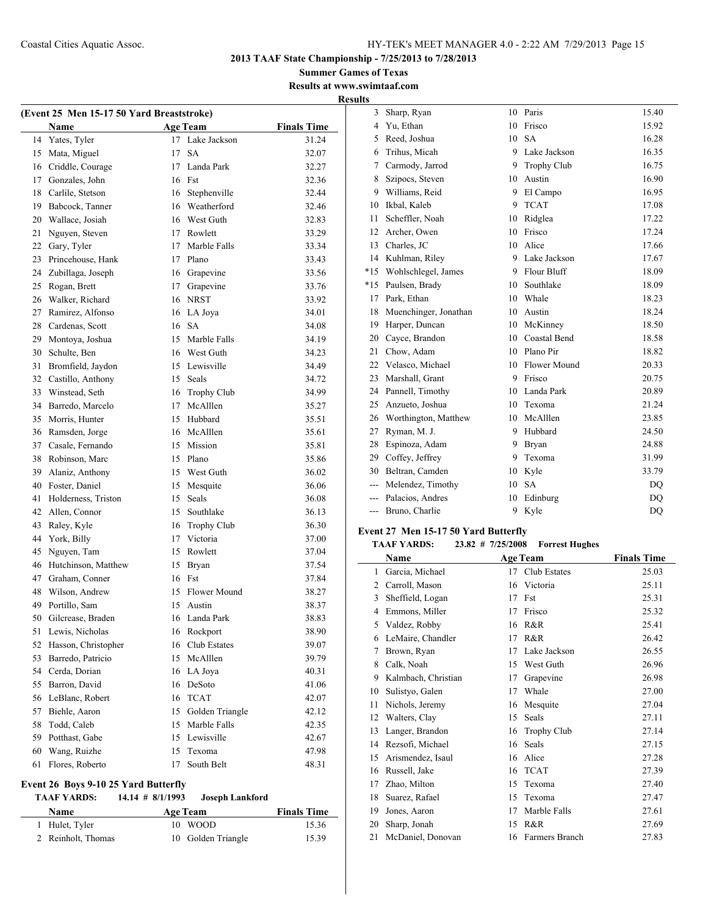**Summer Games of Texas Results at www.swimtaaf.com Results**

| (Event 25 Men 15-17 50 Yard Breaststroke) |                     |        |                    |                    |  |
|-------------------------------------------|---------------------|--------|--------------------|--------------------|--|
|                                           | Name                |        | <b>Age Team</b>    | <b>Finals Time</b> |  |
| 14                                        | Yates, Tyler        | 17     | Lake Jackson       | 31.24              |  |
| 15                                        | Mata, Miguel        | 17     | <b>SA</b>          | 32.07              |  |
| 16                                        | Criddle, Courage    | 17     | Landa Park         | 32.27              |  |
| 17                                        | Gonzales, John      | 16     | Fst                | 32.36              |  |
| 18                                        | Carlile, Stetson    |        | 16 Stephenville    | 32.44              |  |
| 19                                        | Babcock, Tanner     |        | 16 Weatherford     | 32.46              |  |
| 20                                        | Wallace, Josiah     |        | 16 West Guth       | 32.83              |  |
| 21                                        | Nguyen, Steven      |        | 17 Rowlett         | 33.29              |  |
| 22                                        | Gary, Tyler         | 17     | Marble Falls       | 33.34              |  |
| 23                                        | Princehouse, Hank   |        | 17 Plano           | 33.43              |  |
| 24                                        | Zubillaga, Joseph   |        | 16 Grapevine       | 33.56              |  |
| 25                                        | Rogan, Brett        |        | 17 Grapevine       | 33.76              |  |
| 26                                        | Walker, Richard     |        | 16 NRST            | 33.92              |  |
| 27                                        | Ramirez, Alfonso    |        | 16 LA Joya         | 34.01              |  |
| 28                                        | Cardenas, Scott     |        | 16 SA              | 34.08              |  |
| 29                                        | Montoya, Joshua     |        | 15 Marble Falls    | 34.19              |  |
| 30                                        | Schulte, Ben        |        | 16 West Guth       | 34.23              |  |
| 31                                        | Bromfield, Jaydon   |        | 15 Lewisville      | 34.49              |  |
| 32                                        | Castillo, Anthony   |        | 15 Seals           | 34.72              |  |
| 33                                        | Winstead, Seth      |        | 16 Trophy Club     | 34.99              |  |
| 34                                        | Barredo, Marcelo    |        | 17 McAlllen        | 35.27              |  |
| 35                                        | Morris. Hunter      |        | 15 Hubbard         | 35.51              |  |
| 36                                        | Ramsden, Jorge      |        | 16 McAlllen        | 35.61              |  |
| 37                                        | Casale, Fernando    |        | 15 Mission         | 35.81              |  |
| 38                                        | Robinson, Marc      |        | 15 Plano           | 35.86              |  |
| 39                                        | Alaniz, Anthony     |        | 15 West Guth       | 36.02              |  |
| 40                                        | Foster, Daniel      | 15     | Mesquite           | 36.06              |  |
| 41                                        | Holderness, Triston | 15     | Seals              | 36.08              |  |
| 42                                        | Allen, Connor       | 15     | Southlake          | 36.13              |  |
| 43                                        | Raley, Kyle         | 16     | <b>Trophy Club</b> | 36.30              |  |
| 44                                        | York, Billy         | 17     | Victoria           | 37.00              |  |
| 45                                        | Nguyen, Tam         |        | 15 Rowlett         | 37.04              |  |
| 46                                        | Hutchinson, Matthew | 15     | Bryan              | 37.54              |  |
| 47                                        | Graham, Conner      |        | 16 Fst             | 37.84              |  |
| 48                                        | Wilson, Andrew      | 15     | Flower Mound       | 38.27              |  |
| 49                                        | Portillo, Sam       | 15     | Austin             | 38.37              |  |
| 50                                        | Gilcrease, Braden   | 16     | Landa Park         | 38.83              |  |
| 51                                        | Lewis, Nicholas     | 16     | Rockport           | 38.90              |  |
| 52                                        | Hasson, Christopher | 16     | Club Estates       | 39.07              |  |
| 53                                        | Barredo, Patricio   | 15     | McAlllen           | 39.79              |  |
| 54                                        | Cerda, Dorian       | 16     | LA Joya            | 40.31              |  |
| 55                                        | Barron, David       | 16     | DeSoto             | 41.06              |  |
| 56                                        | LeBlanc, Robert     | 16     | <b>TCAT</b>        | 42.07              |  |
| 57                                        | Biehle, Aaron       | 15     | Golden Triangle    | 42.12              |  |
| 58                                        | Todd, Caleb         | 15     | Marble Falls       | 42.35              |  |
| 59                                        | Potthast, Gabe      | $15\,$ | Lewisville         | 42.67              |  |
| 60                                        | Wang, Ruizhe        | 15     | Texoma             | 47.98              |  |
| 61                                        | Flores, Roberto     | 17     | South Belt         | 48.31              |  |
|                                           |                     |        |                    |                    |  |

## **Event 26 Boys 9-10 25 Yard Butterfly**

## **TAAF YARDS: 14.14 # 8/1/1993 Joseph Lankford**

| <b>Name</b>        | <b>Age Team</b>    | <b>Finals Time</b> |
|--------------------|--------------------|--------------------|
| 1 Hulet, Tyler     | 10 WOOD            | 15.36              |
| 2 Reinholt, Thomas | 10 Golden Triangle | 15.39              |

| 3     | Sharp, Ryan           | 10  | Paris              | 15.40 |
|-------|-----------------------|-----|--------------------|-------|
| 4     | Yu, Ethan             | 10  | Frisco             | 15.92 |
| 5.    | Reed, Joshua          | 10  | <b>SA</b>          | 16.28 |
| 6     | Trihus, Micah         | 9.  | Lake Jackson       | 16.35 |
| 7     | Carmody, Jarrod       | 9   | <b>Trophy Club</b> | 16.75 |
| 8     | Szipocs, Steven       | 10  | Austin             | 16.90 |
| 9     | Williams, Reid        | 9   | El Campo           | 16.95 |
| 10    | Ikbal, Kaleb          | 9   | <b>TCAT</b>        | 17.08 |
| 11    | Scheffler, Noah       | 10  | Ridglea            | 17.22 |
| 12    | Archer, Owen          | 10  | Frisco             | 17.24 |
| 13    | Charles, JC           | 10  | Alice              | 17.66 |
| 14    | Kuhlman, Riley        |     | 9 Lake Jackson     | 17.67 |
| $*15$ | Wohlschlegel, James   | 9.  | Flour Bluff        | 18.09 |
| $*15$ | Paulsen, Brady        | 10  | Southlake          | 18.09 |
| 17    | Park, Ethan           | 10  | Whale              | 18.23 |
| 18    | Muenchinger, Jonathan | 10  | Austin             | 18.24 |
| 19    | Harper, Duncan        |     | 10 McKinney        | 18.50 |
| 20    | Cayce, Brandon        | 10  | Coastal Bend       | 18.58 |
| 21    | Chow, Adam            |     | 10 Plano Pir       | 18.82 |
| 22    | Velasco, Michael      | 10. | Flower Mound       | 20.33 |
| 23    | Marshall, Grant       | 9.  | Frisco             | 20.75 |
| 24    | Pannell, Timothy      | 10  | Landa Park         | 20.89 |
| 25    | Anzueto, Joshua       | 10  | Texoma             | 21.24 |
| 26    | Worthington, Matthew  | 10  | McAlllen           | 23.85 |
| 27    | Ryman, M. J.          | 9.  | Hubbard            | 24.50 |
| 28    | Espinoza, Adam        | 9   | <b>Bryan</b>       | 24.88 |
| 29    | Coffey, Jeffrey       | 9   | Texoma             | 31.99 |
| 30    | Beltran, Camden       | 10  | Kyle               | 33.79 |
| ---   | Melendez, Timothy     | 10  | <b>SA</b>          | DQ    |
| $---$ | Palacios, Andres      | 10  | Edinburg           | DQ    |
| $---$ | Bruno, Charlie        | 9   | Kyle               | DQ    |

#### **Event 27 Men 15-17 50 Yard Butterfly**

 $\overline{\phantom{a}}$ 

## **TAAF YARDS: 23.82 # 7/25/2008 Forrest Hughes**

|    | Name                |    | <b>Age Team</b>    | <b>Finals Time</b> |
|----|---------------------|----|--------------------|--------------------|
| 1  | Garcia, Michael     | 17 | Club Estates       | 25.03              |
| 2  | Carroll, Mason      | 16 | Victoria           | 25.11              |
| 3  | Sheffield, Logan    | 17 | Fst                | 25.31              |
| 4  | Emmons, Miller      | 17 | Frisco             | 25.32              |
| 5  | Valdez, Robby       | 16 | R&R                | 25.41              |
| 6  | LeMaire, Chandler   | 17 | R&R                | 26.42              |
| 7  | Brown, Ryan         | 17 | Lake Jackson       | 26.55              |
| 8  | Calk, Noah          | 15 | West Guth          | 26.96              |
| 9  | Kalmbach, Christian | 17 | Grapevine          | 26.98              |
| 10 | Sulistyo, Galen     | 17 | Whale              | 27.00              |
| 11 | Nichols, Jeremy     | 16 | Mesquite           | 27.04              |
| 12 | Walters, Clay       | 15 | Seals              | 27.11              |
| 13 | Langer, Brandon     | 16 | <b>Trophy Club</b> | 27.14              |
| 14 | Rezsofi, Michael    | 16 | Seals              | 27.15              |
| 15 | Arismendez, Isaul   | 16 | Alice              | 27.28              |
| 16 | Russell, Jake       | 16 | <b>TCAT</b>        | 27.39              |
| 17 | Zhao, Milton        | 15 | Texoma             | 27.40              |
| 18 | Suarez, Rafael      | 15 | Texoma             | 27.47              |
| 19 | Jones, Aaron        | 17 | Marble Falls       | 27.61              |
| 20 | Sharp, Jonah        | 15 | R&R                | 27.69              |
| 21 | McDaniel, Donovan   | 16 | Farmers Branch     | 27.83              |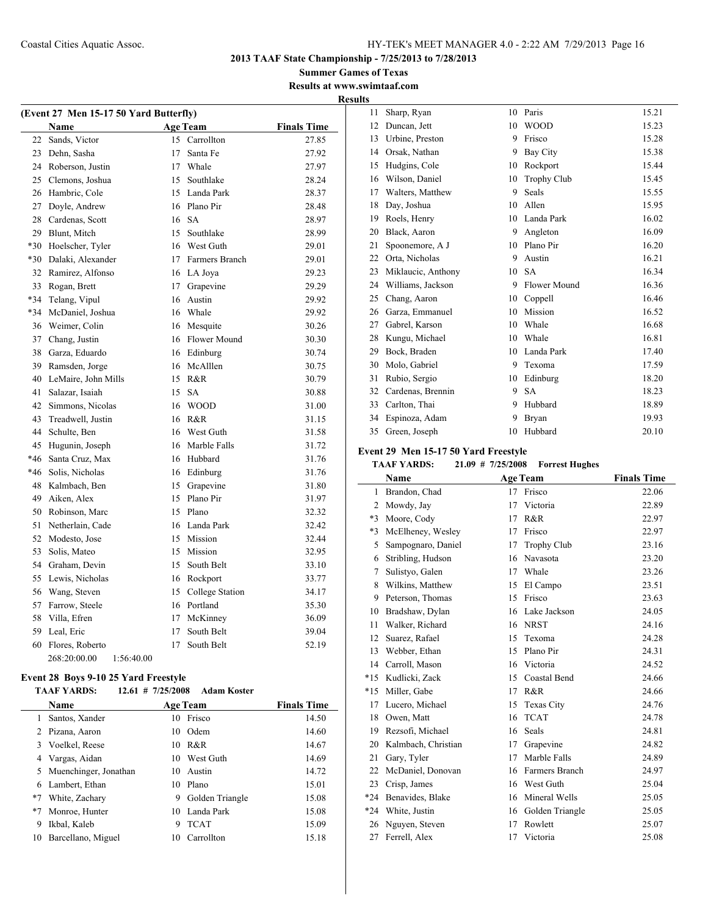## **Summer Games of Texas Results at www.swimtaaf.com Results**

 $\overline{\phantom{a}}$ 

|       | (Event 27 Men 15-17 50 Yard Butterfly) |    |                   |                    |  |
|-------|----------------------------------------|----|-------------------|--------------------|--|
|       | Name                                   |    | <b>Age Team</b>   | <b>Finals Time</b> |  |
| 22    | Sands, Victor                          | 15 | Carrollton        | 27.85              |  |
| 23    | Dehn, Sasha                            | 17 | Santa Fe          | 27.92              |  |
| 24    | Roberson, Justin                       |    | 17 Whale          | 27.97              |  |
| 25    | Clemons, Joshua                        |    | 15 Southlake      | 28.24              |  |
| 26    | Hambric, Cole                          |    | 15 Landa Park     | 28.37              |  |
| 27    | Doyle, Andrew                          |    | 16 Plano Pir      | 28.48              |  |
| 28    | Cardenas, Scott                        |    | 16 SA             | 28.97              |  |
| 29    | Blunt, Mitch                           | 15 | Southlake         | 28.99              |  |
| $*30$ | Hoelscher, Tyler                       |    | 16 West Guth      | 29.01              |  |
| $*30$ | Dalaki, Alexander                      |    | 17 Farmers Branch | 29.01              |  |
| 32    | Ramirez, Alfonso                       |    | 16 LA Joya        | 29.23              |  |
| 33    | Rogan, Brett                           | 17 | Grapevine         | 29.29              |  |
| *34   | Telang, Vipul                          |    | 16 Austin         | 29.92              |  |
| *34   | McDaniel, Joshua                       |    | 16 Whale          | 29.92              |  |
| 36    | Weimer, Colin                          |    | 16 Mesquite       | 30.26              |  |
| 37    | Chang, Justin                          |    | 16 Flower Mound   | 30.30              |  |
| 38    | Garza, Eduardo                         |    | 16 Edinburg       | 30.74              |  |
| 39    | Ramsden, Jorge                         |    | 16 McAlllen       | 30.75              |  |
| 40    | LeMaire, John Mills                    |    | 15 R&R            | 30.79              |  |
| 41    | Salazar, Isaiah                        | 15 | <b>SA</b>         | 30.88              |  |
| 42    | Simmons, Nicolas                       |    | 16 WOOD           | 31.00              |  |
| 43    | Treadwell, Justin                      |    | 16 R&R            | 31.15              |  |
| 44    | Schulte, Ben                           |    | 16 West Guth      | 31.58              |  |
| 45    | Hugunin, Joseph                        |    | 16 Marble Falls   | 31.72              |  |
| $*46$ | Santa Cruz, Max                        |    | 16 Hubbard        | 31.76              |  |
| *46   | Solis, Nicholas                        |    | 16 Edinburg       | 31.76              |  |
| 48    | Kalmbach, Ben                          |    | 15 Grapevine      | 31.80              |  |
| 49    | Aiken, Alex                            |    | 15 Plano Pir      | 31.97              |  |
| 50    | Robinson, Marc                         |    | 15 Plano          | 32.32              |  |
| 51    | Netherlain, Cade                       |    | 16 Landa Park     | 32.42              |  |
| 52    | Modesto, Jose                          |    | 15 Mission        | 32.44              |  |
| 53    | Solis, Mateo                           |    | 15 Mission        | 32.95              |  |
| 54    | Graham, Devin                          | 15 | South Belt        | 33.10              |  |
| 55    | Lewis, Nicholas                        |    | 16 Rockport       | 33.77              |  |
| 56    | Wang, Steven                           | 15 | College Station   | 34.17              |  |
| 57    | Farrow, Steele                         |    | 16 Portland       | 35.30              |  |
| 58    | Villa, Efren                           |    | 17 McKinney       | 36.09              |  |
| 59    | Leal, Eric                             | 17 | South Belt        | 39.04              |  |
| 60    | Flores, Roberto                        | 17 | South Belt        | 52.19              |  |
|       | 268:20:00.00<br>1:56:40.00             |    |                   |                    |  |

# **Event 28 Boys 9-10 25 Yard Freestyle<br>
TAAF VARDS:** 12.61 # 7/25/2008

|      | TAAF YARDS:             | $12.61$ # 7/25/2008 | Adam Koster     |                    |
|------|-------------------------|---------------------|-----------------|--------------------|
|      | Name                    |                     | <b>Age Team</b> | <b>Finals Time</b> |
| 1.   | Santos, Xander          | 10                  | Frisco          | 14.50              |
|      | 2 Pizana, Aaron         | 10                  | Odem            | 14.60              |
|      | 3 Voelkel, Reese        |                     | 10 R&R          | 14.67              |
| 4    | Vargas, Aidan           |                     | 10 West Guth    | 14.69              |
|      | 5 Muenchinger, Jonathan | 10                  | Austin          | 14.72              |
| 6    | Lambert, Ethan          | 10                  | Plano           | 15.01              |
| $*7$ | White, Zachary          | 9                   | Golden Triangle | 15.08              |
| $*7$ | Monroe, Hunter          |                     | 10 Landa Park   | 15.08              |
| 9    | Ikbal, Kaleb            | 9                   | <b>TCAT</b>     | 15.09              |
| 10   | Barcellano, Miguel      | 10                  | Carrollton      | 15.18              |

| 11 | Sharp, Ryan        | 10 | Paris              | 15.21 |
|----|--------------------|----|--------------------|-------|
| 12 | Duncan, Jett       | 10 | <b>WOOD</b>        | 15.23 |
| 13 | Urbine, Preston    | 9  | Frisco             | 15.28 |
| 14 | Orsak, Nathan      | 9  | Bay City           | 15.38 |
| 15 | Hudgins, Cole      | 10 | Rockport           | 15.44 |
| 16 | Wilson, Daniel     | 10 | <b>Trophy Club</b> | 15.45 |
| 17 | Walters, Matthew   | 9  | Seals              | 15.55 |
| 18 | Day, Joshua        | 10 | Allen              | 15.95 |
| 19 | Roels, Henry       | 10 | Landa Park         | 16.02 |
| 20 | Black, Aaron       | 9  | Angleton           | 16.09 |
| 21 | Spoonemore, A J    | 10 | Plano Pir          | 16.20 |
| 22 | Orta, Nicholas     | 9  | Austin             | 16.21 |
| 23 | Miklaucic, Anthony | 10 | <b>SA</b>          | 16.34 |
| 24 | Williams, Jackson  | 9  | Flower Mound       | 16.36 |
| 25 | Chang, Aaron       | 10 | Coppell            | 16.46 |
| 26 | Garza, Emmanuel    | 10 | Mission            | 16.52 |
| 27 | Gabrel, Karson     | 10 | Whale              | 16.68 |
| 28 | Kungu, Michael     | 10 | Whale              | 16.81 |
| 29 | Bock, Braden       | 10 | Landa Park         | 17.40 |
| 30 | Molo, Gabriel      | 9  | Texoma             | 17.59 |
| 31 | Rubio, Sergio      | 10 | Edinburg           | 18.20 |
| 32 | Cardenas, Brennin  | 9  | <b>SA</b>          | 18.23 |
| 33 | Carlton, Thai      | 9  | Hubbard            | 18.89 |
| 34 | Espinoza, Adam     | 9  | Bryan              | 19.93 |
| 35 | Green, Joseph      | 10 | Hubbard            | 20.10 |

#### **Event 29 Men 15-17 50 Yard Freestyle**

## **TAAF YARDS: 21.09 # 7/25/2008 Forrest Hughes**

|                | Name                |    | <b>Age Team</b>    | <b>Finals Time</b> |
|----------------|---------------------|----|--------------------|--------------------|
| 1              | Brandon, Chad       | 17 | Frisco             | 22.06              |
| $\overline{2}$ | Mowdy, Jay          | 17 | Victoria           | 22.89              |
| $*3$           | Moore, Cody         | 17 | R&R                | 22.97              |
| $*3$           | McElheney, Wesley   | 17 | Frisco             | 22.97              |
| 5              | Sampognaro, Daniel  | 17 | <b>Trophy Club</b> | 23.16              |
| 6              | Stribling, Hudson   | 16 | <b>Navasota</b>    | 23.20              |
| 7              | Sulistvo, Galen     | 17 | Whale              | 23.26              |
| 8              | Wilkins, Matthew    | 15 | El Campo           | 23.51              |
| 9              | Peterson, Thomas    | 15 | Frisco             | 23.63              |
| 10             | Bradshaw, Dylan     | 16 | Lake Jackson       | 24.05              |
| 11             | Walker, Richard     | 16 | <b>NRST</b>        | 24.16              |
| 12             | Suarez, Rafael      | 15 | Texoma             | 24.28              |
| 13             | Webber, Ethan       | 15 | Plano Pir          | 24.31              |
| 14             | Carroll, Mason      | 16 | Victoria           | 24.52              |
| $*15$          | Kudlicki, Zack      | 15 | Coastal Bend       | 24.66              |
| $*15$          | Miller, Gabe        | 17 | R&R                | 24.66              |
| 17             | Lucero, Michael     | 15 | Texas City         | 24.76              |
| 18             | Owen, Matt          | 16 | <b>TCAT</b>        | 24.78              |
| 19             | Rezsofi, Michael    | 16 | Seals              | 24.81              |
| 20             | Kalmbach, Christian | 17 | Grapevine          | 24.82              |
| 21             | Gary, Tyler         | 17 | Marble Falls       | 24.89              |
| 22             | McDaniel, Donovan   | 16 | Farmers Branch     | 24.97              |
| 23             | Crisp, James        | 16 | West Guth          | 25.04              |
| $*24$          | Benavides, Blake    | 16 | Mineral Wells      | 25.05              |
| $*24$          | White, Justin       | 16 | Golden Triangle    | 25.05              |
| 26             | Nguyen, Steven      | 17 | Rowlett            | 25.07              |
| 27             | Ferrell, Alex       | 17 | Victoria           | 25.08              |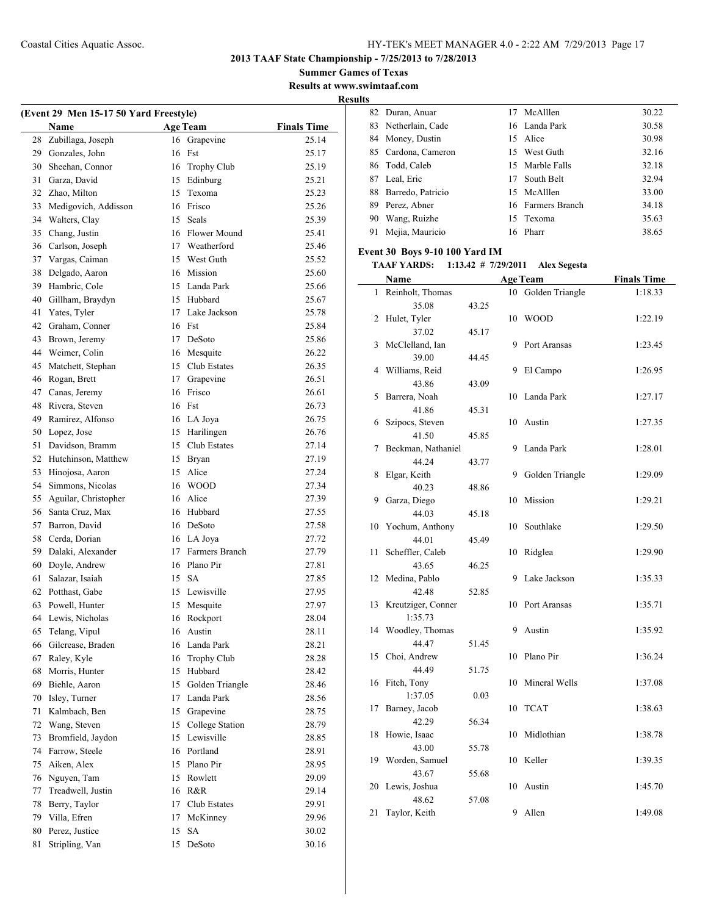**Summer Games of Texas Results at www.swimtaaf.com**

**Results**

| (Event 29 Men 15-17 50 Yard Freestyle) |                      |    |                    |                    |  |
|----------------------------------------|----------------------|----|--------------------|--------------------|--|
|                                        | <b>Name</b>          |    | <b>Age Team</b>    | <b>Finals Time</b> |  |
| 28                                     | Zubillaga, Joseph    | 16 | Grapevine          | 25.14              |  |
| 29                                     | Gonzales, John       | 16 | Fst                | 25.17              |  |
| 30                                     | Sheehan, Connor      | 16 | <b>Trophy Club</b> | 25.19              |  |
| 31                                     | Garza, David         |    | 15 Edinburg        | 25.21              |  |
| 32                                     | Zhao, Milton         | 15 | Texoma             | 25.23              |  |
| 33                                     | Medigovich, Addisson | 16 | Frisco             | 25.26              |  |
| 34                                     | Walters, Clay        | 15 | Seals              | 25.39              |  |
| 35                                     | Chang, Justin        |    | 16 Flower Mound    | 25.41              |  |
| 36                                     | Carlson, Joseph      |    | 17 Weatherford     | 25.46              |  |
| 37                                     | Vargas, Caiman       |    | 15 West Guth       | 25.52              |  |
| 38                                     | Delgado, Aaron       |    | 16 Mission         | 25.60              |  |
| 39                                     | Hambric, Cole        |    | 15 Landa Park      | 25.66              |  |
| 40                                     | Gillham, Braydyn     |    | 15 Hubbard         | 25.67              |  |
| 41                                     | Yates, Tyler         | 17 | Lake Jackson       | 25.78              |  |
| 42                                     | Graham, Conner       | 16 | Fst                | 25.84              |  |
| 43                                     | Brown, Jeremy        | 17 | DeSoto             | 25.86              |  |
| 44                                     | Weimer, Colin        |    | 16 Mesquite        | 26.22              |  |
|                                        |                      |    | 15 Club Estates    |                    |  |
| 45                                     | Matchett, Stephan    |    |                    | 26.35              |  |
| 46                                     | Rogan, Brett         |    | 17 Grapevine       | 26.51              |  |
| 47                                     | Canas, Jeremy        | 16 | Frisco             | 26.61              |  |
| 48                                     | Rivera, Steven       | 16 | Fst                | 26.73              |  |
| 49                                     | Ramirez, Alfonso     |    | 16 LA Joya         | 26.75              |  |
| 50                                     | Lopez, Jose          | 15 | Harilingen         | 26.76              |  |
| 51                                     | Davidson, Bramm      | 15 | Club Estates       | 27.14              |  |
| 52                                     | Hutchinson, Matthew  |    | 15 Bryan           | 27.19              |  |
| 53                                     | Hinojosa, Aaron      |    | 15 Alice           | 27.24              |  |
| 54                                     | Simmons, Nicolas     | 16 | <b>WOOD</b>        | 27.34              |  |
| 55                                     | Aguilar, Christopher | 16 | Alice              | 27.39              |  |
| 56                                     | Santa Cruz, Max      |    | 16 Hubbard         | 27.55              |  |
| 57                                     | Barron, David        |    | 16 DeSoto          | 27.58              |  |
| 58                                     | Cerda, Dorian        |    | 16 LA Joya         | 27.72              |  |
| 59                                     | Dalaki, Alexander    | 17 | Farmers Branch     | 27.79              |  |
| 60                                     | Doyle, Andrew        | 16 | Plano Pir          | 27.81              |  |
| 61                                     | Salazar, Isaiah      | 15 | <b>SA</b>          | 27.85              |  |
| 62                                     | Potthast, Gabe       | 15 | Lewisville         | 27.95              |  |
| 63                                     | Powell, Hunter       | 15 | Mesquite           | 27.97              |  |
| 64                                     | Lewis, Nicholas      | 16 | Rockport           | 28.04              |  |
| 65                                     | Telang, Vipul        | 16 | Austin             | 28.11              |  |
| 66                                     | Gilcrease, Braden    | 16 | Landa Park         | 28.21              |  |
| 67                                     | Raley, Kyle          | 16 | Trophy Club        | 28.28              |  |
| 68                                     | Morris, Hunter       | 15 | Hubbard            | 28.42              |  |
| 69                                     | Biehle, Aaron        | 15 | Golden Triangle    | 28.46              |  |
| 70                                     | Isley, Turner        | 17 | Landa Park         | 28.56              |  |
| 71                                     | Kalmbach, Ben        | 15 | Grapevine          | 28.75              |  |
| 72                                     | Wang, Steven         | 15 | College Station    | 28.79              |  |
| 73                                     | Bromfield, Jaydon    | 15 | Lewisville         | 28.85              |  |
| 74                                     | Farrow, Steele       | 16 | Portland           | 28.91              |  |
| 75                                     | Aiken, Alex          | 15 | Plano Pir          | 28.95              |  |
| 76                                     | Nguyen, Tam          | 15 | Rowlett            | 29.09              |  |
| 77                                     | Treadwell, Justin    | 16 | R&R                | 29.14              |  |
| 78                                     | Berry, Taylor        | 17 | Club Estates       | 29.91              |  |
| 79                                     | Villa, Efren         | 17 | McKinney           | 29.96              |  |
| 80                                     | Perez, Justice       | 15 | <b>SA</b>          | 30.02              |  |
| 81                                     | Stripling, Van       | 15 | DeSoto             | 30.16              |  |
|                                        |                      |    |                    |                    |  |

|     | 82 Duran, Anuar     | 17 McAlllen       | 30.22 |
|-----|---------------------|-------------------|-------|
|     | 83 Netherlain, Cade | 16 Landa Park     | 30.58 |
|     | 84 Money, Dustin    | 15 Alice          | 30.98 |
|     | 85 Cardona, Cameron | 15 West Guth      | 32.16 |
|     | 86 Todd, Caleb      | 15 Marble Falls   | 32.18 |
|     | 87 Leal, Eric       | 17 South Belt     | 32.94 |
| 88  | Barredo, Patricio   | 15 McAlllen       | 33.00 |
| 89. | Perez, Abner        | 16 Farmers Branch | 34.18 |
| 90  | Wang, Ruizhe        | 15 Texoma         | 35.63 |
|     | 91 Mejia, Mauricio  | 16 Pharr          | 38.65 |

## **Event 30 Boys 9-10 100 Yard IM**

#### **TAAF YARDS: 1:13.42 # 7/29/2011 Alex Segesta**

|              | Name               |       |    | <b>Age Team</b> | <b>Finals Time</b> |
|--------------|--------------------|-------|----|-----------------|--------------------|
| $\mathbf{1}$ | Reinholt, Thomas   |       | 10 | Golden Triangle | 1:18.33            |
|              | 35.08              | 43.25 |    |                 |                    |
| 2            | Hulet, Tyler       |       | 10 | <b>WOOD</b>     | 1:22.19            |
|              | 37.02              | 45.17 |    |                 |                    |
| 3            | McClelland, Ian    |       | 9  | Port Aransas    | 1:23.45            |
|              | 39.00              | 44.45 |    |                 |                    |
| 4            | Williams, Reid     |       | 9  | El Campo        | 1:26.95            |
|              | 43.86              | 43.09 |    |                 |                    |
| 5            | Barrera, Noah      |       | 10 | Landa Park      | 1:27.17            |
|              | 41.86              | 45.31 |    |                 |                    |
| 6            | Szipocs, Steven    |       | 10 | Austin          | 1:27.35            |
|              | 41.50              | 45.85 |    |                 |                    |
| 7            | Beckman, Nathaniel |       | 9  | Landa Park      | 1:28.01            |
|              | 44.24              | 43.77 |    |                 |                    |
| 8            | Elgar, Keith       |       | 9  | Golden Triangle | 1:29.09            |
|              | 40.23              | 48.86 |    |                 |                    |
| 9            | Garza, Diego       |       | 10 | Mission         | 1:29.21            |
|              | 44.03              | 45.18 |    |                 |                    |
| 10           | Yochum, Anthony    |       | 10 | Southlake       | 1:29.50            |
|              | 44.01              | 45.49 |    |                 |                    |
| 11           | Scheffler, Caleb   |       | 10 | Ridglea         | 1:29.90            |
|              | 43.65              | 46.25 |    |                 |                    |
| 12           | Medina, Pablo      |       | 9  | Lake Jackson    | 1:35.33            |
|              | 42.48              | 52.85 |    |                 |                    |
| 13           | Kreutziger, Conner |       | 10 | Port Aransas    | 1:35.71            |
|              | 1:35.73            |       |    |                 |                    |
| 14           | Woodley, Thomas    |       | 9  | Austin          | 1:35.92            |
|              | 44.47              | 51.45 |    |                 |                    |
| 15           | Choi, Andrew       |       | 10 | Plano Pir       | 1:36.24            |
|              | 44.49              | 51.75 |    |                 |                    |
| 16           | Fitch, Tony        |       | 10 | Mineral Wells   | 1:37.08            |
|              | 1:37.05            | 0.03  |    |                 |                    |
| 17           | Barney, Jacob      |       | 10 | <b>TCAT</b>     | 1:38.63            |
|              | 42.29              | 56.34 |    |                 |                    |
| 18           | Howie, Isaac       |       | 10 | Midlothian      | 1:38.78            |
|              | 43.00              | 55.78 |    |                 |                    |
| 19           | Worden, Samuel     |       | 10 | Keller          | 1:39.35            |
|              | 43.67              | 55.68 |    |                 |                    |
| 20           | Lewis, Joshua      |       | 10 | Austin          | 1:45.70            |
|              | 48.62              | 57.08 |    |                 |                    |
| 21           | Taylor, Keith      |       | 9  | Allen           | 1:49.08            |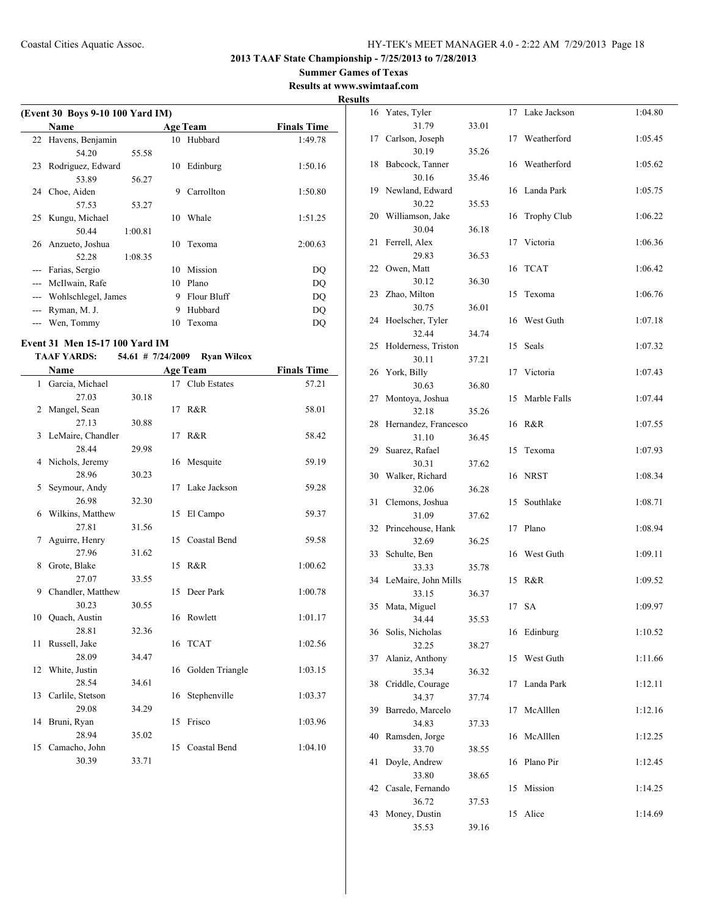## **Summer Games of Texas**

**Results at www.swimtaaf.com Results**

|       | (Event 30 Boys 9-10 100 Yard IM) |    |                 |                    |
|-------|----------------------------------|----|-----------------|--------------------|
|       | <b>Name</b>                      |    | <b>Age Team</b> | <b>Finals Time</b> |
| 22    | Havens, Benjamin                 | 10 | Hubbard         | 1:49.78            |
|       | 55.58<br>54 20                   |    |                 |                    |
| 23    | Rodriguez, Edward                | 10 | Edinburg        | 1:50.16            |
|       | 56.27<br>53.89                   |    |                 |                    |
| 24    | Choe, Aiden                      | 9  | Carrollton      | 1:50.80            |
|       | 57.53<br>53.27                   |    |                 |                    |
| 25    | Kungu, Michael                   | 10 | Whale           | 1:51.25            |
|       | 1:00.81<br>50.44                 |    |                 |                    |
|       | 26 Anzueto, Joshua               | 10 | Texoma          | 2:00.63            |
|       | 1:08.35<br>52.28                 |    |                 |                    |
| ---   | Farias, Sergio                   | 10 | Mission         | DQ                 |
| $---$ | McIlwain, Rafe                   | 10 | Plano           | DQ                 |
| $---$ | Wohlschlegel, James              | 9  | Flour Bluff     | DQ                 |
|       | Ryman, M. J.                     | 9  | Hubbard         | DQ                 |
|       | Wen, Tommy                       | 10 | Texoma          | DO                 |
|       |                                  |    |                 |                    |

## **Event 31 Men 15-17 100 Yard IM**

## **TAAF YARDS: 54.61 # 7/24/2009 Ryan Wilcox**

|              | Name                |       |    | <b>Age Team</b>     | <b>Finals Time</b> |
|--------------|---------------------|-------|----|---------------------|--------------------|
| $\mathbf{1}$ | Garcia, Michael     |       |    | 17 Club Estates     | 57.21              |
|              | 27.03               | 30.18 |    |                     |                    |
| 2            | Mangel, Sean        |       |    | 17 R&R              | 58.01              |
|              | 27.13               | 30.88 |    |                     |                    |
| 3            | LeMaire, Chandler   |       |    | 17 R&R              | 58.42              |
|              | 28.44               | 29.98 |    |                     |                    |
| 4            | Nichols, Jeremy     |       | 16 | Mesquite            | 59.19              |
|              | 28.96               | 30.23 |    |                     |                    |
| 5            | Seymour, Andy       |       | 17 | Lake Jackson        | 59.28              |
|              | 26.98               | 32.30 |    |                     |                    |
| 6            | Wilkins, Matthew    |       |    | 15 El Campo         | 59.37              |
|              | 27.81               | 31.56 |    |                     |                    |
| 7            | Aguirre, Henry      |       | 15 | <b>Coastal Bend</b> | 59.58              |
|              | 27.96               | 31.62 |    |                     |                    |
| 8            | Grote, Blake        |       |    | 15 R&R              | 1:00.62            |
|              | 27.07               | 33.55 |    |                     |                    |
| 9            | Chandler, Matthew   |       | 15 | Deer Park           | 1:00.78            |
|              | 30.23               | 30.55 |    |                     |                    |
|              | 10 Quach, Austin    |       | 16 | Rowlett             | 1:01.17            |
|              | 28.81               | 32.36 |    |                     |                    |
| 11.          | Russell, Jake       |       |    | 16 TCAT             | 1:02.56            |
|              | 28.09               | 34.47 |    |                     |                    |
|              | 12 White, Justin    |       | 16 | Golden Triangle     | 1:03.15            |
|              | 28.54               | 34.61 |    |                     |                    |
|              | 13 Carlile, Stetson |       | 16 | Stephenville        | 1:03.37            |
|              | 29.08               | 34.29 |    |                     |                    |
|              | 14 Bruni, Ryan      |       | 15 | Frisco              | 1:03.96            |
|              | 28.94               | 35.02 |    |                     |                    |
|              | 15 Camacho, John    |       |    | 15 Coastal Bend     | 1:04.10            |
|              | 30.39               | 33.71 |    |                     |                    |

| S  |                              |       |    |                    |         |
|----|------------------------------|-------|----|--------------------|---------|
| 16 | Yates, Tyler                 |       | 17 | Lake Jackson       | 1:04.80 |
| 17 | 31.79<br>Carlson, Joseph     | 33.01 | 17 | Weatherford        | 1:05.45 |
|    | 30.19                        | 35.26 |    |                    |         |
| 18 | Babcock, Tanner              |       | 16 | Weatherford        | 1:05.62 |
|    | 30.16                        | 35.46 |    |                    |         |
| 19 | Newland, Edward<br>30.22     | 35.53 | 16 | Landa Park         | 1:05.75 |
| 20 | Williamson, Jake             |       | 16 | <b>Trophy Club</b> | 1:06.22 |
|    | 30.04                        | 36.18 |    |                    |         |
| 21 | Ferrell, Alex                |       | 17 | Victoria           | 1:06.36 |
|    | 29.83                        | 36.53 |    |                    |         |
| 22 | Owen, Matt                   |       | 16 | <b>TCAT</b>        | 1:06.42 |
| 23 | 30.12<br>Zhao, Milton        | 36.30 | 15 | Texoma             | 1:06.76 |
|    | 30.75                        | 36.01 |    |                    |         |
| 24 | Hoelscher, Tyler             |       | 16 | West Guth          | 1:07.18 |
|    | 32.44                        | 34.74 |    |                    |         |
| 25 | Holderness, Triston          |       | 15 | Seals              | 1:07.32 |
|    | 30.11                        | 37.21 |    |                    |         |
| 26 | York, Billy                  |       | 17 | Victoria           | 1:07.43 |
| 27 | 30.63<br>Montoya, Joshua     | 36.80 | 15 | Marble Falls       | 1:07.44 |
|    | 32.18                        | 35.26 |    |                    |         |
| 28 | Hernandez, Francesco         |       | 16 | R&R                | 1:07.55 |
|    | 31.10                        | 36.45 |    |                    |         |
| 29 | Suarez, Rafael               |       | 15 | Texoma             | 1:07.93 |
|    | 30.31                        | 37.62 |    |                    |         |
| 30 | Walker, Richard<br>32.06     |       | 16 | <b>NRST</b>        | 1:08.34 |
| 31 | Clemons, Joshua              | 36.28 | 15 | Southlake          | 1:08.71 |
|    | 31.09                        | 37.62 |    |                    |         |
| 32 | Princehouse, Hank            |       | 17 | Plano              | 1:08.94 |
|    | 32.69                        | 36.25 |    |                    |         |
| 33 | Schulte, Ben                 |       | 16 | West Guth          | 1:09.11 |
|    | 33.33                        | 35.78 |    |                    |         |
| 34 | LeMaire, John Mills<br>33.15 | 36.37 | 15 | R&R                | 1:09.52 |
| 35 | Mata, Miguel                 |       |    | 17 SA              | 1:09.97 |
|    | 34.44                        | 35.53 |    |                    |         |
| 36 | Solis, Nicholas              |       | 16 | Edinburg           | 1:10.52 |
|    | 32.25                        | 38.27 |    |                    |         |
| 37 | Alaniz, Anthony              |       | 15 | West Guth          | 1:11.66 |
| 38 | 35.34<br>Criddle, Courage    | 36.32 | 17 | Landa Park         | 1:12.11 |
|    | 34.37                        | 37.74 |    |                    |         |
| 39 | Barredo, Marcelo             |       | 17 | McAlllen           | 1:12.16 |
|    | 34.83                        | 37.33 |    |                    |         |
| 40 | Ramsden, Jorge               |       | 16 | McAlllen           | 1:12.25 |
|    | 33.70                        | 38.55 |    |                    |         |
| 41 | Doyle, Andrew<br>33.80       | 38.65 | 16 | Plano Pir          | 1:12.45 |
| 42 | Casale, Fernando             |       | 15 | Mission            | 1:14.25 |
|    | 36.72                        | 37.53 |    |                    |         |
| 43 | Money, Dustin                |       | 15 | Alice              | 1:14.69 |
|    | 35.53                        | 39.16 |    |                    |         |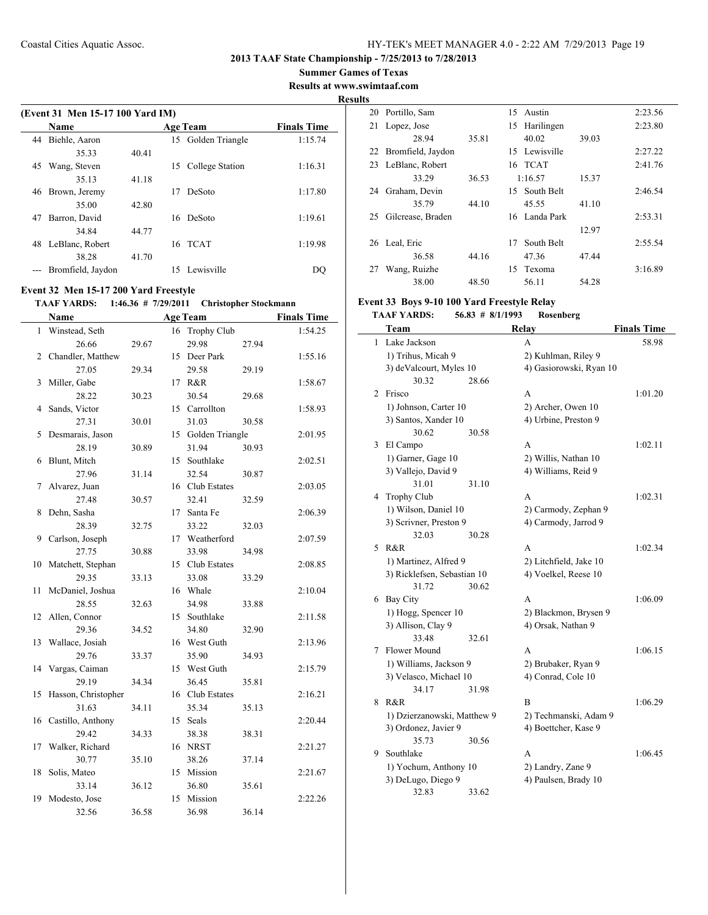**Summer Games of Texas**

**Results at www.swimtaaf.com**

**Results**

|    | (Event 31 Men 15-17 100 Yard IM) |       |    |                    |                    |  |  |  |
|----|----------------------------------|-------|----|--------------------|--------------------|--|--|--|
|    | <b>Name</b>                      |       |    | <b>Age Team</b>    | <b>Finals Time</b> |  |  |  |
| 44 | Biehle, Aaron                    |       |    | 15 Golden Triangle | 1:15.74            |  |  |  |
|    | 35.33                            | 40.41 |    |                    |                    |  |  |  |
| 45 | Wang, Steven                     |       | 15 | College Station    | 1:16.31            |  |  |  |
|    | 35.13                            | 41.18 |    |                    |                    |  |  |  |
| 46 | Brown, Jeremy                    |       | 17 | DeSoto             | 1:17.80            |  |  |  |
|    | 35.00                            | 42.80 |    |                    |                    |  |  |  |
| 47 | Barron, David                    |       | 16 | DeSoto             | 1:19.61            |  |  |  |
|    | 34.84                            | 44.77 |    |                    |                    |  |  |  |
| 48 | LeBlanc, Robert                  |       |    | 16 TCAT            | 1:19.98            |  |  |  |
|    | 38.28                            | 41.70 |    |                    |                    |  |  |  |
|    | Bromfield, Jaydon                |       |    | 15 Lewisville      | DC                 |  |  |  |

#### **Event 32 Men 15-17 200 Yard Freestyle**

 $\overline{\phantom{0}}$ 

## **TAAF YARDS: 1:46.36 # 7/29/2011 Christopher Stockmann**

|    | <b>Name</b>         |       |    | <b>Age Team</b>    |       | <b>Finals Time</b> |
|----|---------------------|-------|----|--------------------|-------|--------------------|
| 1  | Winstead, Seth      |       | 16 | <b>Trophy Club</b> |       | 1:54.25            |
|    | 26.66               | 29.67 |    | 29.98              | 27.94 |                    |
| 2  | Chandler, Matthew   |       | 15 | Deer Park          |       | 1:55.16            |
|    | 27.05               | 29.34 |    | 29.58              | 29.19 |                    |
| 3  | Miller, Gabe        |       | 17 | R&R                |       | 1:58.67            |
|    | 28.22               | 30.23 |    | 30.54              | 29.68 |                    |
| 4  | Sands, Victor       |       | 15 | Carrollton         |       | 1:58.93            |
|    | 27.31               | 30.01 |    | 31.03              | 30.58 |                    |
| 5  | Desmarais, Jason    |       | 15 | Golden Triangle    |       | 2:01.95            |
|    | 28.19               | 30.89 |    | 31.94              | 30.93 |                    |
| 6  | Blunt, Mitch        |       | 15 | Southlake          |       | 2:02.51            |
|    | 27.96               | 31.14 |    | 32.54              | 30.87 |                    |
| 7  | Alvarez, Juan       |       |    | 16 Club Estates    |       | 2:03.05            |
|    | 27.48               | 30.57 |    | 32.41              | 32.59 |                    |
| 8  | Dehn, Sasha         |       | 17 | Santa Fe           |       | 2:06.39            |
|    | 28.39               | 32.75 |    | 33.22              | 32.03 |                    |
| 9  | Carlson, Joseph     |       |    | 17 Weatherford     |       | 2:07.59            |
|    | 27.75               | 30.88 |    | 33.98              | 34.98 |                    |
| 10 | Matchett, Stephan   |       | 15 | Club Estates       |       | 2:08.85            |
|    | 29.35               | 33.13 |    | 33.08              | 33.29 |                    |
| 11 | McDaniel, Joshua    |       | 16 | Whale              |       | 2:10.04            |
|    | 28.55               | 32.63 |    | 34.98              | 33.88 |                    |
| 12 | Allen, Connor       |       | 15 | Southlake          |       | 2:11.58            |
|    | 29.36               | 34.52 |    | 34.80              | 32.90 |                    |
| 13 | Wallace, Josiah     |       | 16 | West Guth          |       | 2:13.96            |
|    | 29.76               | 33.37 |    | 35.90              | 34.93 |                    |
| 14 | Vargas, Caiman      |       | 15 | West Guth          |       | 2:15.79            |
|    | 29.19               | 34.34 |    | 36.45              | 35.81 |                    |
| 15 | Hasson, Christopher |       | 16 | Club Estates       |       | 2:16.21            |
|    | 31.63               | 34.11 |    | 35.34              | 35.13 |                    |
| 16 | Castillo, Anthony   |       | 15 | Seals              |       | 2:20.44            |
|    | 29.42               | 34.33 |    | 38.38              | 38.31 |                    |
| 17 | Walker, Richard     |       | 16 | <b>NRST</b>        |       | 2:21.27            |
|    | 30.77               | 35.10 |    | 38.26              | 37.14 |                    |
| 18 | Solis, Mateo        |       | 15 | Mission            |       | 2:21.67            |
|    | 33.14               | 36.12 |    | 36.80              | 35.61 |                    |
| 19 | Modesto, Jose       |       | 15 | Mission            |       | 2:22.26            |
|    | 32.56               | 36.58 |    | 36.98              | 36.14 |                    |

|    | 20 Portillo, Sam   |       | 15 | Austin        |       | 2:23.56 |
|----|--------------------|-------|----|---------------|-------|---------|
| 21 | Lopez, Jose        |       | 15 | Harilingen    |       | 2:23.80 |
|    | 28.94              | 35.81 |    | 40.02         | 39.03 |         |
| 22 | Bromfield, Jaydon  |       |    | 15 Lewisville |       | 2:27.22 |
|    | 23 LeBlanc, Robert |       |    | 16 TCAT       |       | 2:41.76 |
|    | 33.29              | 36.53 |    | 1:16.57       | 15.37 |         |
| 24 | Graham, Devin      |       |    | 15 South Belt |       | 2:46.54 |
|    | 35.79              | 44.10 |    | 45.55         | 41.10 |         |
| 25 | Gilcrease, Braden  |       |    | 16 Landa Park |       | 2:53.31 |
|    |                    |       |    |               | 12.97 |         |
| 26 | Leal, Eric         |       | 17 | South Belt    |       | 2:55.54 |
|    | 36.58              | 44.16 |    | 47.36         | 47.44 |         |
| 27 | Wang, Ruizhe       |       |    | 15 Texoma     |       | 3:16.89 |
|    | 38.00              | 48.50 |    | 56.11         | 54.28 |         |

# **Event 33 Boys 9-10 100 Yard Freestyle Relay**

#### **TAAF YARDS: 56.83 # 8/1/1993 Rosenberg**

|   | Team                        |       | Relay                   | <b>Finals Time</b> |
|---|-----------------------------|-------|-------------------------|--------------------|
| 1 | Lake Jackson                |       | A                       | 58.98              |
|   | 1) Trihus, Micah 9          |       | 2) Kuhlman, Riley 9     |                    |
|   | 3) deValcourt, Myles 10     |       | 4) Gasiorowski, Ryan 10 |                    |
|   | 30.32                       | 28.66 |                         |                    |
| 2 | Frisco                      |       | A                       | 1:01.20            |
|   | 1) Johnson, Carter 10       |       | 2) Archer, Owen 10      |                    |
|   | 3) Santos, Xander 10        |       | 4) Urbine, Preston 9    |                    |
|   | 30.62                       | 30.58 |                         |                    |
| 3 | El Campo                    |       | A                       | 1:02.11            |
|   | 1) Garner, Gage 10          |       | 2) Willis, Nathan 10    |                    |
|   | 3) Vallejo, David 9         |       | 4) Williams, Reid 9     |                    |
|   | 31.01                       | 31.10 |                         |                    |
| 4 | <b>Trophy Club</b>          |       | A                       | 1:02.31            |
|   | 1) Wilson, Daniel 10        |       | 2) Carmody, Zephan 9    |                    |
|   | 3) Scrivner, Preston 9      |       | 4) Carmody, Jarrod 9    |                    |
|   | 32.03                       | 30.28 |                         |                    |
| 5 | R&R                         |       | A                       | 1:02.34            |
|   | 1) Martinez, Alfred 9       |       | 2) Litchfield, Jake 10  |                    |
|   | 3) Ricklefsen, Sebastian 10 |       | 4) Voelkel, Reese 10    |                    |
|   | 31.72                       | 30.62 |                         |                    |
| 6 | <b>Bay City</b>             |       | A                       | 1:06.09            |
|   | 1) Hogg, Spencer 10         |       | 2) Blackmon, Brysen 9   |                    |
|   | 3) Allison, Clay 9          |       | 4) Orsak, Nathan 9      |                    |
|   | 33.48                       | 32.61 |                         |                    |
| 7 | Flower Mound                |       | A                       | 1:06.15            |
|   | 1) Williams, Jackson 9      |       | 2) Brubaker, Ryan 9     |                    |
|   | 3) Velasco, Michael 10      |       | 4) Conrad, Cole 10      |                    |
|   | 34.17                       | 31.98 |                         |                    |
| 8 | R&R                         |       | B                       | 1:06.29            |
|   | 1) Dzierzanowski, Matthew 9 |       | 2) Techmanski, Adam 9   |                    |
|   | 3) Ordonez, Javier 9        |       | 4) Boettcher, Kase 9    |                    |
|   | 35.73                       | 30.56 |                         |                    |
| 9 | Southlake                   |       | A                       | 1:06.45            |
|   | 1) Yochum, Anthony 10       |       | 2) Landry, Zane 9       |                    |
|   | 3) DeLugo, Diego 9          |       | 4) Paulsen, Brady 10    |                    |
|   | 32.83                       | 33.62 |                         |                    |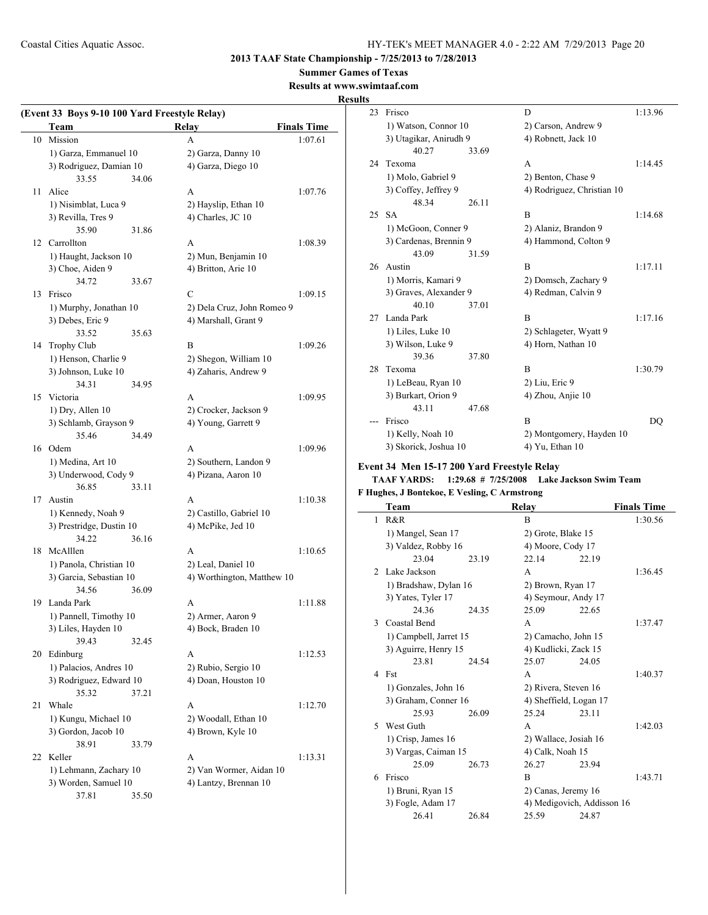**2013 TAAF State Championship - 7/25/2013 to 7/28/2013**

**Summer Games of Texas**

**Results at www.swimtaaf.com**

#### **Results**

 $\sim$ 

|    | (Event 33 Boys 9-10 100 Yard Freestyle Relay) |       |                            |                    |  |  |
|----|-----------------------------------------------|-------|----------------------------|--------------------|--|--|
|    | Team                                          |       | Relay                      | <b>Finals Time</b> |  |  |
| 10 | Mission                                       |       | A                          | 1:07.61            |  |  |
|    | 1) Garza, Emmanuel 10                         |       | 2) Garza, Danny 10         |                    |  |  |
|    | 3) Rodriguez, Damian 10                       |       | 4) Garza, Diego 10         |                    |  |  |
|    | 33.55                                         | 34.06 |                            |                    |  |  |
| 11 | Alice                                         |       | A                          | 1:07.76            |  |  |
|    | 1) Nisimblat, Luca 9                          |       | 2) Hayslip, Ethan 10       |                    |  |  |
|    | 3) Revilla, Tres 9                            |       | 4) Charles, JC 10          |                    |  |  |
|    | 35.90                                         | 31.86 |                            |                    |  |  |
| 12 | Carrollton                                    |       | A                          | 1:08.39            |  |  |
|    | 1) Haught, Jackson 10                         |       | 2) Mun, Benjamin 10        |                    |  |  |
|    | 3) Choe, Aiden 9                              |       | 4) Britton, Arie 10        |                    |  |  |
|    | 34.72                                         | 33.67 |                            |                    |  |  |
| 13 | Frisco                                        |       | $\mathcal{C}$              | 1:09.15            |  |  |
|    | 1) Murphy, Jonathan 10                        |       | 2) Dela Cruz, John Romeo 9 |                    |  |  |
|    | 3) Debes, Eric 9                              |       | 4) Marshall, Grant 9       |                    |  |  |
|    | 33.52                                         | 35.63 |                            |                    |  |  |
| 14 | <b>Trophy Club</b>                            |       | B                          | 1:09.26            |  |  |
|    | 1) Henson, Charlie 9                          |       | 2) Shegon, William 10      |                    |  |  |
|    | 3) Johnson, Luke 10                           |       | 4) Zaharis, Andrew 9       |                    |  |  |
|    | 34.31                                         | 34.95 |                            |                    |  |  |
| 15 | Victoria                                      |       | A                          | 1:09.95            |  |  |
|    | 1) Dry, Allen 10                              |       | 2) Crocker, Jackson 9      |                    |  |  |
|    | 3) Schlamb, Grayson 9                         |       | 4) Young, Garrett 9        |                    |  |  |
|    | 35.46                                         | 34.49 |                            |                    |  |  |
|    | 16 Odem                                       |       | A                          | 1:09.96            |  |  |
|    | 1) Medina, Art 10                             |       |                            |                    |  |  |
|    |                                               |       | 2) Southern, Landon 9      |                    |  |  |
|    | 3) Underwood, Cody 9                          |       | 4) Pizana, Aaron 10        |                    |  |  |
| 17 | 36.85<br>Austin                               | 33.11 | A                          |                    |  |  |
|    |                                               |       |                            | 1:10.38            |  |  |
|    | 1) Kennedy, Noah 9                            |       | 2) Castillo, Gabriel 10    |                    |  |  |
|    | 3) Prestridge, Dustin 10                      |       | 4) McPike, Jed 10          |                    |  |  |
|    | 34.22                                         | 36.16 |                            |                    |  |  |
| 18 | McAlllen                                      |       | A                          | 1:10.65            |  |  |
|    | 1) Panola, Christian 10                       |       | 2) Leal, Daniel 10         |                    |  |  |
|    | 3) Garcia, Sebastian 10                       |       | 4) Worthington, Matthew 10 |                    |  |  |
|    | 34.56                                         | 36.09 |                            |                    |  |  |
| 19 | Landa Park                                    |       | A                          | 1:11.88            |  |  |
|    | 1) Pannell, Timothy 10                        |       | 2) Armer, Aaron 9          |                    |  |  |
|    | 3) Liles, Hayden 10                           |       | 4) Bock, Braden 10         |                    |  |  |
|    | 39.43                                         | 32.45 |                            |                    |  |  |
| 20 | Edinburg                                      |       | А                          | 1:12.53            |  |  |
|    | 1) Palacios, Andres 10                        |       | 2) Rubio, Sergio 10        |                    |  |  |
|    | 3) Rodriguez, Edward 10                       |       | 4) Doan, Houston 10        |                    |  |  |
|    | 35.32                                         | 37.21 |                            |                    |  |  |
| 21 | Whale                                         |       | A                          | 1:12.70            |  |  |
|    | 1) Kungu, Michael 10                          |       | 2) Woodall, Ethan 10       |                    |  |  |
|    | 3) Gordon, Jacob 10                           |       | 4) Brown, Kyle 10          |                    |  |  |
|    | 38.91                                         | 33.79 |                            |                    |  |  |
| 22 | Keller                                        |       | A                          | 1:13.31            |  |  |
|    | 1) Lehmann, Zachary 10                        |       | 2) Van Wormer, Aidan 10    |                    |  |  |
|    | 3) Worden, Samuel 10                          |       | 4) Lantzy, Brennan 10      |                    |  |  |
|    | 37.81                                         | 35.50 |                            |                    |  |  |
|    |                                               |       |                            |                    |  |  |

| э  |                        |       |                            |         |
|----|------------------------|-------|----------------------------|---------|
| 23 | Frisco                 |       | D                          | 1:13.96 |
|    | 1) Watson, Connor 10   |       | 2) Carson, Andrew 9        |         |
|    | 3) Utagikar, Anirudh 9 |       | 4) Robnett, Jack 10        |         |
|    | 40.27                  | 33.69 |                            |         |
| 24 | Texoma                 |       | A                          | 1:14.45 |
|    | 1) Molo, Gabriel 9     |       | 2) Benton, Chase 9         |         |
|    | 3) Coffey, Jeffrey 9   |       | 4) Rodriguez, Christian 10 |         |
|    | 48.34                  | 26.11 |                            |         |
| 25 | SА                     |       | B                          | 1:14.68 |
|    | 1) McGoon, Conner 9    |       | 2) Alaniz, Brandon 9       |         |
|    | 3) Cardenas, Brennin 9 |       | 4) Hammond, Colton 9       |         |
|    | 43.09                  | 31.59 |                            |         |
| 26 | Austin                 |       | B                          | 1:17.11 |
|    | 1) Morris, Kamari 9    |       | 2) Domsch, Zachary 9       |         |
|    | 3) Graves, Alexander 9 |       | 4) Redman, Calvin 9        |         |
|    | 40.10                  | 37.01 |                            |         |
| 27 | Landa Park             |       | B                          | 1:17.16 |
|    | 1) Liles, Luke 10      |       | 2) Schlageter, Wyatt 9     |         |
|    | 3) Wilson, Luke 9      |       | 4) Horn, Nathan 10         |         |
|    | 39.36                  | 37.80 |                            |         |
| 28 | Texoma                 |       | B                          | 1:30.79 |
|    | 1) LeBeau, Ryan 10     |       | 2) Liu, Eric 9             |         |
|    | 3) Burkart, Orion 9    |       | 4) Zhou, Anjie 10          |         |
|    | 43.11                  | 47.68 |                            |         |
|    | Frisco                 |       | B                          | DO      |
|    | 1) Kelly, Noah 10      |       | 2) Montgomery, Hayden 10   |         |
|    | 3) Skorick, Joshua 10  |       | 4) Yu, Ethan 10            |         |
|    |                        |       |                            |         |

#### **Event 34 Men 15-17 200 Yard Freestyle Relay**

#### **TAAF YARDS: 1:29.68 # 7/25/2008 Lake Jackson Swim Team**

## **F Hughes, J Bontekoe, E Vesling, C Armstrong**

|               | Team                   |       | Relay                      |       | <b>Finals Time</b> |
|---------------|------------------------|-------|----------------------------|-------|--------------------|
| 1             | R&R                    |       | B                          |       | 1:30.56            |
|               | 1) Mangel, Sean 17     |       | 2) Grote, Blake 15         |       |                    |
|               | 3) Valdez, Robby 16    |       | 4) Moore, Cody 17          |       |                    |
|               | 23.04                  | 23.19 | 22.14                      | 22.19 |                    |
| $\mathcal{L}$ | Lake Jackson           |       | A                          |       | 1:36.45            |
|               | 1) Bradshaw, Dylan 16  |       | 2) Brown, Ryan 17          |       |                    |
|               | 3) Yates, Tyler 17     |       | 4) Seymour, Andy 17        |       |                    |
|               | 24 36                  | 24.35 | 25.09                      | 22.65 |                    |
| 3             | Coastal Bend           |       | A                          |       | 1:37.47            |
|               | 1) Campbell, Jarret 15 |       | 2) Camacho, John 15        |       |                    |
|               | 3) Aguirre, Henry 15   |       | 4) Kudlicki, Zack 15       |       |                    |
|               | 23.81                  | 24.54 | 25.07                      | 24.05 |                    |
| 4             | Fst                    |       | A                          |       | 1:40.37            |
|               | 1) Gonzales, John 16   |       | 2) Rivera, Steven 16       |       |                    |
|               | 3) Graham, Conner 16   |       | 4) Sheffield, Logan 17     |       |                    |
|               | 25.93                  | 26.09 | 25.24                      | 23.11 |                    |
| 5             | West Guth              |       | A                          |       | 1:42.03            |
|               | 1) Crisp, James 16     |       | 2) Wallace, Josiah 16      |       |                    |
|               | 3) Vargas, Caiman 15   |       | 4) Calk, Noah 15           |       |                    |
|               | 25.09                  | 26.73 | 26.27                      | 23.94 |                    |
| 6             | Frisco                 |       | B                          |       | 1:43.71            |
|               | 1) Bruni, Ryan 15      |       | 2) Canas, Jeremy 16        |       |                    |
|               | 3) Fogle, Adam 17      |       | 4) Medigovich, Addisson 16 |       |                    |
|               | 26.41                  | 26.84 | 25.59                      | 24.87 |                    |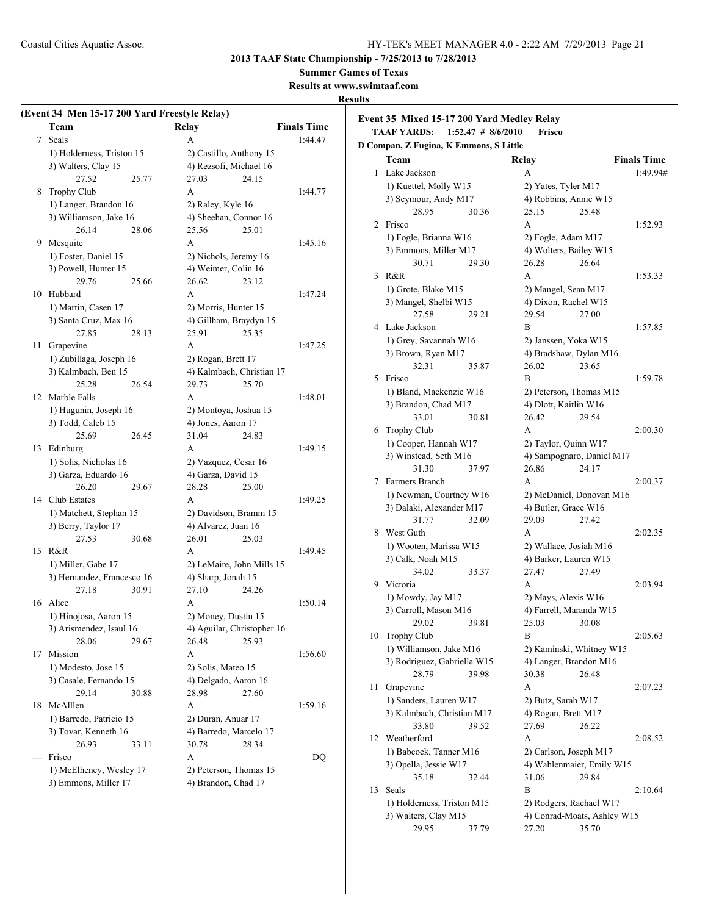#### **Summer Games of Texas**

**Results at www.swimtaaf.com**

#### **Results**

| Team                    | <b>Relay</b>                                                                                                                                                                                                                                                                                                                             | <b>Finals Time</b>                                                                                                                                                                                                                                                     |  |
|-------------------------|------------------------------------------------------------------------------------------------------------------------------------------------------------------------------------------------------------------------------------------------------------------------------------------------------------------------------------------|------------------------------------------------------------------------------------------------------------------------------------------------------------------------------------------------------------------------------------------------------------------------|--|
| Seals                   | A                                                                                                                                                                                                                                                                                                                                        | 1:44.47                                                                                                                                                                                                                                                                |  |
|                         |                                                                                                                                                                                                                                                                                                                                          |                                                                                                                                                                                                                                                                        |  |
|                         | 4) Rezsofi, Michael 16                                                                                                                                                                                                                                                                                                                   |                                                                                                                                                                                                                                                                        |  |
| 27.52<br>25.77          | 27.03<br>24.15                                                                                                                                                                                                                                                                                                                           |                                                                                                                                                                                                                                                                        |  |
| Trophy Club             | A                                                                                                                                                                                                                                                                                                                                        | 1:44.77                                                                                                                                                                                                                                                                |  |
| 1) Langer, Brandon 16   |                                                                                                                                                                                                                                                                                                                                          |                                                                                                                                                                                                                                                                        |  |
|                         |                                                                                                                                                                                                                                                                                                                                          |                                                                                                                                                                                                                                                                        |  |
| 26.14<br>28.06          | 25.56<br>25.01                                                                                                                                                                                                                                                                                                                           |                                                                                                                                                                                                                                                                        |  |
| 9 Mesquite              | A                                                                                                                                                                                                                                                                                                                                        | 1:45.16                                                                                                                                                                                                                                                                |  |
| 1) Foster, Daniel 15    | 2) Nichols, Jeremy 16                                                                                                                                                                                                                                                                                                                    |                                                                                                                                                                                                                                                                        |  |
| 3) Powell, Hunter 15    | 4) Weimer, Colin 16                                                                                                                                                                                                                                                                                                                      |                                                                                                                                                                                                                                                                        |  |
| 29.76<br>25.66          | 26.62<br>23.12                                                                                                                                                                                                                                                                                                                           |                                                                                                                                                                                                                                                                        |  |
| 10 Hubbard              | A                                                                                                                                                                                                                                                                                                                                        | 1:47.24                                                                                                                                                                                                                                                                |  |
| 1) Martin, Casen 17     | 2) Morris, Hunter 15                                                                                                                                                                                                                                                                                                                     |                                                                                                                                                                                                                                                                        |  |
| 3) Santa Cruz, Max 16   | 4) Gillham, Braydyn 15                                                                                                                                                                                                                                                                                                                   |                                                                                                                                                                                                                                                                        |  |
| 27.85<br>28.13          | 25.91<br>25.35                                                                                                                                                                                                                                                                                                                           |                                                                                                                                                                                                                                                                        |  |
|                         | A                                                                                                                                                                                                                                                                                                                                        | 1:47.25                                                                                                                                                                                                                                                                |  |
|                         | 2) Rogan, Brett 17                                                                                                                                                                                                                                                                                                                       |                                                                                                                                                                                                                                                                        |  |
| 3) Kalmbach, Ben 15     |                                                                                                                                                                                                                                                                                                                                          |                                                                                                                                                                                                                                                                        |  |
| 26.54<br>25.28          | 29.73<br>25.70                                                                                                                                                                                                                                                                                                                           |                                                                                                                                                                                                                                                                        |  |
| 12 Marble Falls         | A                                                                                                                                                                                                                                                                                                                                        | 1:48.01                                                                                                                                                                                                                                                                |  |
|                         | 2) Montoya, Joshua 15                                                                                                                                                                                                                                                                                                                    |                                                                                                                                                                                                                                                                        |  |
|                         | 4) Jones, Aaron 17                                                                                                                                                                                                                                                                                                                       |                                                                                                                                                                                                                                                                        |  |
| 25.69<br>26.45          | 31.04<br>24.83                                                                                                                                                                                                                                                                                                                           |                                                                                                                                                                                                                                                                        |  |
| 13                      | A                                                                                                                                                                                                                                                                                                                                        | 1:49.15                                                                                                                                                                                                                                                                |  |
|                         |                                                                                                                                                                                                                                                                                                                                          |                                                                                                                                                                                                                                                                        |  |
|                         |                                                                                                                                                                                                                                                                                                                                          |                                                                                                                                                                                                                                                                        |  |
| 26.20<br>29.67          | 28.28<br>25.00                                                                                                                                                                                                                                                                                                                           |                                                                                                                                                                                                                                                                        |  |
| 14 Club Estates         | A                                                                                                                                                                                                                                                                                                                                        | 1:49.25                                                                                                                                                                                                                                                                |  |
|                         |                                                                                                                                                                                                                                                                                                                                          |                                                                                                                                                                                                                                                                        |  |
|                         | 4) Alvarez, Juan 16                                                                                                                                                                                                                                                                                                                      |                                                                                                                                                                                                                                                                        |  |
| 27.53<br>30.68          | 26.01<br>25.03                                                                                                                                                                                                                                                                                                                           |                                                                                                                                                                                                                                                                        |  |
| R&R<br>15               | A                                                                                                                                                                                                                                                                                                                                        | 1:49.45                                                                                                                                                                                                                                                                |  |
| 1) Miller, Gabe 17      | 2) LeMaire, John Mills 15                                                                                                                                                                                                                                                                                                                |                                                                                                                                                                                                                                                                        |  |
|                         | 4) Sharp, Jonah 15                                                                                                                                                                                                                                                                                                                       |                                                                                                                                                                                                                                                                        |  |
| 27.18<br>30.91          | 27.10<br>24.26                                                                                                                                                                                                                                                                                                                           |                                                                                                                                                                                                                                                                        |  |
| 16 Alice                | A                                                                                                                                                                                                                                                                                                                                        | 1:50.14                                                                                                                                                                                                                                                                |  |
| 1) Hinojosa, Aaron 15   | 2) Money, Dustin 15                                                                                                                                                                                                                                                                                                                      |                                                                                                                                                                                                                                                                        |  |
| 3) Arismendez, Isaul 16 | 4) Aguilar, Christopher 16                                                                                                                                                                                                                                                                                                               |                                                                                                                                                                                                                                                                        |  |
| 28.06<br>29.67          | 25.93<br>26.48                                                                                                                                                                                                                                                                                                                           |                                                                                                                                                                                                                                                                        |  |
| Mission                 | A                                                                                                                                                                                                                                                                                                                                        | 1:56.60                                                                                                                                                                                                                                                                |  |
| 1) Modesto, Jose 15     |                                                                                                                                                                                                                                                                                                                                          |                                                                                                                                                                                                                                                                        |  |
| 3) Casale, Fernando 15  | 4) Delgado, Aaron 16                                                                                                                                                                                                                                                                                                                     |                                                                                                                                                                                                                                                                        |  |
| 29.14<br>30.88          | 28.98<br>27.60                                                                                                                                                                                                                                                                                                                           |                                                                                                                                                                                                                                                                        |  |
| McAlllen                | A                                                                                                                                                                                                                                                                                                                                        | 1:59.16                                                                                                                                                                                                                                                                |  |
|                         |                                                                                                                                                                                                                                                                                                                                          |                                                                                                                                                                                                                                                                        |  |
| 3) Tovar, Kenneth 16    | 4) Barredo, Marcelo 17                                                                                                                                                                                                                                                                                                                   |                                                                                                                                                                                                                                                                        |  |
| 26.93<br>33.11          | 30.78<br>28.34                                                                                                                                                                                                                                                                                                                           |                                                                                                                                                                                                                                                                        |  |
|                         | 1) Holderness, Triston 15<br>3) Walters, Clay 15<br>3) Williamson, Jake 16<br>Grapevine<br>1) Zubillaga, Joseph 16<br>1) Hugunin, Joseph 16<br>3) Todd, Caleb 15<br>Edinburg<br>1) Solis, Nicholas 16<br>3) Garza, Eduardo 16<br>1) Matchett, Stephan 15<br>3) Berry, Taylor 17<br>3) Hernandez, Francesco 16<br>1) Barredo, Patricio 15 | (Event 34 Men 15-17 200 Yard Freestyle Relay)<br>2) Castillo, Anthony 15<br>2) Raley, Kyle 16<br>4) Sheehan, Connor 16<br>4) Kalmbach, Christian 17<br>2) Vazquez, Cesar 16<br>4) Garza, David 15<br>2) Davidson, Bramm 15<br>2) Solis, Mateo 15<br>2) Duran, Anuar 17 |  |

--- Frisco A DQ 1) McElheney, Wesley 17 2) Peterson, Thomas 15 3) Emmons, Miller 17 4) Brandon, Chad 17

#### **Event 35 Mixed 15-17 200 Yard Medley Relay**

**TAAF YARDS: 1:52.47 # 8/6/2010 Frisco**

**D Compan, Z Fugina, K Emmons, S Little**

|    | Team                        | Relay                         | <b>Finals Time</b> |
|----|-----------------------------|-------------------------------|--------------------|
| 1  | Lake Jackson                | A                             | 1:49.94#           |
|    | 1) Kuettel, Molly W15       | 2) Yates, Tyler M17           |                    |
|    | 3) Seymour, Andy M17        | 4) Robbins, Annie W15         |                    |
|    | 28.95<br>30.36              | 25.15<br>25.48                |                    |
| 2  | Frisco                      | A                             | 1:52.93            |
|    |                             |                               |                    |
|    | 1) Fogle, Brianna W16       | 2) Fogle, Adam M17            |                    |
|    | 3) Emmons, Miller M17       | 4) Wolters, Bailey W15        |                    |
|    | 30.71<br>29.30              | 26.64<br>26.28                |                    |
| 3  | R&R                         | A                             | 1:53.33            |
|    | 1) Grote, Blake M15         | 2) Mangel, Sean M17           |                    |
|    | 3) Mangel, Shelbi W15       | 4) Dixon, Rachel W15<br>29.54 |                    |
|    | 27.58<br>29.21              | 27.00                         |                    |
| 4  | Lake Jackson                | B                             | 1:57.85            |
|    | 1) Grey, Savannah W16       | 2) Janssen, Yoka W15          |                    |
|    | 3) Brown, Ryan M17          | 4) Bradshaw, Dylan M16        |                    |
|    | 32.31<br>35.87              | 23.65<br>26.02                |                    |
| 5  | Frisco                      | B                             | 1:59.78            |
|    | 1) Bland, Mackenzie W16     | 2) Peterson, Thomas M15       |                    |
|    | 3) Brandon, Chad M17        | 4) Dlott, Kaitlin W16         |                    |
|    | 33.01<br>30.81              | 26.42<br>29.54                |                    |
| 6  | <b>Trophy Club</b>          | A                             | 2:00.30            |
|    | 1) Cooper, Hannah W17       | 2) Taylor, Quinn W17          |                    |
|    | 3) Winstead, Seth M16       | 4) Sampognaro, Daniel M17     |                    |
|    | 31.30<br>37.97              | 26.86<br>24.17                |                    |
| 7  | Farmers Branch              | A                             | 2:00.37            |
|    | 1) Newman, Courtney W16     | 2) McDaniel, Donovan M16      |                    |
|    | 3) Dalaki, Alexander M17    | 4) Butler, Grace W16          |                    |
|    | 31.77<br>32.09              | 29.09<br>27.42                |                    |
| 8  | West Guth                   | A                             | 2:02.35            |
|    | 1) Wooten, Marissa W15      | 2) Wallace, Josiah M16        |                    |
|    | 3) Calk, Noah M15           | 4) Barker, Lauren W15         |                    |
|    | 34.02<br>33.37              | 27.47<br>27.49                |                    |
| 9  | Victoria                    | A                             | 2:03.94            |
|    | 1) Mowdy, Jay M17           | 2) Mays, Alexis W16           |                    |
|    | 3) Carroll, Mason M16       | 4) Farrell, Maranda W15       |                    |
|    | 29.02<br>39.81              | 25.03<br>30.08                |                    |
| 10 | <b>Trophy Club</b>          | B                             | 2:05.63            |
|    | 1) Williamson, Jake M16     | 2) Kaminski, Whitney W15      |                    |
|    | 3) Rodriguez, Gabriella W15 | 4) Langer, Brandon M16        |                    |
|    | 28.79<br>39.98              | 30.38<br>26.48                |                    |
| 11 | Grapevine                   | А                             | 2:07.23            |
|    | 1) Sanders, Lauren W17      | 2) Butz, Sarah W17            |                    |
|    | 3) Kalmbach, Christian M17  | 4) Rogan, Brett M17           |                    |
|    | 33.80<br>39.52              | 27.69<br>26.22                |                    |
| 12 | Weatherford                 | А                             | 2:08.52            |
|    | 1) Babcock, Tanner M16      | 2) Carlson, Joseph M17        |                    |
|    | 3) Opella, Jessie W17       | 4) Wahlenmaier, Emily W15     |                    |
|    | 35.18<br>32.44              | 31.06<br>29.84                |                    |
| 13 | Seals                       | B                             | 2:10.64            |
|    | 1) Holderness, Triston M15  | 2) Rodgers, Rachael W17       |                    |
|    | 3) Walters, Clay M15        | 4) Conrad-Moats, Ashley W15   |                    |
|    | 29.95<br>37.79              | 27.20<br>35.70                |                    |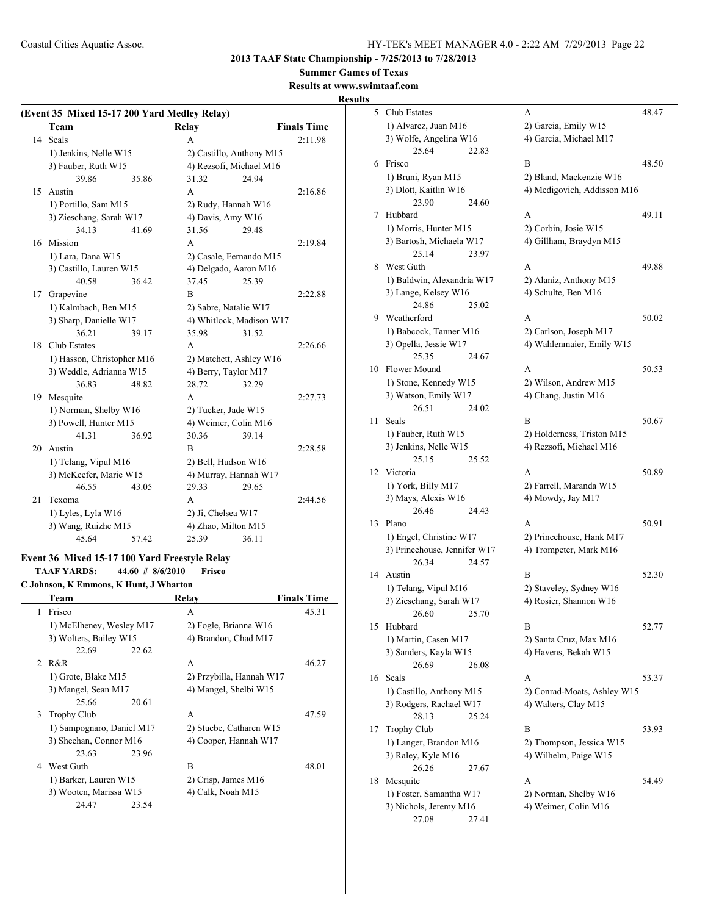**2013 TAAF State Championship - 7/25/2013 to 7/28/2013**

**Summer Games of Texas**

#### **Results at www.swimtaaf.com**

#### **Results**

| (Event 35 Mixed 15-17 200 Yard Medley Relay) |                            |       |                       |                          |                    |  |
|----------------------------------------------|----------------------------|-------|-----------------------|--------------------------|--------------------|--|
|                                              | Team                       |       | Relay                 |                          | <b>Finals Time</b> |  |
|                                              | 14 Seals                   |       | A                     |                          | 2:11.98            |  |
|                                              | 1) Jenkins, Nelle W15      |       |                       | 2) Castillo, Anthony M15 |                    |  |
|                                              | 3) Fauber, Ruth W15        |       |                       | 4) Rezsofi, Michael M16  |                    |  |
|                                              | 39.86                      | 35.86 | 31.32                 | 24.94                    |                    |  |
| 15                                           | Austin                     |       | A                     |                          | 2:16.86            |  |
|                                              | 1) Portillo, Sam M15       |       | 2) Rudy, Hannah W16   |                          |                    |  |
|                                              | 3) Zieschang, Sarah W17    |       | 4) Davis, Amy W16     |                          |                    |  |
|                                              | 34.13                      | 41.69 | 31.56                 | 29.48                    |                    |  |
| 16                                           | Mission                    |       | A                     |                          | 2:19.84            |  |
|                                              | 1) Lara, Dana W15          |       |                       | 2) Casale, Fernando M15  |                    |  |
|                                              | 3) Castillo, Lauren W15    |       |                       | 4) Delgado, Aaron M16    |                    |  |
|                                              | 40.58                      | 36.42 | 37.45                 | 25.39                    |                    |  |
| 17                                           | Grapevine                  |       | B                     |                          | 2:22.88            |  |
|                                              | 1) Kalmbach, Ben M15       |       | 2) Sabre, Natalie W17 |                          |                    |  |
|                                              | 3) Sharp, Danielle W17     |       |                       | 4) Whitlock, Madison W17 |                    |  |
|                                              | 36.21                      | 39.17 | 35.98                 | 31.52                    |                    |  |
| 18                                           | Club Estates               |       | A                     |                          | 2:26.66            |  |
|                                              | 1) Hasson, Christopher M16 |       |                       | 2) Matchett, Ashley W16  |                    |  |
|                                              | 3) Weddle, Adrianna W15    |       |                       | 4) Berry, Taylor M17     |                    |  |
|                                              | 36.83                      | 48.82 | 28.72                 | 32.29                    |                    |  |
| 19                                           | Mesquite                   |       | A                     |                          | 2:27.73            |  |
|                                              | 1) Norman, Shelby W16      |       |                       | 2) Tucker, Jade W15      |                    |  |
|                                              | 3) Powell, Hunter M15      |       |                       | 4) Weimer, Colin M16     |                    |  |
|                                              | 41.31                      | 36.92 | 30.36                 | 39.14                    |                    |  |
| 20                                           | Austin                     |       | B                     |                          | 2:28.58            |  |
|                                              | 1) Telang, Vipul M16       |       | 2) Bell, Hudson W16   |                          |                    |  |
|                                              | 3) McKeefer, Marie W15     |       |                       | 4) Murray, Hannah W17    |                    |  |
|                                              | 46.55                      | 43.05 | 29.33                 | 29.65                    |                    |  |
| 21                                           | Texoma                     |       | A                     |                          | 2:44.56            |  |
|                                              | 1) Lyles, Lyla W16         |       | 2) Ji, Chelsea W17    |                          |                    |  |
|                                              | 3) Wang, Ruizhe M15        |       | 4) Zhao, Milton M15   |                          |                    |  |
|                                              | 45.64                      | 57.42 | 25.39                 | 36.11                    |                    |  |

#### **Event 36 Mixed 15-17 100 Yard Freestyle Relay TAAF YARDS: 44.60 # 8/6/2010 Frisco**

**C Johnson, K Emmons, K Hunt, J Wharton**

|   | Team                      | Relav                    | <b>Finals Time</b> |
|---|---------------------------|--------------------------|--------------------|
| 1 | Frisco                    | A                        | 45.31              |
|   | 1) McElheney, Wesley M17  | 2) Fogle, Brianna W16    |                    |
|   | 3) Wolters, Bailey W15    | 4) Brandon, Chad M17     |                    |
|   | 22.69<br>22.62            |                          |                    |
|   | 2 R&R                     | A                        | 46.27              |
|   | 1) Grote, Blake M15       | 2) Przybilla, Hannah W17 |                    |
|   | 3) Mangel, Sean M17       | 4) Mangel, Shelbi W15    |                    |
|   | 25.66<br>20.61            |                          |                    |
| 3 | <b>Trophy Club</b>        | A                        | 47.59              |
|   | 1) Sampognaro, Daniel M17 | 2) Stuebe, Catharen W15  |                    |
|   | 3) Sheehan, Connor M16    | 4) Cooper, Hannah W17    |                    |
|   | 23.63<br>23.96            |                          |                    |
| 4 | West Guth                 | B                        | 48.01              |
|   | 1) Barker, Lauren W15     | 2) Crisp, James M16      |                    |
|   | 3) Wooten, Marissa W15    | 4) Calk, Noah M15        |                    |
|   | 24.47<br>23.54            |                          |                    |
|   |                           |                          |                    |

| 5  | Club Estates                                    | A                                                 | 48.47 |
|----|-------------------------------------------------|---------------------------------------------------|-------|
|    | 1) Alvarez, Juan M16                            | 2) Garcia, Emily W15                              |       |
|    | 3) Wolfe, Angelina W16                          | 4) Garcia, Michael M17                            |       |
|    | 25.64<br>22.83                                  |                                                   |       |
| 6  | Frisco                                          | B                                                 | 48.50 |
|    | 1) Bruni, Ryan M15                              | 2) Bland, Mackenzie W16                           |       |
|    | 3) Dlott, Kaitlin W16                           | 4) Medigovich, Addisson M16                       |       |
| 7  | 23.90<br>24.60<br>Hubbard                       | A                                                 | 49.11 |
|    | 1) Morris, Hunter M15                           | 2) Corbin, Josie W15                              |       |
|    | 3) Bartosh, Michaela W17                        | 4) Gillham, Braydyn M15                           |       |
|    | 25.14<br>23.97                                  |                                                   |       |
| 8  | West Guth                                       | A                                                 | 49.88 |
|    | 1) Baldwin, Alexandria W17                      | 2) Alaniz, Anthony M15                            |       |
|    | 3) Lange, Kelsey W16                            | 4) Schulte, Ben M16                               |       |
|    | 24.86<br>25.02                                  |                                                   |       |
| 9. | Weatherford                                     | A                                                 | 50.02 |
|    | 1) Babcock, Tanner M16                          | 2) Carlson, Joseph M17                            |       |
|    | 3) Opella, Jessie W17                           | 4) Wahlenmaier, Emily W15                         |       |
|    | 25.35<br>24.67                                  |                                                   |       |
| 10 | Flower Mound                                    | A                                                 | 50.53 |
|    | 1) Stone, Kennedy W15                           | 2) Wilson, Andrew M15                             |       |
|    | 3) Watson, Emily W17<br>26.51<br>24.02          | 4) Chang, Justin M16                              |       |
| 11 | Seals                                           | В                                                 | 50.67 |
|    | 1) Fauber, Ruth W15                             | 2) Holderness, Triston M15                        |       |
|    | 3) Jenkins, Nelle W15                           | 4) Rezsofi, Michael M16                           |       |
|    | 25.15<br>25.52                                  |                                                   |       |
| 12 | Victoria                                        | A                                                 | 50.89 |
|    | 1) York, Billy M17                              | 2) Farrell, Maranda W15                           |       |
|    | 3) Mays, Alexis W16                             | 4) Mowdy, Jay M17                                 |       |
|    | 26.46<br>24.43                                  |                                                   |       |
| 13 | Plano                                           | А                                                 | 50.91 |
|    | 1) Engel, Christine W17                         | 2) Princehouse, Hank M17                          |       |
|    | 3) Princehouse, Jennifer W17                    | 4) Trompeter, Mark M16                            |       |
|    | 26.34<br>24.57                                  |                                                   |       |
| 14 | Austin                                          | В                                                 | 52.30 |
|    | 1) Telang, Vipul M16<br>3) Zieschang, Sarah W17 | 2) Staveley, Sydney W16<br>4) Rosier, Shannon W16 |       |
|    | 26.60<br>25.70                                  |                                                   |       |
| 15 | Hubbard                                         | B                                                 | 52.77 |
|    | 1) Martin, Casen M17                            | 2) Santa Cruz, Max M16                            |       |
|    | 3) Sanders, Kayla W15                           | 4) Havens, Bekah W15                              |       |
|    | 26.69<br>26.08                                  |                                                   |       |
| 16 | Seals                                           | A                                                 | 53.37 |
|    | 1) Castillo, Anthony M15                        | 2) Conrad-Moats, Ashley W15                       |       |
|    | 3) Rodgers, Rachael W17                         | 4) Walters, Clay M15                              |       |
|    | 28.13<br>25.24                                  |                                                   |       |
| 17 | <b>Trophy Club</b>                              | B                                                 | 53.93 |
|    | 1) Langer, Brandon M16                          | 2) Thompson, Jessica W15                          |       |
|    | 3) Raley, Kyle M16                              | 4) Wilhelm, Paige W15                             |       |
| 18 | 26.26<br>27.67<br>Mesquite                      | А                                                 | 54.49 |
|    | 1) Foster, Samantha W17                         | 2) Norman, Shelby W16                             |       |
|    |                                                 |                                                   |       |
|    | 3) Nichols, Jeremy M16                          | 4) Weimer, Colin M16                              |       |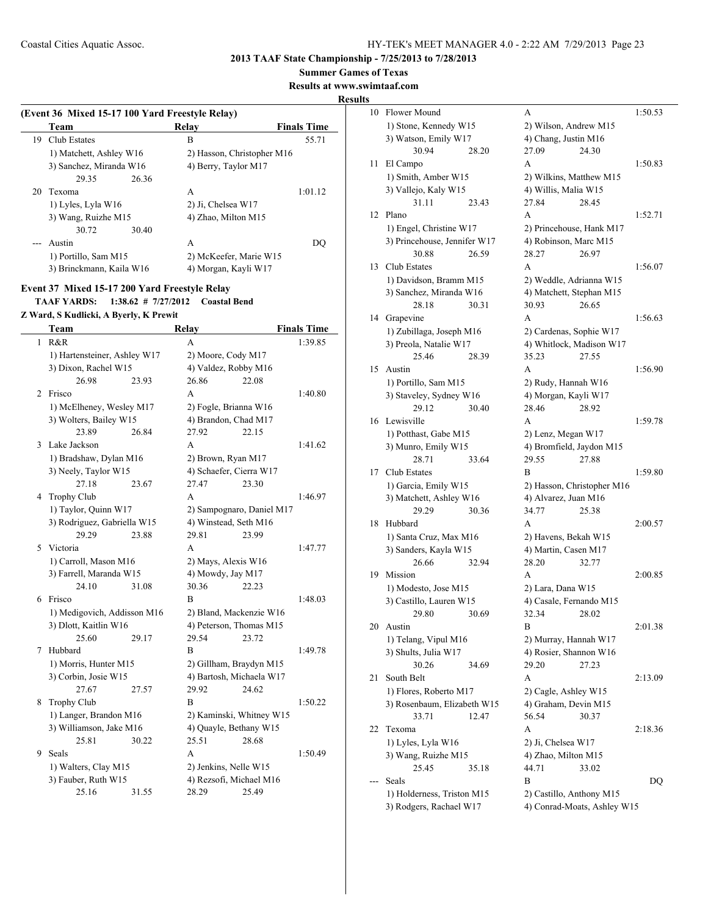**Summer Games of Texas**

**Results at www.swimtaaf.com**

#### **Results**

|    | (Event 36 Mixed 15-17 100 Yard Freestyle Relay)<br>Team | Relav                      | <b>Finals Time</b> |
|----|---------------------------------------------------------|----------------------------|--------------------|
| 19 | Club Estates                                            | B                          | 55.71              |
|    | 1) Matchett, Ashley W16                                 | 2) Hasson, Christopher M16 |                    |
|    | 3) Sanchez, Miranda W16                                 | 4) Berry, Taylor M17       |                    |
|    | 29.35<br>26.36                                          |                            |                    |
| 20 | Texoma                                                  | A                          | 1:01.12            |
|    | 1) Lyles, Lyla W16                                      | 2) Ji, Chelsea W17         |                    |
|    | 3) Wang, Ruizhe M15                                     | 4) Zhao, Milton M15        |                    |
|    | 30.72<br>30.40                                          |                            |                    |
|    | Austin                                                  | A                          | DO                 |
|    | 1) Portillo, Sam M15                                    | 2) McKeefer, Marie W15     |                    |
|    | 3) Brinckmann, Kaila W16                                | 4) Morgan, Kayli W17       |                    |

## **Event 37 Mixed 15-17 200 Yard Freestyle Relay TAAF YARDS: 1:38.62 # 7/27/2012 Coastal Bend**

**Z Ward, S Kudlicki, A Byerly, K Prewit**

|   | Team                         |       | Relay              |                           | <b>Finals Time</b> |
|---|------------------------------|-------|--------------------|---------------------------|--------------------|
|   | $1$ R&R                      |       | A                  |                           | 1:39.85            |
|   | 1) Hartensteiner, Ashley W17 |       | 2) Moore, Cody M17 |                           |                    |
|   | 3) Dixon, Rachel W15         |       |                    | 4) Valdez, Robby M16      |                    |
|   | 26.98                        | 23.93 | 26.86              | 22.08                     |                    |
| 2 | Frisco                       |       | A                  |                           | 1:40.80            |
|   | 1) McElheney, Wesley M17     |       |                    | 2) Fogle, Brianna W16     |                    |
|   | 3) Wolters, Bailey W15       |       |                    | 4) Brandon, Chad M17      |                    |
|   | 23.89                        | 26.84 | 27.92              | 22.15                     |                    |
| 3 | Lake Jackson                 |       | A                  |                           | 1:41.62            |
|   | 1) Bradshaw, Dylan M16       |       |                    | 2) Brown, Ryan M17        |                    |
|   | 3) Neely, Taylor W15         |       |                    | 4) Schaefer, Cierra W17   |                    |
|   | 27.18                        | 23.67 | 27.47              | 23.30                     |                    |
| 4 | Trophy Club                  |       | A                  |                           | 1:46.97            |
|   | 1) Taylor, Quinn W17         |       |                    | 2) Sampognaro, Daniel M17 |                    |
|   | 3) Rodriguez, Gabriella W15  |       |                    | 4) Winstead, Seth M16     |                    |
|   | 29.29                        | 23.88 | 29.81              | 23.99                     |                    |
| 5 | Victoria                     |       | A                  |                           | 1:47.77            |
|   | 1) Carroll, Mason M16        |       |                    | 2) Mays, Alexis W16       |                    |
|   | 3) Farrell, Maranda W15      |       | 4) Mowdy, Jay M17  |                           |                    |
|   | 24.10                        | 31.08 | 30.36              | 22.23                     |                    |
| 6 | Frisco                       |       | B                  |                           | 1:48.03            |
|   | 1) Medigovich, Addisson M16  |       |                    | 2) Bland, Mackenzie W16   |                    |
|   | 3) Dlott, Kaitlin W16        |       |                    | 4) Peterson, Thomas M15   |                    |
|   | 25.60                        | 29.17 | 29.54              | 23.72                     |                    |
| 7 | Hubbard                      |       | B                  |                           | 1:49.78            |
|   | 1) Morris, Hunter M15        |       |                    | 2) Gillham, Braydyn M15   |                    |
|   | 3) Corbin, Josie W15         |       |                    | 4) Bartosh, Michaela W17  |                    |
|   | 27.67                        | 27.57 | 29.92              | 24.62                     |                    |
| 8 | Trophy Club                  |       | B                  |                           | 1:50.22            |
|   | 1) Langer, Brandon M16       |       |                    | 2) Kaminski, Whitney W15  |                    |
|   | 3) Williamson, Jake M16      |       |                    | 4) Quayle, Bethany W15    |                    |
|   | 25.81                        | 30.22 | 25.51              | 28.68                     |                    |
| 9 | Seals                        |       | A                  |                           | 1:50.49            |
|   | 1) Walters, Clay M15         |       |                    | 2) Jenkins, Nelle W15     |                    |
|   | 3) Fauber, Ruth W15          |       |                    | 4) Rezsofi, Michael M16   |                    |
|   | 25.16                        | 31.55 | 28.29              | 25.49                     |                    |

| 10 | Flower Mound                 | А                           | 1:50.53 |
|----|------------------------------|-----------------------------|---------|
|    | 1) Stone, Kennedy W15        | 2) Wilson, Andrew M15       |         |
|    | 3) Watson, Emily W17         | 4) Chang, Justin M16        |         |
|    | 30.94<br>28.20               | 27.09<br>24.30              |         |
| 11 | El Campo                     | A                           | 1:50.83 |
|    | 1) Smith, Amber W15          | 2) Wilkins, Matthew M15     |         |
|    | 3) Vallejo, Kaly W15         | 4) Willis, Malia W15        |         |
|    | 31.11<br>23.43               | 27.84<br>28.45              |         |
| 12 | Plano                        | A                           | 1:52.71 |
|    | 1) Engel, Christine W17      | 2) Princehouse, Hank M17    |         |
|    | 3) Princehouse, Jennifer W17 | 4) Robinson, Marc M15       |         |
|    | 30.88<br>26.59               | 28.27<br>26.97              |         |
| 13 | Club Estates                 | A                           | 1:56.07 |
|    | 1) Davidson, Bramm M15       | 2) Weddle, Adrianna W15     |         |
|    | 3) Sanchez, Miranda W16      | 4) Matchett, Stephan M15    |         |
|    | 28.18<br>30.31               | 30.93<br>26.65              |         |
| 14 | Grapevine                    | A                           | 1:56.63 |
|    | 1) Zubillaga, Joseph M16     | 2) Cardenas, Sophie W17     |         |
|    | 3) Preola, Natalie W17       | 4) Whitlock, Madison W17    |         |
|    | 25.46<br>28.39               | 35.23<br>27.55              |         |
| 15 | Austin                       | A                           | 1:56.90 |
|    | 1) Portillo, Sam M15         | 2) Rudy, Hannah W16         |         |
|    | 3) Staveley, Sydney W16      | 4) Morgan, Kayli W17        |         |
|    | 29.12<br>30.40               | 28.46<br>28.92              |         |
| 16 | Lewisville                   | A                           | 1:59.78 |
|    | 1) Potthast, Gabe M15        | 2) Lenz, Megan W17          |         |
|    | 3) Munro, Emily W15          | 4) Bromfield, Jaydon M15    |         |
|    | 28.71<br>33.64               | 29.55<br>27.88              |         |
| 17 | Club Estates                 | B                           | 1:59.80 |
|    | 1) Garcia, Emily W15         | 2) Hasson, Christopher M16  |         |
|    | 3) Matchett, Ashley W16      | 4) Alvarez, Juan M16        |         |
|    | 29.29<br>30.36               | 34.77<br>25.38              |         |
| 18 | Hubbard                      | A                           | 2:00.57 |
|    | 1) Santa Cruz, Max M16       | 2) Havens, Bekah W15        |         |
|    | 3) Sanders, Kayla W15        | 4) Martin, Casen M17        |         |
|    | 26.66<br>32.94               | 28.20<br>32.77              |         |
| 19 | Mission                      | А                           | 2:00.85 |
|    | 1) Modesto, Jose M15         | 2) Lara, Dana W15           |         |
|    | 3) Castillo, Lauren W15      | 4) Casale, Fernando M15     |         |
|    | 29.80<br>30.69               | 32.34 28.02                 |         |
| 20 | Austin                       | В                           | 2:01.38 |
|    | 1) Telang, Vipul M16         | 2) Murray, Hannah W17       |         |
|    | 3) Shults, Julia W17         | 4) Rosier, Shannon W16      |         |
|    |                              |                             |         |
|    | 30.26<br>34.69               | 29.20<br>27.23              |         |
| 21 | South Belt                   | A                           | 2:13.09 |
|    | 1) Flores, Roberto M17       | 2) Cagle, Ashley W15        |         |
|    | 3) Rosenbaum, Elizabeth W15  | 4) Graham, Devin M15        |         |
|    | 33.71<br>12.47               | 56.54<br>30.37              |         |
| 22 | Texoma                       | A                           | 2:18.36 |
|    | 1) Lyles, Lyla W16           | 2) Ji, Chelsea W17          |         |
|    | 3) Wang, Ruizhe M15          | 4) Zhao, Milton M15         |         |
|    | 25.45<br>35.18               | 44.71<br>33.02              |         |
|    | Seals                        | B                           | DQ      |
|    | 1) Holderness, Triston M15   | 2) Castillo, Anthony M15    |         |
|    | 3) Rodgers, Rachael W17      | 4) Conrad-Moats, Ashley W15 |         |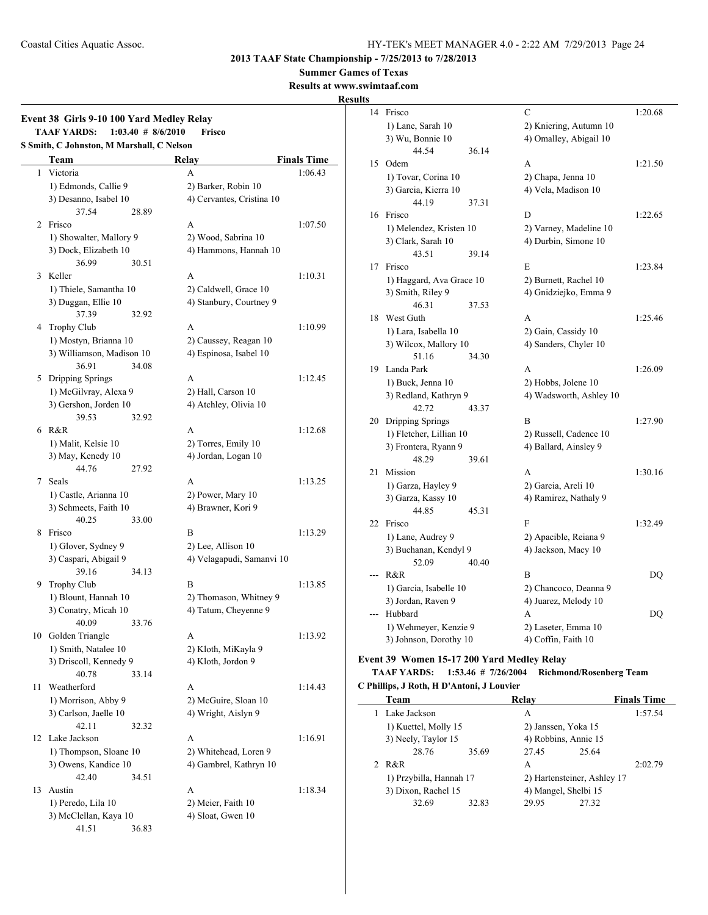**Summer Games of Texas**

**Results at www.swimtaaf.com**

#### **Results**

## **Event 38 Girls 9-10 100 Yard Medley Relay TAAF YARDS: 1:03.40 # 8/6/2010 Frisco S Smith, C Johnston, M Marshall, C Nelson Team Relay Finals Time** 1 Victoria A 1:06.43 1) Edmonds, Callie 9 2) Barker, Robin 10 3) Desanno, Isabel 10 4) Cervantes, Cristina 10 37.54 28.89 2 Frisco A 1:07.50 1) Showalter, Mallory 9 2) Wood, Sabrina 10 3) Dock, Elizabeth 10 4) Hammons, Hannah 10 36.99 30.51 3 Keller **A** 1:10.31 1) Thiele, Samantha 10 2) Caldwell, Grace 10 3) Duggan, Ellie 10 4) Stanbury, Courtney 9 37.39 32.92 4 Trophy Club A 1:10.99 1) Mostyn, Brianna 10 2) Caussey, Reagan 10 3) Williamson, Madison 10 4) Espinosa, Isabel 10 36.91 34.08 5 Dripping Springs A 1:12.45 1) McGilvray, Alexa 9 2) Hall, Carson 10 3) Gershon, Jorden 10 4) Atchley, Olivia 10 39.53 32.92 6 R&R 1:12.68 1) Malit, Kelsie 10 2) Torres, Emily 10 3) May, Kenedy 10 4) Jordan, Logan 10 44.76 27.92 7 Seals A 1:13.25 1) Castle, Arianna 10 2) Power, Mary 10 3) Schmeets, Faith 10 4) Brawner, Kori 9 40.25 33.00 8 Frisco B 1:13.29 1) Glover, Sydney 9 2) Lee, Allison 10 3) Caspari, Abigail 9 4) Velagapudi, Samanvi 10 39.16 34.13 9 Trophy Club B 1:13.85 1) Blount, Hannah 10 2) Thomason, Whitney 9 3) Conatry, Micah 10 4) Tatum, Cheyenne 9 40.09 33.76 10 Golden Triangle A 1:13.92 1) Smith, Natalee 10 2) Kloth, MiKayla 9 3) Driscoll, Kennedy 9 4) Kloth, Jordon 9 40.78 33.14 11 Weatherford A 1:14.43 1) Morrison, Abby 9 2) McGuire, Sloan 10 3) Carlson, Jaelle 10 4) Wright, Aislyn 9 42.11 32.32 12 Lake Jackson A 1:16.91 1) Thompson, Sloane 10 2) Whitehead, Loren 9 3) Owens, Kandice 10 4) Gambrel, Kathryn 10

42.40 34.51 13 Austin A 1:18.34 1) Peredo, Lila 10 2) Meier, Faith 10 3) McClellan, Kaya 10 4) Sloat, Gwen 10 41.51 36.83

| 14 | Frisco                                 |       | C                       | 1:20.68 |
|----|----------------------------------------|-------|-------------------------|---------|
|    | 1) Lane, Sarah 10                      |       | 2) Kniering, Autumn 10  |         |
|    | 3) Wu, Bonnie 10                       |       | 4) Omalley, Abigail 10  |         |
|    | 44.54                                  | 36.14 |                         |         |
| 15 | Odem                                   |       | A                       | 1:21.50 |
|    | 1) Tovar, Corina 10                    |       | 2) Chapa, Jenna 10      |         |
|    | 3) Garcia, Kierra 10                   |       | 4) Vela, Madison 10     |         |
|    | 44.19                                  | 37.31 |                         |         |
| 16 | Frisco                                 |       | D                       | 1:22.65 |
|    | 1) Melendez, Kristen 10                |       | 2) Varney, Madeline 10  |         |
|    | 3) Clark, Sarah 10                     |       | 4) Durbin, Simone 10    |         |
|    | 43.51                                  | 39.14 |                         |         |
| 17 | Frisco                                 |       | E                       | 1:23.84 |
|    | 1) Haggard, Ava Grace 10               |       | 2) Burnett, Rachel 10   |         |
|    | 3) Smith, Riley 9                      |       | 4) Gnidziejko, Emma 9   |         |
|    | 46.31                                  | 37.53 |                         |         |
| 18 | West Guth                              |       | A                       | 1:25.46 |
|    | 1) Lara, Isabella 10                   |       | 2) Gain, Cassidy 10     |         |
|    | 3) Wilcox, Mallory 10                  |       | 4) Sanders, Chyler 10   |         |
|    | 51.16                                  | 34.30 |                         |         |
| 19 | Landa Park                             |       | A                       | 1:26.09 |
|    | 1) Buck, Jenna 10                      |       | 2) Hobbs, Jolene 10     |         |
|    | 3) Redland, Kathryn 9                  |       | 4) Wadsworth, Ashley 10 |         |
|    | 42.72                                  | 43.37 |                         |         |
| 20 | Dripping Springs                       |       | В                       | 1:27.90 |
|    | 1) Fletcher, Lillian 10                |       | 2) Russell, Cadence 10  |         |
|    | 3) Frontera, Ryann 9                   |       | 4) Ballard, Ainsley 9   |         |
|    | 48.29                                  | 39.61 |                         |         |
| 21 | Mission                                |       | A                       | 1:30.16 |
|    | 1) Garza, Hayley 9                     |       | 2) Garcia, Areli 10     |         |
|    | 3) Garza, Kassy 10                     |       | 4) Ramirez, Nathaly 9   |         |
|    | 44.85                                  | 45.31 |                         |         |
| 22 | Frisco                                 |       | F                       | 1:32.49 |
|    | 1) Lane, Audrey 9                      |       | 2) Apacible, Reiana 9   |         |
|    | 3) Buchanan, Kendyl 9                  |       | 4) Jackson, Macy 10     |         |
|    | 52.09                                  | 40.40 |                         |         |
|    | R&R                                    |       | B                       | DQ      |
|    | 1) Garcia, Isabelle 10                 |       | 2) Chancoco, Deanna 9   |         |
|    | 3) Jordan, Raven 9                     |       | 4) Juarez, Melody 10    |         |
|    | Hubbard                                |       | A                       | DQ      |
|    | 1) Wehmeyer, Kenzie 9                  |       | 2) Laseter, Emma 10     |         |
|    | 3) Johnson, Dorothy 10                 |       | 4) Coffin, Faith 10     |         |
|    | 4.20 Women 15.17.200 Voud Medley Delay |       |                         |         |

#### **Event 39 Women 15-17 200 Yard Medley Relay**

#### **TAAF YARDS: 1:53.46 # 7/26/2004 Richmond/Rosenberg Team C Phillips, J Roth, H D'Antoni, J Louvier**

| Team                    |       | Relay                       |                      | <b>Finals Time</b> |  |  |  |
|-------------------------|-------|-----------------------------|----------------------|--------------------|--|--|--|
| 1 Lake Jackson          |       | A                           |                      | 1:57.54            |  |  |  |
| 1) Kuettel, Molly 15    |       | 2) Janssen, Yoka 15         |                      |                    |  |  |  |
| 3) Neely, Taylor 15     |       | 4) Robbins, Annie 15        |                      |                    |  |  |  |
| 28.76                   | 35.69 | 27.45                       | 25.64                |                    |  |  |  |
| 2 R&R                   |       | A                           |                      | 2:02.79            |  |  |  |
| 1) Przybilla, Hannah 17 |       | 2) Hartensteiner, Ashley 17 |                      |                    |  |  |  |
| 3) Dixon, Rachel 15     |       |                             | 4) Mangel, Shelbi 15 |                    |  |  |  |
| 32.69                   | 32.83 | 29.95                       | 27.32                |                    |  |  |  |
|                         |       |                             |                      |                    |  |  |  |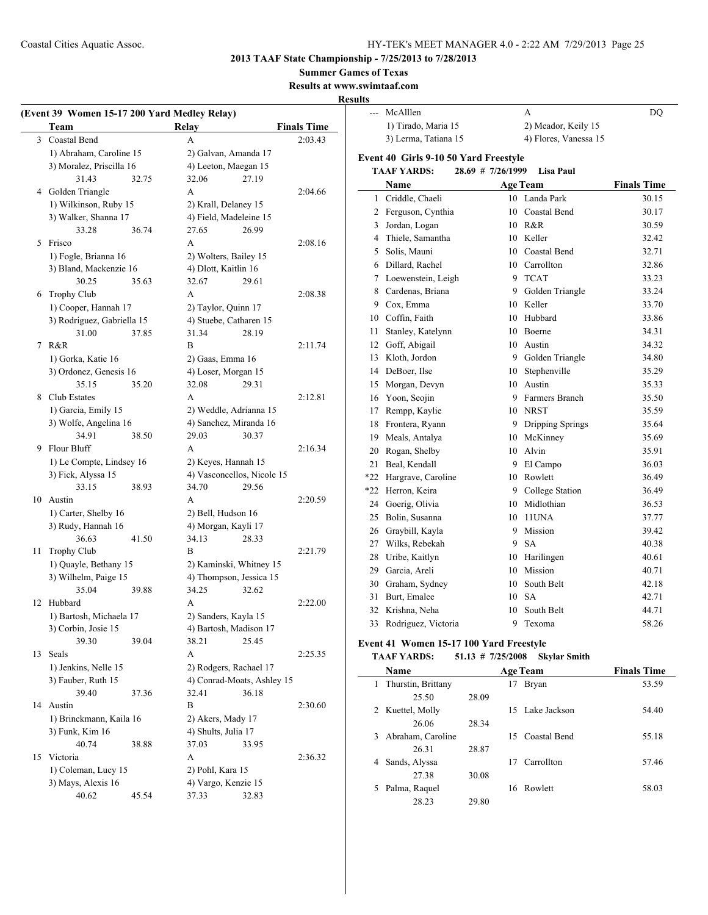**2013 TAAF State Championship - 7/25/2013 to 7/28/2013**

**Summer Games of Texas**

**Results at www.swimtaaf.com**

|   |                                              |                                 |                    | results                                     |                     |                                              |                   |
|---|----------------------------------------------|---------------------------------|--------------------|---------------------------------------------|---------------------|----------------------------------------------|-------------------|
|   | (Event 39 Women 15-17 200 Yard Medley Relay) |                                 |                    | --- McAlllen                                |                     | A                                            | DQ                |
|   | Team                                         | Relay                           | <b>Finals Time</b> | 1) Tirado, Maria 15<br>3) Lerma, Tatiana 15 |                     | 2) Meador, Keily 15<br>4) Flores, Vanessa 15 |                   |
|   | 3 Coastal Bend                               | A                               | 2:03.43            |                                             |                     |                                              |                   |
|   | 1) Abraham, Caroline 15                      | 2) Galvan, Amanda 17            |                    | Event 40 Girls 9-10 50 Yard Freestyle       |                     |                                              |                   |
|   | 3) Moralez, Priscilla 16                     | 4) Leeton, Maegan 15            |                    | <b>TAAF YARDS:</b>                          | $28.69$ # 7/26/1999 | Lisa Paul                                    |                   |
|   | 31.43<br>32.75                               | 27.19<br>32.06                  |                    | Name                                        |                     | <b>Age Team</b>                              | <b>Finals Tim</b> |
|   | 4 Golden Triangle                            | A                               | 2:04.66            | 1 Criddle, Chaeli                           |                     | 10 Landa Park                                | 30.15             |
|   | 1) Wilkinson, Ruby 15                        | 2) Krall, Delaney 15            |                    | 2 Ferguson, Cynthia                         |                     | 10 Coastal Bend                              | 30.17             |
|   | 3) Walker, Shanna 17<br>33.28                | 4) Field, Madeleine 15<br>26.99 |                    | 3 Jordan, Logan                             |                     | 10 R&R                                       | 30.59             |
|   | 36.74<br>5 Frisco                            | 27.65<br>А                      | 2:08.16            | 4 Thiele, Samantha                          |                     | 10 Keller                                    | 32.42             |
|   | 1) Fogle, Brianna 16                         | 2) Wolters, Bailey 15           |                    | 5 Solis, Mauni                              |                     | 10 Coastal Bend                              | 32.71             |
|   | 3) Bland, Mackenzie 16                       | 4) Dlott, Kaitlin 16            |                    | 6 Dillard, Rachel                           |                     | 10 Carrollton                                | 32.86             |
|   | 30.25<br>35.63                               | 32.67<br>29.61                  |                    | 7 Loewenstein, Leigh                        |                     | 9 TCAT                                       | 33.23             |
|   | 6 Trophy Club                                | A                               | 2:08.38            | Cardenas, Briana<br>8                       |                     | 9 Golden Triangle                            | 33.24             |
|   | 1) Cooper, Hannah 17                         | 2) Taylor, Quinn 17             |                    | Cox, Emma<br>9                              |                     | 10 Keller                                    | 33.70             |
|   | 3) Rodriguez, Gabriella 15                   | 4) Stuebe, Catharen 15          |                    | 10 Coffin, Faith                            |                     | 10 Hubbard                                   | 33.86             |
|   | 31.00<br>37.85                               | 28.19<br>31.34                  |                    | 11 Stanley, Katelynn                        |                     | 10 Boerne                                    | 34.31             |
|   | 7 R&R                                        | B                               | 2:11.74            | 12 Goff, Abigail                            |                     | 10 Austin                                    | 34.32             |
|   | 1) Gorka, Katie 16                           | 2) Gaas, Emma 16                |                    | 13 Kloth, Jordon                            |                     | 9 Golden Triangle                            | 34.80             |
|   | 3) Ordonez, Genesis 16                       | 4) Loser, Morgan 15             |                    | 14 DeBoer, Ilse                             |                     | 10 Stephenville                              | 35.29             |
|   | 35.15<br>35.20                               | 29.31<br>32.08                  |                    | 15 Morgan, Devyn                            |                     | 10 Austin                                    | 35.33             |
| 8 | Club Estates                                 | A                               | 2:12.81            | 16 Yoon, Seojin                             |                     | 9 Farmers Branch                             | 35.50             |
|   | 1) Garcia, Emily 15                          | 2) Weddle, Adrianna 15          |                    | 17 Rempp, Kaylie                            |                     | 10 NRST                                      | 35.59             |
|   | 3) Wolfe, Angelina 16                        | 4) Sanchez, Miranda 16          |                    | 18 Frontera, Ryann                          |                     | 9 Dripping Springs                           | 35.64             |
|   | 34.91<br>38.50                               | 30.37<br>29.03                  |                    | Meals, Antalya<br>19                        |                     | 10 McKinney                                  | 35.69             |
|   | 9 Flour Bluff                                | A                               | 2:16.34            | Rogan, Shelby<br>20                         |                     | 10 Alvin                                     | 35.91             |
|   | 1) Le Compte, Lindsey 16                     | 2) Keyes, Hannah 15             |                    | 21 Beal, Kendall                            |                     | 9 El Campo                                   | 36.03             |
|   | 3) Fick, Alyssa 15                           | 4) Vasconcellos, Nicole 15      |                    | Hargrave, Caroline<br>*22                   |                     | 10 Rowlett                                   | 36.49             |
|   | 33.15<br>38.93                               | 34.70<br>29.56                  |                    | *22 Herron, Keira                           |                     |                                              | 36.49             |
|   | 10 Austin                                    | А                               | 2:20.59            |                                             |                     | 9 College Station                            |                   |
|   | 1) Carter, Shelby 16                         | 2) Bell, Hudson 16              |                    | Goerig, Olivia<br>24                        |                     | 10 Midlothian                                | 36.53             |
|   | 3) Rudy, Hannah 16                           | 4) Morgan, Kayli 17             |                    | Bolin, Susanna<br>25                        |                     | 10 11 UNA                                    | 37.77             |
|   | 36.63<br>41.50                               | 34.13<br>28.33                  |                    | Graybill, Kayla<br>26                       |                     | 9 Mission                                    | 39.42             |
|   | 11 Trophy Club                               | B                               | 2:21.79            | Wilks, Rebekah<br>27                        |                     | 9 SA                                         | 40.38             |
|   | 1) Quayle, Bethany 15                        | 2) Kaminski, Whitney 15         |                    | 28 Uribe, Kaitlyn                           |                     | 10 Harilingen                                | 40.61             |
|   | 3) Wilhelm, Paige 15                         | 4) Thompson, Jessica 15         |                    | Garcia, Areli<br>29                         |                     | 10 Mission                                   | 40.71             |
|   | 35.04<br>39.88                               | 32.62<br>34.25                  |                    | Graham, Sydney<br>30                        |                     | 10 South Belt                                | 42.18             |
|   | 12 Hubbard                                   | А                               | 2:22.00            | 31 Burt, Emalee                             |                     | 10 SA                                        | 42.71             |
|   | 1) Bartosh, Michaela 17                      | 2) Sanders, Kayla 15            |                    | 32 Krishna, Neha                            |                     | 10 South Belt                                | 44.71             |
|   | 3) Corbin, Josie 15                          | 4) Bartosh, Madison 17          |                    | 33 Rodriguez, Victoria                      |                     | 9 Texoma                                     | 58.26             |
|   | 39.30<br>39.04                               | 38.21<br>25.45                  |                    | Event 41 Women 15-17 100 Yard Freestyle     |                     |                                              |                   |
|   | 13 Seals                                     | A                               | 2:25.35            | <b>TAAF YARDS:</b>                          |                     | 51.13 # 7/25/2008 Skylar Smith               |                   |
|   | 1) Jenkins, Nelle 15                         | 2) Rodgers, Rachael 17          |                    | Name                                        |                     | <b>Age Team</b>                              | <b>Finals Tim</b> |
|   | 3) Fauber, Ruth 15                           | 4) Conrad-Moats, Ashley 15      |                    | 1 Thurstin, Brittany                        |                     | 17 Bryan                                     | 53.59             |
|   | 39.40<br>37.36                               | 32.41<br>36.18                  |                    | 25.50                                       | 28.09               |                                              |                   |
|   | 14 Austin                                    | B                               | 2:30.60            | 2 Kuettel, Molly                            |                     | 15 Lake Jackson                              | 54.40             |
|   | 1) Brinckmann, Kaila 16                      | 2) Akers, Mady 17               |                    | 26.06                                       | 28.34               |                                              |                   |
|   | 3) Funk, Kim 16                              | 4) Shults, Julia 17             |                    | 3 Abraham, Caroline                         |                     | 15 Coastal Bend                              | 55.18             |
|   | 40.74<br>38.88                               | 37.03<br>33.95                  |                    | 26.31                                       | 28.87               |                                              |                   |
|   | 15 Victoria                                  | A                               | 2:36.32            | 4 Sands, Alyssa                             |                     | 17 Carrollton                                | 57.46             |
|   | 1) Coleman, Lucy 15                          | 2) Pohl, Kara 15                |                    | 27.38                                       | 30.08               |                                              |                   |
|   | 3) Mays, Alexis 16                           | 4) Vargo, Kenzie 15             |                    | 5 Palma, Raquel                             |                     | 16 Rowlett                                   | 58.03             |
|   | 40.62<br>45.54                               | 32.83<br>37.33                  |                    | 28.23                                       | 29.80               |                                              |                   |
|   |                                              |                                 |                    |                                             |                     |                                              |                   |

|       | vent 40 Girls 9-10 50 Yard Freestyle<br><b>TAAF YARDS:</b><br>28.69 # 7/26/1999 |                | <b>Lisa Paul</b> |                    |
|-------|---------------------------------------------------------------------------------|----------------|------------------|--------------------|
|       | Name                                                                            |                | <b>Age Team</b>  | <b>Finals Time</b> |
| 1     | Criddle, Chaeli                                                                 |                | 10 Landa Park    | 30.15              |
| 2     | Ferguson, Cynthia                                                               | 10             | Coastal Bend     | 30.17              |
| 3     | Jordan, Logan                                                                   | 10             | R&R              | 30.59              |
| 4     | Thiele, Samantha                                                                |                | 10 Keller        | 32.42              |
| 5     | Solis, Mauni                                                                    | 10             | Coastal Bend     | 32.71              |
| 6     | Dillard, Rachel                                                                 |                | 10 Carrollton    | 32.86              |
| 7     | Loewenstein, Leigh                                                              | 9              | <b>TCAT</b>      | 33.23              |
| 8     | Cardenas, Briana                                                                | 9              | Golden Triangle  | 33.24              |
| 9     | Cox, Emma                                                                       |                | 10 Keller        | 33.70              |
| 10    | Coffin, Faith                                                                   | 10             | Hubbard          | 33.86              |
| 11    | Stanley, Katelynn                                                               | 10             | Boerne           | 34.31              |
| 12    | Goff, Abigail                                                                   | 10             | Austin           | 34.32              |
| 13    | Kloth, Jordon                                                                   | 9              | Golden Triangle  | 34.80              |
| 14    | DeBoer, Ilse                                                                    | 10             | Stephenville     | 35.29              |
| 15    | Morgan, Devyn                                                                   | 10             | Austin           | 35.33              |
| 16    | Yoon, Seojin                                                                    | 9              | Farmers Branch   | 35.50              |
| 17    | Rempp, Kaylie                                                                   | 10             | <b>NRST</b>      | 35.59              |
| 18    | Frontera, Ryann                                                                 | 9              | Dripping Springs | 35.64              |
| 19    | Meals, Antalya                                                                  | 10             | McKinney         | 35.69              |
| 20    | Rogan, Shelby                                                                   | 10             | Alvin            | 35.91              |
| 21    | Beal, Kendall                                                                   | 9              | El Campo         | 36.03              |
| $*22$ | Hargrave, Caroline                                                              | 10             | Rowlett          | 36.49              |
| $*22$ | Herron, Keira                                                                   | 9              | College Station  | 36.49              |
| 24    | Goerig, Olivia                                                                  | 10             | Midlothian       | 36.53              |
| 25    | Bolin, Susanna                                                                  | 10             | 11UNA            | 37.77              |
| 26    | Graybill, Kayla                                                                 | 9              | Mission          | 39.42              |
| 27    | Wilks, Rebekah                                                                  | 9              | <b>SA</b>        | 40.38              |
| 28    | Uribe, Kaitlyn                                                                  |                | 10 Harilingen    | 40.61              |
| 29    | Garcia, Areli                                                                   |                | 10 Mission       | 40.71              |
| 30    | Graham, Sydney                                                                  | 10             | South Belt       | 42.18              |
| 31    | Burt, Emalee                                                                    | 10             | <b>SA</b>        | 42.71              |
| 32    | Krishna, Neha                                                                   | 10             | South Belt       | 44.71              |
| 33    | Rodriguez, Victoria                                                             | 9              | Texoma           | 58.26              |
|       | 17.47.400X<br>$\mathbf{A}$ and $\mathbf{A}$                                     | <b>1 17 18</b> | $\overline{a}$   |                    |

|    | Name               |       |    | <b>Age Team</b> | <b>Finals Time</b> |
|----|--------------------|-------|----|-----------------|--------------------|
| 1  | Thurstin, Brittany |       | 17 | <b>Bryan</b>    | 53.59              |
|    | 25.50              | 28.09 |    |                 |                    |
| 2  | Kuettel, Molly     |       |    | 15 Lake Jackson | 54.40              |
|    | 26.06              | 28.34 |    |                 |                    |
| 3. | Abraham, Caroline  |       |    | 15 Coastal Bend | 55.18              |
|    | 26.31              | 28.87 |    |                 |                    |
| 4  | Sands, Alyssa      |       | 17 | Carrollton      | 57.46              |
|    | 27.38              | 30.08 |    |                 |                    |
|    | Palma, Raquel      |       | 16 | Rowlett         | 58.03              |
|    | 28.23              | 29.80 |    |                 |                    |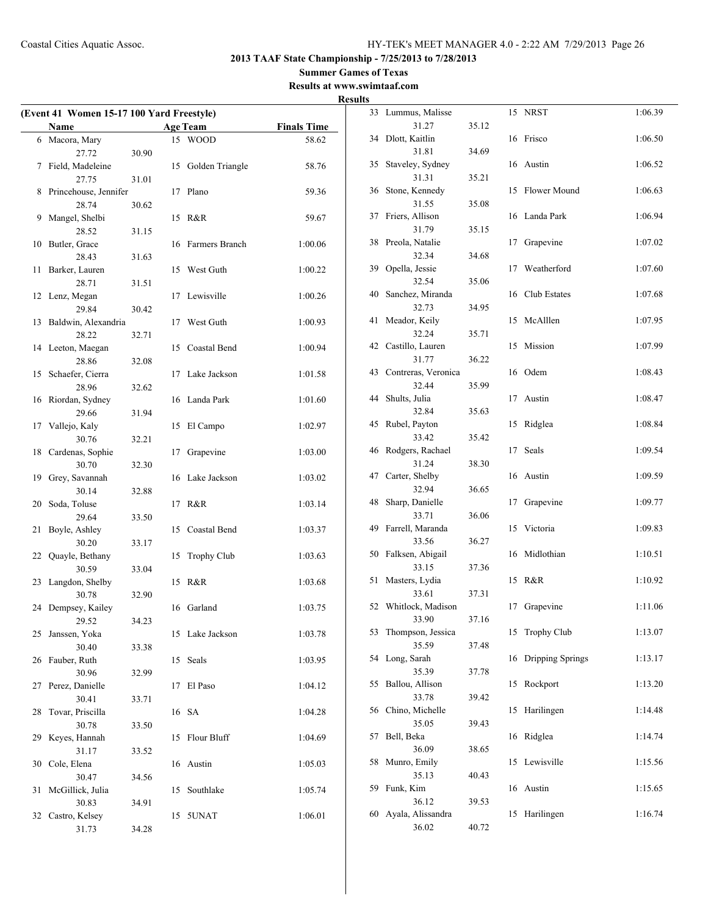$\overline{\phantom{0}}$ 

**2013 TAAF State Championship - 7/25/2013 to 7/28/2013**

#### **Summer Games of Texas Results at www.swimtaaf.com**

|                                           |       |                    |                    | 11650115 |                        |       |
|-------------------------------------------|-------|--------------------|--------------------|----------|------------------------|-------|
| (Event 41 Women 15-17 100 Yard Freestyle) |       |                    |                    |          | 33 Lummus, Malisse     |       |
| Name                                      |       | <b>Age Team</b>    | <b>Finals Time</b> |          | 31.27                  | 35.12 |
| 6 Macora, Mary                            |       | 15 WOOD            | 58.62              |          | 34 Dlott, Kaitlin      |       |
| 27.72                                     | 30.90 |                    |                    |          | 31.81                  | 34.69 |
| 7 Field, Madeleine                        |       | 15 Golden Triangle | 58.76              |          | 35 Staveley, Sydney    |       |
| 27.75                                     | 31.01 |                    |                    |          | 31.31                  | 35.21 |
| 8 Princehouse, Jennifer                   |       | 17 Plano           | 59.36              |          | 36 Stone, Kennedy      |       |
| 28.74                                     | 30.62 |                    |                    |          | 31.55                  | 35.08 |
| 9 Mangel, Shelbi                          |       | 15 R&R             | 59.67              |          | 37 Friers, Allison     |       |
| 28.52                                     | 31.15 |                    |                    |          | 31.79                  | 35.15 |
| 10 Butler, Grace                          |       | 16 Farmers Branch  | 1:00.06            |          | 38 Preola, Natalie     |       |
| 28.43                                     | 31.63 |                    |                    |          | 32.34                  | 34.68 |
| 11 Barker, Lauren                         |       | 15 West Guth       | 1:00.22            |          | 39 Opella, Jessie      |       |
| 28.71                                     | 31.51 |                    |                    |          | 32.54                  | 35.06 |
| 12 Lenz, Megan                            |       | 17 Lewisville      | 1:00.26            |          | 40 Sanchez, Miranda    |       |
| 29.84                                     | 30.42 |                    |                    |          | 32.73                  | 34.95 |
| 13 Baldwin, Alexandria                    |       | 17 West Guth       | 1:00.93            |          | 41 Meador, Keily       |       |
| 28.22                                     | 32.71 |                    |                    |          | 32.24                  | 35.71 |
| 14 Leeton, Maegan                         |       | 15 Coastal Bend    | 1:00.94            |          | 42 Castillo, Lauren    |       |
| 28.86                                     | 32.08 |                    |                    |          | 31.77                  | 36.22 |
| 15 Schaefer, Cierra                       |       | 17 Lake Jackson    | 1:01.58            |          | 43 Contreras, Veronica |       |
| 28.96                                     | 32.62 |                    |                    |          | 32.44                  | 35.99 |
| 16 Riordan, Sydney                        |       | 16 Landa Park      | 1:01.60            |          | 44 Shults, Julia       |       |
| 29.66                                     | 31.94 |                    |                    |          | 32.84                  | 35.63 |
| 17 Vallejo, Kaly                          |       | 15 El Campo        | 1:02.97            |          | 45 Rubel, Payton       |       |
| 30.76                                     | 32.21 |                    |                    |          | 33.42                  | 35.42 |
| 18 Cardenas, Sophie                       |       | 17 Grapevine       | 1:03.00            |          | 46 Rodgers, Rachael    |       |
| 30.70                                     | 32.30 |                    |                    |          | 31.24                  | 38.30 |
| 19 Grey, Savannah                         |       | 16 Lake Jackson    | 1:03.02            |          | 47 Carter, Shelby      |       |
| 30.14                                     | 32.88 |                    |                    |          | 32.94                  | 36.65 |
| 20 Soda, Toluse                           |       | 17 R&R             | 1:03.14            |          | 48 Sharp, Danielle     |       |
| 29.64                                     | 33.50 |                    |                    |          | 33.71                  | 36.06 |
| 21 Boyle, Ashley                          |       | 15 Coastal Bend    | 1:03.37            |          | 49 Farrell, Maranda    |       |
| 30.20                                     | 33.17 |                    |                    |          | 33.56                  | 36.27 |
| 22 Quayle, Bethany                        |       | 15 Trophy Club     | 1:03.63            |          | 50 Falksen, Abigail    |       |
| 30.59                                     | 33.04 |                    |                    |          | 33.15                  | 37.36 |
| 23 Langdon, Shelby                        |       | 15 R&R             | 1:03.68            |          | 51 Masters, Lydia      |       |
| 30.78                                     | 32.90 |                    |                    |          | 33.61                  | 37.31 |
| 24 Dempsey, Kailey                        |       | 16 Garland         | 1:03.75            |          | 52 Whitlock, Madison   |       |
| 29.52                                     | 34.23 |                    |                    |          | 33.90                  | 37.16 |
| 25 Janssen, Yoka                          |       | 15 Lake Jackson    | 1:03.78            |          | 53 Thompson, Jessica   |       |
| 30.40                                     | 33.38 |                    |                    |          | 35.59                  | 37.48 |
| 26 Fauber, Ruth                           |       | 15 Seals           | 1:03.95            |          | 54 Long, Sarah         |       |
| 30.96                                     | 32.99 |                    |                    |          | 35.39                  | 37.78 |
| 27 Perez, Danielle                        |       | 17 El Paso         | 1:04.12            |          | 55 Ballou, Allison     |       |
| 30.41                                     | 33.71 |                    |                    |          | 33.78                  | 39.42 |
| 28 Tovar, Priscilla                       |       | 16 SA              | 1:04.28            |          | 56 Chino, Michelle     |       |
| 30.78                                     | 33.50 |                    |                    |          | 35.05                  | 39.43 |
| 29 Keyes, Hannah                          |       | 15 Flour Bluff     | 1:04.69            |          | 57 Bell, Beka          |       |
| 31.17                                     | 33.52 |                    |                    |          | 36.09                  | 38.65 |
| 30 Cole, Elena                            |       | 16 Austin          | 1:05.03            |          | 58 Munro, Emily        |       |
| 30.47                                     | 34.56 |                    |                    |          | 35.13                  | 40.43 |
| 31 McGillick, Julia                       |       | 15 Southlake       | 1:05.74            |          | 59 Funk, Kim           |       |
| 30.83                                     | 34.91 |                    |                    |          | 36.12                  | 39.53 |
| 32 Castro, Kelsey                         |       | 15 5UNAT           | 1:06.01            |          | 60 Ayala, Alissandra   |       |
| 31.73                                     | 34.28 |                    |                    |          | 36.02                  | 40.72 |
|                                           |       |                    |                    |          |                        |       |

| 33 | Lummus, Malisse            |       | 15 | <b>NRST</b>        | 1:06.39 |
|----|----------------------------|-------|----|--------------------|---------|
|    | 31.27                      | 35.12 |    |                    |         |
| 34 | Dlott, Kaitlin             |       | 16 | Frisco             | 1:06.50 |
|    | 31.81                      | 34.69 |    |                    |         |
| 35 | Staveley, Sydney           |       | 16 | Austin             | 1:06.52 |
|    | 31.31                      | 35.21 |    |                    |         |
| 36 | Stone, Kennedy<br>31.55    | 35.08 | 15 | Flower Mound       | 1:06.63 |
| 37 | Friers, Allison            |       | 16 | Landa Park         | 1:06.94 |
|    | 31.79                      | 35.15 |    |                    |         |
| 38 | Preola, Natalie            |       | 17 | Grapevine          | 1:07.02 |
|    | 32.34                      | 34.68 |    |                    |         |
| 39 | Opella, Jessie             |       | 17 | Weatherford        | 1:07.60 |
|    | 32.54                      | 35.06 |    |                    |         |
| 40 | Sanchez, Miranda           |       | 16 | Club Estates       | 1:07.68 |
|    | 32.73                      | 34.95 |    |                    |         |
| 41 | Meador, Keily              |       | 15 | McAlllen           | 1:07.95 |
| 42 | 32.24<br>Castillo, Lauren  | 35.71 | 15 | Mission            | 1:07.99 |
|    | 31.77                      | 36.22 |    |                    |         |
| 43 | Contreras, Veronica        |       | 16 | Odem               | 1:08.43 |
|    | 32.44                      | 35.99 |    |                    |         |
| 44 | Shults, Julia              |       | 17 | Austin             | 1:08.47 |
|    | 32.84                      | 35.63 |    |                    |         |
| 45 | Rubel, Payton              |       | 15 | Ridglea            | 1:08.84 |
|    | 33.42                      | 35.42 |    |                    |         |
| 46 | Rodgers, Rachael           |       | 17 | Seals              | 1:09.54 |
|    | 31.24                      | 38.30 |    |                    |         |
| 47 | Carter, Shelby<br>32.94    |       | 16 | Austin             | 1:09.59 |
| 48 | Sharp, Danielle            | 36.65 | 17 | Grapevine          | 1:09.77 |
|    | 33.71                      | 36.06 |    |                    |         |
| 49 | Farrell, Maranda           |       | 15 | Victoria           | 1:09.83 |
|    | 33.56                      | 36.27 |    |                    |         |
| 50 | Falksen, Abigail           |       | 16 | Midlothian         | 1:10.51 |
|    | 33.15                      | 37.36 |    |                    |         |
| 51 | Masters, Lydia             |       | 15 | R&R                | 1:10.92 |
|    | 33.61                      | 37.31 |    |                    |         |
| 52 | Whitlock, Madison          |       | 17 | Grapevine          | 1:11.06 |
|    | 33.90                      | 37.16 |    |                    |         |
| 53 | Thompson, Jessica<br>35.59 | 37.48 | 15 | <b>Trophy Club</b> | 1:13.07 |
| 54 | Long, Sarah                |       | 16 | Dripping Springs   | 1:13.17 |
|    | 35.39                      | 37.78 |    |                    |         |
| 55 | Ballou, Allison            |       | 15 | Rockport           | 1:13.20 |
|    | 33.78                      | 39.42 |    |                    |         |
| 56 | Chino, Michelle            |       | 15 | Harilingen         | 1:14.48 |
|    | 35.05                      | 39.43 |    |                    |         |
| 57 | Bell, Beka                 |       | 16 | Ridglea            | 1:14.74 |
|    | 36.09                      | 38.65 |    |                    |         |
| 58 | Munro, Emily<br>35.13      | 40.43 | 15 | Lewisville         | 1:15.56 |
| 59 | Funk, Kim                  |       | 16 | Austin             | 1:15.65 |
|    | 36.12                      | 39.53 |    |                    |         |
| 60 | Ayala, Alissandra          |       | 15 | Harilingen         | 1:16.74 |
|    | 36.02                      | 40.72 |    |                    |         |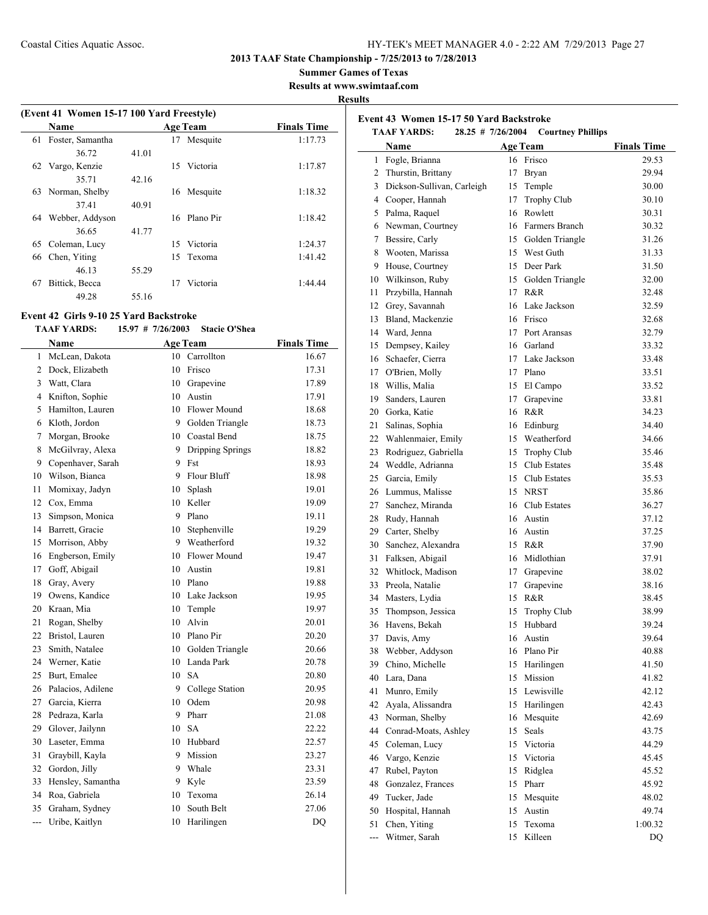**Event 43 Women 15-17 50 Yard Backstroke**

**2013 TAAF State Championship - 7/25/2013 to 7/28/2013**

**Summer Games of Texas**

**Results at www.swimtaaf.com**

**Results**

 $\overline{a}$ 

## **(Event 41 Women 15-17 100 Yard Freestyle) Name Age Team Finals Time**  Foster, Samantha 17 Mesquite 1:17.73 36.72 41.01 Vargo, Kenzie 15 Victoria 1:17.87 35.71 42.16 Norman, Shelby 16 Mesquite 1:18.32 37.41 40.91 Webber, Addyson 16 Plano Pir 1:18.42 36.65 41.77 Coleman, Lucy 15 Victoria 1:24.37 Chen, Yiting 15 Texoma 1:41.42 46.13 55.29 Bittick, Becca 17 Victoria 1:44.44 49.28 55.16

## **Event 42 Girls 9-10 25 Yard Backstroke**

#### **TAAF YARDS: 15.97 # 7/26/2003 Stacie O'Shea**

|                | Name              |    | <b>Age Team</b>  | <b>Finals Time</b> |
|----------------|-------------------|----|------------------|--------------------|
| 1              | McLean, Dakota    | 10 | Carrollton       | 16.67              |
| 2              | Dock, Elizabeth   | 10 | Frisco           | 17.31              |
| 3              | Watt, Clara       | 10 | Grapevine        | 17.89              |
| 4              | Knifton, Sophie   | 10 | Austin           | 17.91              |
| 5              | Hamilton, Lauren  |    | 10 Flower Mound  | 18.68              |
| 6              | Kloth, Jordon     | 9  | Golden Triangle  | 18.73              |
| 7              | Morgan, Brooke    |    | 10 Coastal Bend  | 18.75              |
| 8              | McGilvray, Alexa  | 9  | Dripping Springs | 18.82              |
| 9              | Copenhaver, Sarah | 9  | Fst              | 18.93              |
| 10             | Wilson, Bianca    | 9  | Flour Bluff      | 18.98              |
| 11             | Momixay, Jadyn    | 10 | Splash           | 19.01              |
| 12             | Cox, Emma         | 10 | Keller           | 19.09              |
| 13             | Simpson, Monica   | 9  | Plano            | 19.11              |
| 14             | Barrett, Gracie   | 10 | Stephenville     | 19.29              |
| 15             | Morrison, Abby    | 9  | Weatherford      | 19.32              |
| 16             | Engberson, Emily  | 10 | Flower Mound     | 19.47              |
| 17             | Goff, Abigail     | 10 | Austin           | 19.81              |
| 18             | Gray, Avery       | 10 | Plano            | 19.88              |
| 19             | Owens, Kandice    | 10 | Lake Jackson     | 19.95              |
| 20             | Kraan, Mia        | 10 | Temple           | 19.97              |
| 21             | Rogan, Shelby     | 10 | Alvin            | 20.01              |
| 22             | Bristol, Lauren   | 10 | Plano Pir        | 20.20              |
| 23             | Smith, Natalee    | 10 | Golden Triangle  | 20.66              |
| 24             | Werner, Katie     | 10 | Landa Park       | 20.78              |
| 25             | Burt, Emalee      | 10 | <b>SA</b>        | 20.80              |
| 26             | Palacios, Adilene | 9  | College Station  | 20.95              |
| 27             | Garcia, Kierra    | 10 | Odem             | 20.98              |
| 28             | Pedraza, Karla    | 9  | Pharr            | 21.08              |
| 29             | Glover, Jailynn   | 10 | <b>SA</b>        | 22.22              |
| 30             | Laseter, Emma     | 10 | Hubbard          | 22.57              |
| 31             | Graybill, Kayla   | 9  | Mission          | 23.27              |
| 32             | Gordon, Jilly     | 9  | Whale            | 23.31              |
| 33             | Hensley, Samantha | 9  | Kyle             | 23.59              |
| 34             | Roa, Gabriela     | 10 | Texoma           | 26.14              |
| 35             | Graham, Sydney    | 10 | South Belt       | 27.06              |
| $\overline{a}$ | Uribe, Kaitlyn    | 10 | Harilingen       | DQ                 |
|                |                   |    |                  |                    |

|     | <b>TAAF YARDS:</b><br>28.25 # 7/26/2004<br><b>Courtney Phillips</b> |                 |                    |                    |  |  |
|-----|---------------------------------------------------------------------|-----------------|--------------------|--------------------|--|--|
|     | Name                                                                | <b>Age Team</b> |                    | <b>Finals Time</b> |  |  |
| 1   | Fogle, Brianna                                                      | 16              | Frisco             | 29.53              |  |  |
| 2   | Thurstin, Brittany                                                  | 17              | Bryan              | 29.94              |  |  |
| 3   | Dickson-Sullivan, Carleigh                                          | 15              | Temple             | 30.00              |  |  |
|     | 4 Cooper, Hannah                                                    | 17              | Trophy Club        | 30.10              |  |  |
| 5   | Palma, Raquel                                                       | 16              | Rowlett            | 30.31              |  |  |
| 6   | Newman, Courtney                                                    | 16              | Farmers Branch     | 30.32              |  |  |
| 7   | Bessire, Carly                                                      | 15              | Golden Triangle    | 31.26              |  |  |
| 8   | Wooten, Marissa                                                     | 15              | West Guth          | 31.33              |  |  |
| 9   | House, Courtney                                                     | 15              | Deer Park          | 31.50              |  |  |
| 10  | Wilkinson, Ruby                                                     | 15              | Golden Triangle    | 32.00              |  |  |
| 11  | Przybilla, Hannah                                                   | 17              | R&R                | 32.48              |  |  |
| 12  | Grey, Savannah                                                      | 16              | Lake Jackson       | 32.59              |  |  |
| 13  | Bland, Mackenzie                                                    | 16              | Frisco             | 32.68              |  |  |
| 14  | Ward, Jenna                                                         | 17              | Port Aransas       | 32.79              |  |  |
| 15  | Dempsey, Kailey                                                     | 16              | Garland            | 33.32              |  |  |
| 16  | Schaefer, Cierra                                                    | 17              | Lake Jackson       | 33.48              |  |  |
| 17  | O'Brien, Molly                                                      | 17              | Plano              | 33.51              |  |  |
| 18  | Willis, Malia                                                       | 15              | El Campo           | 33.52              |  |  |
| 19  | Sanders, Lauren                                                     | 17              | Grapevine          | 33.81              |  |  |
| 20  | Gorka, Katie                                                        | 16              | R&R                | 34.23              |  |  |
| 21  | Salinas, Sophia                                                     | 16              | Edinburg           | 34.40              |  |  |
| 22  | Wahlenmaier, Emily                                                  | 15              | Weatherford        | 34.66              |  |  |
| 23  | Rodriguez, Gabriella                                                | 15              | <b>Trophy Club</b> | 35.46              |  |  |
| 24  | Weddle, Adrianna                                                    | 15              | Club Estates       | 35.48              |  |  |
| 25  | Garcia, Emily                                                       | 15              | Club Estates       | 35.53              |  |  |
| 26  | Lummus, Malisse                                                     | 15              | <b>NRST</b>        | 35.86              |  |  |
| 27  | Sanchez, Miranda                                                    | 16              | Club Estates       | 36.27              |  |  |
| 28  | Rudy, Hannah                                                        | 16              | Austin             | 37.12              |  |  |
| 29  | Carter, Shelby                                                      | 16              | Austin             | 37.25              |  |  |
| 30  | Sanchez, Alexandra                                                  | 15              | R&R                | 37.90              |  |  |
| 31  | Falksen, Abigail                                                    | 16              | Midlothian         | 37.91              |  |  |
| 32  | Whitlock, Madison                                                   | 17              | Grapevine          | 38.02              |  |  |
| 33  | Preola, Natalie                                                     | 17              | Grapevine          | 38.16              |  |  |
| 34  | Masters, Lydia                                                      | 15              | R&R                | 38.45              |  |  |
| 35  | Thompson, Jessica                                                   | 15              | <b>Trophy Club</b> | 38.99              |  |  |
| 36  | Havens, Bekah                                                       | 15              | Hubbard            | 39.24              |  |  |
| 37  | Davis, Amy                                                          | 16              | Austin             | 39.64              |  |  |
| 38  | Webber, Addyson                                                     | 16              | Plano Pir          | 40.88              |  |  |
| 39  | Chino, Michelle                                                     | 15              | Harilingen         | 41.50              |  |  |
| 40  | Lara, Dana                                                          | 15              | Mission            | 41.82              |  |  |
| 41  | Munro, Emily                                                        | 15              | Lewisville         | 42.12              |  |  |
| 42  | Ayala, Alissandra                                                   | 15              | Harilingen         | 42.43              |  |  |
| 43  | Norman, Shelby                                                      | 16              | Mesquite           | 42.69              |  |  |
| 44  | Conrad-Moats, Ashley                                                | 15              | Seals              | 43.75              |  |  |
| 45  | Coleman, Lucy                                                       | 15              | Victoria           | 44.29              |  |  |
| 46  | Vargo, Kenzie                                                       | 15              | Victoria           | 45.45              |  |  |
| 47  | Rubel, Payton                                                       | 15              | Ridglea            | 45.52              |  |  |
| 48  | Gonzalez, Frances                                                   | 15              | Pharr              | 45.92              |  |  |
| 49  | Tucker, Jade                                                        | 15              | Mesquite           | 48.02              |  |  |
| 50  | Hospital, Hannah                                                    | 15              | Austin             | 49.74              |  |  |
| 51  | Chen, Yiting                                                        | 15              | Texoma             | 1:00.32            |  |  |
| --- | Witmer, Sarah                                                       | 15              | Killeen            | DQ                 |  |  |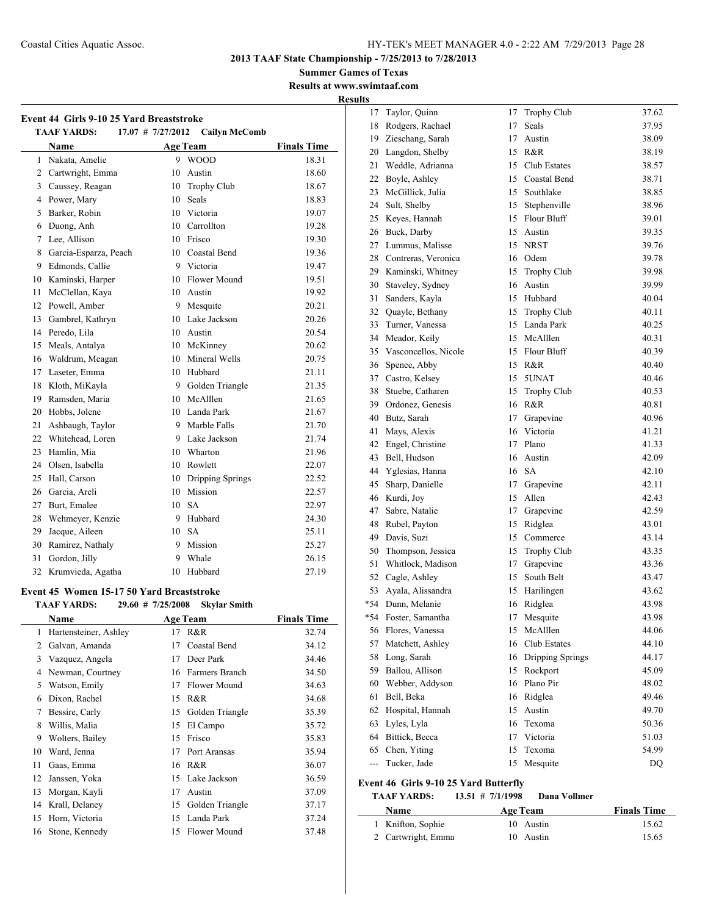**Summer Games of Texas Results at www.swimtaaf.com**

**Results**

|                | Name                  |    | <b>Age Team</b>     | <b>Finals Time</b> |
|----------------|-----------------------|----|---------------------|--------------------|
| 1              | Nakata, Amelie        |    | 9 WOOD              | 18.31              |
| $\overline{c}$ | Cartwright, Emma      | 10 | Austin              | 18.60              |
| 3              | Caussey, Reagan       |    | 10 Trophy Club      | 18.67              |
| 4              | Power, Mary           | 10 | Seals               | 18.83              |
| 5              | Barker, Robin         |    | 10 Victoria         | 19.07              |
| 6              | Duong, Anh            |    | 10 Carrollton       | 19.28              |
| 7              | Lee, Allison          |    | 10 Frisco           | 19.30              |
| 8              | Garcia-Esparza, Peach |    | 10 Coastal Bend     | 19.36              |
| 9              | Edmonds, Callie       |    | 9 Victoria          | 19.47              |
| 10             | Kaminski, Harper      |    | 10 Flower Mound     | 19.51              |
| 11             | McClellan, Kava       |    | 10 Austin           | 19.92              |
| 12             | Powell, Amber         |    | 9 Mesquite          | 20.21              |
| 13             | Gambrel, Kathryn      |    | 10 Lake Jackson     | 20.26              |
| 14             | Peredo, Lila          |    | 10 Austin           | 20.54              |
| 15             | Meals, Antalya        |    | 10 McKinney         | 20.62              |
| 16             | Waldrum, Meagan       |    | 10 Mineral Wells    | 20.75              |
| 17             | Laseter, Emma         |    | 10 Hubbard          | 21.11              |
| 18             | Kloth, MiKayla        |    | 9 Golden Triangle   | 21.35              |
| 19             | Ramsden, Maria        |    | 10 McAlllen         | 21.65              |
| 20             | Hobbs, Jolene         |    | 10 Landa Park       | 21.67              |
| 21             | Ashbaugh, Taylor      |    | 9 Marble Falls      | 21.70              |
| 22             | Whitehead, Loren      |    | 9 Lake Jackson      | 21.74              |
| 23             | Hamlin, Mia           |    | 10 Wharton          | 21.96              |
| 24             | Olsen, Isabella       |    | 10 Rowlett          | 22.07              |
| 25             | Hall, Carson          |    | 10 Dripping Springs | 22.52              |
| 26             | Garcia, Areli         |    | 10 Mission          | 22.57              |
| 27             | Burt, Emalee          |    | 10 SA               | 22.97              |
| 28             | Wehmeyer, Kenzie      |    | 9 Hubbard           | 24.30              |
| 29             | Jacque, Aileen        |    | 10 SA               | 25.11              |
| 30             | Ramirez, Nathaly      |    | 9 Mission           | 25.27              |
| 31             | Gordon, Jilly         | 9  | Whale               | 26.15              |
| 32             | Krumvieda, Agatha     | 10 | Hubbard             | 27.19              |

#### **Event 45 Women 15-17 50 Yard Breaststroke TAAF YARDS: 29.60 # 7/25/2008 Skylar Smith**

|    |                       |    | $\frac{1}{2}$ ,00 $\frac{1}{2}$ $\frac{1}{2}$ ,120,100 $\frac{1}{2}$ $\frac{1}{2}$ $\frac{1}{2}$ |                    |
|----|-----------------------|----|--------------------------------------------------------------------------------------------------|--------------------|
|    | Name                  |    | <b>Age Team</b>                                                                                  | <b>Finals Time</b> |
| 1  | Hartensteiner, Ashley | 17 | R&R                                                                                              | 32.74              |
| 2  | Galvan, Amanda        | 17 | Coastal Bend                                                                                     | 34.12              |
| 3  | Vazquez, Angela       | 17 | Deer Park                                                                                        | 34.46              |
| 4  | Newman, Courtney      | 16 | Farmers Branch                                                                                   | 34.50              |
| 5  | Watson, Emily         | 17 | Flower Mound                                                                                     | 34.63              |
| 6  | Dixon, Rachel         | 15 | R&R                                                                                              | 34.68              |
| 7  | Bessire, Carly        | 15 | Golden Triangle                                                                                  | 35.39              |
| 8  | Willis, Malia         | 15 | El Campo                                                                                         | 35.72              |
| 9  | Wolters, Bailey       | 15 | Frisco                                                                                           | 35.83              |
| 10 | Ward, Jenna           | 17 | Port Aransas                                                                                     | 35.94              |
| 11 | Gaas, Emma            | 16 | R&R                                                                                              | 36.07              |
| 12 | Janssen, Yoka         | 15 | Lake Jackson                                                                                     | 36.59              |
| 13 | Morgan, Kayli         | 17 | Austin                                                                                           | 37.09              |
| 14 | Krall, Delaney        | 15 | Golden Triangle                                                                                  | 37.17              |
| 15 | Horn, Victoria        | 15 | Landa Park                                                                                       | 37.24              |
| 16 | Stone, Kennedy        | 15 | <b>Flower Mound</b>                                                                              | 37.48              |

| 17    | Taylor, Quinn        | 17 | <b>Trophy Club</b> | 37.62 |
|-------|----------------------|----|--------------------|-------|
| 18    | Rodgers, Rachael     | 17 | Seals              | 37.95 |
| 19    | Zieschang, Sarah     | 17 | Austin             | 38.09 |
| 20    | Langdon, Shelby      | 15 | R&R                | 38.19 |
| 21    | Weddle, Adrianna     | 15 | Club Estates       | 38.57 |
| 22    | Boyle, Ashley        | 15 | Coastal Bend       | 38.71 |
| 23    | McGillick, Julia     | 15 | Southlake          | 38.85 |
| 24    | Sult, Shelby         | 15 | Stephenville       | 38.96 |
| 25    | Keyes, Hannah        | 15 | <b>Flour Bluff</b> | 39.01 |
| 26    | Buck, Darby          | 15 | Austin             | 39.35 |
| 27    | Lummus, Malisse      |    | 15 NRST            | 39.76 |
| 28    | Contreras, Veronica  |    | 16 Odem            | 39.78 |
| 29    | Kaminski, Whitney    | 15 | Trophy Club        | 39.98 |
| 30    | Staveley, Sydney     | 16 | Austin             | 39.99 |
| 31    | Sanders, Kayla       | 15 | Hubbard            | 40.04 |
| 32    | Quayle, Bethany      | 15 | <b>Trophy Club</b> | 40.11 |
| 33    | Turner, Vanessa      |    | 15 Landa Park      | 40.25 |
| 34    | Meador, Keily        |    | 15 McAlllen        | 40.31 |
| 35    | Vasconcellos, Nicole |    | 15 Flour Bluff     | 40.39 |
| 36    | Spence, Abby         |    | 15 R&R             | 40.40 |
| 37    | Castro, Kelsey       | 15 | 5UNAT              | 40.46 |
| 38    | Stuebe, Catharen     | 15 | Trophy Club        | 40.53 |
| 39    | Ordonez, Genesis     |    | 16 R&R             | 40.81 |
| 40    | Butz, Sarah          | 17 | Grapevine          | 40.96 |
| 41    | Mays, Alexis         |    | 16 Victoria        | 41.21 |
| 42    | Engel, Christine     | 17 | Plano              | 41.33 |
| 43    | Bell, Hudson         | 16 | Austin             | 42.09 |
| 44    | Yglesias, Hanna      |    | 16 SA              | 42.10 |
| 45    | Sharp, Danielle      | 17 | Grapevine          | 42.11 |
| 46    | Kurdi, Joy           | 15 | Allen              | 42.43 |
| 47    | Sabre, Natalie       | 17 | Grapevine          | 42.59 |
| 48    | Rubel, Payton        | 15 | Ridglea            | 43.01 |
| 49    | Davis, Suzi          | 15 | Commerce           | 43.14 |
| 50    | Thompson, Jessica    | 15 | Trophy Club        | 43.35 |
| 51    | Whitlock, Madison    | 17 | Grapevine          | 43.36 |
| 52    | Cagle, Ashley        | 15 | South Belt         | 43.47 |
| 53    | Ayala, Alissandra    | 15 | Harilingen         | 43.62 |
| $*54$ | Dunn, Melanie        | 16 | Ridglea            | 43.98 |
| *54   | Foster, Samantha     | 17 | Mesquite           | 43.98 |
| 56    | Flores, Vanessa      | 15 | McAlllen           | 44.06 |
| 57    | Matchett, Ashley     | 16 | Club Estates       | 44.10 |
| 58    | Long, Sarah          | 16 | Dripping Springs   | 44.17 |
| 59    | Ballou, Allison      | 15 | Rockport           | 45.09 |
| 60    | Webber, Addyson      | 16 | Plano Pir          | 48.02 |
| 61    | Bell, Beka           |    | 16 Ridglea         | 49.46 |
| 62    | Hospital, Hannah     | 15 | Austin             | 49.70 |
| 63    | Lyles, Lyla          | 16 | Texoma             | 50.36 |
| 64    | Bittick, Becca       | 17 | Victoria           | 51.03 |
| 65    | Chen, Yiting         | 15 | Texoma             | 54.99 |
| ---   | Tucker, Jade         | 15 | Mesquite           | DQ    |
|       |                      |    |                    |       |

## **Event 46 Girls 9-10 25 Yard Butterfly**

| Name               | Age Team  | <b>Finals Time</b> |
|--------------------|-----------|--------------------|
| 1 Knifton, Sophie  | 10 Austin | 15.62              |
| 2 Cartwright, Emma | 10 Austin | 15.65              |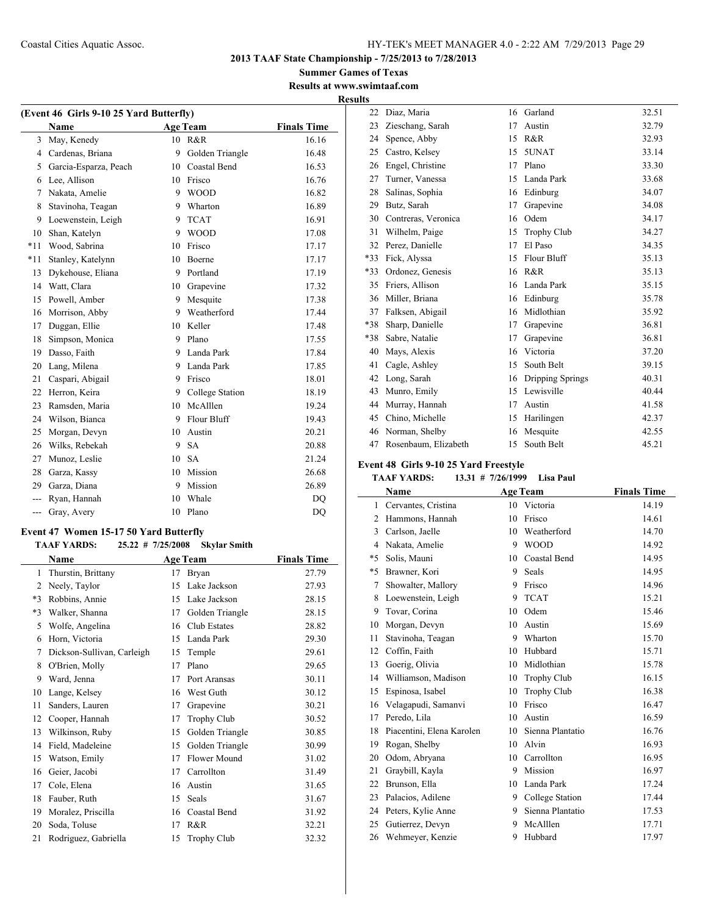$\overline{a}$ 

**2013 TAAF State Championship - 7/25/2013 to 7/28/2013**

**Summer Games of Texas Results at www.swimtaaf.com**

|       | (Event 46 Girls 9-10 25 Yard Butterfly) |    |                 |                    |  |  |  |
|-------|-----------------------------------------|----|-----------------|--------------------|--|--|--|
|       | Name                                    |    | <b>Age Team</b> | <b>Finals Time</b> |  |  |  |
| 3     | May, Kenedy                             | 10 | R&R             | 16.16              |  |  |  |
| 4     | Cardenas, Briana                        | 9  | Golden Triangle | 16.48              |  |  |  |
| 5     | Garcia-Esparza, Peach                   | 10 | Coastal Bend    | 16.53              |  |  |  |
| 6     | Lee, Allison                            | 10 | Frisco          | 16.76              |  |  |  |
| 7     | Nakata, Amelie                          | 9  | <b>WOOD</b>     | 16.82              |  |  |  |
| 8     | Stavinoha, Teagan                       | 9  | Wharton         | 16.89              |  |  |  |
| 9     | Loewenstein, Leigh                      | 9  | <b>TCAT</b>     | 16.91              |  |  |  |
| 10    | Shan, Katelyn                           | 9  | <b>WOOD</b>     | 17.08              |  |  |  |
| $*11$ | Wood, Sabrina                           | 10 | Frisco          | 17.17              |  |  |  |
| $*11$ | Stanley, Katelynn                       | 10 | <b>Boerne</b>   | 17.17              |  |  |  |
| 13    | Dykehouse, Eliana                       | 9  | Portland        | 17.19              |  |  |  |
| 14    | Watt, Clara                             | 10 | Grapevine       | 17.32              |  |  |  |
| 15    | Powell, Amber                           | 9  | Mesquite        | 17.38              |  |  |  |
| 16    | Morrison, Abby                          | 9  | Weatherford     | 17.44              |  |  |  |
| 17    | Duggan, Ellie                           | 10 | Keller          | 17.48              |  |  |  |
| 18    | Simpson, Monica                         | 9  | Plano           | 17.55              |  |  |  |
| 19    | Dasso, Faith                            | 9  | Landa Park      | 17.84              |  |  |  |
| 20    | Lang, Milena                            | 9  | Landa Park      | 17.85              |  |  |  |

 Caspari, Abigail 9 Frisco 18.01 22 Herron, Keira 9 College Station 18.19 23 Ramsden, Maria 10 McAlllen 19.24 24 Wilson, Bianca 9 Flour Bluff 19.43 Morgan, Devyn 10 Austin 20.21 Wilks, Rebekah 9 SA 20.88 Munoz, Leslie 10 SA 21.24 Garza, Kassy 10 Mission 26.68 29 Garza, Diana 9 Mission 26.89 --- Ryan, Hannah 10 Whale DQ --- Gray, Avery 10 Plano DQ

#### **Event 47 Women 15-17 50 Yard Butterfly**

#### **TAAF YARDS: 25.22 # 7/25/2008 Skylar Smith**

|      | <b>Name</b>                |    | <b>Age Team</b>     | <b>Finals Time</b> |
|------|----------------------------|----|---------------------|--------------------|
| 1    | Thurstin, Brittany         | 17 | Bryan               | 27.79              |
| 2    | Neely, Taylor              | 15 | Lake Jackson        | 27.93              |
| $*3$ | Robbins, Annie             | 15 | Lake Jackson        | 28.15              |
| *3   | Walker, Shanna             | 17 | Golden Triangle     | 28.15              |
| 5    | Wolfe, Angelina            | 16 | Club Estates        | 28.82              |
| 6    | Horn, Victoria             | 15 | Landa Park          | 29.30              |
| 7    | Dickson-Sullivan, Carleigh | 15 | Temple              | 29.61              |
| 8    | O'Brien, Molly             | 17 | Plano               | 29.65              |
| 9    | Ward, Jenna                | 17 | Port Aransas        | 30.11              |
| 10   | Lange, Kelsey              | 16 | West Guth           | 30.12              |
| 11   | Sanders, Lauren            | 17 | Grapevine           | 30.21              |
| 12   | Cooper, Hannah             | 17 | <b>Trophy Club</b>  | 30.52              |
| 13   | Wilkinson, Ruby            | 15 | Golden Triangle     | 30.85              |
| 14   | Field, Madeleine           | 15 | Golden Triangle     | 30.99              |
| 15   | Watson, Emily              | 17 | <b>Flower Mound</b> | 31.02              |
| 16   | Geier, Jacobi              | 17 | Carrollton          | 31.49              |
| 17   | Cole, Elena                | 16 | Austin              | 31.65              |
| 18   | Fauber, Ruth               | 15 | Seals               | 31.67              |
| 19   | Moralez, Priscilla         | 16 | Coastal Bend        | 31.92              |
| 20   | Soda, Toluse               | 17 | R&R                 | 32.21              |
| 21   | Rodriguez, Gabriella       | 15 | <b>Trophy Club</b>  | 32.32              |

|                          | <b>Results</b> |                      |    |                    |       |
|--------------------------|----------------|----------------------|----|--------------------|-------|
|                          | 22             | Diaz, Maria          |    | 16 Garland         | 32.51 |
| $\overline{\phantom{a}}$ | 23             | Zieschang, Sarah     | 17 | Austin             | 32.79 |
|                          | 24             | Spence, Abby         | 15 | R&R                | 32.93 |
|                          | 25             | Castro, Kelsey       | 15 | 5UNAT              | 33.14 |
|                          | 26             | Engel, Christine     | 17 | Plano              | 33.30 |
|                          | 27             | Turner, Vanessa      | 15 | Landa Park         | 33.68 |
|                          | 28             | Salinas, Sophia      | 16 | Edinburg           | 34.07 |
|                          | 29             | Butz, Sarah          | 17 | Grapevine          | 34.08 |
|                          | 30             | Contreras, Veronica  | 16 | Odem               | 34.17 |
|                          | 31             | Wilhelm, Paige       | 15 | <b>Trophy Club</b> | 34.27 |
|                          | 32             | Perez, Danielle      | 17 | El Paso            | 34.35 |
|                          | $*33$          | Fick, Alyssa         | 15 | Flour Bluff        | 35.13 |
|                          | *33            | Ordonez, Genesis     | 16 | R&R                | 35.13 |
|                          | 35             | Friers, Allison      | 16 | Landa Park         | 35.15 |
|                          | 36             | Miller, Briana       | 16 | Edinburg           | 35.78 |
|                          | 37             | Falksen, Abigail     | 16 | Midlothian         | 35.92 |
|                          | *38            | Sharp, Danielle      | 17 | Grapevine          | 36.81 |
|                          | *38            | Sabre, Natalie       | 17 | Grapevine          | 36.81 |
|                          | 40             | Mays, Alexis         | 16 | Victoria           | 37.20 |
|                          | 41             | Cagle, Ashley        | 15 | South Belt         | 39.15 |
|                          | 42             | Long, Sarah          | 16 | Dripping Springs   | 40.31 |
|                          | 43             | Munro, Emily         | 15 | Lewisville         | 40.44 |
|                          | 44             | Murray, Hannah       | 17 | Austin             | 41.58 |
|                          | 45             | Chino, Michelle      | 15 | Harilingen         | 42.37 |
|                          | 46             | Norman, Shelby       | 16 | Mesquite           | 42.55 |
|                          | 47             | Rosenbaum, Elizabeth | 15 | South Belt         | 45.21 |

## **Event 48 Girls 9-10 25 Yard Freestyle**

## **TAAF YARDS: 13.31 # 7/26/1999 Lisa Paul**

|                | Name                      |    | <b>Age Team</b>    | <b>Finals Time</b> |
|----------------|---------------------------|----|--------------------|--------------------|
| 1              | Cervantes, Cristina       | 10 | Victoria           | 14.19              |
| $\overline{2}$ | Hammons, Hannah           | 10 | Frisco             | 14.61              |
| 3              | Carlson, Jaelle           | 10 | Weatherford        | 14.70              |
| $\overline{4}$ | Nakata, Amelie            | 9  | <b>WOOD</b>        | 14.92              |
| *5             | Solis, Mauni              | 10 | Coastal Bend       | 14.95              |
| $*5$           | Brawner, Kori             | 9  | <b>Seals</b>       | 14.95              |
| 7              | Showalter, Mallory        | 9  | Frisco             | 14.96              |
| 8              | Loewenstein, Leigh        | 9  | <b>TCAT</b>        | 15.21              |
| 9              | Tovar, Corina             | 10 | Odem               | 15.46              |
| 10             | Morgan, Devyn             | 10 | Austin             | 15.69              |
| 11             | Stavinoha, Teagan         | 9  | Wharton            | 15.70              |
| 12             | Coffin, Faith             | 10 | Hubbard            | 15.71              |
| 13             | Goerig, Olivia            | 10 | Midlothian         | 15.78              |
| 14             | Williamson, Madison       | 10 | <b>Trophy Club</b> | 16.15              |
| 15             | Espinosa, Isabel          | 10 | <b>Trophy Club</b> | 16.38              |
| 16             | Velagapudi, Samanvi       | 10 | Frisco             | 16.47              |
| 17             | Peredo, Lila              | 10 | Austin             | 16.59              |
| 18             | Piacentini, Elena Karolen | 10 | Sienna Plantatio   | 16.76              |
| 19             | Rogan, Shelby             | 10 | Alvin              | 16.93              |
| 20             | Odom, Abryana             | 10 | Carrollton         | 16.95              |
| 21             | Graybill, Kayla           | 9  | Mission            | 16.97              |
| 22             | Brunson, Ella             | 10 | Landa Park         | 17.24              |
| 23             | Palacios, Adilene         | 9  | College Station    | 17.44              |
| 24             | Peters, Kylie Anne        | 9  | Sienna Plantatio   | 17.53              |
| 25             | Gutierrez, Devyn          | 9  | McAlllen           | 17.71              |
| 26             | Wehmeyer, Kenzie          | 9  | Hubbard            | 17.97              |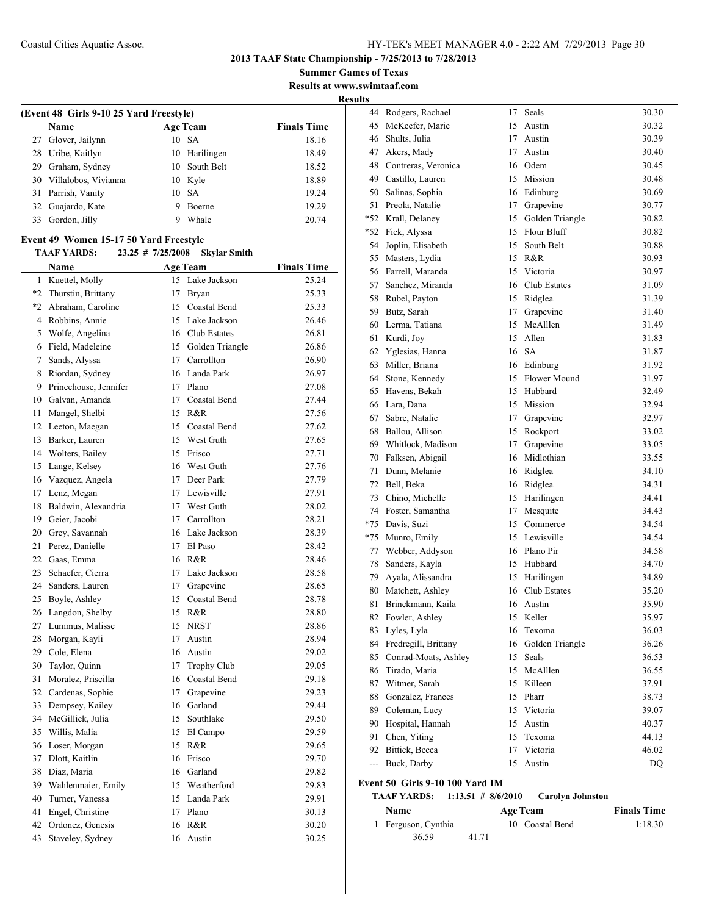**Summer Games of Texas Results at www.swimtaaf.com**

|    | (Event 48 Girls 9-10 25 Yard Freestyle)<br><b>Age Team</b> |                     |                     |                    |  |  |  |  |  |
|----|------------------------------------------------------------|---------------------|---------------------|--------------------|--|--|--|--|--|
|    | Name                                                       |                     |                     | <b>Finals Time</b> |  |  |  |  |  |
| 27 | Glover, Jailynn                                            |                     | 10 SA               | 18.16              |  |  |  |  |  |
| 28 | Uribe, Kaitlyn                                             | 10                  | Harilingen          | 18.49              |  |  |  |  |  |
|    | 29 Graham, Sydney                                          |                     | 10 South Belt       | 18.52              |  |  |  |  |  |
| 30 | Villalobos, Vivianna                                       |                     | 10 Kyle             | 18.89              |  |  |  |  |  |
| 31 | Parrish, Vanity                                            |                     | 10 SA               | 19.24              |  |  |  |  |  |
| 32 | Guajardo, Kate                                             | 9                   | Boerne              | 19.29              |  |  |  |  |  |
| 33 | Gordon, Jilly                                              | 9                   | Whale               | 20.74              |  |  |  |  |  |
|    | Event 49 Women 15-17 50 Yard Freestyle                     |                     |                     |                    |  |  |  |  |  |
|    | <b>TAAF YARDS:</b>                                         | $23.25$ # 7/25/2008 | <b>Skylar Smith</b> |                    |  |  |  |  |  |
|    | Name                                                       |                     | <b>Age Team</b>     | <b>Finals Time</b> |  |  |  |  |  |
|    | 1 Kuettel, Molly                                           |                     | 15 Lake Jackson     | 25.24              |  |  |  |  |  |
|    | *2 Thurstin, Brittany                                      |                     | 17 Bryan            | 25.33              |  |  |  |  |  |
|    | *2 Abraham, Caroline                                       |                     | 15 Coastal Bend     | 25.33              |  |  |  |  |  |
|    | 4 Robbins, Annie                                           |                     | 15 Lake Jackson     | 26.46              |  |  |  |  |  |
| 5  | Wolfe, Angelina                                            |                     | 16 Club Estates     | 26.81              |  |  |  |  |  |
| 6  | Field, Madeleine                                           |                     | 15 Golden Triangle  | 26.86              |  |  |  |  |  |
| 7  | Sands, Alyssa                                              |                     | 17 Carrollton       | 26.90              |  |  |  |  |  |
| 8  | Riordan, Sydney                                            |                     | 16 Landa Park       | 26.97              |  |  |  |  |  |
| 9  | Princehouse, Jennifer                                      |                     | 17 Plano            | 27.08              |  |  |  |  |  |
| 10 | Galvan, Amanda                                             |                     | 17 Coastal Bend     | 27.44              |  |  |  |  |  |
| 11 | Mangel, Shelbi                                             |                     | 15 R&R              | 27.56              |  |  |  |  |  |
| 12 | Leeton, Maegan                                             |                     | 15 Coastal Bend     | 27.62              |  |  |  |  |  |
| 13 | Barker, Lauren                                             |                     | 15 West Guth        | 27.65              |  |  |  |  |  |
| 14 | Wolters, Bailey                                            |                     | 15 Frisco           | 27.71              |  |  |  |  |  |
| 15 | Lange, Kelsey                                              |                     | 16 West Guth        | 27.76              |  |  |  |  |  |
| 16 | Vazquez, Angela                                            |                     | 17 Deer Park        | 27.79              |  |  |  |  |  |
| 17 | Lenz, Megan                                                |                     | 17 Lewisville       | 27.91              |  |  |  |  |  |
| 18 | Baldwin, Alexandria                                        |                     | 17 West Guth        | 28.02              |  |  |  |  |  |
| 19 | Geier, Jacobi                                              |                     | 17 Carrollton       | 28.21              |  |  |  |  |  |
| 20 | Grey, Savannah                                             |                     | 16 Lake Jackson     | 28.39              |  |  |  |  |  |
| 21 | Perez, Danielle                                            | 17                  | El Paso             | 28.42              |  |  |  |  |  |
|    | 22 Gaas, Emma                                              |                     | 16 R&R              | 28.46              |  |  |  |  |  |
| 23 | Schaefer, Cierra                                           |                     | 17 Lake Jackson     | 28.58              |  |  |  |  |  |
| 24 | Sanders, Lauren                                            |                     | 17 Grapevine        | 28.65              |  |  |  |  |  |
| 25 | Boyle, Ashley                                              |                     | 15 Coastal Bend     | 28.78              |  |  |  |  |  |
| 26 | Langdon, Shelby                                            | 15                  | R&R                 | 28.80              |  |  |  |  |  |
| 27 | Lummus, Malisse                                            | 15                  | NRST                | 28.86              |  |  |  |  |  |
| 28 | Morgan, Kayli                                              | 17                  | Austin              | 28.94              |  |  |  |  |  |
| 29 | Cole, Elena                                                | 16                  | Austin              | 29.02              |  |  |  |  |  |
| 30 | Taylor, Quinn                                              | 17                  | <b>Trophy Club</b>  | 29.05              |  |  |  |  |  |
| 31 | Moralez, Priscilla                                         |                     | 16 Coastal Bend     | 29.18              |  |  |  |  |  |
| 32 | Cardenas, Sophie                                           | 17                  | Grapevine           | 29.23              |  |  |  |  |  |
| 33 | Dempsey, Kailey                                            | 16                  | Garland             | 29.44              |  |  |  |  |  |
| 34 | McGillick, Julia                                           | 15                  | Southlake           | 29.50              |  |  |  |  |  |
| 35 | Willis, Malia                                              | 15                  | El Campo            | 29.59              |  |  |  |  |  |
| 36 | Loser, Morgan                                              | 15                  | R&R                 | 29.65              |  |  |  |  |  |
| 37 | Dlott, Kaitlin                                             | 16                  | Frisco              | 29.70              |  |  |  |  |  |
| 38 | Diaz, Maria                                                |                     | 16 Garland          | 29.82              |  |  |  |  |  |
| 39 | Wahlenmaier, Emily                                         |                     | 15 Weatherford      | 29.83              |  |  |  |  |  |
| 40 | Turner, Vanessa                                            |                     | 15 Landa Park       | 29.91              |  |  |  |  |  |
| 41 | Engel, Christine                                           |                     | 17 Plano            | 30.13              |  |  |  |  |  |
| 42 | Ordonez, Genesis                                           | 16                  | R&R                 | 30.20              |  |  |  |  |  |
| 43 | Staveley, Sydney                                           | 16                  | Austin              | 30.25              |  |  |  |  |  |
|    |                                                            |                     |                     |                    |  |  |  |  |  |

| 44    | Rodgers, Rachael                | 17 | Seals              | 30.30 |
|-------|---------------------------------|----|--------------------|-------|
| 45    | McKeefer, Marie                 | 15 | Austin             | 30.32 |
| 46    | Shults, Julia                   | 17 | Austin             | 30.39 |
| 47    | Akers, Mady                     | 17 | Austin             | 30.40 |
| 48    | Contreras, Veronica             |    | 16 Odem            | 30.45 |
| 49    | Castillo, Lauren                |    | 15 Mission         | 30.48 |
| 50    | Salinas, Sophia                 |    | 16 Edinburg        | 30.69 |
| 51    | Preola, Natalie                 |    | 17 Grapevine       | 30.77 |
| *52   | Krall, Delaney                  |    | 15 Golden Triangle | 30.82 |
| *52   | Fick, Alyssa                    | 15 | Flour Bluff        | 30.82 |
| 54    | Joplin, Elisabeth               | 15 | South Belt         | 30.88 |
| 55    | Masters, Lydia                  | 15 | R&R                | 30.93 |
| 56    | Farrell, Maranda                | 15 | Victoria           | 30.97 |
| 57    | Sanchez, Miranda                | 16 | Club Estates       | 31.09 |
| 58    | Rubel, Payton                   |    | 15 Ridglea         | 31.39 |
| 59    | Butz, Sarah                     | 17 | Grapevine          | 31.40 |
| 60    | Lerma, Tatiana                  |    | 15 McAlllen        | 31.49 |
| 61    | Kurdi, Joy                      |    | 15 Allen           | 31.83 |
| 62    | Yglesias, Hanna                 | 16 | <b>SA</b>          | 31.87 |
| 63    | Miller, Briana                  |    | 16 Edinburg        | 31.92 |
| 64    | Stone, Kennedy                  |    | 15 Flower Mound    | 31.97 |
| 65    | Havens, Bekah                   |    | 15 Hubbard         | 32.49 |
| 66    | Lara, Dana                      |    | 15 Mission         | 32.94 |
| 67    | Sabre, Natalie                  | 17 | Grapevine          | 32.97 |
| 68    | Ballou, Allison                 | 15 | Rockport           | 33.02 |
| 69    | Whitlock, Madison               | 17 | Grapevine          | 33.05 |
| 70    | Falksen, Abigail                | 16 | Midlothian         | 33.55 |
| 71    | Dunn, Melanie                   |    | 16 Ridglea         | 34.10 |
| 72    | Bell, Beka                      |    | 16 Ridglea         | 34.31 |
| 73    | Chino, Michelle                 |    | 15 Harilingen      | 34.41 |
| 74    | Foster, Samantha                | 17 | Mesquite           | 34.43 |
| $*75$ | Davis, Suzi                     |    | 15 Commerce        | 34.54 |
| $*75$ | Munro, Emily                    |    | 15 Lewisville      | 34.54 |
| 77    | Webber, Addyson                 |    | 16 Plano Pir       | 34.58 |
| 78    | Sanders, Kayla                  | 15 | Hubbard            | 34.70 |
| 79    | Ayala, Alissandra               |    | 15 Harilingen      | 34.89 |
| 80    | Matchett, Ashley                | 16 | Club Estates       | 35.20 |
| 81    | Brinckmann, Kaila               |    | 16 Austin          | 35.90 |
| 82    | Fowler, Ashley                  | 15 | Keller             | 35.97 |
| 83    | Lyles, Lyla                     |    | 16 Texoma          | 36.03 |
| 84    | Fredregill, Brittany            | 16 | Golden Triangle    | 36.26 |
| 85    | Conrad-Moats, Ashley            | 15 | Seals              | 36.53 |
| 86    | Tirado, Maria                   | 15 | McAlllen           | 36.55 |
| 87    | Witmer, Sarah                   |    | 15 Killeen         | 37.91 |
| 88    | Gonzalez, Frances               | 15 | Pharr              | 38.73 |
| 89    | Coleman, Lucy                   | 15 | Victoria           | 39.07 |
| 90    | Hospital, Hannah                | 15 | Austin             | 40.37 |
| 91    | Chen, Yiting                    | 15 | Texoma             | 44.13 |
| 92    | Bittick, Becca                  | 17 | Victoria           | 46.02 |
| ---   | Buck, Darby                     | 15 | Austin             | DQ    |
|       | Event 50 Girls 9-10 100 Yard IM |    |                    |       |
|       |                                 |    |                    |       |

| <b>Age Team</b> | <b>TAAF YARDS:</b> | $1:13.51 \# 8/6/2010$ | <b>Carolyn Johnston</b> |                    |
|-----------------|--------------------|-----------------------|-------------------------|--------------------|
|                 | <b>Name</b>        |                       |                         | <b>Finals Time</b> |

| ташс                |       | лес теаш        | тинав тине |
|---------------------|-------|-----------------|------------|
| 1 Ferguson, Cynthia |       | 10 Coastal Bend | 1:18.30    |
| 36.59               | 41.71 |                 |            |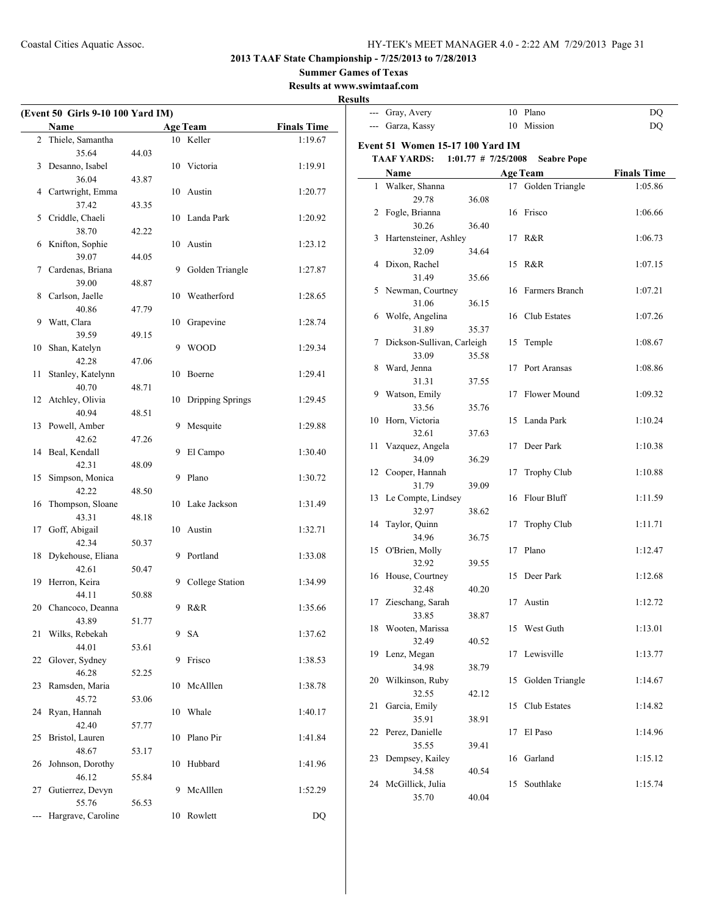**2013 TAAF State Championship - 7/25/2013 to 7/28/2013**

**Summer Games of Texas**

**Results at www.swimtaaf.com**

|    | (Event 50 Girls 9-10 100 Yard IM) |       |    |                  |                    |
|----|-----------------------------------|-------|----|------------------|--------------------|
|    | Name                              |       |    | <b>Age Team</b>  | <b>Finals Time</b> |
| 2  | Thiele, Samantha                  |       |    | 10 Keller        | 1:19.67            |
|    | 35.64                             | 44.03 |    |                  |                    |
| 3  | Desanno, Isabel                   |       |    | 10 Victoria      | 1:19.91            |
|    | 36.04                             | 43.87 |    |                  |                    |
| 4  | Cartwright, Emma                  |       |    | 10 Austin        | 1:20.77            |
|    | 37.42                             | 43.35 |    |                  |                    |
| 5  | Criddle, Chaeli                   |       | 10 | Landa Park       | 1:20.92            |
|    | 38.70                             | 42.22 |    |                  |                    |
| 6  | Knifton, Sophie                   |       |    | 10 Austin        | 1:23.12            |
|    | 39.07                             | 44.05 |    |                  |                    |
| 7  | Cardenas, Briana                  |       | 9  | Golden Triangle  | 1:27.87            |
|    | 39.00                             | 48.87 |    |                  |                    |
| 8  | Carlson, Jaelle                   |       |    | 10 Weatherford   | 1:28.65            |
|    | 40.86                             | 47.79 |    |                  |                    |
| 9  | Watt, Clara                       |       | 10 | Grapevine        | 1:28.74            |
|    | 39.59                             | 49.15 |    |                  |                    |
| 10 | Shan, Katelyn<br>42.28            |       | 9  | <b>WOOD</b>      | 1:29.34            |
| 11 | Stanley, Katelynn                 | 47.06 | 10 | Boerne           | 1:29.41            |
|    | 40.70                             | 48.71 |    |                  |                    |
| 12 | Atchley, Olivia                   |       | 10 | Dripping Springs | 1:29.45            |
|    | 40.94                             | 48.51 |    |                  |                    |
| 13 | Powell, Amber                     |       | 9  | Mesquite         | 1:29.88            |
|    | 42.62                             | 47.26 |    |                  |                    |
| 14 | Beal, Kendall                     |       | 9  | El Campo         | 1:30.40            |
|    | 42.31                             | 48.09 |    |                  |                    |
| 15 | Simpson, Monica                   |       | 9  | Plano            | 1:30.72            |
|    | 42.22                             | 48.50 |    |                  |                    |
| 16 | Thompson, Sloane                  |       | 10 | Lake Jackson     | 1:31.49            |
|    | 43.31                             | 48.18 |    |                  |                    |
| 17 | Goff, Abigail                     |       | 10 | Austin           | 1:32.71            |
|    | 42.34                             | 50.37 |    |                  |                    |
| 18 | Dykehouse, Eliana                 |       | 9  | Portland         | 1:33.08            |
|    | 42.61                             | 50.47 |    |                  |                    |
| 19 | Herron, Keira<br>44.11            |       | 9  | College Station  | 1:34.99            |
|    | 20 Chancoco, Deanna               | 50.88 | 9  | R&R              | 1:35.66            |
|    |                                   | 51.77 |    |                  |                    |
| 21 | 43.89<br>Wilks, Rebekah           |       |    | 9 SA             | 1:37.62            |
|    | 44.01                             | 53.61 |    |                  |                    |
| 22 | Glover, Sydney                    |       | 9  | Frisco           | 1:38.53            |
|    | 46.28                             | 52.25 |    |                  |                    |
| 23 | Ramsden, Maria                    |       | 10 | McAlllen         | 1:38.78            |
|    | 45.72                             | 53.06 |    |                  |                    |
| 24 | Ryan, Hannah                      |       | 10 | Whale            | 1:40.17            |
|    | 42.40                             | 57.77 |    |                  |                    |
| 25 | Bristol, Lauren                   |       | 10 | Plano Pir        | 1:41.84            |
|    | 48.67                             | 53.17 |    |                  |                    |
| 26 | Johnson, Dorothy                  |       | 10 | Hubbard          | 1:41.96            |
|    | 46.12                             | 55.84 |    |                  |                    |
| 27 | Gutierrez, Devyn                  |       | 9  | McAlllen         | 1:52.29            |
|    | 55.76<br>Hargrave, Caroline       | 56.53 |    | Rowlett          |                    |
|    |                                   |       | 10 |                  | DQ                 |

| инз   |                                  |                       |    |                    |                    |
|-------|----------------------------------|-----------------------|----|--------------------|--------------------|
| ---   | Gray, Avery                      |                       |    | 10 Plano           | DQ                 |
| $---$ | Garza, Kassy                     |                       |    | 10 Mission         | <b>DQ</b>          |
|       |                                  |                       |    |                    |                    |
|       | Event 51 Women 15-17 100 Yard IM |                       |    |                    |                    |
|       | <b>TAAF YARDS:</b>               | $1:01.77$ # 7/25/2008 |    | <b>Seabre Pope</b> |                    |
|       | Name                             |                       |    | <b>Age Team</b>    | <b>Finals Time</b> |
| 1     | Walker, Shanna                   |                       | 17 | Golden Triangle    | 1:05.86            |
|       | 29.78                            | 36.08                 |    |                    |                    |
|       | 2 Fogle, Brianna                 |                       | 16 | Frisco             | 1:06.66            |
|       | 30.26                            | 36.40                 |    |                    |                    |
| 3     | Hartensteiner, Ashley            |                       | 17 | R&R                | 1:06.73            |
|       | 32.09                            | 34.64                 |    |                    |                    |
| 4     | Dixon, Rachel                    |                       | 15 | R&R                | 1:07.15            |
|       | 31.49                            | 35.66                 |    |                    |                    |
| 5     | Newman, Courtney                 |                       | 16 | Farmers Branch     | 1:07.21            |
|       | 31.06                            | 36.15                 |    |                    |                    |
| 6     | Wolfe, Angelina                  |                       | 16 | Club Estates       | 1:07.26            |
|       | 31.89                            | 35.37                 |    |                    |                    |
| 7     | Dickson-Sullivan, Carleigh       |                       | 15 | Temple             | 1:08.67            |
|       | 33.09                            | 35.58                 |    |                    |                    |
| 8     | Ward, Jenna                      |                       | 17 | Port Aransas       | 1:08.86            |
|       | 31.31                            | 37.55                 |    |                    |                    |
| 9     | Watson, Emily                    |                       | 17 | Flower Mound       | 1:09.32            |
|       | 33.56                            | 35.76                 |    |                    |                    |
| 10    | Horn, Victoria                   |                       | 15 | Landa Park         | 1:10.24            |
|       | 32.61                            | 37.63                 |    |                    |                    |
| 11    | Vazquez, Angela                  |                       | 17 | Deer Park          | 1:10.38            |
|       | 34.09                            | 36.29                 |    |                    |                    |
| 12    | Cooper, Hannah                   |                       | 17 | <b>Trophy Club</b> | 1:10.88            |
|       | 31.79                            | 39.09                 |    |                    |                    |
| 13    | Le Compte, Lindsey               |                       | 16 | Flour Bluff        | 1:11.59            |
|       | 32.97<br>Taylor, Quinn           | 38.62                 |    |                    |                    |
| 14    | 34.96                            |                       | 17 | <b>Trophy Club</b> | 1:11.71            |
| 15    | O'Brien, Molly                   | 36.75                 | 17 | Plano              | 1:12.47            |
|       | 32.92                            | 39.55                 |    |                    |                    |
| 16    | House, Courtney                  |                       | 15 | Deer Park          | 1:12.68            |
|       | 32.48                            | 40.20                 |    |                    |                    |
| 17    | Zieschang, Sarah                 |                       | 17 | Austin             | 1:12.72            |
|       | 33.85                            | 38.87                 |    |                    |                    |
| 18    | Wooten, Marissa                  |                       | 15 | West Guth          | 1:13.01            |
|       | 32.49                            | 40.52                 |    |                    |                    |
| 19    | Lenz, Megan                      |                       | 17 | Lewisville         | 1:13.77            |
|       | 34.98                            | 38.79                 |    |                    |                    |
| 20    | Wilkinson, Ruby                  |                       | 15 | Golden Triangle    | 1:14.67            |
|       | 32.55                            | 42.12                 |    |                    |                    |
| 21    | Garcia, Emily                    |                       | 15 | Club Estates       | 1:14.82            |
|       | 35.91                            | 38.91                 |    |                    |                    |
| 22    | Perez, Danielle                  |                       | 17 | El Paso            | 1:14.96            |
|       | 35.55                            | 39.41                 |    |                    |                    |
| 23    | Dempsey, Kailey                  |                       | 16 | Garland            | 1:15.12            |
|       | 34.58                            | 40.54                 |    |                    |                    |
| 24    | McGillick, Julia                 |                       | 15 | Southlake          | 1:15.74            |
|       | 35.70                            | 40.04                 |    |                    |                    |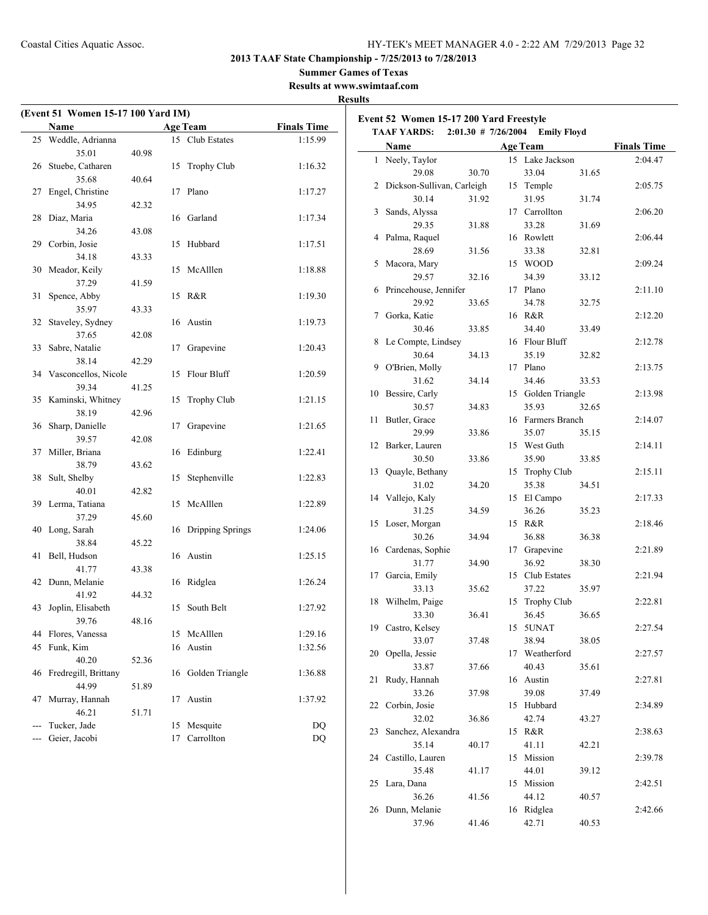$2:39.78$ 

35.48 41.17 44.01 39.12 25 Lara, Dana 15 Mission 2:42.51 36.26 41.56 44.12 40.57 26 Dunn, Melanie 16 Ridglea 2:42.66 37.96 41.46 42.71 40.53

**2013 TAAF State Championship - 7/25/2013 to 7/28/2013**

**Summer Games of Texas**

**Results at www.swimtaaf.com**

|                     | Name                    |       | <b>Age Team</b>     | <b>Finals Time</b> | Event 52 Women 15-17 200 Yard Freestyle<br>TAAF YARDS: 2:01.30 # 7/26/2004 Emily Floyd |       |                    |       |                    |
|---------------------|-------------------------|-------|---------------------|--------------------|----------------------------------------------------------------------------------------|-------|--------------------|-------|--------------------|
|                     | 25 Weddle, Adrianna     |       | 15 Club Estates     | 1:15.99            |                                                                                        |       |                    |       |                    |
|                     | 35.01                   | 40.98 |                     |                    | Name                                                                                   |       | <b>Age Team</b>    |       | <b>Finals Time</b> |
|                     | 26 Stuebe, Catharen     |       | 15 Trophy Club      | 1:16.32            | 1 Neely, Taylor                                                                        |       | 15 Lake Jackson    |       | 2:04.47            |
|                     | 35.68                   | 40.64 |                     |                    | 29.08                                                                                  | 30.70 | 33.04              | 31.65 |                    |
|                     | 27 Engel, Christine     |       | 17 Plano            | 1:17.27            | 2 Dickson-Sullivan, Carleigh                                                           |       | 15 Temple          |       | 2:05.75            |
|                     | 34.95                   | 42.32 |                     |                    | 30.14                                                                                  | 31.92 | 31.95              | 31.74 |                    |
|                     | 28 Diaz, Maria          |       | 16 Garland          | 1:17.34            | 3 Sands, Alyssa                                                                        |       | 17 Carrollton      |       | 2:06.20            |
|                     | 34.26                   | 43.08 |                     |                    | 29.35                                                                                  | 31.88 | 33.28              | 31.69 |                    |
|                     | 29 Corbin, Josie        |       | 15 Hubbard          | 1:17.51            | 4 Palma, Raquel                                                                        |       | 16 Rowlett         |       | 2:06.44            |
|                     | 34.18                   | 43.33 |                     |                    | 28.69                                                                                  | 31.56 | 33.38              | 32.81 |                    |
|                     | 30 Meador, Keily        |       | 15 McAlllen         | 1:18.88            | 5 Macora, Mary                                                                         |       | 15 WOOD            |       | 2:09.24            |
|                     | 37.29                   | 41.59 |                     |                    | 29.57                                                                                  | 32.16 | 34.39              | 33.12 |                    |
|                     | 31 Spence, Abby         |       | 15 R&R              | 1:19.30            | 6 Princehouse, Jennifer                                                                |       | 17 Plano           |       | 2:11.10            |
|                     | 35.97                   | 43.33 |                     |                    | 29.92                                                                                  | 33.65 | 34.78              | 32.75 |                    |
|                     | 32 Staveley, Sydney     |       | 16 Austin           | 1:19.73            | 7 Gorka, Katie                                                                         |       | 16 R&R             |       | 2:12.20            |
|                     | 37.65                   | 42.08 |                     |                    | 30.46                                                                                  | 33.85 | 34.40              | 33.49 |                    |
|                     | 33 Sabre, Natalie       |       | 17 Grapevine        | 1:20.43            | 8 Le Compte, Lindsey                                                                   |       | 16 Flour Bluff     |       | 2:12.78            |
|                     | 38.14                   | 42.29 |                     |                    | 30.64                                                                                  | 34.13 | 35.19              | 32.82 |                    |
|                     | 34 Vasconcellos, Nicole |       | 15 Flour Bluff      | 1:20.59            | 9 O'Brien, Molly                                                                       |       | 17 Plano           |       | 2:13.75            |
|                     | 39.34                   | 41.25 |                     |                    | 31.62                                                                                  | 34.14 | 34.46              | 33.53 |                    |
|                     | 35 Kaminski, Whitney    |       | 15 Trophy Club      | 1:21.15            | 10 Bessire, Carly                                                                      |       | 15 Golden Triangle |       | 2:13.98            |
|                     | 38.19                   | 42.96 |                     |                    | 30.57                                                                                  | 34.83 | 35.93              | 32.65 |                    |
|                     | 36 Sharp, Danielle      |       | 17 Grapevine        | 1:21.65            | 11 Butler, Grace                                                                       |       | 16 Farmers Branch  |       | 2:14.07            |
|                     | 39.57                   | 42.08 |                     |                    | 29.99                                                                                  | 33.86 | 35.07              | 35.15 |                    |
|                     | 37 Miller, Briana       |       | 16 Edinburg         | 1:22.41            | 12 Barker, Lauren                                                                      |       | 15 West Guth       |       | 2:14.11            |
|                     | 38.79                   | 43.62 |                     |                    | 30.50                                                                                  | 33.86 | 35.90              | 33.85 |                    |
|                     | 38 Sult, Shelby         |       | 15 Stephenville     | 1:22.83            | 13 Quayle, Bethany                                                                     |       | 15 Trophy Club     |       | 2:15.11            |
|                     | 40.01                   | 42.82 |                     |                    | 31.02                                                                                  | 34.20 | 35.38              | 34.51 |                    |
|                     | 39 Lerma, Tatiana       |       | 15 McAlllen         | 1:22.89            | 14 Vallejo, Kaly                                                                       |       | 15 El Campo        |       | 2:17.33            |
|                     | 37.29                   | 45.60 |                     |                    | 31.25                                                                                  | 34.59 | 36.26              | 35.23 |                    |
|                     |                         |       |                     | 1:24.06            | 15 Loser, Morgan                                                                       |       | 15 R&R             |       | 2:18.46            |
|                     | 40 Long, Sarah          |       | 16 Dripping Springs |                    | 30.26                                                                                  | 34.94 | 36.88              | 36.38 |                    |
|                     | 38.84                   | 45.22 |                     |                    | 16 Cardenas, Sophie                                                                    |       | 17 Grapevine       |       | 2:21.89            |
|                     | 41 Bell, Hudson         |       | 16 Austin           | 1:25.15            | 31.77                                                                                  | 34.90 | 36.92              | 38.30 |                    |
|                     | 41.77                   | 43.38 |                     |                    | 17 Garcia, Emily                                                                       |       | 15 Club Estates    |       | 2:21.94            |
|                     | 42 Dunn, Melanie        |       | 16 Ridglea          | 1:26.24            | 33.13                                                                                  | 35.62 | 37.22              | 35.97 |                    |
|                     | 41.92                   | 44.32 |                     |                    | 18 Wilhelm, Paige                                                                      |       | 15 Trophy Club     |       | 2:22.81            |
|                     | 43 Joplin, Elisabeth    |       | 15 South Belt       | 1:27.92            | 33.30                                                                                  | 36.41 | 36.45              | 36.65 |                    |
|                     | 39.76                   | 48.16 |                     |                    | 19 Castro, Kelsey                                                                      |       | 15 5UNAT           |       | 2:27.54            |
|                     | 44 Flores, Vanessa      |       | 15 McAlllen         | 1:29.16            | 33.07                                                                                  | 37.48 | 38.94              | 38.05 |                    |
|                     | 45 Funk, Kim            |       | 16 Austin           | 1:32.56            | 20 Opella, Jessie                                                                      |       | 17 Weatherford     |       | 2:27.57            |
|                     | 40.20                   | 52.36 |                     |                    | 33.87                                                                                  | 37.66 | 40.43              | 35.61 |                    |
|                     | 46 Fredregill, Brittany |       | 16 Golden Triangle  | 1:36.88            | 21 Rudy, Hannah                                                                        |       | 16 Austin          |       | 2:27.81            |
|                     | 44.99                   | 51.89 |                     |                    | 33.26                                                                                  | 37.98 | 39.08              | 37.49 |                    |
|                     | 47 Murray, Hannah       |       | 17 Austin           | 1:37.92            | 22 Corbin, Josie                                                                       |       | 15 Hubbard         |       | 2:34.89            |
|                     | 46.21                   | 51.71 |                     |                    | 32.02                                                                                  | 36.86 | 42.74              | 43.27 |                    |
| $\qquad \qquad - -$ | Tucker, Jade            |       | 15 Mesquite         | DQ                 | 23 Sanchez, Alexandra                                                                  |       | 15 R&R             |       | 2:38.63            |
| $-$                 | Geier, Jacobi           |       | 17 Carrollton       | DQ                 | 35.14                                                                                  | 40.17 | 41.11              | 42.21 |                    |
|                     |                         |       |                     |                    | 24 Castillo, Lauren                                                                    |       | 15 Mission         |       | 2:39.78            |
|                     |                         |       |                     |                    |                                                                                        |       |                    |       |                    |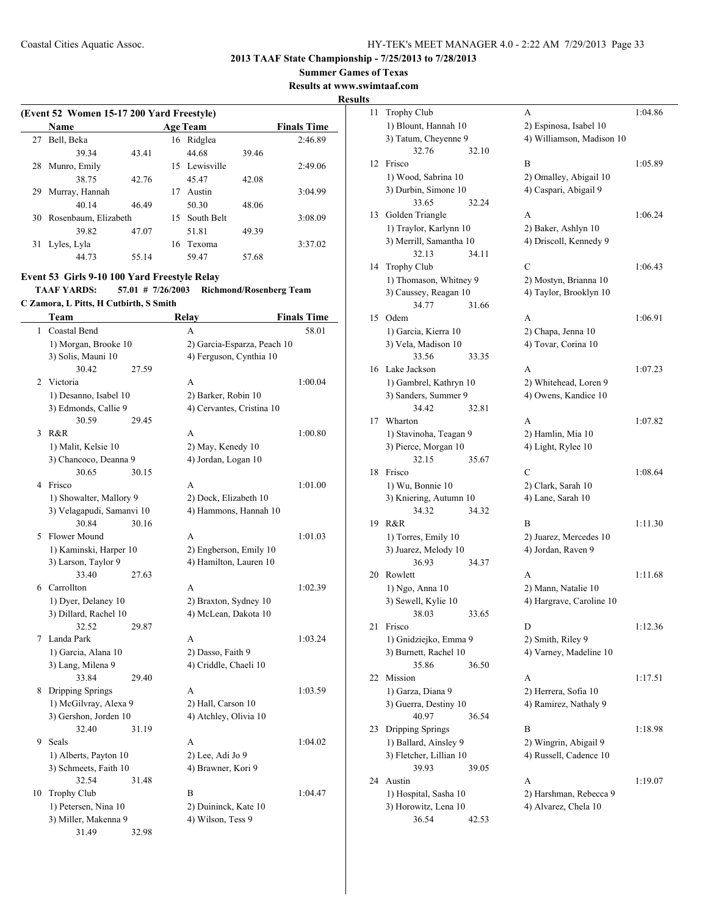**Summer Games of Texas**

**Results at www.swimtaaf.com**

#### **Results**

| (Event 52 Women 15-17 200 Yard Freestyle) |                      |       |    |                 |       |                    |  |  |  |
|-------------------------------------------|----------------------|-------|----|-----------------|-------|--------------------|--|--|--|
|                                           | Name                 |       |    | <b>Age Team</b> |       | <b>Finals Time</b> |  |  |  |
| 27                                        | Bell, Beka           |       |    | 16 Ridglea      |       | 2:46.89            |  |  |  |
|                                           | 39.34                | 43.41 |    | 44.68           | 39.46 |                    |  |  |  |
| 28                                        | Munro, Emily         |       |    | 15 Lewisville   |       | 2:49.06            |  |  |  |
|                                           | 38.75                | 42.76 |    | 45.47           | 42.08 |                    |  |  |  |
| 29                                        | Murray, Hannah       |       | 17 | Austin          |       | 3:04.99            |  |  |  |
|                                           | 40 14                | 46.49 |    | 50.30           | 48.06 |                    |  |  |  |
| 30                                        | Rosenbaum, Elizabeth |       | 15 | South Belt      |       | 3:08.09            |  |  |  |
|                                           | 39.82                | 47.07 |    | 51.81           | 49.39 |                    |  |  |  |
| 31                                        | Lyles, Lyla          |       |    | 16 Texoma       |       | 3:37.02            |  |  |  |
|                                           | 44.73                | 55.14 |    | 59.47           | 57.68 |                    |  |  |  |

## **Event 53 Girls 9-10 100 Yard Freestyle Relay**

**TAAF YARDS: 57.01 # 7/26/2003 Richmond/Rosenberg Team C Zamora, L Pitts, H Cutbirth, S Smith**

|    | Team                      |       | Relay                       | <b>Finals Time</b> |
|----|---------------------------|-------|-----------------------------|--------------------|
| 1  | Coastal Bend              |       | A                           | 58.01              |
|    | 1) Morgan, Brooke 10      |       | 2) Garcia-Esparza, Peach 10 |                    |
|    | 3) Solis, Mauni 10        |       | 4) Ferguson, Cynthia 10     |                    |
|    | 30.42                     | 27.59 |                             |                    |
| 2  | Victoria                  |       | A                           | 1:00.04            |
|    | 1) Desanno, Isabel 10     |       | 2) Barker, Robin 10         |                    |
|    | 3) Edmonds, Callie 9      |       | 4) Cervantes, Cristina 10   |                    |
|    | 30.59                     | 29.45 |                             |                    |
| 3  | R&R                       |       | A                           | 1:00.80            |
|    | 1) Malit, Kelsie 10       |       | 2) May, Kenedy 10           |                    |
|    | 3) Chancoco, Deanna 9     |       | 4) Jordan, Logan 10         |                    |
|    | 30.65                     | 30.15 |                             |                    |
| 4  | Frisco                    |       | A                           | 1:01.00            |
|    | 1) Showalter, Mallory 9   |       | 2) Dock, Elizabeth 10       |                    |
|    | 3) Velagapudi, Samanvi 10 |       | 4) Hammons, Hannah 10       |                    |
|    | 30.84                     | 30.16 |                             |                    |
| 5  | Flower Mound              |       | A                           | 1:01.03            |
|    | 1) Kaminski, Harper 10    |       | 2) Engberson, Emily 10      |                    |
|    | 3) Larson, Taylor 9       |       | 4) Hamilton, Lauren 10      |                    |
|    | 33.40                     | 27.63 |                             |                    |
|    | 6 Carrollton              |       | A                           | 1:02.39            |
|    | 1) Dyer, Delaney 10       |       | 2) Braxton, Sydney 10       |                    |
|    | 3) Dillard, Rachel 10     |       | 4) McLean, Dakota 10        |                    |
|    | 32.52                     | 29.87 |                             |                    |
| 7  | Landa Park                |       | A                           | 1:03.24            |
|    | 1) Garcia, Alana 10       |       | 2) Dasso, Faith 9           |                    |
|    | 3) Lang, Milena 9         |       | 4) Criddle, Chaeli 10       |                    |
|    | 33.84                     | 29.40 |                             |                    |
|    | 8 Dripping Springs        |       | A                           | 1:03.59            |
|    | 1) McGilvray, Alexa 9     |       | 2) Hall, Carson 10          |                    |
|    | 3) Gershon, Jorden 10     |       | 4) Atchley, Olivia 10       |                    |
|    | 32.40                     | 31.19 |                             |                    |
| 9  | Seals                     |       | A                           | 1:04.02            |
|    | 1) Alberts, Payton 10     |       | 2) Lee, Adi Jo 9            |                    |
|    | 3) Schmeets, Faith 10     |       | 4) Brawner, Kori 9          |                    |
|    | 32.54                     | 31.48 |                             |                    |
| 10 | Trophy Club               |       | B                           | 1:04.47            |
|    | 1) Petersen, Nina 10      |       | 2) Duininck, Kate 10        |                    |
|    | 3) Miller, Makenna 9      |       | 4) Wilson, Tess 9           |                    |
|    | 31.49                     | 32.98 |                             |                    |

| 11 | <b>Trophy Club</b>                             | А                                             | 1:04.86 |
|----|------------------------------------------------|-----------------------------------------------|---------|
|    | 1) Blount, Hannah 10                           | 2) Espinosa, Isabel 10                        |         |
|    | 3) Tatum, Cheyenne 9                           | 4) Williamson, Madison 10                     |         |
|    | 32.76<br>32.10                                 |                                               |         |
| 12 | Frisco                                         | B                                             | 1:05.89 |
|    | 1) Wood, Sabrina 10                            | 2) Omalley, Abigail 10                        |         |
|    | 3) Durbin, Simone 10                           | 4) Caspari, Abigail 9                         |         |
|    | 33.65<br>32.24                                 |                                               |         |
| 13 | Golden Triangle                                | A                                             | 1:06.24 |
|    | 1) Traylor, Karlynn 10                         | 2) Baker, Ashlyn 10                           |         |
|    | 3) Merrill, Samantha 10                        | 4) Driscoll, Kennedy 9                        |         |
|    | 32.13<br>34.11                                 | C                                             |         |
| 14 | <b>Trophy Club</b>                             |                                               | 1:06.43 |
|    | 1) Thomason, Whitney 9                         | 2) Mostyn, Brianna 10                         |         |
|    | 3) Caussey, Reagan 10<br>34.77<br>31.66        | 4) Taylor, Brooklyn 10                        |         |
| 15 | Odem                                           | A                                             | 1:06.91 |
|    | 1) Garcia, Kierra 10                           |                                               |         |
|    | 3) Vela, Madison 10                            | 2) Chapa, Jenna 10<br>4) Tovar, Corina 10     |         |
|    | 33.56<br>33.35                                 |                                               |         |
| 16 | Lake Jackson                                   | A                                             |         |
|    |                                                |                                               | 1:07.23 |
|    | 1) Gambrel, Kathryn 10<br>3) Sanders, Summer 9 | 2) Whitehead, Loren 9<br>4) Owens, Kandice 10 |         |
|    | 34.42<br>32.81                                 |                                               |         |
| 17 | Wharton                                        | A                                             | 1:07.82 |
|    | 1) Stavinoha, Teagan 9                         | 2) Hamlin, Mia 10                             |         |
|    | 3) Pierce, Morgan 10                           | 4) Light, Rylee 10                            |         |
|    | 32.15<br>35.67                                 |                                               |         |
| 18 | Frisco                                         | C                                             | 1:08.64 |
|    | 1) Wu, Bonnie 10                               | 2) Clark, Sarah 10                            |         |
|    | 3) Kniering, Autumn 10                         | 4) Lane, Sarah 10                             |         |
|    | 34.32<br>34.32                                 |                                               |         |
| 19 | R&R                                            | B                                             | 1:11.30 |
|    | 1) Torres, Emily 10                            | 2) Juarez, Mercedes 10                        |         |
|    | 3) Juarez, Melody 10                           | 4) Jordan, Raven 9                            |         |
|    | 36.93<br>34.37                                 |                                               |         |
| 20 | Rowlett                                        | А                                             | 1:11.68 |
|    | 1) Ngo, Anna 10                                | 2) Mann, Natalie 10                           |         |
|    | 3) Sewell, Kylie 10                            | 4) Hargrave, Caroline 10                      |         |
|    | 38.03<br>33.65                                 |                                               |         |
| 21 | Frisco                                         | D                                             | 1:12.36 |
|    | 1) Gnidziejko, Emma 9                          | 2) Smith, Riley 9                             |         |
|    | 3) Burnett, Rachel 10                          | 4) Varney, Madeline 10                        |         |
|    | 35.86<br>36.50                                 |                                               |         |
| 22 | Mission                                        | А                                             | 1:17.51 |
|    | 1) Garza, Diana 9                              | 2) Herrera, Sofia 10                          |         |
|    | 3) Guerra, Destiny 10                          | 4) Ramirez, Nathaly 9                         |         |
|    | 40.97<br>36.54                                 |                                               |         |
| 23 | Dripping Springs                               | B                                             | 1:18.98 |
|    | 1) Ballard, Ainsley 9                          | 2) Wingrin, Abigail 9                         |         |
|    | 3) Fletcher, Lillian 10                        | 4) Russell, Cadence 10                        |         |
|    | 39.93<br>39.05                                 |                                               |         |
| 24 | Austin                                         | A                                             | 1:19.07 |
|    | 1) Hospital, Sasha 10                          | 2) Harshman, Rebecca 9                        |         |
|    | 3) Horowitz, Lena 10                           | 4) Alvarez, Chela 10                          |         |
|    | 36.54<br>42.53                                 |                                               |         |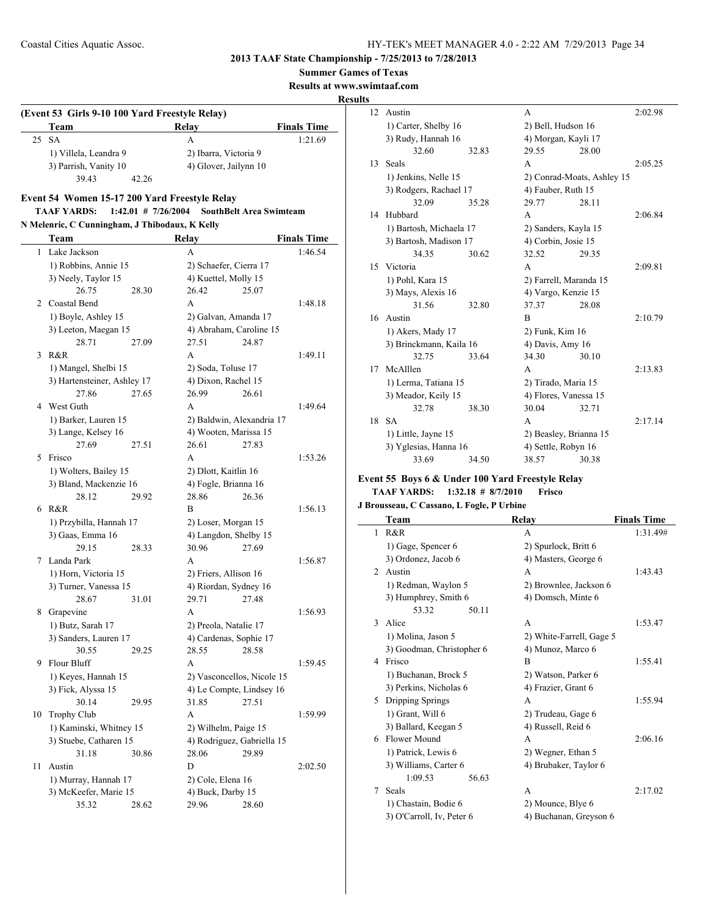**Summer Games of Texas**

**Results at www.swimtaaf.com**

**Results**

## **(Event 53 Girls 9-10 100 Yard Freestyle Relay) Team Relay Finals Time** 25 SA A 1:21.69 1) Villela, Leandra 9 2) Ibarra, Victoria 9 3) Parrish, Vanity 10 4) Glover, Jailynn 10 39.43 42.26

#### **Event 54 Women 15-17 200 Yard Freestyle Relay TAAF YARDS: 1:42.01 # 7/26/2004 SouthBelt Area Swimteam**

## **N Melenric, C Cunningham, J Thibodaux, K Kelly**

|    | Team                                    | <b>Relay</b>                    | <b>Finals Time</b> |
|----|-----------------------------------------|---------------------------------|--------------------|
| 1  | Lake Jackson                            | A                               | 1:46.54            |
|    | 1) Robbins, Annie 15                    | 2) Schaefer, Cierra 17          |                    |
|    | 3) Neely, Taylor 15                     | 4) Kuettel, Molly 15            |                    |
|    | 26.75<br>28.30                          | 26.42<br>25.07                  |                    |
|    | 2 Coastal Bend                          | A                               | 1:48.18            |
|    | 1) Boyle, Ashley 15                     | 2) Galvan, Amanda 17            |                    |
|    | 3) Leeton, Maegan 15                    | 4) Abraham, Caroline 15         |                    |
|    | 28.71<br>27.09                          | 27.51<br>24.87                  |                    |
| 3  | R&R                                     | A                               | 1:49.11            |
|    | 1) Mangel, Shelbi 15                    | 2) Soda, Toluse 17              |                    |
|    | 3) Hartensteiner, Ashley 17             | 4) Dixon, Rachel 15             |                    |
|    | 27.86<br>27.65                          | 26.99<br>26.61                  |                    |
| 4  | West Guth                               | A                               | 1:49.64            |
|    | 1) Barker, Lauren 15                    | 2) Baldwin, Alexandria 17       |                    |
|    | 3) Lange, Kelsey 16                     | 4) Wooten, Marissa 15           |                    |
|    | 27.69<br>27.51                          | 26.61<br>27.83                  |                    |
| 5  | Frisco                                  | A                               | 1:53.26            |
|    | 1) Wolters, Bailey 15                   | 2) Dlott, Kaitlin 16            |                    |
|    | 3) Bland, Mackenzie 16                  | 4) Fogle, Brianna 16            |                    |
|    | 28.12<br>29.92                          | 28.86<br>26.36                  |                    |
| 6  | R&R                                     | B                               | 1:56.13            |
|    | 1) Przybilla, Hannah 17                 | 2) Loser, Morgan 15             |                    |
|    | 3) Gaas, Emma 16                        | 4) Langdon, Shelby 15           |                    |
|    | 29.15<br>28.33                          | 30.96<br>27.69                  |                    |
| 7  | Landa Park                              | A                               | 1:56.87            |
|    | 1) Horn, Victoria 15                    | 2) Friers, Allison 16           |                    |
|    | 3) Turner, Vanessa 15                   | 4) Riordan, Sydney 16           |                    |
|    | 28.67<br>31.01                          | 29.71<br>27.48<br>A             |                    |
| 8  | Grapevine                               |                                 | 1:56.93            |
|    | 1) Butz, Sarah 17                       | 2) Preola, Natalie 17           |                    |
|    | 3) Sanders, Lauren 17<br>30.55<br>29.25 | 4) Cardenas, Sophie 17<br>28.58 |                    |
| 9  | Flour Bluff                             | 28.55<br>A                      | 1:59.45            |
|    | 1) Keyes, Hannah 15                     | 2) Vasconcellos, Nicole 15      |                    |
|    | 3) Fick, Alyssa 15                      | 4) Le Compte, Lindsey 16        |                    |
|    | 30.14<br>29.95                          | 31.85<br>27.51                  |                    |
| 10 | <b>Trophy Club</b>                      | A                               | 1:59.99            |
|    | 1) Kaminski, Whitney 15                 | 2) Wilhelm, Paige 15            |                    |
|    | 3) Stuebe, Catharen 15                  | 4) Rodriguez, Gabriella 15      |                    |
|    | 31.18<br>30.86                          | 28.06<br>29.89                  |                    |
| 11 | Austin                                  | D                               | 2:02.50            |
|    | 1) Murray, Hannah 17                    | 2) Cole, Elena 16               |                    |
|    | 3) McKeefer, Marie 15                   | 4) Buck, Darby 15               |                    |
|    | 35.32<br>28.62                          | 29.96<br>28.60                  |                    |
|    |                                         |                                 |                    |

| э  |                         |       |                        |                            |         |
|----|-------------------------|-------|------------------------|----------------------------|---------|
| 12 | Austin                  |       | A                      |                            | 2:02.98 |
|    | 1) Carter, Shelby 16    |       | 2) Bell, Hudson 16     |                            |         |
|    | 3) Rudy, Hannah 16      |       | 4) Morgan, Kayli 17    |                            |         |
|    | 32.60                   | 32.83 | 29.55                  | 28.00                      |         |
| 13 | Seals                   |       | A                      |                            | 2:05.25 |
|    | 1) Jenkins, Nelle 15    |       |                        | 2) Conrad-Moats, Ashley 15 |         |
|    | 3) Rodgers, Rachael 17  |       | 4) Fauber, Ruth 15     |                            |         |
|    | 32.09                   | 35.28 | 29.77                  | 28.11                      |         |
| 14 | Hubbard                 |       | A                      |                            | 2:06.84 |
|    | 1) Bartosh, Michaela 17 |       | 2) Sanders, Kayla 15   |                            |         |
|    | 3) Bartosh, Madison 17  |       | 4) Corbin, Josie 15    |                            |         |
|    | 34.35                   | 30.62 | 32.52                  | 29.35                      |         |
| 15 | Victoria                |       | A                      |                            | 2:09.81 |
|    | 1) Pohl, Kara 15        |       | 2) Farrell, Maranda 15 |                            |         |
|    | 3) Mays, Alexis 16      |       | 4) Vargo, Kenzie 15    |                            |         |
|    | 31.56                   | 32.80 | 37.37                  | 28.08                      |         |
| 16 | Austin                  |       | B                      |                            | 2:10.79 |
|    | 1) Akers, Mady 17       |       | 2) Funk, Kim 16        |                            |         |
|    | 3) Brinckmann, Kaila 16 |       | 4) Davis, Amy 16       |                            |         |
|    | 32.75                   | 33.64 | 34.30                  | 30.10                      |         |
| 17 | McAlllen                |       | A                      |                            | 2:13.83 |
|    | 1) Lerma, Tatiana 15    |       | 2) Tirado, Maria 15    |                            |         |
|    | 3) Meador, Keily 15     |       | 4) Flores, Vanessa 15  |                            |         |
|    | 32.78                   | 38.30 | 30.04                  | 32.71                      |         |
| 18 | <b>SA</b>               |       | A                      |                            | 2:17.14 |
|    | 1) Little, Jayne 15     |       | 2) Beasley, Brianna 15 |                            |         |
|    | 3) Yglesias, Hanna 16   |       | 4) Settle, Robyn 16    |                            |         |
|    | 33.69                   | 34.50 | 38.57                  | 30.38                      |         |

## **Event 55 Boys 6 & Under 100 Yard Freestyle Relay**

#### **TAAF YARDS: 1:32.18 # 8/7/2010 Frisco J Brousseau, C Cassano, L Fogle, P Urbine**

|                | Team                      | Relay                    | <b>Finals Time</b> |
|----------------|---------------------------|--------------------------|--------------------|
| 1              | R&R                       | A                        | 1:31.49#           |
|                | 1) Gage, Spencer 6        | 2) Spurlock, Britt 6     |                    |
|                | 3) Ordonez, Jacob 6       | 4) Masters, George 6     |                    |
| $\mathfrak{D}$ | Austin                    | A                        | 1:43.43            |
|                | 1) Redman, Waylon 5       | 2) Brownlee, Jackson 6   |                    |
|                | 3) Humphrey, Smith 6      | 4) Domsch, Minte 6       |                    |
|                | 53.32<br>50.11            |                          |                    |
| 3              | Alice                     | A                        | 1:53.47            |
|                | 1) Molina, Jason 5        | 2) White-Farrell, Gage 5 |                    |
|                | 3) Goodman, Christopher 6 | 4) Munoz, Marco 6        |                    |
| 4              | Frisco                    | B                        | 1:55.41            |
|                | 1) Buchanan, Brock 5      | 2) Watson, Parker 6      |                    |
|                | 3) Perkins, Nicholas 6    | 4) Frazier, Grant 6      |                    |
| 5              | Dripping Springs          | A                        | 1:55.94            |
|                | 1) Grant, Will 6          | 2) Trudeau, Gage 6       |                    |
|                | 3) Ballard, Keegan 5      | 4) Russell, Reid 6       |                    |
| 6              | Flower Mound              | A                        | 2:06.16            |
|                | 1) Patrick, Lewis 6       | 2) Wegner, Ethan 5       |                    |
|                | 3) Williams, Carter 6     | 4) Brubaker, Taylor 6    |                    |
|                | 1:09.53<br>56.63          |                          |                    |
| 7              | Seals                     | A                        | 2:17.02            |
|                | 1) Chastain, Bodie 6      | 2) Mounce, Blye 6        |                    |
|                | 3) O'Carroll, Iv, Peter 6 | 4) Buchanan, Greyson 6   |                    |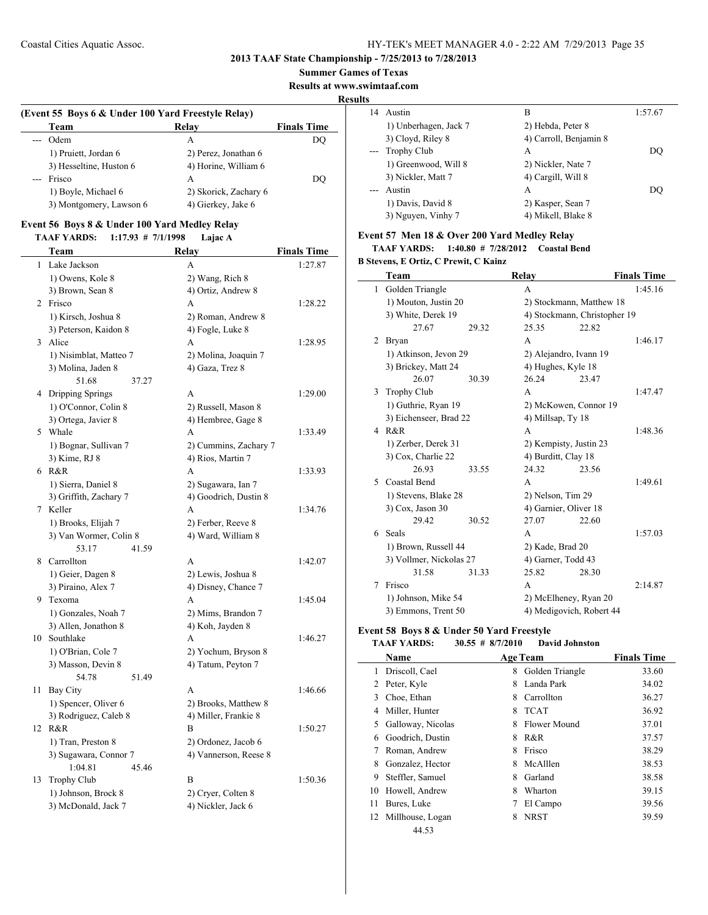#### **2013 TAAF State Championship - 7/25/2013 to 7/28/2013**

#### **Summer Games of Texas**

**Results at www.swimtaaf.com**

#### **Results**

| (Event 55 Boys 6 & Under 100 Yard Freestyle Relay) |                       |                    |  |  |  |  |
|----------------------------------------------------|-----------------------|--------------------|--|--|--|--|
| Team                                               | Relay                 | <b>Finals Time</b> |  |  |  |  |
| --- Odem                                           | A                     | DO                 |  |  |  |  |
| 1) Pruiett, Jordan 6                               | 2) Perez, Jonathan 6  |                    |  |  |  |  |
| 3) Hesseltine, Huston 6                            | 4) Horine, William 6  |                    |  |  |  |  |
| Frisco<br>$---$                                    | А                     | DO                 |  |  |  |  |
| 1) Boyle, Michael 6                                | 2) Skorick, Zachary 6 |                    |  |  |  |  |
| 3) Montgomery, Lawson 6                            | 4) Gierkey, Jake 6    |                    |  |  |  |  |

## **Event 56 Boys 8 & Under 100 Yard Medley Relay**

**TAAF YARDS: 1:17.93 # 7/1/1998 Lajac A**

|    | Team                                          | Relay                                        | <b>Finals Time</b> |
|----|-----------------------------------------------|----------------------------------------------|--------------------|
| 1  | Lake Jackson                                  | A                                            | 1:27.87            |
|    | 1) Owens, Kole 8                              | 2) Wang, Rich 8                              |                    |
|    | 3) Brown, Sean 8                              | 4) Ortiz, Andrew 8                           |                    |
|    | 2 Frisco                                      | A                                            | 1:28.22            |
|    | 1) Kirsch, Joshua 8                           | 2) Roman, Andrew 8                           |                    |
|    | 3) Peterson, Kaidon 8                         | 4) Fogle, Luke 8                             |                    |
|    | 3 Alice                                       | A                                            | 1:28.95            |
|    | 1) Nisimblat, Matteo 7                        | 2) Molina, Joaquin 7                         |                    |
|    | 3) Molina, Jaden 8                            | 4) Gaza, Trez 8                              |                    |
|    | 51.68<br>37.27                                |                                              |                    |
|    | 4 Dripping Springs                            | A                                            | 1:29.00            |
|    | 1) O'Connor, Colin 8                          | 2) Russell, Mason 8                          |                    |
|    | 3) Ortega, Javier 8                           | 4) Hembree, Gage 8                           |                    |
|    | 5 Whale                                       | A                                            | 1:33.49            |
|    | 1) Bognar, Sullivan 7                         | 2) Cummins, Zachary 7                        |                    |
|    | 3) Kime, RJ 8                                 | 4) Rios, Martin 7                            |                    |
|    | 6 R&R                                         | A                                            | 1:33.93            |
|    | 1) Sierra, Daniel 8                           | 2) Sugawara, Ian 7                           |                    |
|    | 3) Griffith, Zachary 7                        | 4) Goodrich, Dustin 8                        |                    |
|    | 7 Keller                                      | A                                            | 1:34.76            |
|    | 1) Brooks, Elijah 7                           | 2) Ferber, Reeve 8                           |                    |
|    | 3) Van Wormer, Colin 8                        | 4) Ward, William 8                           |                    |
|    | 53.17<br>41.59                                |                                              |                    |
|    | 8 Carrollton                                  | A                                            | 1:42.07            |
|    | 1) Geier, Dagen 8                             | 2) Lewis, Joshua 8                           |                    |
|    | 3) Piraino, Alex 7                            | 4) Disney, Chance 7                          |                    |
|    | 9 Texoma                                      | $\overline{A}$                               | 1:45.04            |
|    | 1) Gonzales, Noah 7                           | 2) Mims, Brandon 7                           |                    |
|    | 3) Allen, Jonathon 8                          | 4) Koh, Jayden 8                             |                    |
|    | 10 Southlake                                  | A                                            | 1:46.27            |
|    | 1) O'Brian, Cole 7                            | 2) Yochum, Bryson 8                          |                    |
|    | 3) Masson, Devin 8                            | 4) Tatum, Peyton 7                           |                    |
|    | 54.78<br>51.49                                |                                              |                    |
| 11 | Bay City                                      | A                                            | 1:46.66            |
|    | 1) Spencer, Oliver 6<br>3) Rodriguez, Caleb 8 | 2) Brooks, Matthew 8<br>4) Miller, Frankie 8 |                    |
|    | 12 R&R                                        | B                                            | 1:50.27            |
|    |                                               | 2) Ordonez, Jacob 6                          |                    |
|    | 1) Tran, Preston 8<br>3) Sugawara, Connor 7   | 4) Vannerson, Reese 8                        |                    |
|    | 1:04.81<br>45.46                              |                                              |                    |
| 13 | Trophy Club                                   | B                                            | 1:50.36            |
|    | 1) Johnson, Brock 8                           | 2) Cryer, Colten 8                           |                    |
|    | 3) McDonald, Jack 7                           | 4) Nickler, Jack 6                           |                    |
|    |                                               |                                              |                    |

| 14 | Austin                | в                      | 1:57.67 |
|----|-----------------------|------------------------|---------|
|    | 1) Unberhagen, Jack 7 | 2) Hebda, Peter 8      |         |
|    | 3) Cloyd, Riley 8     | 4) Carroll, Benjamin 8 |         |
|    | --- Trophy Club       | A                      | DO      |
|    | 1) Greenwood, Will 8  | 2) Nickler, Nate 7     |         |
|    | 3) Nickler, Matt 7    | 4) Cargill, Will 8     |         |
|    | Austin                | A                      | DO      |
|    | 1) Davis, David 8     | 2) Kasper, Sean 7      |         |
|    | 3) Nguyen, Vinhy 7    | 4) Mikell, Blake 8     |         |

#### **Event 57 Men 18 & Over 200 Yard Medley Relay TAAF YARDS: 1:40.80 # 7/28/2012 Coastal Bend**

#### **B Stevens, E Ortiz, C Prewit, C Kainz**

|    | $\sim$ 500 $\sim$ 60 $\mu$ 50 $\mu$ 60 $\mu$ 60 $\mu$ 60 $\mu$ 60 $\mu$ 60 $\mu$ |       |                              |       |                    |
|----|----------------------------------------------------------------------------------|-------|------------------------------|-------|--------------------|
|    | Team                                                                             |       | Relay                        |       | <b>Finals Time</b> |
| 1  | Golden Triangle                                                                  |       | A                            |       | 1:45.16            |
|    | 1) Mouton, Justin 20                                                             |       | 2) Stockmann, Matthew 18     |       |                    |
|    | 3) White, Derek 19                                                               |       | 4) Stockmann, Christopher 19 |       |                    |
|    | 27.67                                                                            | 29.32 | 25.35                        | 22.82 |                    |
| 2  | <b>Bryan</b>                                                                     |       | A                            |       | 1:46.17            |
|    | 1) Atkinson, Jevon 29                                                            |       | 2) Alejandro, Ivann 19       |       |                    |
|    | 3) Brickey, Matt 24                                                              |       | 4) Hughes, Kyle 18           |       |                    |
|    | 26.07                                                                            | 30.39 | 26.24                        | 23.47 |                    |
| 3  | <b>Trophy Club</b>                                                               |       | A                            |       | 1:47.47            |
|    | 1) Guthrie, Ryan 19                                                              |       | 2) McKowen, Connor 19        |       |                    |
|    | 3) Eichenseer, Brad 22                                                           |       | 4) Millsap, Ty 18            |       |                    |
|    | 4 R&R                                                                            |       | A                            |       | 1:48.36            |
|    | 1) Zerber, Derek 31                                                              |       | 2) Kempisty, Justin 23       |       |                    |
|    | 3) Cox, Charlie 22                                                               |       | 4) Burditt, Clay 18          |       |                    |
|    | 26.93                                                                            | 33.55 | 24.32                        | 23.56 |                    |
| 5. | Coastal Bend                                                                     |       | A                            |       | 1:49.61            |
|    | 1) Stevens, Blake 28                                                             |       | 2) Nelson, Tim 29            |       |                    |
|    | 3) Cox, Jason 30                                                                 |       | 4) Garnier, Oliver 18        |       |                    |
|    | 29.42                                                                            | 30.52 | 27.07                        | 22.60 |                    |
| 6  | Seals                                                                            |       | A                            |       | 1:57.03            |
|    | 1) Brown, Russell 44                                                             |       | 2) Kade, Brad 20             |       |                    |
|    | 3) Vollmer, Nickolas 27                                                          |       | 4) Garner, Todd 43           |       |                    |
|    | 31.58                                                                            | 31.33 | 25.82                        | 28.30 |                    |
| 7  | Frisco                                                                           |       | A                            |       | 2:14.87            |
|    | 1) Johnson, Mike 54                                                              |       | 2) McElheney, Ryan 20        |       |                    |
|    | 3) Emmons, Trent 50                                                              |       | 4) Medigovich, Robert 44     |       |                    |

## **Event 58 Boys 8 & Under 50 Yard Freestyle**

 $\overline{\phantom{a}}$ 

## **TAAF YARDS: 30.55 # 8/7/2010 David Johnston**

|    | Name              |   | <b>Age Team</b> | <b>Finals Time</b> |
|----|-------------------|---|-----------------|--------------------|
| 1  | Driscoll, Cael    | 8 | Golden Triangle | 33.60              |
| 2  | Peter, Kyle       | 8 | Landa Park      | 34.02              |
| 3  | Choe, Ethan       | 8 | Carrollton      | 36.27              |
| 4  | Miller, Hunter    | 8 | <b>TCAT</b>     | 36.92              |
| 5  | Galloway, Nicolas | 8 | Flower Mound    | 37.01              |
| 6  | Goodrich, Dustin  | 8 | R&R             | 37.57              |
|    | Roman, Andrew     | 8 | Frisco          | 38.29              |
| 8  | Gonzalez, Hector  | 8 | McAlllen        | 38.53              |
| 9  | Steffler, Samuel  | 8 | Garland         | 38.58              |
| 10 | Howell, Andrew    | 8 | Wharton         | 39.15              |
| 11 | Bures, Luke       | 7 | El Campo        | 39.56              |
| 12 | Millhouse, Logan  | 8 | <b>NRST</b>     | 39.59              |
|    | 44.53             |   |                 |                    |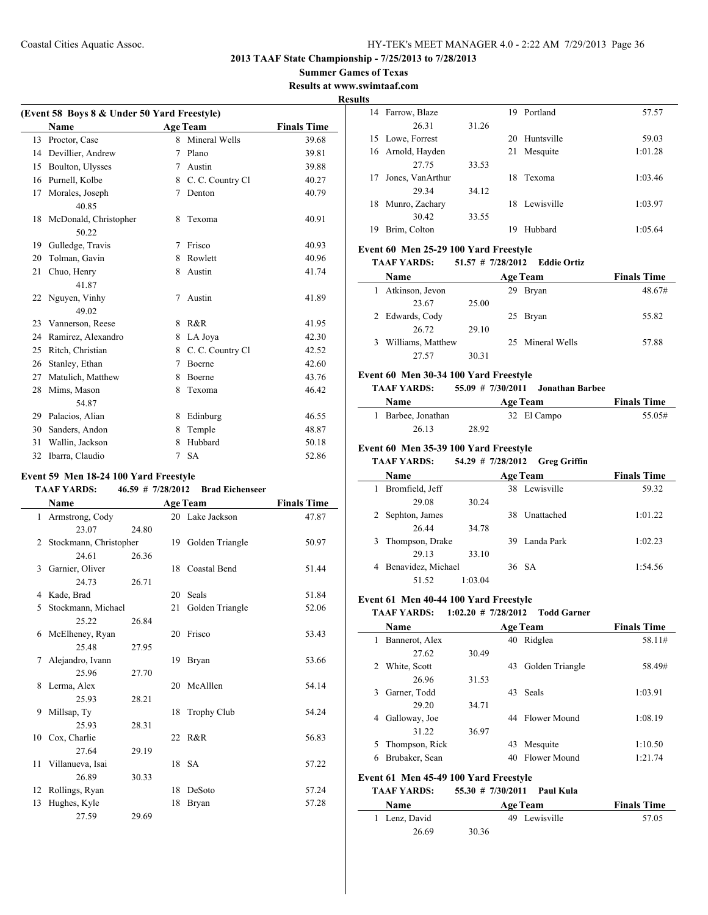## **Summer Games of Texas**

**Results at www.swimtaaf.com Results**

 $\sim$ 

 $\overline{\phantom{a}}$ 

| (Event 58 Boys 8 & Under 50 Yard Freestyle) |                       |   |                   |                    |  |  |  |
|---------------------------------------------|-----------------------|---|-------------------|--------------------|--|--|--|
|                                             | <b>Name</b>           |   | <b>Age Team</b>   | <b>Finals Time</b> |  |  |  |
| 13                                          | Proctor, Case         | 8 | Mineral Wells     | 39.68              |  |  |  |
| 14                                          | Devillier, Andrew     | 7 | Plano             | 39.81              |  |  |  |
| 15                                          | Boulton, Ulysses      | 7 | Austin            | 39.88              |  |  |  |
| 16                                          | Purnell, Kolbe        | 8 | C. C. Country Cl  | 40.27              |  |  |  |
| 17                                          | Morales, Joseph       | 7 | Denton            | 40.79              |  |  |  |
|                                             | 40.85                 |   |                   |                    |  |  |  |
| 18                                          | McDonald, Christopher | 8 | Texoma            | 40.91              |  |  |  |
|                                             | 50.22                 |   |                   |                    |  |  |  |
| 19                                          | Gulledge, Travis      | 7 | Frisco            | 40.93              |  |  |  |
| 20                                          | Tolman, Gavin         | 8 | Rowlett           | 40.96              |  |  |  |
| 21                                          | Chuo, Henry           | 8 | Austin            | 41.74              |  |  |  |
|                                             | 41.87                 |   |                   |                    |  |  |  |
|                                             | 22 Nguyen, Vinhy      | 7 | Austin            | 41.89              |  |  |  |
|                                             | 49.02                 |   |                   |                    |  |  |  |
| 23                                          | Vannerson, Reese      | 8 | R&R               | 41.95              |  |  |  |
| 24                                          | Ramirez, Alexandro    | 8 | LA Joya           | 42.30              |  |  |  |
| 25                                          | Ritch, Christian      | 8 | C. C. Country Cl. | 42.52              |  |  |  |
| 26                                          | Stanley, Ethan        | 7 | <b>Boerne</b>     | 42.60              |  |  |  |
| 27                                          | Matulich, Matthew     | 8 | Boerne            | 43.76              |  |  |  |
| 28                                          | Mims, Mason           | 8 | Texoma            | 46.42              |  |  |  |
|                                             | 54.87                 |   |                   |                    |  |  |  |
| 29                                          | Palacios, Alian       | 8 | Edinburg          | 46.55              |  |  |  |
| 30                                          | Sanders, Andon        | 8 | Temple            | 48.87              |  |  |  |
| 31                                          | Wallin, Jackson       | 8 | Hubbard           | 50.18              |  |  |  |
| 32                                          | Ibarra, Claudio       | 7 | <b>SA</b>         | 52.86              |  |  |  |

## **Event 59 Men 18-24 100 Yard Freestyle**

## **TAAF YARDS: 46.59 # 7/28/2012 Brad Eichenseer**

|              | Name                   | <b>Age Team</b> |    |                    | <b>Finals Time</b> |
|--------------|------------------------|-----------------|----|--------------------|--------------------|
| $\mathbf{1}$ | Armstrong, Cody        |                 |    | 20 Lake Jackson    | 47.87              |
|              | 23.07                  | 24.80           |    |                    |                    |
| 2            | Stockmann, Christopher |                 |    | 19 Golden Triangle | 50.97              |
|              | 24.61                  | 26.36           |    |                    |                    |
| 3            | Garnier, Oliver        |                 |    | 18 Coastal Bend    | 51.44              |
|              | 24.73                  | 26.71           |    |                    |                    |
| 4            | Kade, Brad             |                 |    | 20 Seals           | 51.84              |
| 5            | Stockmann, Michael     |                 | 21 | Golden Triangle    | 52.06              |
|              | 25.22                  | 26.84           |    |                    |                    |
| 6            | McElheney, Ryan        |                 |    | 20 Frisco          | 53.43              |
|              | 25.48                  | 27.95           |    |                    |                    |
| 7            | Alejandro, Ivann       |                 |    | 19 Bryan           | 53.66              |
|              | 25.96                  | 27.70           |    |                    |                    |
| 8            | Lerma, Alex            |                 |    | 20 McAlllen        | 54.14              |
|              | 25.93                  | 28.21           |    |                    |                    |
| 9            | Millsap, Ty            |                 |    | 18 Trophy Club     | 54.24              |
|              | 25.93                  | 28.31           |    |                    |                    |
| 10           | Cox, Charlie           |                 |    | 22 R&R             | 56.83              |
|              | 27.64                  | 29.19           |    |                    |                    |
|              | 11 Villanueva, Isai    |                 |    | 18 SA              | 57.22              |
|              | 26.89                  | 30.33           |    |                    |                    |
| 12           | Rollings, Ryan         |                 | 18 | DeSoto             | 57.24              |
| 13           | Hughes, Kyle           |                 | 18 | Bryan              | 57.28              |
|              | 27.59                  | 29.69           |    |                    |                    |

| ື  |                  |       |    |               |         |
|----|------------------|-------|----|---------------|---------|
| 14 | Farrow, Blaze    |       | 19 | Portland      | 57.57   |
|    | 26.31            | 31.26 |    |               |         |
| 15 | Lowe, Forrest    |       | 20 | Huntsville    | 59.03   |
| 16 | Arnold, Hayden   |       | 21 | Mesquite      | 1:01.28 |
|    | 27.75            | 33.53 |    |               |         |
| 17 | Jones, VanArthur |       | 18 | Texoma        | 1:03.46 |
|    | 29.34            | 34.12 |    |               |         |
| 18 | Munro, Zachary   |       |    | 18 Lewisville | 1:03.97 |
|    | 30.42            | 33.55 |    |               |         |
| 19 | Brim, Colton     |       | 19 | Hubbard       | 1:05.64 |

#### **Event 60 Men 25-29 100 Yard Freestyle**

#### **TAAF YARDS: 51.57 # 7/28/2012 Eddie Ortiz**

| <b>Name</b>       | <b>Age Team</b> |    |                  | <b>Finals Time</b> |
|-------------------|-----------------|----|------------------|--------------------|
| Atkinson, Jevon   |                 | 29 | <b>Bryan</b>     | 48.67#             |
| 23.67             | 25.00           |    |                  |                    |
| Edwards, Cody     |                 |    | 25 Bryan         | 55.82              |
| 26.72             | 29.10           |    |                  |                    |
| Williams, Matthew |                 |    | 25 Mineral Wells | 57.88              |
| 27.57             | 30.31           |    |                  |                    |

#### **Event 60 Men 30-34 100 Yard Freestyle**

#### **TAAF YARDS: 55.09 # 7/30/2011 Jonathan Barbee**

| <b>Name</b>        | <b>Age Team</b> |  |             | <b>Finals Time</b> |  |
|--------------------|-----------------|--|-------------|--------------------|--|
| 1 Barbee, Jonathan |                 |  | 32 El Campo | 55.05#             |  |
| 26.13              | 28.92           |  |             |                    |  |

#### **Event 60 Men 35-39 100 Yard Freestyle**

#### **TAAF YARDS: 54.29 # 7/28/2012 Greg Griffin**

| Name               | <b>Age Team</b> |  |               | <b>Finals Time</b> |
|--------------------|-----------------|--|---------------|--------------------|
| Bromfield, Jeff    |                 |  | 38 Lewisville | 59.32              |
| 29.08              | 30.24           |  |               |                    |
| Sephton, James     |                 |  | 38 Unattached | 1:01.22            |
| 26.44              | 34.78           |  |               |                    |
| Thompson, Drake    |                 |  | 39 Landa Park | 1:02.23            |
| 29.13              | 33.10           |  |               |                    |
| Benavidez, Michael |                 |  | 36 SA         | 1:54.56            |
| 51.52              | 1:03.04         |  |               |                    |

#### **Event 61 Men 40-44 100 Yard Freestyle**

#### **TAAF YARDS: 1:02.20 # 7/28/2012 Todd Garner**

|                                       | Name           | <b>Age Team</b> |    |                 | <b>Finals Time</b> |  |
|---------------------------------------|----------------|-----------------|----|-----------------|--------------------|--|
| 1                                     | Bannerot, Alex |                 | 40 | Ridglea         | 58.11#             |  |
|                                       | 27.62          | 30.49           |    |                 |                    |  |
| 2                                     | White, Scott   |                 | 43 | Golden Triangle | 58.49#             |  |
|                                       | 26.96          | 31.53           |    |                 |                    |  |
| 3                                     | Garner, Todd   |                 | 43 | <b>Seals</b>    | 1:03.91            |  |
|                                       | 29.20          | 34.71           |    |                 |                    |  |
| 4                                     | Galloway, Joe  |                 | 44 | Flower Mound    | 1:08.19            |  |
|                                       | 31.22          | 36.97           |    |                 |                    |  |
| 5.                                    | Thompson, Rick |                 | 43 | Mesquite        | 1:10.50            |  |
| 6                                     | Brubaker, Sean |                 |    | 40 Flower Mound | 1:21.74            |  |
| Event 61 Men 45-49 100 Yard Freestyle |                |                 |    |                 |                    |  |

#### **TAAF YARDS: 55.30 # 7/30/2011 Paul Kula**

| <b>Name</b>   | <b>Age Team</b> | <b>Finals Time</b> |
|---------------|-----------------|--------------------|
| 1 Lenz, David | 49 Lewisville   | 57.05              |
| 26.69         | 30.36           |                    |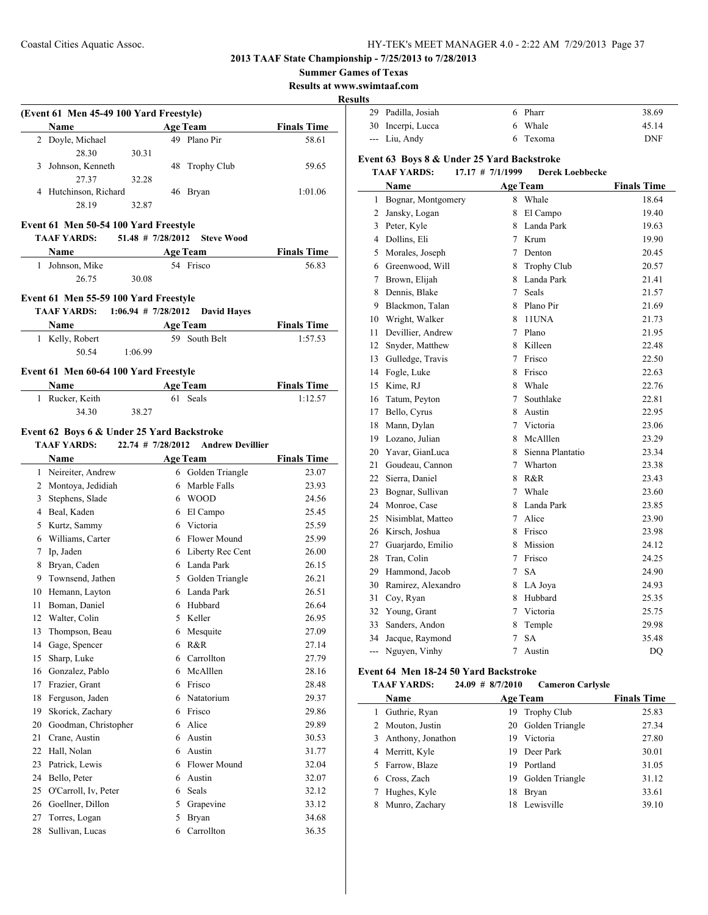**2013 TAAF State Championship - 7/25/2013 to 7/28/2013**

**Summer Games of Texas**

**Results at www.swimtaaf.com**

#### **Results**

|    | (Event 61 Men 45-49 100 Yard Freestyle)    |                     |    |                                    |                    |
|----|--------------------------------------------|---------------------|----|------------------------------------|--------------------|
|    | Name<br><b>Example 21 Age Team</b>         |                     |    |                                    | <b>Finals Time</b> |
|    | 2 Doyle, Michael<br>28.30                  |                     |    | 49 Plano Pir                       | 58.61              |
|    | 3 Johnson, Kenneth                         | 30.31               | 48 |                                    |                    |
|    | 27.37                                      | 32.28               |    | Trophy Club                        | 59.65              |
|    | 4 Hutchinson, Richard                      |                     | 46 | Bryan                              | 1:01.06            |
|    | 28.19                                      | 32.87               |    |                                    |                    |
|    |                                            |                     |    |                                    |                    |
|    | Event 61 Men 50-54 100 Yard Freestyle      |                     |    |                                    |                    |
|    | <b>TAAF YARDS:</b>                         | $51.48$ # 7/28/2012 |    | <b>Steve Wood</b>                  |                    |
|    | Name                                       |                     |    | <b>Age Team</b>                    | <b>Finals Time</b> |
|    | 1 Johnson, Mike                            |                     |    | 54 Frisco                          | 56.83              |
|    | 26.75                                      | 30.08               |    |                                    |                    |
|    | Event 61 Men 55-59 100 Yard Freestyle      |                     |    |                                    |                    |
|    | TAAF YARDS: 1:06.94 # 7/28/2012            |                     |    | <b>David Hayes</b>                 |                    |
|    | <b>Name</b>                                |                     |    | <b>Age Team</b>                    | <b>Finals Time</b> |
|    | 1 Kelly, Robert                            |                     |    | 59 South Belt                      | 1:57.53            |
|    | 50.54                                      | 1:06.99             |    |                                    |                    |
|    |                                            |                     |    |                                    |                    |
|    | Event 61 Men 60-64 100 Yard Freestyle      |                     |    |                                    |                    |
|    | Name                                       |                     |    | <b>Age Team</b>                    | <b>Finals Time</b> |
|    | 1 Rucker, Keith                            |                     |    | 61 Seals                           | 1:12.57            |
|    | 34.30                                      | 38.27               |    |                                    |                    |
|    | Event 62 Boys 6 & Under 25 Yard Backstroke |                     |    |                                    |                    |
|    | <b>TAAF YARDS:</b>                         |                     |    | 22.74 # 7/28/2012 Andrew Devillier |                    |
|    | Name $\_\_\_\_\$                           |                     |    | <b>Age Team</b>                    | <b>Finals Time</b> |
|    | 1 Neireiter, Andrew                        |                     |    | 6 Golden Triangle                  | 23.07              |
|    | 2 Montoya, Jedidiah                        |                     |    | 6 Marble Falls                     | 23.93              |
|    | 3 Stephens, Slade                          |                     |    | 6 WOOD                             | 24.56              |
|    | 4 Beal, Kaden                              |                     |    | 6 El Campo                         | 25.45              |
|    | 5 Kurtz, Sammy                             |                     |    | 6 Victoria                         | 25.59              |
|    | 6 Williams, Carter                         |                     |    | 6 Flower Mound                     | 25.99              |
|    | 7 Ip, Jaden                                |                     |    | 6 Liberty Rec Cent                 | 26.00              |
|    | 8 Bryan, Caden                             |                     |    | 6 Landa Park                       | 26.15              |
|    | 9 Townsend, Jathen                         |                     |    | 5 Golden Triangle                  | 26.21              |
|    | 10 Hemann, Layton                          |                     |    | 6 Landa Park                       | 26.51              |
| 11 | Boman, Daniel                              |                     |    | 6 Hubbard                          | 26.64              |
|    | 12 Walter, Colin                           |                     | 5  | Keller                             | 26.95              |
| 13 | Thompson, Beau                             |                     |    | 6 Mesquite                         | 27.09              |
|    | 14 Gage, Spencer                           |                     |    | 6 R&R                              | 27.14              |
| 15 | Sharp, Luke                                |                     |    | 6 Carrollton                       | 27.79              |
|    | 16 Gonzalez, Pablo                         |                     |    | 6 McAlllen                         | 28.16              |
|    | 17 Frazier, Grant                          |                     |    | 6 Frisco                           | 28.48              |
|    | 18 Ferguson, Jaden                         |                     |    | 6 Natatorium                       | 29.37              |
| 19 | Skorick, Zachary                           |                     |    | 6 Frisco                           | 29.86              |
|    | 20 Goodman, Christopher                    |                     |    | 6 Alice                            | 29.89              |
| 21 | Crane, Austin                              |                     |    | 6 Austin                           | 30.53              |
|    | 22 Hall, Nolan                             |                     |    | 6 Austin                           | 31.77              |
|    | 23 Patrick, Lewis                          |                     |    | 6 Flower Mound                     | 32.04              |
|    | 24 Bello, Peter                            |                     |    | 6 Austin                           | 32.07              |
| 25 | O'Carroll, Iv, Peter                       |                     |    | 6 Seals                            | 32.12              |
|    | 26 Goellner, Dillon                        |                     |    | 5 Grapevine                        | 33.12              |
| 27 | Torres, Logan                              |                     | 5  | Bryan                              | 34.68              |
|    |                                            |                     |    |                                    |                    |

| 29 Padilla, Josiah | 6 Pharr  | 38.69      |
|--------------------|----------|------------|
| 30 Incerpi, Lucca  | 6 Whale  | 45.14      |
| --- Liu, Andy      | 6 Texoma | <b>DNF</b> |

## **Event 63 Boys 8 & Under 25 Yard Backstroke**

## **TAAF YARDS: 17.17 # 7/1/1999 Derek Loebbecke**

|                | Name               |                | <b>Age Team</b>    | <b>Finals Time</b> |
|----------------|--------------------|----------------|--------------------|--------------------|
| 1              | Bognar, Montgomery | 8              | Whale              | 18.64              |
| $\overline{c}$ | Jansky, Logan      | 8              | El Campo           | 19.40              |
| 3              | Peter, Kyle        | 8              | Landa Park         | 19.63              |
| 4              | Dollins, Eli       | $\tau$         | Krum               | 19.90              |
| 5              | Morales, Joseph    | 7              | Denton             | 20.45              |
| 6              | Greenwood, Will    | 8              | <b>Trophy Club</b> | 20.57              |
| 7              | Brown, Elijah      | 8.             | Landa Park         | 21.41              |
| 8              | Dennis, Blake      | $\tau$         | <b>Seals</b>       | 21.57              |
| 9              | Blackmon, Talan    | 8              | Plano Pir          | 21.69              |
| 10             | Wright, Walker     | 8              | 11UNA              | 21.73              |
| 11             | Devillier, Andrew  | 7              | Plano              | 21.95              |
| 12             | Snyder, Matthew    |                | 8 Killeen          | 22.48              |
| 13             | Gulledge, Travis   | 7              | Frisco             | 22.50              |
| 14             | Fogle, Luke        | 8              | Frisco             | 22.63              |
| 15             | Kime, RJ           | 8              | Whale              | 22.76              |
| 16             | Tatum, Peyton      | 7              | Southlake          | 22.81              |
| 17             | Bello, Cyrus       | 8              | Austin             | 22.95              |
| 18             | Mann, Dylan        | 7              | Victoria           | 23.06              |
| 19             | Lozano, Julian     | 8              | McAlllen           | 23.29              |
| 20             | Yavar, GianLuca    | 8              | Sienna Plantatio   | 23.34              |
| 21             | Goudeau, Cannon    | 7              | Wharton            | 23.38              |
| 22             | Sierra, Daniel     | 8              | R&R                | 23.43              |
| 23             | Bognar, Sullivan   | 7              | Whale              | 23.60              |
| 24             | Monroe, Case       | 8              | Landa Park         | 23.85              |
| 25             | Nisimblat, Matteo  | 7              | Alice              | 23.90              |
| 26             | Kirsch, Joshua     | 8.             | Frisco             | 23.98              |
| 27             | Guarjardo, Emilio  | 8              | Mission            | 24.12              |
| 28             | Tran, Colin        | $\tau$         | Frisco             | 24.25              |
| 29             | Hammond, Jacob     | $\overline{7}$ | <b>SA</b>          | 24.90              |
| 30             | Ramirez, Alexandro | 8              | LA Joya            | 24.93              |
| 31             | Coy, Ryan          | 8              | Hubbard            | 25.35              |
| 32             | Young, Grant       | 7              | Victoria           | 25.75              |
| 33             | Sanders, Andon     | 8              | Temple             | 29.98              |
| 34             | Jacque, Raymond    | 7              | <b>SA</b>          | 35.48              |
| ---            | Nguyen, Vinhy      | 7              | Austin             | DQ                 |

#### **Event 64 Men 18-24 50 Yard Backstroke**

| <b>TAAF YARDS:</b> | $24.09 \# 8/7/2010$ | <b>Cameron Carlysle</b> |
|--------------------|---------------------|-------------------------|
|--------------------|---------------------|-------------------------|

|   | Name                |    | <b>Age Team</b>    | <b>Finals Time</b> |
|---|---------------------|----|--------------------|--------------------|
| 1 | Guthrie, Ryan       |    | 19 Trophy Club     | 25.83              |
|   | 2 Mouton, Justin    |    | 20 Golden Triangle | 27.34              |
|   | 3 Anthony, Jonathon | 19 | Victoria           | 27.80              |
|   | 4 Merritt, Kyle     | 19 | Deer Park          | 30.01              |
|   | 5 Farrow, Blaze     | 19 | Portland           | 31.05              |
|   | 6 Cross, Zach       | 19 | Golden Triangle    | 31.12              |
|   | Hughes, Kyle        | 18 | <b>Bryan</b>       | 33.61              |
| 8 | Munro, Zachary      | 18 | Lewisville         | 39.10              |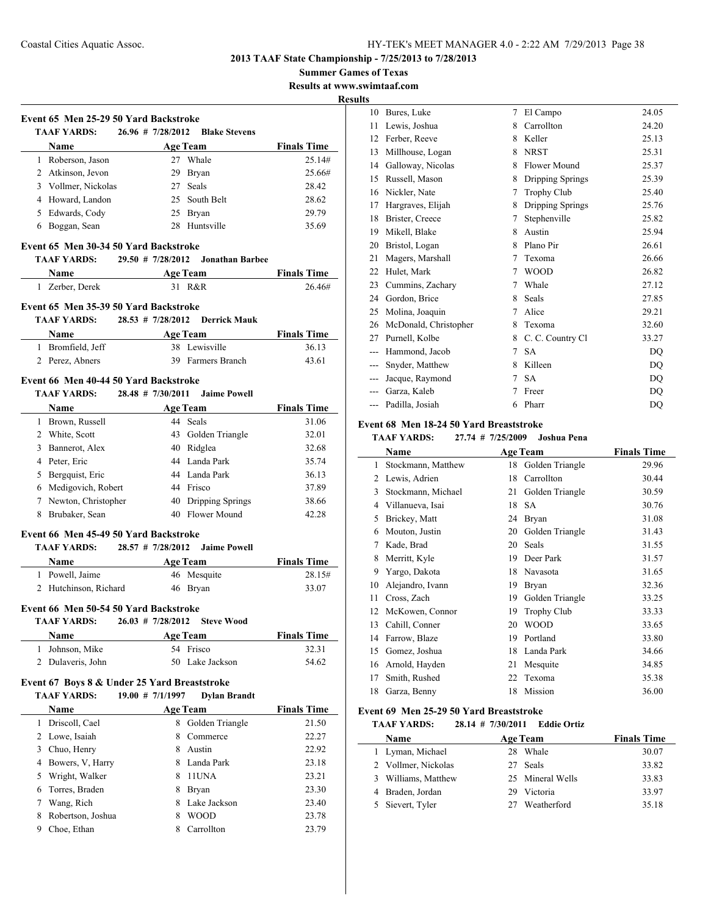**Summer Games of Texas**

**Results at www.swimtaaf.com <u>esult</u>** 

 $\sim$ 

 $\overline{\phantom{a}}$ 

| Event 65 Men 25-29 50 Yard Backstroke        |                           |                                       |                    |
|----------------------------------------------|---------------------------|---------------------------------------|--------------------|
| <b>TAAF YARDS:</b>                           |                           | 26.96 # 7/28/2012 Blake Stevens       |                    |
| Name                                         |                           | <b>Age Team</b>                       | <b>Finals Time</b> |
| 1 Roberson, Jason                            |                           | 27 Whale                              | 25.14#             |
| 2 Atkinson, Jevon                            |                           | 29 Bryan                              | 25.66#             |
| 3 Vollmer, Nickolas                          |                           | 27 Seals                              | 28.42              |
| 4 Howard, Landon                             |                           | 25 South Belt                         | 28.62              |
| 5 Edwards, Cody                              |                           | 25 Bryan                              | 29.79              |
| 6 Boggan, Sean                               |                           | 28 Huntsville                         | 35.69              |
| Event 65 Men 30-34 50 Yard Backstroke        |                           |                                       |                    |
| <b>TAAF YARDS:</b>                           |                           | 29.50 # 7/28/2012 Jonathan Barbee     |                    |
| <b>Name</b>                                  |                           | <b>ExamPedia Age Team</b> Finals Time |                    |
| 1 Zerber, Derek                              |                           | 31 R&R                                | 26.46#             |
| Event 65 Men 35-39 50 Yard Backstroke        |                           |                                       |                    |
| TAAF YARDS:                                  | $28.53$ # $7/28/2012$     | <b>Derrick Mauk</b>                   |                    |
| Name                                         | Age Team                  |                                       | <b>Finals Time</b> |
| 1 Bromfield, Jeff                            |                           | 38 Lewisville                         | 36.13              |
| 2 Perez, Abners                              |                           | 39 Farmers Branch                     | 43.61              |
| Event 66 Men 40-44 50 Yard Backstroke        |                           |                                       |                    |
| TAAF YARDS:                                  |                           | 28.48 # 7/30/2011 Jaime Powell        |                    |
| Name                                         |                           | Age Team                              | <b>Finals Time</b> |
| 1 Brown, Russell                             |                           | 44 Seals                              | 31.06              |
| 2 White, Scott                               |                           | 43 Golden Triangle                    | 32.01              |
| 3 Bannerot, Alex                             |                           | 40 Ridglea                            | 32.68              |
| 4 Peter, Eric                                |                           | 44 Landa Park                         | 35.74              |
| 5 Bergquist, Eric                            |                           | 44 Landa Park                         | 36.13              |
| 6 Medigovich, Robert                         |                           | 44 Frisco                             | 37.89              |
| 7 Newton, Christopher                        |                           | 40 Dripping Springs                   | 38.66              |
| 8 Brubaker, Sean                             |                           | 40 Flower Mound                       | 42.28              |
| Event 66 Men 45-49 50 Yard Backstroke        |                           |                                       |                    |
| TAAF YARDS:                                  | 28.57 # 7/28/2012         | <b>Jaime Powell</b>                   |                    |
| Name                                         | <b>Example 2</b> Age Team |                                       | <b>Finals Time</b> |
| 1 Powell, Jaime                              |                           | 46 Mesquite                           | 28.15#             |
| 2 Hutchinson, Richard                        |                           | 46 Bryan                              | 33.07              |
|                                              |                           |                                       |                    |
| Event 66 Men 50-54 50 Yard Backstroke        |                           |                                       |                    |
| TAAF YARDS:                                  | $26.03$ # 7/28/2012       | <b>Steve Wood</b>                     |                    |
| Name                                         |                           | <b>Age Team</b>                       | <b>Finals Time</b> |
| 1 Johnson, Mike                              |                           | 54 Frisco                             | 32.31              |
| 2 Dulaveris, John                            |                           | 50 Lake Jackson                       | 54.62              |
| Event 67 Boys 8 & Under 25 Yard Breaststroke |                           |                                       |                    |
| <b>TAAF YARDS:</b>                           | $19.00 \# 7/1/1997$       | <b>Dylan Brandt</b>                   |                    |
| <b>Name</b>                                  |                           | <b>Age Team</b>                       | <b>Finals Time</b> |
| 1 Driscoll, Cael                             | 8                         | Golden Triangle                       | 21.50              |
| 2 Lowe, Isaiah                               |                           | 8 Commerce                            | 22.27              |
| 3 Chuo, Henry                                |                           | 8 Austin                              | 22.92              |
| 4 Bowers, V, Harry                           |                           | 8 Landa Park                          | 23.18              |
| 5 Wright, Walker                             | 8                         | 11UNA                                 | 23.21              |
| 6 Torres, Braden                             |                           | 8 Bryan                               | 23.30              |
| 7 Wang, Rich                                 |                           | 8 Lake Jackson                        | 23.40              |
| 8 Robertson, Joshua                          | 8                         | <b>WOOD</b>                           | 23.78              |
| 9 Choe, Ethan                                |                           | 8 Carrollton                          | 23.79              |

| ts             |                       |   |                    |       |
|----------------|-----------------------|---|--------------------|-------|
| 10             | Bures, Luke           | 7 | El Campo           | 24.05 |
| 11             | Lewis, Joshua         | 8 | Carrollton         | 24.20 |
| 12             | Ferber, Reeve         | 8 | Keller             | 25.13 |
| 13             | Millhouse, Logan      | 8 | <b>NRST</b>        | 25.31 |
| 14             | Galloway, Nicolas     | 8 | Flower Mound       | 25.37 |
| 15             | Russell, Mason        | 8 | Dripping Springs   | 25.39 |
| 16             | Nickler, Nate         | 7 | <b>Trophy Club</b> | 25.40 |
| 17             | Hargraves, Elijah     | 8 | Dripping Springs   | 25.76 |
| 18             | Brister, Creece       | 7 | Stephenville       | 25.82 |
| 19             | Mikell, Blake         | 8 | Austin             | 25.94 |
| 20             | Bristol, Logan        | 8 | Plano Pir          | 26.61 |
| 21             | Magers, Marshall      | 7 | Texoma             | 26.66 |
| 22             | Hulet, Mark           | 7 | <b>WOOD</b>        | 26.82 |
| 23             | Cummins, Zachary      | 7 | Whale              | 27.12 |
| 24             | Gordon, Brice         | 8 | Seals              | 27.85 |
| 25             | Molina, Joaquin       | 7 | Alice              | 29.21 |
| 26             | McDonald, Christopher | 8 | Texoma             | 32.60 |
| 27             | Purnell, Kolbe        | 8 | C. C. Country Cl   | 33.27 |
| ---            | Hammond, Jacob        | 7 | <b>SA</b>          | DO    |
| ---            | Snyder, Matthew       | 8 | Killeen            | DO    |
| $\overline{a}$ | Jacque, Raymond       | 7 | <b>SA</b>          | DQ    |
|                | Garza, Kaleb          | 7 | Freer              | DQ    |
|                | Padilla, Josiah       | 6 | Pharr              | DQ    |
|                |                       |   |                    |       |

#### **Event 68 Men 18-24 50 Yard Breaststroke**

## **TAAF YARDS: 27.74 # 7/25/2009 Joshua Pena**

|    | Name               |    | <b>Age Team</b>    | <b>Finals Time</b> |
|----|--------------------|----|--------------------|--------------------|
| 1  | Stockmann, Matthew | 18 | Golden Triangle    | 29.96              |
| 2  | Lewis, Adrien      | 18 | Carrollton         | 30.44              |
| 3  | Stockmann, Michael | 21 | Golden Triangle    | 30.59              |
| 4  | Villanueva, Isai   | 18 | SA                 | 30.76              |
| 5  | Brickey, Matt      | 24 | <b>Bryan</b>       | 31.08              |
| 6  | Mouton, Justin     | 20 | Golden Triangle    | 31.43              |
| 7  | Kade, Brad         | 20 | Seals              | 31.55              |
| 8  | Merritt, Kyle      | 19 | Deer Park          | 31.57              |
| 9  | Yargo, Dakota      | 18 | Navasota           | 31.65              |
| 10 | Alejandro, Ivann   | 19 | Bryan              | 32.36              |
| 11 | Cross, Zach        | 19 | Golden Triangle    | 33.25              |
| 12 | McKowen, Connor    | 19 | <b>Trophy Club</b> | 33.33              |
| 13 | Cahill, Conner     | 20 | WOOD               | 33.65              |
| 14 | Farrow, Blaze      | 19 | Portland           | 33.80              |
| 15 | Gomez, Joshua      | 18 | Landa Park         | 34.66              |
| 16 | Arnold, Hayden     | 21 | Mesquite           | 34.85              |
| 17 | Smith, Rushed      | 22 | Texoma             | 35.38              |
| 18 | Garza, Benny       | 18 | Mission            | 36.00              |

#### **Event 69 Men 25-29 50 Yard Breaststroke**

## **TAAF YARDS: 28.14 # 7/30/2011 Eddie Ortiz**

| <b>Name</b>         |     | <b>Age Team</b>  | <b>Finals Time</b> |
|---------------------|-----|------------------|--------------------|
| 1 Lyman, Michael    | 28. | Whale            | 30.07              |
| 2 Vollmer, Nickolas |     | 27 Seals         | 33.82              |
| 3 Williams, Matthew |     | 25 Mineral Wells | 33.83              |
| 4 Braden, Jordan    | 29. | Victoria         | 33.97              |
| 5 Sievert, Tyler    |     | 27 Weatherford   | 35.18              |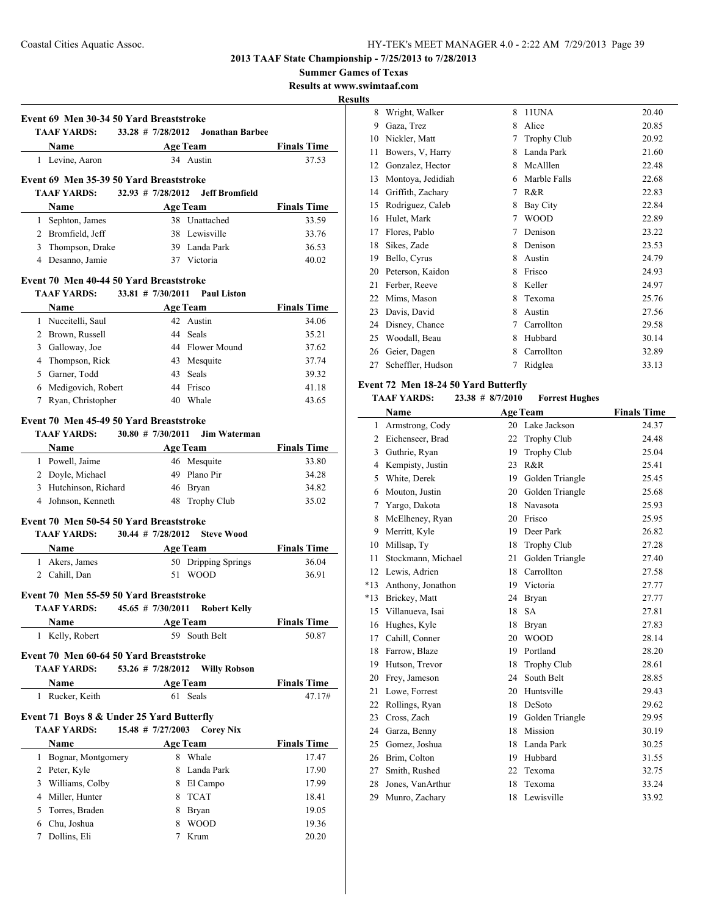**Summer Games of Texas**

**Results at www.swimtaaf.com**

**Results**

|   | TAAF YARDS:                                                              |                       | 33.28 # 7/28/2012 Jonathan Barbee |                             |
|---|--------------------------------------------------------------------------|-----------------------|-----------------------------------|-----------------------------|
|   | Name                                                                     |                       | Age Team                          | <b>Finals Time</b>          |
|   | 1 Levine, Aaron                                                          |                       | 34 Austin                         | 37.53                       |
|   | Event 69 Men 35-39 50 Yard Breaststroke                                  |                       |                                   |                             |
|   | TAAF YARDS: 32.93 # 7/28/2012                                            |                       | <b>Jeff Bromfield</b>             |                             |
|   | Name                                                                     |                       | <b>Age Team</b>                   | <b>Finals Time</b>          |
|   | 1 Sephton, James                                                         |                       | 38 Unattached                     | 33.59                       |
|   | 2 Bromfield, Jeff                                                        |                       | 38 Lewisville<br>39 Landa Park    | 33.76<br>36.53              |
|   | 3 Thompson, Drake<br>4 Desanno, Jamie                                    |                       | 37 Victoria                       | 40.02                       |
|   |                                                                          |                       |                                   |                             |
|   | Event 70 Men 40-44 50 Yard Breaststroke<br><b>TAAF YARDS:</b>            | $33.81$ # $7/30/2011$ | Paul Liston                       |                             |
|   | Name                                                                     |                       | <b>Age Team</b>                   | <b>Finals Time</b>          |
|   | 1 Nuccitelli, Saul                                                       |                       | 42 Austin                         | 34.06                       |
|   | 2 Brown, Russell                                                         |                       | 44 Seals                          | 35.21                       |
|   | 3 Galloway, Joe                                                          |                       | 44 Flower Mound                   | 37.62                       |
|   | 4 Thompson, Rick                                                         |                       | 43 Mesquite                       | 37.74                       |
|   | 5 Garner, Todd                                                           |                       | 43 Seals                          | 39.32                       |
|   | 6 Medigovich, Robert                                                     |                       | 44 Frisco                         | 41.18                       |
|   | 7 Ryan, Christopher                                                      |                       | 40 Whale                          | 43.65                       |
|   | Event 70 Men 45-49 50 Yard Breaststroke                                  |                       |                                   |                             |
|   | <b>TAAF YARDS:</b>                                                       |                       | 30.80 # 7/30/2011 Jim Waterman    |                             |
|   | Name                                                                     |                       | <b>Age Team</b>                   | <b>Finals Time</b>          |
|   | 1 Powell, Jaime                                                          |                       | 46 Mesquite                       | 33.80                       |
|   | 2 Doyle, Michael                                                         |                       | 49 Plano Pir                      | 34.28                       |
|   | 3 Hutchinson, Richard                                                    |                       | 46 Bryan                          | 34.82                       |
|   |                                                                          |                       |                                   |                             |
|   | 4 Johnson, Kenneth                                                       |                       | 48 Trophy Club                    | 35.02                       |
|   |                                                                          |                       |                                   |                             |
|   | Event 70 Men 50-54 50 Yard Breaststroke<br>TAAF YARDS: 30.44 # 7/28/2012 |                       | <b>Steve Wood</b>                 |                             |
|   |                                                                          |                       |                                   |                             |
|   | Name<br>1 Akers, James                                                   |                       | <b>Age Team</b>                   | <b>Finals Time</b><br>36.04 |
|   | 2 Cahill, Dan                                                            |                       | 50 Dripping Springs<br>51 WOOD    | 36.91                       |
|   |                                                                          |                       |                                   |                             |
|   | Event 70 Men 55-59 50 Yard Breaststroke<br>TAAF YARDS:                   |                       |                                   |                             |
|   |                                                                          | $45.65$ # $7/30/2011$ | <b>Robert Kelly</b>               |                             |
|   | Name<br>1 Kelly, Robert                                                  | 59                    | <b>Age Team</b><br>South Belt     | <b>Finals Time</b><br>50.87 |
|   |                                                                          |                       |                                   |                             |
|   | Event 70 Men 60-64 50 Yard Breaststroke                                  |                       |                                   |                             |
|   | <b>TAAF YARDS:</b>                                                       | 53.26 # 7/28/2012     | <b>Willy Robson</b>               |                             |
|   | Name                                                                     |                       | <b>Age Team</b>                   | <b>Finals Time</b>          |
|   | 1 Rucker, Keith                                                          |                       | 61 Seals                          | 47.17#                      |
|   | Event 71 Boys 8 & Under 25 Yard Butterfly                                |                       |                                   |                             |
|   | <b>TAAF YARDS:</b>                                                       | 15.48 # 7/27/2003     | <b>Corey Nix</b>                  |                             |
|   | Name                                                                     |                       | <b>Age Team</b>                   | <b>Finals Time</b>          |
| 1 | Bognar, Montgomery                                                       |                       | 8 Whale                           | 17.47                       |
|   | 2 Peter, Kyle                                                            |                       | 8 Landa Park                      | 17.90                       |
|   | 3 Williams, Colby                                                        |                       | 8 El Campo                        | 17.99                       |
|   | 4 Miller, Hunter                                                         |                       | 8 TCAT                            | 18.41                       |
|   | 5 Torres, Braden                                                         |                       | 8 Bryan                           | 19.05                       |
| 7 | 6 Chu, Joshua<br>Dollins, Eli                                            |                       | 8 WOOD<br>7 Krum                  | 19.36<br>20.20              |

| 8  | Wright, Walker    | 8 | 11UNA              | 20.40 |
|----|-------------------|---|--------------------|-------|
| 9  | Gaza, Trez        | 8 | Alice              | 20.85 |
| 10 | Nickler, Matt     | 7 | <b>Trophy Club</b> | 20.92 |
| 11 | Bowers, V, Harry  | 8 | Landa Park         | 21.60 |
| 12 | Gonzalez, Hector  | 8 | McAlllen           | 22.48 |
| 13 | Montoya, Jedidiah | 6 | Marble Falls       | 22.68 |
| 14 | Griffith, Zachary | 7 | R&R                | 22.83 |
| 15 | Rodriguez, Caleb  | 8 | Bay City           | 22.84 |
| 16 | Hulet, Mark       | 7 | <b>WOOD</b>        | 22.89 |
| 17 | Flores, Pablo     | 7 | Denison            | 23.22 |
| 18 | Sikes, Zade       | 8 | Denison            | 23.53 |
| 19 | Bello, Cyrus      | 8 | Austin             | 24.79 |
| 20 | Peterson, Kaidon  | 8 | Frisco             | 24.93 |
| 21 | Ferber, Reeve     | 8 | Keller             | 24.97 |
| 22 | Mims, Mason       | 8 | Texoma             | 25.76 |
| 23 | Davis, David      | 8 | Austin             | 27.56 |
| 24 | Disney, Chance    | 7 | Carrollton         | 29.58 |
| 25 | Woodall, Beau     | 8 | Hubbard            | 30.14 |
| 26 | Geier, Dagen      | 8 | Carrollton         | 32.89 |
| 27 | Scheffler, Hudson | 7 | Ridglea            | 33.13 |
|    |                   |   |                    |       |

## **Event 72 Men 18-24 50 Yard Butterfly**

## **TAAF YARDS: 23.38 # 8/7/2010 Forrest Hughes**

|                | Name               |    | <b>Age Team</b>    | <b>Finals Time</b> |
|----------------|--------------------|----|--------------------|--------------------|
| $\mathbf{1}$   | Armstrong, Cody    | 20 | Lake Jackson       | 24.37              |
| $\overline{c}$ | Eichenseer, Brad   | 22 | Trophy Club        | 24.48              |
| 3              | Guthrie, Ryan      | 19 | <b>Trophy Club</b> | 25.04              |
| 4              | Kempisty, Justin   | 23 | R&R                | 25.41              |
| 5              | White, Derek       | 19 | Golden Triangle    | 25.45              |
| 6              | Mouton, Justin     | 20 | Golden Triangle    | 25.68              |
| 7              | Yargo, Dakota      | 18 | Navasota           | 25.93              |
| 8              | McElheney, Ryan    | 20 | Frisco             | 25.95              |
| 9              | Merritt, Kyle      | 19 | Deer Park          | 26.82              |
| 10             | Millsap, Ty        | 18 | <b>Trophy Club</b> | 27.28              |
| 11             | Stockmann, Michael | 21 | Golden Triangle    | 27.40              |
| 12             | Lewis, Adrien      | 18 | Carrollton         | 27.58              |
| $*13$          | Anthony, Jonathon  | 19 | Victoria           | 27.77              |
| *13            | Brickey, Matt      | 24 | Bryan              | 27.77              |
| 15             | Villanueva, Isai   | 18 | <b>SA</b>          | 27.81              |
| 16             | Hughes, Kyle       | 18 | Bryan              | 27.83              |
| 17             | Cahill, Conner     | 20 | <b>WOOD</b>        | 28.14              |
| 18             | Farrow, Blaze      | 19 | Portland           | 28.20              |
| 19             | Hutson, Trevor     | 18 | <b>Trophy Club</b> | 28.61              |
| 20             | Frey, Jameson      | 24 | South Belt         | 28.85              |
| 21             | Lowe, Forrest      | 20 | Huntsville         | 29.43              |
| 22             | Rollings, Ryan     | 18 | DeSoto             | 29.62              |
| 23             | Cross, Zach        | 19 | Golden Triangle    | 29.95              |
| 24             | Garza, Benny       | 18 | Mission            | 30.19              |
| 25             | Gomez, Joshua      | 18 | Landa Park         | 30.25              |
| 26             | Brim, Colton       | 19 | Hubbard            | 31.55              |
| 27             | Smith, Rushed      | 22 | Texoma             | 32.75              |
| 28             | Jones, VanArthur   | 18 | Texoma             | 33.24              |
| 29             | Munro, Zachary     | 18 | Lewisville         | 33.92              |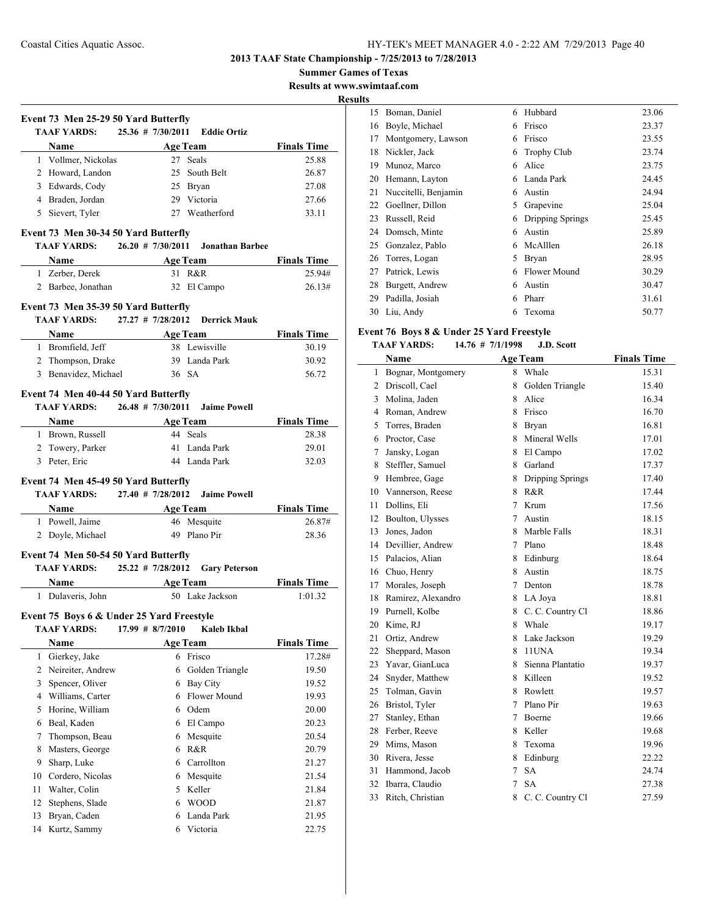**Summer Games of Texas**

**Results at www.swimtaaf.com**

**Results**

|              | Event 73 Men 25-29 50 Yard Butterfly                       |                       |                                    |                               |
|--------------|------------------------------------------------------------|-----------------------|------------------------------------|-------------------------------|
|              | <b>TAAF YARDS:</b>                                         | $25.36$ # 7/30/2011   | Eddie Ortiz                        |                               |
|              | Name                                                       |                       | <b>Age Team</b>                    | <b>Finals Time</b>            |
|              | 1 Vollmer, Nickolas                                        |                       | 27 Seals                           | 25.88                         |
|              | 2 Howard, Landon                                           |                       | 25 South Belt                      | 26.87                         |
|              | 3 Edwards, Cody                                            |                       | 25 Bryan                           | 27.08                         |
|              | 4 Braden, Jordan                                           |                       | 29 Victoria                        | 27.66                         |
|              | 5 Sievert, Tyler                                           |                       | 27 Weatherford                     | 33.11                         |
|              | Event 73 Men 30-34 50 Yard Butterfly                       |                       |                                    |                               |
|              | <b>TAAF YARDS:</b>                                         | $26.20 \pm 7/30/2011$ | Jonathan Barbee                    |                               |
|              | <b>Name</b>                                                |                       |                                    | Age Team Finals Time          |
|              | 1 Zerber, Derek                                            |                       | 31 R&R                             | 25.94#                        |
|              | 2 Barbee, Jonathan                                         |                       | 32 El Campo                        | 26.13#                        |
|              |                                                            |                       |                                    |                               |
|              | Event 73 Men 35-39 50 Yard Butterfly                       |                       | Derrick Mauk                       |                               |
|              | TAAF YARDS:                                                | $27.27$ # $7/28/2012$ |                                    |                               |
|              |                                                            |                       | <b>Age Team</b>                    | <b>Finals Time</b>            |
|              | 1 Bromfield, Jeff                                          |                       | 38 Lewisville                      | 30.19                         |
|              | 2 Thompson, Drake                                          |                       | 39 Landa Park                      | 30.92                         |
|              | 3 Benavidez, Michael                                       |                       | 36 SA                              | 56.72                         |
|              | Event 74 Men 40-44 50 Yard Butterfly                       |                       |                                    |                               |
|              | TAAF YARDS:                                                | $26.48$ # 7/30/2011   | <b>Jaime Powell</b>                |                               |
|              |                                                            |                       |                                    | Name Age Team Finals Time     |
|              | 1 Brown, Russell                                           |                       | 44 Seals                           | 28.38                         |
|              | 2 Towery, Parker                                           |                       | 41 Landa Park                      | 29.01                         |
|              | 3 Peter, Eric                                              |                       | 44 Landa Park                      | 32.03                         |
|              |                                                            |                       |                                    |                               |
|              | Event 74 Men 45-49 50 Yard Butterfly                       |                       |                                    |                               |
|              | <b>TAAF YARDS:</b>                                         | 27.40 # 7/28/2012     | <b>Jaime Powell</b>                |                               |
|              | <b>Name</b>                                                |                       | <b>Age Team</b>                    | <b>Finals Time</b>            |
|              | 1 Powell, Jaime                                            |                       | 46 Mesquite                        | 26.87#                        |
|              | 2 Doyle, Michael                                           |                       | 49 Plano Pir                       | 28.36                         |
|              |                                                            |                       |                                    |                               |
|              | Event 74 Men 50-54 50 Yard Butterfly<br><b>TAAF YARDS:</b> | 25.22 # 7/28/2012     | <b>Gary Peterson</b>               |                               |
|              |                                                            |                       |                                    |                               |
|              | Name<br>1 Dulaveris, John                                  |                       | <b>Age Team</b><br>50 Lake Jackson | <b>Finals Time</b><br>1:01.32 |
|              |                                                            |                       |                                    |                               |
|              | Event 75 Boys 6 & Under 25 Yard Freestyle                  |                       |                                    |                               |
|              | <b>TAAF YARDS:</b>                                         | 17.99 # 8/7/2010      | Kaleb Ikbal                        |                               |
|              | Name                                                       |                       | <b>Age Team</b>                    | <b>Finals Time</b>            |
| $\mathbf{1}$ | Gierkey, Jake                                              |                       | 6 Frisco                           | 17.28#                        |
| 2            | Neireiter, Andrew                                          | 6                     | Golden Triangle                    | 19.50                         |
| 3            | Spencer, Oliver                                            |                       | 6 Bay City                         | 19.52                         |
| 4            | Williams, Carter                                           |                       | 6 Flower Mound                     | 19.93                         |
| 5            | Horine, William                                            |                       | 6 Odem                             | 20.00                         |
| 6            | Beal, Kaden                                                |                       | 6 El Campo                         | 20.23                         |
| 7            |                                                            |                       | 6 Mesquite                         | 20.54                         |
|              | Thompson, Beau                                             |                       |                                    |                               |
| 8            | Masters, George                                            |                       | 6 R&R                              | 20.79                         |
| 9            | Sharp, Luke                                                |                       | 6 Carrollton                       | 21.27                         |
| 10           | Cordero, Nicolas                                           |                       | 6 Mesquite                         | 21.54                         |
| 11           | Walter, Colin                                              |                       | 5 Keller                           | 21.84                         |
| 12           | Stephens, Slade                                            |                       | 6 WOOD                             | 21.87                         |

13 Bryan, Caden 6 Landa Park 21.95 Kurtz, Sammy 6 Victoria 22.75

| o  |                      |   |                    |       |
|----|----------------------|---|--------------------|-------|
| 15 | Boman, Daniel        | 6 | Hubbard            | 23.06 |
| 16 | Boyle, Michael       | 6 | Frisco             | 23.37 |
| 17 | Montgomery, Lawson   | 6 | Frisco             | 23.55 |
| 18 | Nickler, Jack        | 6 | <b>Trophy Club</b> | 23.74 |
| 19 | Munoz, Marco         | 6 | Alice              | 23.75 |
| 20 | Hemann, Layton       | 6 | Landa Park         | 24.45 |
| 21 | Nuccitelli, Benjamin | 6 | Austin             | 24.94 |
| 22 | Goellner, Dillon     | 5 | Grapevine          | 25.04 |
| 23 | Russell, Reid        | 6 | Dripping Springs   | 25.45 |
| 24 | Domsch, Minte        | 6 | Austin             | 25.89 |
| 25 | Gonzalez, Pablo      | 6 | McAlllen           | 26.18 |
| 26 | Torres, Logan        | 5 | Bryan              | 28.95 |
| 27 | Patrick, Lewis       | 6 | Flower Mound       | 30.29 |
| 28 | Burgett, Andrew      | 6 | Austin             | 30.47 |
| 29 | Padilla, Josiah      | 6 | Pharr              | 31.61 |
| 30 | Liu, Andy            | 6 | Texoma             | 50.77 |

## **Event 76 Boys 8 & Under 25 Yard Freestyle**

#### **TAAF YARDS: 14.76 # 7/1/1998 J.D. Scott**

|                | Name               |   | <b>Age Team</b>  | <b>Finals Time</b> |
|----------------|--------------------|---|------------------|--------------------|
| 1              | Bognar, Montgomery | 8 | Whale            | 15.31              |
| $\overline{2}$ | Driscoll, Cael     | 8 | Golden Triangle  | 15.40              |
| 3              | Molina, Jaden      | 8 | Alice            | 16.34              |
| $\overline{4}$ | Roman, Andrew      | 8 | Frisco           | 16.70              |
| 5              | Torres, Braden     | 8 | Bryan            | 16.81              |
| 6              | Proctor, Case      | 8 | Mineral Wells    | 17.01              |
| 7              | Jansky, Logan      | 8 | El Campo         | 17.02              |
| 8              | Steffler, Samuel   | 8 | Garland          | 17.37              |
| 9              | Hembree, Gage      | 8 | Dripping Springs | 17.40              |
| 10             | Vannerson, Reese   | 8 | R&R              | 17.44              |
| 11             | Dollins, Eli       | 7 | Krum             | 17.56              |
| 12             | Boulton, Ulysses   | 7 | Austin           | 18.15              |
| 13             | Jones, Jadon       | 8 | Marble Falls     | 18.31              |
| 14             | Devillier, Andrew  | 7 | Plano            | 18.48              |
| 15             | Palacios, Alian    | 8 | Edinburg         | 18.64              |
| 16             | Chuo, Henry        | 8 | Austin           | 18.75              |
| 17             | Morales, Joseph    | 7 | Denton           | 18.78              |
| 18             | Ramirez, Alexandro | 8 | LA Joya          | 18.81              |
| 19             | Purnell, Kolbe     | 8 | C. C. Country Cl | 18.86              |
| 20             | Kime, RJ           | 8 | Whale            | 19.17              |
| 21             | Ortiz, Andrew      | 8 | Lake Jackson     | 19.29              |
| 22             | Sheppard, Mason    | 8 | 11UNA            | 19.34              |
| 23             | Yavar, GianLuca    | 8 | Sienna Plantatio | 19.37              |
| 24             | Snyder, Matthew    | 8 | Killeen          | 19.52              |
| 25             | Tolman, Gavin      | 8 | Rowlett          | 19.57              |
| 26             | Bristol, Tyler     | 7 | Plano Pir        | 19.63              |
| 27             | Stanley, Ethan     | 7 | Boerne           | 19.66              |
| 28             | Ferber, Reeve      | 8 | Keller           | 19.68              |
| 29             | Mims, Mason        | 8 | Texoma           | 19.96              |
| 30             | Rivera, Jesse      | 8 | Edinburg         | 22.22              |
| 31             | Hammond, Jacob     | 7 | <b>SA</b>        | 24.74              |
| 32             | Ibarra, Claudio    | 7 | <b>SA</b>        | 27.38              |
| 33             | Ritch, Christian   | 8 | C. C. Country Cl | 27.59              |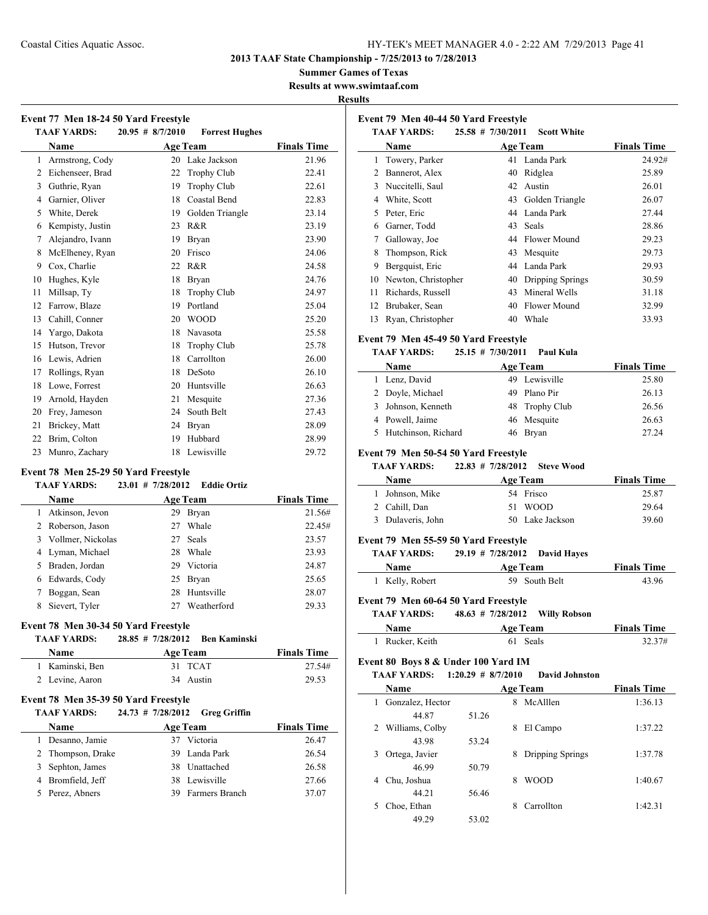**2013 TAAF State Championship - 7/25/2013 to 7/28/2013**

**Summer Games of Texas**

**Results at www.swimtaaf.com**

|              | $20.95 \# 8/7/2010$<br><b>TAAF YARDS:</b>                 | <b>Forrest Hughes</b>                                        |                    |
|--------------|-----------------------------------------------------------|--------------------------------------------------------------|--------------------|
|              | Name                                                      | <b>Age Team</b>                                              | <b>Finals Time</b> |
| $\mathbf{1}$ | Armstrong, Cody                                           | 20 Lake Jackson                                              | 21.96              |
|              | 2 Eichenseer, Brad                                        | 22 Trophy Club                                               | 22.41              |
|              | 3 Guthrie, Ryan                                           | 19 Trophy Club                                               | 22.61              |
|              | 4 Garnier, Oliver                                         | 18 Coastal Bend                                              | 22.83              |
|              | 5 White, Derek                                            | 19 Golden Triangle                                           | 23.14              |
|              | 6 Kempisty, Justin                                        | 23 R&R                                                       | 23.19              |
|              | 7 Alejandro, Ivann                                        | 19 Bryan                                                     | 23.90              |
|              | 8 McElheney, Ryan                                         | 20 Frisco                                                    | 24.06              |
| 9            | Cox, Charlie                                              | 22 R&R                                                       | 24.58              |
| 10           | Hughes, Kyle                                              | 18 Bryan                                                     | 24.76              |
| 11           | Millsap, Ty                                               | 18 Trophy Club                                               | 24.97              |
|              | 12 Farrow, Blaze                                          | 19 Portland                                                  | 25.04              |
|              | 13 Cahill, Conner                                         | 20 WOOD                                                      | 25.20              |
|              | 14 Yargo, Dakota                                          | 18 Navasota                                                  | 25.58              |
|              | 15 Hutson, Trevor                                         | 18 Trophy Club                                               | 25.78              |
|              | 16 Lewis, Adrien                                          | 18 Carrollton                                                | 26.00              |
|              | 17 Rollings, Ryan                                         | 18 DeSoto                                                    | 26.10              |
|              | 18 Lowe, Forrest                                          | 20 Huntsville                                                | 26.63              |
|              | 19 Arnold, Hayden                                         | 21 Mesquite                                                  | 27.36              |
|              | 20 Frey, Jameson                                          | 24 South Belt                                                | 27.43              |
|              | Brickey, Matt                                             | 24 Bryan                                                     | 28.09              |
|              |                                                           |                                                              |                    |
|              | 22 Brim, Colton                                           | Hubbard<br>19                                                | 28.99              |
|              | 23 Munro, Zachary<br>Event 78 Men 25-29 50 Yard Freestyle | 18 Lewisville                                                | 29.72              |
|              | <b>TAAF YARDS:</b><br>Name                                | $23.01$ # 7/28/2012<br><b>Eddie Ortiz</b><br><b>Age Team</b> | <b>Finals Time</b> |
|              | 1 Atkinson, Jevon                                         | 29 Bryan                                                     | 21.56#             |
|              | 2 Roberson, Jason                                         | 27<br>Whale                                                  | 22.45#             |
|              | 3 Vollmer, Nickolas                                       | 27<br>Seals                                                  | 23.57              |
| 21           | 4 Lyman, Michael                                          | 28<br>Whale                                                  | 23.93              |
|              | 5 Braden, Jordan                                          | 29 Victoria                                                  | 24.87              |
|              | 6 Edwards, Cody                                           | 25 Bryan                                                     | 25.65              |
| 7            | Boggan, Sean                                              | 28 Huntsville                                                | 28.07              |
| 8            | Sievert, Tyler                                            | 27 Weatherford                                               | 29.33              |
|              | Event 78 Men 30-34 50 Yard Freestyle                      |                                                              |                    |
|              | <b>TAAF YARDS:</b>                                        | $28.85$ # 7/28/2012<br><b>Ben Kaminski</b>                   |                    |
|              | Name                                                      | <b>Age Team</b>                                              | <b>Finals Time</b> |
| $\mathbf{1}$ | Kaminski, Ben                                             | 31 TCAT                                                      | 27.54#             |
|              | 2 Levine, Aaron                                           | 34 Austin                                                    | 29.53              |
|              | Event 78 Men 35-39 50 Yard Freestyle                      |                                                              |                    |
|              | <b>TAAF YARDS:</b>                                        | 24.73 # 7/28/2012<br><b>Greg Griffin</b>                     |                    |
|              | Name                                                      | <b>Age Team</b>                                              | <b>Finals Time</b> |
|              | 1 Desanno, Jamie                                          | 37 Victoria                                                  | 26.47              |
|              | 2 Thompson, Drake                                         | 39 Landa Park                                                | 26.54              |
|              | 3 Sephton, James<br>4 Bromfield, Jeff                     | 38 Unattached<br>38 Lewisville                               | 26.58<br>27.66     |

| Event 79 Men 40-44 50 Yard Freestyle |    |                    |                                                                                                                                       |  |
|--------------------------------------|----|--------------------|---------------------------------------------------------------------------------------------------------------------------------------|--|
| <b>TAAF YARDS:</b>                   |    | <b>Scott White</b> |                                                                                                                                       |  |
| Name                                 |    |                    | <b>Finals Time</b>                                                                                                                    |  |
| Towery, Parker                       |    |                    | 24.92#                                                                                                                                |  |
| Bannerot, Alex                       | 40 | Ridglea            | 25.89                                                                                                                                 |  |
| Nuccitelli, Saul                     |    | Austin             | 26.01                                                                                                                                 |  |
| White, Scott                         | 43 |                    | 26.07                                                                                                                                 |  |
| Peter, Eric                          | 44 |                    | 27.44                                                                                                                                 |  |
| Garner, Todd                         | 43 |                    | 28.86                                                                                                                                 |  |
| Galloway, Joe                        | 44 |                    | 29.23                                                                                                                                 |  |
| Thompson, Rick                       | 43 | Mesquite           | 29.73                                                                                                                                 |  |
| Bergquist, Eric                      | 44 |                    | 29.93                                                                                                                                 |  |
| Newton, Christopher                  | 40 | Dripping Springs   | 30.59                                                                                                                                 |  |
| Richards, Russell                    | 43 | Mineral Wells      | 31.18                                                                                                                                 |  |
| Brubaker, Sean                       | 40 | Flower Mound       | 32.99                                                                                                                                 |  |
| Ryan, Christopher                    | 40 | Whale              | 33.93                                                                                                                                 |  |
|                                      |    |                    | $25.58$ # 7/30/2011<br><b>Age Team</b><br>41 Landa Park<br>42<br>Golden Triangle<br>Landa Park<br>Seals<br>Flower Mound<br>Landa Park |  |

#### **Event 79 Men 45-49 50 Yard Freestyle**

#### **TAAF YARDS: 25.15 # 7/30/2011 Paul Kula**

| <b>Name</b>           | <b>Age Team</b> | <b>Finals Time</b> |
|-----------------------|-----------------|--------------------|
| 1 Lenz, David         | 49 Lewisville   | 25.80              |
| 2 Doyle, Michael      | 49 Plano Pir    | 26.13              |
| 3 Johnson, Kenneth    | 48 Trophy Club  | 26.56              |
| 4 Powell, Jaime       | 46 Mesquite     | 26.63              |
| 5 Hutchinson, Richard | 46 Bryan        | 27.24              |

#### **Event 79 Men 50-54 50 Yard Freestyle**

**TAAF YARDS: 22.83 # 7/28/2012 Steve Wood**

| <b>Name</b>       | <b>Age Team</b> | <b>Finals Time</b> |
|-------------------|-----------------|--------------------|
| 1 Johnson, Mike   | 54 Frisco       | 25.87              |
| 2 Cahill, Dan     | 51 WOOD         | 29.64              |
| 3 Dulaveris, John | 50 Lake Jackson | 39.60              |

#### **Event 79 Men 55-59 50 Yard Freestyle**

| <b>TAAF YARDS:</b> | 29.19 # 7/28/2012 David Haves |                    |
|--------------------|-------------------------------|--------------------|
| <b>Name</b>        | Age Team                      | <b>Finals Time</b> |
| 1 Kelly, Robert    | 59 South Belt                 | 43.96              |

#### **Event 79 Men 60-64 50 Yard Freestyle**

**TAAF YARDS: 48.63 # 7/28/2012 Willy Robson**

| Name          | <b>Age Team</b> | <b>Finals Time</b> |
|---------------|-----------------|--------------------|
| Rucker, Keith | 61 Seals        | 32.37#             |

## **Event 80 Boys 8 & Under 100 Yard IM**

**TAAF YARDS: 1:20.29 # 8/7/2010 David Johnston**

| <b>Name</b>            |       | <b>Age Team</b>       | <b>Finals Time</b> |
|------------------------|-------|-----------------------|--------------------|
| Gonzalez, Hector<br>1. |       | McAlllen<br>8         | 1:36.13            |
| 44.87                  | 51.26 |                       |                    |
| Williams, Colby<br>2   |       | El Campo<br>8         | 1:37.22            |
| 43.98                  | 53.24 |                       |                    |
| Ortega, Javier         |       | Dripping Springs<br>8 | 1:37.78            |
| 46.99                  | 50.79 |                       |                    |
| Chu, Joshua<br>4       |       | <b>WOOD</b><br>8      | 1:40.67            |
| 44.21                  | 56.46 |                       |                    |
| Choe, Ethan            |       | Carrollton<br>8       | 1:42.31            |
| 49 29                  | 53.02 |                       |                    |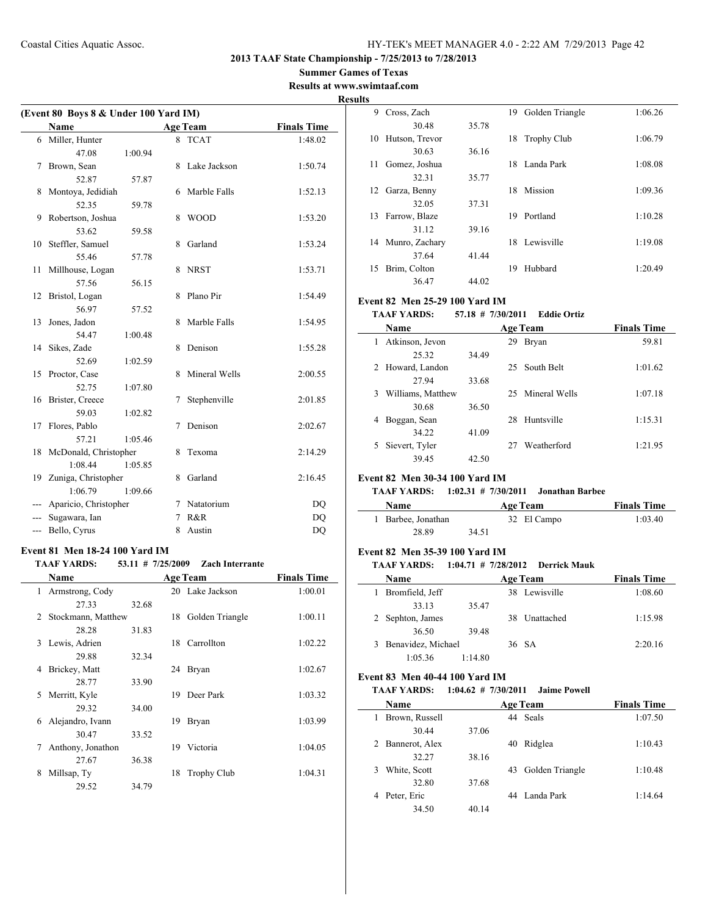## **Summer Games of Texas**

 $\overline{\phantom{0}}$ 

 $\sim$ 

**Results at www.swimtaaf.com**

|     | <b>Name</b>           |         |   | <b>Age Team</b> | <b>Finals Time</b> |
|-----|-----------------------|---------|---|-----------------|--------------------|
| 6   | Miller, Hunter        |         | 8 | <b>TCAT</b>     | 1:48.02            |
|     | 47.08                 | 1:00.94 |   |                 |                    |
| 7   | Brown, Sean           |         | 8 | Lake Jackson    | 1:50.74            |
|     | 52.87                 | 57.87   |   |                 |                    |
| 8   | Montoya, Jedidiah     |         | 6 | Marble Falls    | 1:52.13            |
|     | 52.35                 | 59.78   |   |                 |                    |
| 9   | Robertson, Joshua     |         | 8 | <b>WOOD</b>     | 1:53.20            |
|     | 53.62                 | 59.58   |   |                 |                    |
| 10  | Steffler, Samuel      |         | 8 | Garland         | 1:53.24            |
|     | 55.46                 | 57.78   |   |                 |                    |
| 11  | Millhouse, Logan      |         | 8 | <b>NRST</b>     | 1:53.71            |
|     | 57.56                 | 56.15   |   |                 |                    |
| 12  | Bristol, Logan        |         | 8 | Plano Pir       | 1:54.49            |
|     | 56.97                 | 57.52   |   |                 |                    |
| 13  | Jones, Jadon          |         | 8 | Marble Falls    | 1:54.95            |
|     | 54.47                 | 1:00.48 |   |                 |                    |
| 14  | Sikes, Zade           |         | 8 | Denison         | 1:55.28            |
|     | 52.69                 | 1:02.59 |   |                 |                    |
| 15  | Proctor, Case         |         | 8 | Mineral Wells   | 2:00.55            |
|     | 52.75                 | 1:07.80 |   |                 |                    |
| 16  | Brister, Creece       |         | 7 | Stephenville    | 2:01.85            |
|     | 59.03                 | 1:02.82 |   |                 |                    |
| 17  | Flores, Pablo         |         | 7 | Denison         | 2:02.67            |
|     | 57.21                 | 1:05.46 |   |                 |                    |
| 18  | McDonald, Christopher |         | 8 | Texoma          | 2:14.29            |
|     | 1:08.44               | 1:05.85 |   |                 |                    |
| 19  | Zuniga, Christopher   |         | 8 | Garland         | 2:16.45            |
|     | 1:06.79               | 1:09.66 |   |                 |                    |
|     | Aparicio, Christopher |         | 7 | Natatorium      | D <sub>O</sub>     |
|     | Sugawara, Ian         |         | 7 | R&R             | <b>DQ</b>          |
| --- | Bello, Cyrus          |         | 8 | Austin          | DQ                 |

## **Event 81 Men 18-24 100 Yard IM**

#### **TAAF YARDS: 53.11 # 7/25/2009 Zach Interrante**

|    | Name               |       |     | <b>Age Team</b> | <b>Finals Time</b> |
|----|--------------------|-------|-----|-----------------|--------------------|
| 1  | Armstrong, Cody    |       |     | 20 Lake Jackson | 1:00.01            |
|    | 27.33              | 32.68 |     |                 |                    |
| 2  | Stockmann, Matthew |       | 18  | Golden Triangle | 1:00.11            |
|    | 28.28              | 31.83 |     |                 |                    |
| 3  | Lewis, Adrien      |       |     | 18 Carrollton   | 1:02.22            |
|    | 29.88              | 32.34 |     |                 |                    |
| 4  | Brickey, Matt      |       | 24  | <b>Bryan</b>    | 1:02.67            |
|    | 28.77              | 33.90 |     |                 |                    |
| 5. | Merritt, Kyle      |       | 19. | Deer Park       | 1:03.32            |
|    | 29.32              | 34.00 |     |                 |                    |
| 6  | Alejandro, Ivann   |       | 19  | Bryan           | 1:03.99            |
|    | 30.47              | 33.52 |     |                 |                    |
| 7  | Anthony, Jonathon  |       | 19. | Victoria        | 1:04.05            |
|    | 27.67              | 36.38 |     |                 |                    |
| 8  | Millsap, Ty        |       | 18  | Trophy Club     | 1:04.31            |
|    | 29.52              | 34.79 |     |                 |                    |

| <b>Results</b> |                |       |    |                 |         |  |  |  |  |
|----------------|----------------|-------|----|-----------------|---------|--|--|--|--|
| 9              | Cross, Zach    |       | 19 | Golden Triangle | 1:06.26 |  |  |  |  |
|                | 30.48          | 35.78 |    |                 |         |  |  |  |  |
| 10             | Hutson, Trevor |       |    | 18 Trophy Club  | 1:06.79 |  |  |  |  |
|                | 30.63          | 36.16 |    |                 |         |  |  |  |  |
| 11             | Gomez, Joshua  |       |    | 18 Landa Park   | 1:08.08 |  |  |  |  |
|                | 32.31          | 35.77 |    |                 |         |  |  |  |  |
| 12             | Garza, Benny   |       | 18 | Mission         | 1:09.36 |  |  |  |  |
|                | 32.05          | 37.31 |    |                 |         |  |  |  |  |
| 13             | Farrow, Blaze  |       | 19 | Portland        | 1:10.28 |  |  |  |  |
|                | 31.12          | 39.16 |    |                 |         |  |  |  |  |
| 14             | Munro, Zachary |       |    | 18 Lewisville   | 1:19.08 |  |  |  |  |
|                | 37.64          | 41.44 |    |                 |         |  |  |  |  |
| 15             | Brim, Colton   |       | 19 | Hubbard         | 1:20.49 |  |  |  |  |
|                | 36.47          | 44.02 |    |                 |         |  |  |  |  |

#### **Event 82 Men 25-29 100 Yard IM**

**TAAF YARDS: 57.18 # 7/30/2011 Eddie Ortiz**

|   | Name              |       |    | <b>Age Team</b>  | <b>Finals Time</b> |
|---|-------------------|-------|----|------------------|--------------------|
|   | Atkinson, Jevon   |       | 29 | Bryan            | 59.81              |
|   | 25.32             | 34.49 |    |                  |                    |
| 2 | Howard, Landon    |       |    | 25 South Belt    | 1:01.62            |
|   | 27.94             | 33.68 |    |                  |                    |
| 3 | Williams, Matthew |       |    | 25 Mineral Wells | 1:07.18            |
|   | 30.68             | 36.50 |    |                  |                    |
| 4 | Boggan, Sean      |       | 28 | Huntsville       | 1:15.31            |
|   | 34.22             | 41.09 |    |                  |                    |
|   | Sievert, Tyler    |       |    | Weatherford      | 1:21.95            |
|   | 39.45             | 42.50 |    |                  |                    |

#### **Event 82 Men 30-34 100 Yard IM**

#### **TAAF YARDS: 1:02.31 # 7/30/2011 Jonathan Barbee**

| Name               | Age Team    | <b>Finals Time</b> |
|--------------------|-------------|--------------------|
| 1 Barbee, Jonathan | 32 El Campo | 1:03.40            |
| 28.89              | 34.51       |                    |

#### **Event 82 Men 35-39 100 Yard IM**

## **TAAF YARDS: 1:04.71 # 7/28/2012 Derrick Mauk**

| <b>Name</b>        |         | <b>Age Team</b> | <b>Finals Time</b> |
|--------------------|---------|-----------------|--------------------|
| Bromfield, Jeff    |         | 38 Lewisville   | 1:08.60            |
| 33.13              | 35.47   |                 |                    |
| 2 Sephton, James   |         | 38 Unattached   | 1:15.98            |
| 36.50              | 39.48   |                 |                    |
| Benavidez, Michael |         | 36 SA           | 2:20.16            |
| 1:05.36            | 1:14.80 |                 |                    |

#### **Event 83 Men 40-44 100 Yard IM**

#### **TAAF YARDS: 1:04.62 # 7/30/2011 Jaime Powell**

| Name           | <b>Age Team</b> |    |                 | <b>Finals Time</b> |
|----------------|-----------------|----|-----------------|--------------------|
| Brown, Russell |                 |    | 44 Seals        | 1:07.50            |
| 30.44          | 37.06           |    |                 |                    |
| Bannerot, Alex |                 | 40 | Ridglea         | 1:10.43            |
| 32.27          | 38.16           |    |                 |                    |
| White, Scott   |                 | 43 | Golden Triangle | 1:10.48            |
| 32.80          | 37.68           |    |                 |                    |
| Peter, Eric    |                 |    | 44 Landa Park   | 1:14.64            |
| 34.50          | 40.14           |    |                 |                    |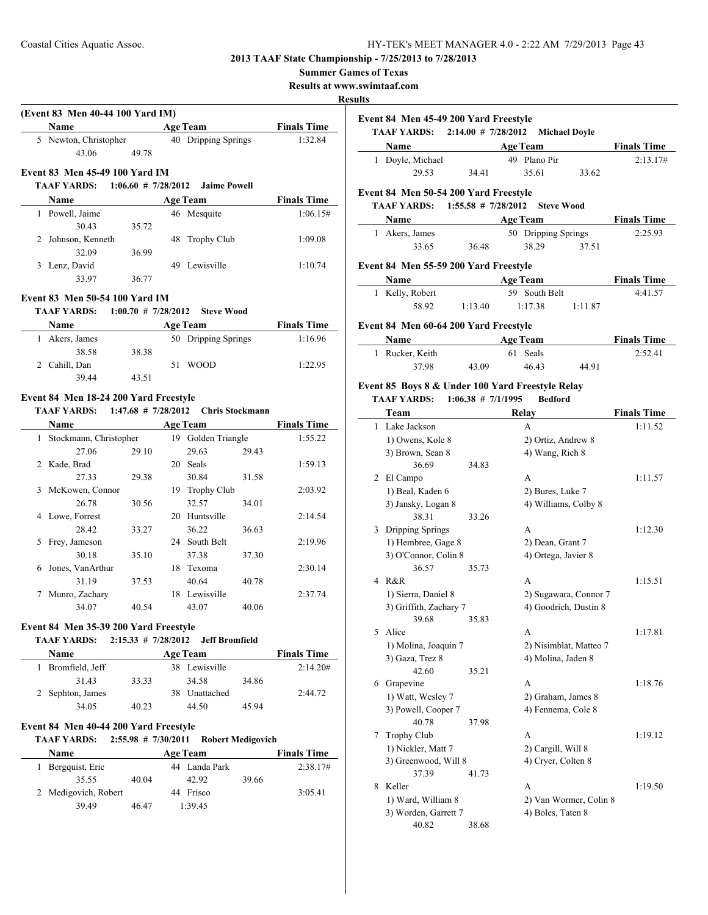## **Summer Games of Texas**

**Results at www.swimtaaf.com**

|                                                        |                        |                                       |       |                    | <b>Results</b> |                                                                                       |                                    |                 |                     |
|--------------------------------------------------------|------------------------|---------------------------------------|-------|--------------------|----------------|---------------------------------------------------------------------------------------|------------------------------------|-----------------|---------------------|
| (Event 83 Men 40-44 100 Yard IM)<br>Name               |                        | <b>Age Team</b>                       |       | <b>Finals Time</b> |                | Event 84 Men 45-49 200 Yard Freestyle<br>TAAF YARDS: 2:14.00 # 7/28/2012 Michael Doyl |                                    |                 |                     |
| 5 Newton, Christopher                                  |                        | 40 Dripping Springs                   |       | 1:32.84            |                | Name                                                                                  |                                    | <b>Age Team</b> |                     |
| 43.06                                                  | 49.78                  |                                       |       |                    |                | 1 Doyle, Michael                                                                      |                                    | 49 Plano Pir    |                     |
| Event 83 Men 45-49 100 Yard IM                         |                        |                                       |       |                    |                | 29.53                                                                                 | 34.41                              | 35.61           | 33                  |
| <b>TAAF YARDS:</b>                                     |                        | $1:06.60 \# 7/28/2012$ Jaime Powell   |       |                    |                |                                                                                       |                                    |                 |                     |
| Name                                                   |                        | <b>Age Team</b>                       |       | <b>Finals Time</b> |                | Event 84 Men 50-54 200 Yard Freestyle                                                 |                                    |                 |                     |
| 1 Powell, Jaime                                        |                        | 46 Mesquite                           |       | 1:06.15#           |                | <b>TAAF YARDS:</b>                                                                    | $1:55.58$ # $7/28/2012$ Steve Wood |                 |                     |
| 30.43                                                  | 35.72                  |                                       |       |                    |                | Name                                                                                  |                                    | <b>Age Team</b> |                     |
| 2 Johnson, Kenneth                                     |                        | 48 Trophy Club                        |       | 1:09.08            |                | 1 Akers, James                                                                        |                                    |                 | 50 Dripping Springs |
| 32.09                                                  | 36.99                  |                                       |       |                    |                | 33.65                                                                                 | 36.48                              | 38.29           | 37                  |
| 3 Lenz, David                                          |                        | 49 Lewisville                         |       | 1:10.74            |                | Event 84 Men 55-59 200 Yard Freestyle                                                 |                                    |                 |                     |
| 33.97                                                  | 36.77                  |                                       |       |                    |                | Name                                                                                  |                                    | <b>Age Team</b> |                     |
|                                                        |                        |                                       |       |                    |                | 1 Kelly, Robert                                                                       |                                    | 59 South Belt   |                     |
| Event 83 Men 50-54 100 Yard IM                         |                        |                                       |       |                    |                | 58.92                                                                                 | 1:13.40                            | 1:17.38         | 1:11                |
| <b>TAAF YARDS:</b>                                     | $1:00.70$ # 7/28/2012  | <b>Steve Wood</b>                     |       |                    |                |                                                                                       |                                    |                 |                     |
| <b>Name</b>                                            |                        | <b>Age Team</b>                       |       | <b>Finals Time</b> |                | Event 84 Men 60-64 200 Yard Freestyle                                                 |                                    |                 |                     |
| 1 Akers, James                                         |                        | 50 Dripping Springs                   |       | 1:16.96            |                | Name                                                                                  |                                    | <b>Age Team</b> |                     |
| 38.58                                                  | 38.38                  |                                       |       |                    |                | 1 Rucker, Keith                                                                       |                                    | 61 Seals        |                     |
| 2 Cahill, Dan                                          |                        | 51 WOOD                               |       | 1:22.95            |                | 37.98                                                                                 | 43.09                              | 46.43           | 44                  |
| 39.44                                                  | 43.51                  |                                       |       |                    |                | Event 85 Boys 8 & Under 100 Yard Freestyle Relay                                      |                                    |                 |                     |
| Event 84 Men 18-24 200 Yard Freestyle                  |                        |                                       |       |                    |                | <b>TAAF YARDS:</b>                                                                    | $1:06.38$ # $7/1/1995$             |                 | <b>Bedford</b>      |
| <b>TAAF YARDS:</b> 1:47.68 # 7/28/2012 Chris Stockmann |                        |                                       |       |                    |                | Team                                                                                  |                                    | Relay           |                     |
| <b>Name</b>                                            |                        | <b>Age Team</b>                       |       | <b>Finals Time</b> |                | 1 Lake Jackson                                                                        |                                    | A               |                     |
| 1 Stockmann, Christopher                               |                        | 19 Golden Triangle                    |       | 1:55.22            |                | 1) Owens, Kole 8                                                                      |                                    |                 | 2) Ortiz, Andrew    |
| 27.06                                                  | 29.10                  | 29.63                                 | 29.43 |                    |                | 3) Brown, Sean 8                                                                      |                                    |                 | 4) Wang, Rich 8     |
| 2 Kade, Brad                                           |                        | 20 Seals                              |       | 1:59.13            |                | 36.69                                                                                 | 34.83                              |                 |                     |
| 27.33                                                  | 29.38                  | 30.84                                 | 31.58 |                    |                | 2 El Campo                                                                            |                                    | A               |                     |
| 3 McKowen, Connor                                      |                        | 19 Trophy Club                        |       | 2:03.92            |                | 1) Beal, Kaden 6                                                                      |                                    |                 | 2) Bures, Luke 7    |
| 26.78                                                  | 30.56                  | 32.57                                 | 34.01 |                    |                | 3) Jansky, Logan 8                                                                    |                                    |                 | 4) Williams, Coll   |
| 4 Lowe, Forrest                                        |                        | 20 Huntsville                         |       | 2:14.54            |                | 38.31                                                                                 | 33.26                              |                 |                     |
| 28.42                                                  | 33.27                  | 36.22                                 | 36.63 |                    |                | 3 Dripping Springs                                                                    |                                    | A               |                     |
| 5 Frey, Jameson                                        |                        | 24 South Belt                         |       | 2:19.96            |                | 1) Hembree, Gage 8                                                                    |                                    |                 | 2) Dean, Grant 7    |
| 30.18                                                  | 35.10                  | 37.38                                 | 37.30 |                    |                | 3) O'Connor, Colin 8                                                                  |                                    |                 | 4) Ortega, Javier   |
| 6 Jones, VanArthur                                     |                        | 18 Texoma                             |       | 2:30.14            |                | 36.57                                                                                 | 35.73                              |                 |                     |
| 31.19                                                  | 37.53                  | 40.64                                 | 40.78 |                    |                | 4 R&R                                                                                 |                                    | A               |                     |
| 7 Munro, Zachary                                       |                        | 18 Lewisville                         |       | 2:37.74            |                | 1) Sierra, Daniel 8                                                                   |                                    |                 | 2) Sugawara, Cor    |
| 34.07                                                  | 40.54                  | 43.07                                 | 40.06 |                    |                | 3) Griffith, Zachary 7                                                                |                                    |                 | 4) Goodrich, Dus    |
| Event 84 Men 35-39 200 Yard Freestyle                  |                        |                                       |       |                    |                | 39.68                                                                                 | 35.83                              |                 |                     |
| <b>TAAF YARDS:</b>                                     | $2:15.33 \# 7/28/2012$ | <b>Jeff Bromfield</b>                 |       |                    |                | 5 Alice                                                                               |                                    | A               |                     |
| Name                                                   |                        | <b>Age Team</b>                       |       | <b>Finals Time</b> |                | 1) Molina, Joaquin 7                                                                  |                                    |                 | 2) Nisimblat, Mat   |
| 1 Bromfield, Jeff                                      |                        | 38 Lewisville                         |       | 2:14.20#           |                | 3) Gaza, Trez 8                                                                       |                                    |                 | 4) Molina, Jaden    |
| 31.43                                                  | 33.33                  | 34.58                                 | 34.86 |                    |                | 42.60                                                                                 | 35.21                              |                 |                     |
| 2 Sephton, James                                       |                        | 38 Unattached                         |       | 2:44.72            |                | 6 Grapevine                                                                           |                                    | A               |                     |
| 34.05                                                  | 40.23                  | 44.50                                 | 45.94 |                    |                | 1) Watt, Wesley 7                                                                     |                                    |                 | 2) Graham, James    |
|                                                        |                        |                                       |       |                    |                | 3) Powell, Cooper 7                                                                   |                                    |                 | 4) Fennema, Cole    |
| Event 84 Men 40-44 200 Yard Freestyle                  |                        |                                       |       |                    |                | 40.78<br>7 Trophy Club                                                                | 37.98                              | A               |                     |
| <b>TAAF YARDS:</b>                                     |                        | 2:55.98 # 7/30/2011 Robert Medigovich |       |                    |                | 1) Nickler, Matt 7                                                                    |                                    |                 | 2) Cargill, Will 8  |
| Name                                                   |                        | <b>Age Team</b>                       |       | <b>Finals Time</b> |                | 3) Greenwood, Will 8                                                                  |                                    |                 | 4) Cryer, Colten 8  |
| 1 Bergquist, Eric                                      |                        | 44 Landa Park                         |       | 2:38.17#           |                | 37.39                                                                                 | 41.73                              |                 |                     |
| 35.55                                                  | 40.04                  | 42.92                                 | 39.66 |                    |                | 8 Keller                                                                              |                                    | A               |                     |
| 2 Medigovich, Robert                                   |                        | 44 Frisco                             |       | 3:05.41            |                | 1) Ward, William 8                                                                    |                                    |                 | 2) Van Wormer,      |
| 39.49                                                  | 46.47                  | 1:39.45                               |       |                    |                | 3) Worden, Garrett 7                                                                  |                                    |                 | 4) Boles, Taten 8   |
|                                                        |                        |                                       |       |                    |                | 40.82                                                                                 | 38.68                              |                 |                     |
|                                                        |                        |                                       |       |                    |                |                                                                                       |                                    |                 |                     |
|                                                        |                        |                                       |       |                    |                |                                                                                       |                                    |                 |                     |
|                                                        |                        |                                       |       |                    |                |                                                                                       |                                    |                 |                     |
|                                                        |                        |                                       |       |                    |                |                                                                                       |                                    |                 |                     |
|                                                        |                        |                                       |       |                    |                |                                                                                       |                                    |                 |                     |
|                                                        |                        |                                       |       |                    |                |                                                                                       |                                    |                 |                     |

|   | Event 84 Men 45-49 200 Yard Freestyle<br><b>TAAF YARDS:</b> |         | $2:14.00$ # 7/28/2012<br><b>Michael Doyle</b>                                                |                    |
|---|-------------------------------------------------------------|---------|----------------------------------------------------------------------------------------------|--------------------|
|   | Name                                                        |         | <b>Age Team</b>                                                                              | <b>Finals Time</b> |
|   | 1 Doyle, Michael                                            |         | 49 Plano Pir                                                                                 | 2:13.17#           |
|   | 29.53                                                       | 34.41   | 35.61<br>33.62                                                                               |                    |
|   |                                                             |         |                                                                                              |                    |
|   | Event 84 Men 50-54 200 Yard Freestyle                       |         |                                                                                              |                    |
|   | <b>TAAF YARDS:</b>                                          |         | $1:55.58$ # 7/28/2012<br><b>Steve Wood</b>                                                   |                    |
|   | Name                                                        |         | <b>Age Team</b>                                                                              | <b>Finals Time</b> |
| 1 | Akers, James                                                |         | 50 Dripping Springs                                                                          | 2:25.93            |
|   | 33.65                                                       | 36.48   | 38.29<br>37.51                                                                               |                    |
|   |                                                             |         |                                                                                              |                    |
|   | Event 84 Men 55-59 200 Yard Freestyle                       |         |                                                                                              |                    |
|   | Name                                                        |         | <b>Age Team</b>                                                                              | <b>Finals Time</b> |
| 1 | Kelly, Robert                                               |         | 59 South Belt                                                                                | 4:41.57            |
|   | 58.92                                                       | 1:13.40 | 1:17.38<br>1:11.87                                                                           |                    |
|   | Event 84 Men 60-64 200 Yard Freestyle                       |         |                                                                                              |                    |
|   | Name                                                        |         | <b>Age Team</b>                                                                              | <b>Finals Time</b> |
|   | 1 Rucker, Keith                                             |         | 61 Seals                                                                                     | 2:52.41            |
|   | 37.98                                                       | 43.09   | 46.43<br>44.91                                                                               |                    |
|   |                                                             |         |                                                                                              |                    |
|   | <b>TAAF YARDS:</b>                                          |         | Event 85 Boys 8 & Under 100 Yard Freestyle Relay<br>$1:06.38$ # $7/1/1995$<br><b>Bedford</b> |                    |
|   | Team                                                        |         | Relay                                                                                        | <b>Finals Time</b> |
|   | 1 Lake Jackson                                              |         | A                                                                                            | 1:11.52            |
|   | 1) Owens, Kole 8                                            |         | 2) Ortiz, Andrew 8                                                                           |                    |
|   | 3) Brown, Sean 8                                            |         | 4) Wang, Rich 8                                                                              |                    |
|   | 36.69                                                       | 34.83   |                                                                                              |                    |
| 2 | El Campo                                                    |         | A                                                                                            | 1:11.57            |
|   | 1) Beal, Kaden 6                                            |         | 2) Bures, Luke 7                                                                             |                    |
|   | 3) Jansky, Logan 8                                          |         | 4) Williams, Colby 8                                                                         |                    |
|   | 38.31                                                       | 33.26   |                                                                                              |                    |
| 3 | Dripping Springs                                            |         | A                                                                                            | 1:12.30            |
|   | 1) Hembree, Gage 8                                          |         | 2) Dean, Grant 7                                                                             |                    |
|   | 3) O'Connor, Colin 8                                        |         | 4) Ortega, Javier 8                                                                          |                    |
|   | 36.57                                                       | 35.73   |                                                                                              |                    |
|   | 4 R&R                                                       |         | A                                                                                            | 1:15.51            |
|   | 1) Sierra, Daniel 8                                         |         | 2) Sugawara, Connor 7                                                                        |                    |
|   | 3) Griffith, Zachary 7                                      |         | 4) Goodrich, Dustin 8                                                                        |                    |
|   | 39.68                                                       | 35.83   |                                                                                              |                    |
|   | 5 Alice                                                     |         | А                                                                                            | 1:17.81            |
|   | 1) Molina, Joaquin 7                                        |         | 2) Nisimblat, Matteo 7                                                                       |                    |
|   | 3) Gaza, Trez 8                                             |         | 4) Molina, Jaden 8                                                                           |                    |
|   | 42.60                                                       | 35.21   |                                                                                              |                    |
|   | 6 Grapevine                                                 |         | А                                                                                            | 1:18.76            |
|   | 1) Watt, Wesley 7                                           |         | 2) Graham, James 8                                                                           |                    |
|   | 3) Powell, Cooper 7                                         |         | 4) Fennema, Cole 8                                                                           |                    |
|   | 40.78                                                       | 37.98   |                                                                                              |                    |
| 7 | <b>Trophy Club</b>                                          |         | А                                                                                            | 1:19.12            |
|   |                                                             |         |                                                                                              |                    |
|   | 1) Nickler, Matt 7<br>3) Greenwood, Will 8                  |         | 2) Cargill, Will 8                                                                           |                    |
|   | 37.39                                                       |         | 4) Cryer, Colten 8                                                                           |                    |
|   |                                                             | 41.73   |                                                                                              |                    |
| 8 | Keller                                                      |         | А                                                                                            | 1:19.50            |
|   | 1) Ward, William 8                                          |         | 2) Van Wormer, Colin 8                                                                       |                    |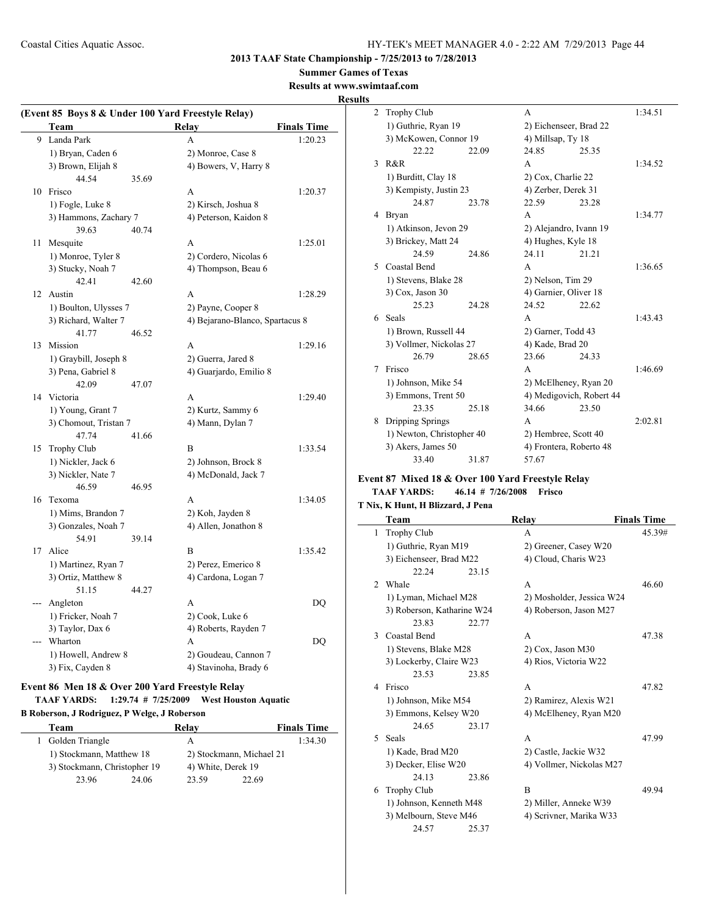**2013 TAAF State Championship - 7/25/2013 to 7/28/2013**

## **Summer Games of Texas**

**Results at www.swimtaaf.com**

#### **Results**

|     | (Event 85 Boys 8 & Under 100 Yard Freestyle Relay) |       |                                 |                    |  |  |  |
|-----|----------------------------------------------------|-------|---------------------------------|--------------------|--|--|--|
|     | Team                                               |       | Relay                           | <b>Finals Time</b> |  |  |  |
|     | 9 Landa Park                                       |       | A                               | 1:20.23            |  |  |  |
|     | 1) Bryan, Caden 6                                  |       | 2) Monroe, Case 8               |                    |  |  |  |
|     | 3) Brown, Elijah 8                                 |       | 4) Bowers, V, Harry 8           |                    |  |  |  |
|     | 44.54                                              | 35.69 |                                 |                    |  |  |  |
|     | 10 Frisco                                          |       | A                               | 1:20.37            |  |  |  |
|     | 1) Fogle, Luke 8                                   |       | 2) Kirsch, Joshua 8             |                    |  |  |  |
|     | 3) Hammons, Zachary 7                              |       | 4) Peterson, Kaidon 8           |                    |  |  |  |
|     | 39.63                                              | 40.74 |                                 |                    |  |  |  |
| 11  | Mesquite                                           |       | A                               | 1:25.01            |  |  |  |
|     | 1) Monroe, Tyler 8                                 |       | 2) Cordero, Nicolas 6           |                    |  |  |  |
|     | 3) Stucky, Noah 7                                  |       | 4) Thompson, Beau 6             |                    |  |  |  |
|     | 42.41                                              | 42.60 |                                 |                    |  |  |  |
| 12  | Austin                                             |       | A                               | 1:28.29            |  |  |  |
|     | 1) Boulton, Ulysses 7                              |       | 2) Payne, Cooper 8              |                    |  |  |  |
|     | 3) Richard, Walter 7                               |       | 4) Bejarano-Blanco, Spartacus 8 |                    |  |  |  |
|     | 41.77                                              | 46.52 |                                 |                    |  |  |  |
|     | 13 Mission                                         |       | A                               | 1:29.16            |  |  |  |
|     | 1) Graybill, Joseph 8                              |       | 2) Guerra, Jared 8              |                    |  |  |  |
|     | 3) Pena, Gabriel 8                                 |       | 4) Guarjardo, Emilio 8          |                    |  |  |  |
|     | 42.09                                              | 47.07 |                                 |                    |  |  |  |
|     | 14 Victoria                                        |       | A                               | 1:29.40            |  |  |  |
|     | 1) Young, Grant 7                                  |       | 2) Kurtz, Sammy 6               |                    |  |  |  |
|     | 3) Chomout, Tristan 7                              |       | 4) Mann, Dylan 7                |                    |  |  |  |
|     | 47.74                                              | 41.66 |                                 |                    |  |  |  |
| 15  | <b>Trophy Club</b>                                 |       | B                               | 1:33.54            |  |  |  |
|     | 1) Nickler, Jack 6                                 |       | 2) Johnson, Brock 8             |                    |  |  |  |
|     | 3) Nickler, Nate 7                                 |       | 4) McDonald, Jack 7             |                    |  |  |  |
|     | 46.59                                              | 46.95 |                                 |                    |  |  |  |
| 16  | Texoma                                             |       | A                               | 1:34.05            |  |  |  |
|     | 1) Mims, Brandon 7                                 |       | 2) Koh, Jayden 8                |                    |  |  |  |
|     | 3) Gonzales, Noah 7                                |       | 4) Allen, Jonathon 8            |                    |  |  |  |
|     | 54.91                                              | 39.14 |                                 |                    |  |  |  |
| 17  | Alice                                              |       | B                               | 1:35.42            |  |  |  |
|     | 1) Martinez, Ryan 7                                |       | 2) Perez, Emerico 8             |                    |  |  |  |
|     | 3) Ortiz, Matthew 8                                |       | 4) Cardona, Logan 7             |                    |  |  |  |
|     | 51.15                                              | 44.27 |                                 |                    |  |  |  |
| --- | Angleton                                           |       | A                               | DO                 |  |  |  |
|     | 1) Fricker, Noah 7                                 |       | 2) Cook, Luke 6                 |                    |  |  |  |
|     | 3) Taylor, Dax 6                                   |       | 4) Roberts, Rayden 7            |                    |  |  |  |
|     | Wharton                                            |       | A                               | DQ                 |  |  |  |
|     | 1) Howell, Andrew 8                                |       | 2) Goudeau, Cannon 7            |                    |  |  |  |
|     | 3) Fix, Cayden 8                                   |       | 4) Stavinoha, Brady 6           |                    |  |  |  |

#### **Event 86 Men 18 & Over 200 Yard Freestyle Relay TAAF YARDS: 1:29.74 # 7/25/2009 West Houston Aquatic B Roberson, J Rodriguez, P Welge, J Roberson**

| Team                         |       | Relay                    |       | <b>Finals Time</b> |
|------------------------------|-------|--------------------------|-------|--------------------|
| 1 Golden Triangle            |       | А                        |       | 1:34.30            |
| 1) Stockmann, Matthew 18     |       | 2) Stockmann, Michael 21 |       |                    |
| 3) Stockmann, Christopher 19 |       | 4) White, Derek 19       |       |                    |
| 23.96                        | 24.06 | 23.59                    | 22.69 |                    |

| 2 | <b>Trophy Club</b>        |       | A                        |       | 1:34.51 |
|---|---------------------------|-------|--------------------------|-------|---------|
|   | 1) Guthrie, Ryan 19       |       | 2) Eichenseer, Brad 22   |       |         |
|   | 3) McKowen, Connor 19     |       | 4) Millsap, Ty 18        |       |         |
|   | 22.22                     | 22.09 | 24.85                    | 25.35 |         |
| 3 | R&R                       |       | A                        |       | 1:34.52 |
|   | 1) Burditt, Clay 18       |       | 2) Cox, Charlie 22       |       |         |
|   | 3) Kempisty, Justin 23    |       | 4) Zerber, Derek 31      |       |         |
|   | 24.87                     | 23.78 | 22.59                    | 23.28 |         |
| 4 | Bryan                     |       | A                        |       | 1:34.77 |
|   | 1) Atkinson, Jevon 29     |       | 2) Alejandro, Ivann 19   |       |         |
|   | 3) Brickey, Matt 24       |       | 4) Hughes, Kyle 18       |       |         |
|   | 24.59                     | 24.86 | 24.11                    | 21.21 |         |
|   | 5 Coastal Bend            |       | A                        |       | 1:36.65 |
|   | 1) Stevens, Blake 28      |       | 2) Nelson, Tim 29        |       |         |
|   | 3) Cox, Jason 30          |       | 4) Garnier, Oliver 18    |       |         |
|   | 25.23                     | 24.28 | 24.52                    | 22.62 |         |
| 6 | Seals                     |       | A                        |       | 1:43.43 |
|   | 1) Brown, Russell 44      |       | 2) Garner, Todd 43       |       |         |
|   | 3) Vollmer, Nickolas 27   |       | 4) Kade, Brad 20         |       |         |
|   | 26.79                     | 28.65 | 23.66                    | 24.33 |         |
| 7 | Frisco                    |       | A                        |       | 1:46.69 |
|   | 1) Johnson, Mike 54       |       | 2) McElheney, Ryan 20    |       |         |
|   | 3) Emmons, Trent 50       |       | 4) Medigovich, Robert 44 |       |         |
|   | 23.35                     | 25.18 | 34.66                    | 23.50 |         |
| 8 | Dripping Springs          |       | A                        |       | 2:02.81 |
|   | 1) Newton, Christopher 40 |       | 2) Hembree, Scott 40     |       |         |
|   | 3) Akers, James 50        |       | 4) Frontera, Roberto 48  |       |         |
|   | 33.40                     | 31.87 | 57.67                    |       |         |
|   |                           |       |                          |       |         |

## **Event 87 Mixed 18 & Over 100 Yard Freestyle Relay**

## **TAAF YARDS: 46.14 # 7/26/2008 Frisco**

## **T Nix, K Hunt, H Blizzard, J Pena**

|                | Team                       |       | <b>Relay</b>              | <b>Finals Time</b> |
|----------------|----------------------------|-------|---------------------------|--------------------|
| 1              | <b>Trophy Club</b>         |       | A                         | 45.39#             |
|                | 1) Guthrie, Ryan M19       |       | 2) Greener, Casey W20     |                    |
|                | 3) Eichenseer, Brad M22    |       | 4) Cloud, Charis W23      |                    |
|                | 22.24                      | 23.15 |                           |                    |
| $\mathfrak{D}$ | Whale                      |       | A                         | 46.60              |
|                | 1) Lyman, Michael M28      |       | 2) Mosholder, Jessica W24 |                    |
|                | 3) Roberson, Katharine W24 |       | 4) Roberson, Jason M27    |                    |
|                | 23.83                      | 22.77 |                           |                    |
| 3              | Coastal Bend               |       | A                         | 47.38              |
|                | 1) Stevens, Blake M28      |       | 2) Cox, Jason M30         |                    |
|                | 3) Lockerby, Claire W23    |       | 4) Rios, Victoria W22     |                    |
|                | 23.53                      | 23.85 |                           |                    |
| 4              | Frisco                     |       | A                         | 47.82              |
|                | 1) Johnson, Mike M54       |       | 2) Ramirez, Alexis W21    |                    |
|                | 3) Emmons, Kelsey W20      |       | 4) McElheney, Ryan M20    |                    |
|                | 24.65                      | 23.17 |                           |                    |
| 5.             | <b>Seals</b>               |       | A                         | 47.99              |
|                | 1) Kade, Brad M20          |       | 2) Castle, Jackie W32     |                    |
|                | 3) Decker, Elise W20       |       | 4) Vollmer, Nickolas M27  |                    |
|                | 24.13                      | 23.86 |                           |                    |
| 6              | <b>Trophy Club</b>         |       | B                         | 49.94              |
|                | 1) Johnson, Kenneth M48    |       | 2) Miller, Anneke W39     |                    |
|                | 3) Melbourn, Steve M46     |       | 4) Scrivner, Marika W33   |                    |
|                | 24.57                      | 25.37 |                           |                    |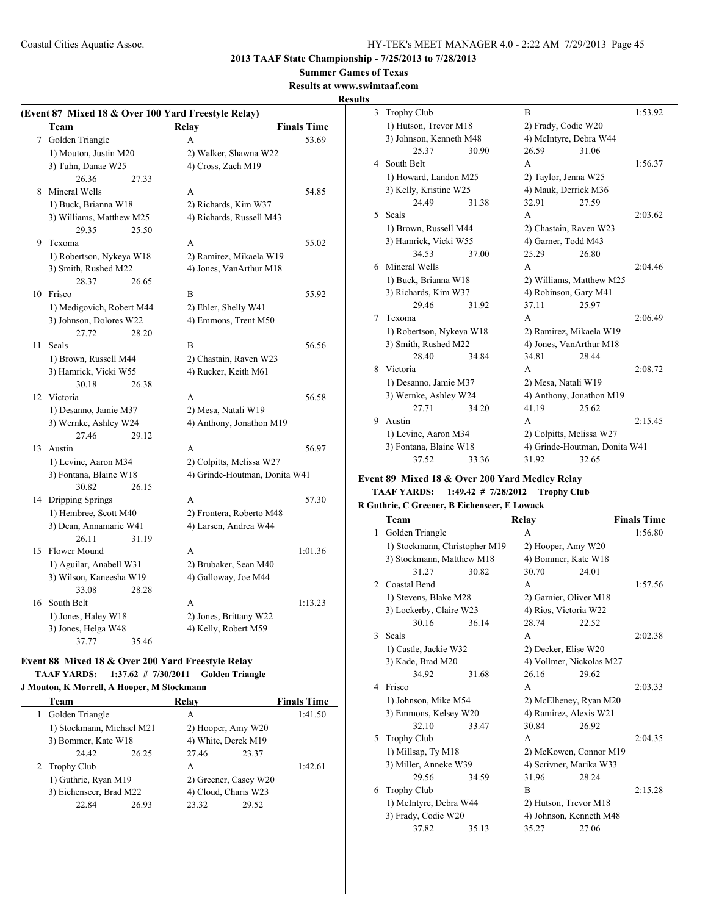## **Summer Games of Texas**

#### **Results at www.swimtaaf.com**

#### **Results**

|    | <b>Team</b>               | (Event 87 Mixed 18 & Over 100 Yard Freestyle Relay)<br><b>Relay</b><br><b>Finals Time</b> |
|----|---------------------------|-------------------------------------------------------------------------------------------|
|    |                           |                                                                                           |
| 7  | Golden Triangle           | A<br>53.69                                                                                |
|    | 1) Mouton, Justin M20     | 2) Walker, Shawna W22                                                                     |
|    | 3) Tuhn, Danae W25        | 4) Cross, Zach M19                                                                        |
|    | 26.36<br>27.33            |                                                                                           |
| 8  | Mineral Wells             | A<br>54.85                                                                                |
|    | 1) Buck, Brianna W18      | 2) Richards, Kim W37                                                                      |
|    | 3) Williams, Matthew M25  | 4) Richards, Russell M43                                                                  |
|    | 29.35<br>25.50            |                                                                                           |
| 9  | Texoma                    | A<br>55.02                                                                                |
|    | 1) Robertson, Nykeya W18  | 2) Ramirez, Mikaela W19                                                                   |
|    | 3) Smith, Rushed M22      | 4) Jones, VanArthur M18                                                                   |
|    | 28.37<br>26.65            |                                                                                           |
| 10 | Frisco                    | B<br>55.92                                                                                |
|    | 1) Medigovich, Robert M44 | 2) Ehler, Shelly W41                                                                      |
|    | 3) Johnson, Dolores W22   | 4) Emmons, Trent M50                                                                      |
|    | 27.72<br>28.20            |                                                                                           |
| 11 | Seals                     | B<br>56.56                                                                                |
|    | 1) Brown, Russell M44     | 2) Chastain, Raven W23                                                                    |
|    | 3) Hamrick, Vicki W55     | 4) Rucker, Keith M61                                                                      |
|    | 30.18<br>26.38            |                                                                                           |
| 12 | Victoria                  | A<br>56.58                                                                                |
|    | 1) Desanno, Jamie M37     | 2) Mesa, Natali W19                                                                       |
|    | 3) Wernke, Ashley W24     | 4) Anthony, Jonathon M19                                                                  |
|    | 27.46<br>29.12            |                                                                                           |
| 13 | Austin                    | A<br>56.97                                                                                |
|    | 1) Levine, Aaron M34      | 2) Colpitts, Melissa W27                                                                  |
|    | 3) Fontana, Blaine W18    | 4) Grinde-Houtman, Donita W41                                                             |
|    | 30.82<br>26.15            |                                                                                           |
| 14 | Dripping Springs          | A<br>57.30                                                                                |
|    | 1) Hembree, Scott M40     | 2) Frontera, Roberto M48                                                                  |
|    | 3) Dean, Annamarie W41    | 4) Larsen, Andrea W44                                                                     |
|    | 26.11<br>31.19            |                                                                                           |
| 15 | <b>Flower Mound</b>       | A<br>1:01.36                                                                              |
|    | 1) Aguilar, Anabell W31   | 2) Brubaker, Sean M40                                                                     |
|    | 3) Wilson, Kaneesha W19   | 4) Galloway, Joe M44                                                                      |
|    | 28.28<br>33.08            |                                                                                           |
| 16 | South Belt                | A<br>1:13.23                                                                              |
|    | 1) Jones, Haley W18       | 2) Jones, Brittany W22                                                                    |
|    | 3) Jones, Helga W48       | 4) Kelly, Robert M59                                                                      |
|    | 37.77<br>35.46            |                                                                                           |
|    |                           |                                                                                           |

## **Event 88 Mixed 18 & Over 200 Yard Freestyle Relay TAAF YARDS: 1:37.62 # 7/30/2011 Golden Triangle**

#### **J Mouton, K Morrell, A Hooper, M Stockmann**

|    | Team                      |       | Relay                 |       | <b>Finals Time</b> |
|----|---------------------------|-------|-----------------------|-------|--------------------|
| 1. | Golden Triangle           |       | А                     |       | 1:41.50            |
|    | 1) Stockmann, Michael M21 |       | 2) Hooper, Amy W20    |       |                    |
|    | 3) Bommer, Kate W18       |       | 4) White, Derek M19   |       |                    |
|    | 24.42                     | 26.25 | 27.46                 | 23.37 |                    |
|    | 2 Trophy Club             |       | A                     |       | 1:42.61            |
|    | 1) Guthrie, Ryan M19      |       | 2) Greener, Casey W20 |       |                    |
|    | 3) Eichenseer, Brad M22   |       | 4) Cloud, Charis W23  |       |                    |
|    | 22.84                     | 26.93 | 23.32                 | 29.52 |                    |
|    |                           |       |                       |       |                    |

| 3  | <b>Trophy Club</b>       |       | R                        |                               | 1:53.92 |
|----|--------------------------|-------|--------------------------|-------------------------------|---------|
|    | 1) Hutson, Trevor M18    |       | 2) Frady, Codie W20      |                               |         |
|    | 3) Johnson, Kenneth M48  |       | 4) McIntyre, Debra W44   |                               |         |
|    | 25.37                    | 30.90 | 26.59                    | 31.06                         |         |
|    | 4 South Belt             |       | A                        |                               | 1:56.37 |
|    | 1) Howard, Landon M25    |       | 2) Taylor, Jenna W25     |                               |         |
|    | 3) Kelly, Kristine W25   |       | 4) Mauk, Derrick M36     |                               |         |
|    | 24.49                    | 31.38 | 32.91                    | 27.59                         |         |
| 5. | <b>Seals</b>             |       | A                        |                               | 2:03.62 |
|    | 1) Brown, Russell M44    |       | 2) Chastain, Raven W23   |                               |         |
|    | 3) Hamrick, Vicki W55    |       | 4) Garner, Todd M43      |                               |         |
|    | 34.53                    | 37.00 | 25.29                    | 26.80                         |         |
|    | 6 Mineral Wells          |       | A                        |                               | 2:04.46 |
|    | 1) Buck, Brianna W18     |       |                          | 2) Williams, Matthew M25      |         |
|    | 3) Richards, Kim W37     |       | 4) Robinson, Gary M41    |                               |         |
|    | 29.46                    | 31.92 | 37.11                    | 25.97                         |         |
| 7  | Texoma                   |       | A                        |                               | 2:06.49 |
|    | 1) Robertson, Nykeya W18 |       | 2) Ramirez, Mikaela W19  |                               |         |
|    | 3) Smith, Rushed M22     |       | 4) Jones, VanArthur M18  |                               |         |
|    | 28.40                    | 34.84 | 34.81                    | 28.44                         |         |
| 8  | Victoria                 |       | A                        |                               | 2:08.72 |
|    | 1) Desanno, Jamie M37    |       | 2) Mesa, Natali W19      |                               |         |
|    | 3) Wernke, Ashley W24    |       | 4) Anthony, Jonathon M19 |                               |         |
|    | 27.71                    | 34.20 | 41.19                    | 25.62                         |         |
| 9  | Austin                   |       | A                        |                               | 2:15.45 |
|    | 1) Levine, Aaron M34     |       | 2) Colpitts, Melissa W27 |                               |         |
|    | 3) Fontana, Blaine W18   |       |                          | 4) Grinde-Houtman, Donita W41 |         |
|    | 37.52                    | 33.36 | 31.92                    | 32.65                         |         |

## **Event 89 Mixed 18 & Over 200 Yard Medley Relay**

#### **TAAF YARDS: 1:49.42 # 7/28/2012 Trophy Club R Guthrie, C Greener, B Eichenseer, E L**

|  |  |  | K Guthrie, C Greener, B Eichenseer, E Lowack |
|--|--|--|----------------------------------------------|

|                | Team                          |       | Relay                    |       | <b>Finals Time</b> |
|----------------|-------------------------------|-------|--------------------------|-------|--------------------|
| 1              | Golden Triangle               |       | A                        |       | 1:56.80            |
|                | 1) Stockmann, Christopher M19 |       | 2) Hooper, Amy W20       |       |                    |
|                | 3) Stockmann, Matthew M18     |       | 4) Bommer, Kate W18      |       |                    |
|                | 31.27                         | 30.82 | 30.70                    | 24.01 |                    |
| $\mathfrak{D}$ | Coastal Bend                  |       | $\mathsf{A}$             |       | 1:57.56            |
|                | 1) Stevens, Blake M28         |       | 2) Garnier, Oliver M18   |       |                    |
|                | 3) Lockerby, Claire W23       |       | 4) Rios, Victoria W22    |       |                    |
|                | 30.16                         | 36.14 | 28.74                    | 22.52 |                    |
| 3              | Seals                         |       | A                        |       | 2:02.38            |
|                | 1) Castle, Jackie W32         |       | 2) Decker, Elise W20     |       |                    |
|                | 3) Kade, Brad M20             |       | 4) Vollmer, Nickolas M27 |       |                    |
|                | 34.92                         | 31.68 | 26.16                    | 29.62 |                    |
| 4              | Frisco                        |       | A                        |       | 2:03.33            |
|                | 1) Johnson, Mike M54          |       | 2) McElheney, Ryan M20   |       |                    |
|                | 3) Emmons, Kelsey W20         |       | 4) Ramirez, Alexis W21   |       |                    |
|                | 32.10                         | 33.47 | 30.84                    | 26.92 |                    |
| 5              | <b>Trophy Club</b>            |       | A                        |       | 2:04.35            |
|                | 1) Millsap, Ty M18            |       | 2) McKowen, Connor M19   |       |                    |
|                | 3) Miller, Anneke W39         |       | 4) Scrivner, Marika W33  |       |                    |
|                | 29.56                         | 34.59 | 31.96                    | 28.24 |                    |
| 6              | <b>Trophy Club</b>            |       | R                        |       | 2:15.28            |
|                | 1) McIntyre, Debra W44        |       | 2) Hutson, Trevor M18    |       |                    |
|                | 3) Frady, Codie W20           |       | 4) Johnson, Kenneth M48  |       |                    |
|                | 37.82                         | 35.13 | 35.27                    | 27.06 |                    |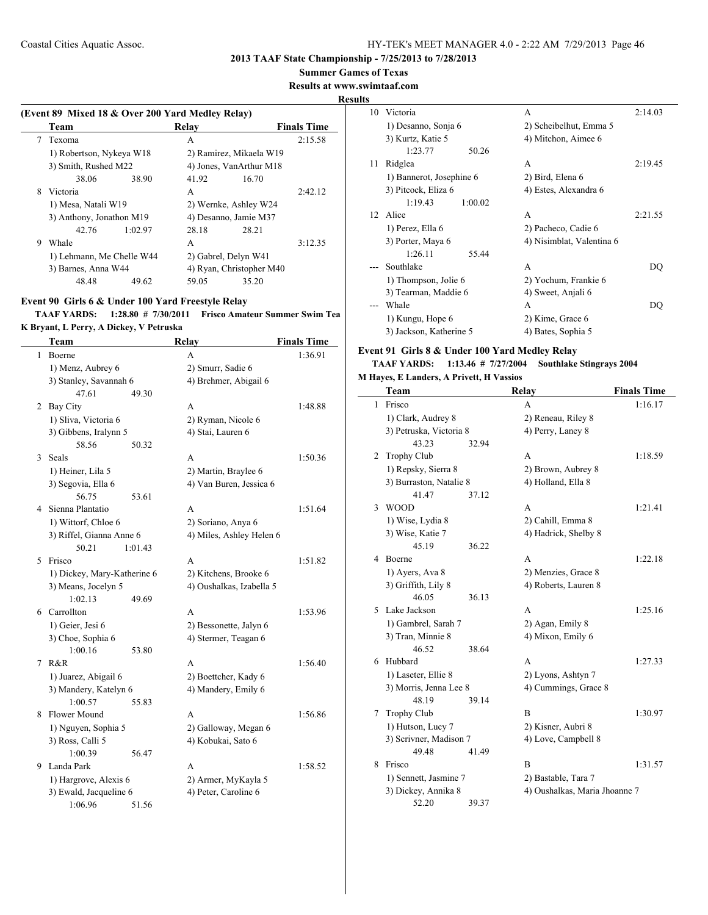**Summer Games of Texas**

**Results at www.swimtaaf.com**

#### **Results**

## **(Event 89 Mixed 18 & Over 200 Yard Medley Relay) Team Relay Finals Time** 7 Texoma A 2:15.58 1) Robertson, Nykeya W18 2) Ramirez, Mikaela W19 3) Smith, Rushed M22 4) Jones, VanArthur M18 38.06 38.90 41.92 16.70 8 Victoria **A** 2:42.12 1) Mesa, Natali W19 2) Wernke, Ashley W24 3) Anthony, Jonathon M19 4) Desanno, Jamie M37 42.76 1:02.97 28.18 28.21 9 Whale A 3:12.35 1) Lehmann, Me Chelle W44 2) Gabrel, Delyn W41 3) Barnes, Anna W44 4) Ryan, Christopher M40 48.48 49.62 59.05 35.20

#### **Event 90 Girls 6 & Under 100 Yard Freestyle Relay**

<u>Lind</u>

**TAAF YARDS: 1:28.80 # 7/30/2011 Frisco Amateur Summer Swim Tea K Bryant, L Perry, A Dickey, V Petruska**

|   | Team                        | Relay                    | <b>Finals Time</b> |
|---|-----------------------------|--------------------------|--------------------|
| 1 | Boerne                      | A                        | 1:36.91            |
|   | 1) Menz, Aubrey 6           | 2) Smurr, Sadie 6        |                    |
|   | 3) Stanley, Savannah 6      | 4) Brehmer, Abigail 6    |                    |
|   | 47.61<br>49.30              |                          |                    |
| 2 | <b>Bay City</b>             | A                        | 1:48.88            |
|   | 1) Sliva, Victoria 6        | 2) Ryman, Nicole 6       |                    |
|   | 3) Gibbens, Iralynn 5       | 4) Stai, Lauren 6        |                    |
|   | 58.56<br>50.32              |                          |                    |
| 3 | Seals                       | A                        | 1:50.36            |
|   | 1) Heiner, Lila 5           | 2) Martin, Braylee 6     |                    |
|   | 3) Segovia, Ella 6          | 4) Van Buren, Jessica 6  |                    |
|   | 56.75<br>53.61              |                          |                    |
| 4 | Sienna Plantatio            | A                        | 1:51.64            |
|   | 1) Wittorf, Chloe 6         | 2) Soriano, Anya 6       |                    |
|   | 3) Riffel, Gianna Anne 6    | 4) Miles, Ashley Helen 6 |                    |
|   | 50.21<br>1:01.43            |                          |                    |
| 5 | Frisco                      | A                        | 1:51.82            |
|   | 1) Dickey, Mary-Katherine 6 | 2) Kitchens, Brooke 6    |                    |
|   | 3) Means, Jocelyn 5         | 4) Oushalkas, Izabella 5 |                    |
|   | 1:02.13<br>49.69            |                          |                    |
| 6 | Carrollton                  | A                        | 1:53.96            |
|   | 1) Geier, Jesi 6            | 2) Bessonette, Jalyn 6   |                    |
|   | 3) Choe, Sophia 6           | 4) Stermer, Teagan 6     |                    |
|   | 1:00.16<br>53.80            |                          |                    |
| 7 | R&R                         | A                        | 1:56.40            |
|   | 1) Juarez, Abigail 6        | 2) Boettcher, Kady 6     |                    |
|   | 3) Mandery, Katelyn 6       | 4) Mandery, Emily 6      |                    |
|   | 1:00.57<br>55.83            |                          |                    |
| 8 | Flower Mound                | A                        | 1:56.86            |
|   | 1) Nguyen, Sophia 5         | 2) Galloway, Megan 6     |                    |
|   | 3) Ross, Calli 5            | 4) Kobukai, Sato 6       |                    |
|   | 1:00.39<br>56.47            |                          |                    |
| 9 | Landa Park                  | A                        | 1:58.52            |
|   | 1) Hargrove, Alexis 6       | 2) Armer, MyKayla 5      |                    |
|   | 3) Ewald, Jacqueline 6      | 4) Peter, Caroline 6     |                    |
|   | 1:06.96<br>51.56            |                          |                    |

| .S |                          |                           |         |
|----|--------------------------|---------------------------|---------|
| 10 | Victoria                 | А                         | 2:14.03 |
|    | 1) Desanno, Sonja 6      | 2) Scheibelhut, Emma 5    |         |
|    | 3) Kurtz, Katie 5        | 4) Mitchon, Aimee 6       |         |
|    | 1:23.77<br>50.26         |                           |         |
| 11 | Ridglea                  | A                         | 2:19.45 |
|    | 1) Bannerot, Josephine 6 | 2) Bird, Elena 6          |         |
|    | 3) Pitcock, Eliza 6      | 4) Estes, Alexandra 6     |         |
|    | 1:19.43<br>1:00.02       |                           |         |
|    | 12 Alice                 | A                         | 2:21.55 |
|    | 1) Perez, Ella 6         | 2) Pacheco, Cadie 6       |         |
|    | 3) Porter, Maya 6        | 4) Nisimblat, Valentina 6 |         |
|    | 1:26.11<br>55.44         |                           |         |
|    | Southlake                | А                         | DO      |
|    | 1) Thompson, Jolie 6     | 2) Yochum, Frankie 6      |         |
|    | 3) Tearman, Maddie 6     | 4) Sweet, Anjali 6        |         |
|    | Whale                    | A                         | DO      |
|    | 1) Kungu, Hope 6         | 2) Kime, Grace 6          |         |
|    | 3) Jackson, Katherine 5  | 4) Bates, Sophia 5        |         |
|    |                          |                           |         |

#### **Event 91 Girls 8 & Under 100 Yard Medley Relay**

#### **TAAF YARDS: 1:13.46 # 7/27/2004 Southlake Stingrays 2004 M Hayes, E Landers, A Privett, H Vassios**

|   | <b>Team</b>             |       | Relay                         | <b>Finals Time</b> |
|---|-------------------------|-------|-------------------------------|--------------------|
| 1 | Frisco                  |       | A                             | 1:16.17            |
|   | 1) Clark, Audrey 8      |       | 2) Reneau, Riley 8            |                    |
|   | 3) Petruska, Victoria 8 |       | 4) Perry, Laney 8             |                    |
|   | 43.23                   | 32.94 |                               |                    |
| 2 | <b>Trophy Club</b>      |       | A                             | 1:18.59            |
|   | 1) Repsky, Sierra 8     |       | 2) Brown, Aubrey 8            |                    |
|   | 3) Burraston, Natalie 8 |       | 4) Holland, Ella 8            |                    |
|   | 41.47                   | 37.12 |                               |                    |
| 3 | <b>WOOD</b>             |       | A                             | 1:21.41            |
|   | 1) Wise, Lydia 8        |       | 2) Cahill, Emma 8             |                    |
|   | 3) Wise, Katie 7        |       | 4) Hadrick, Shelby 8          |                    |
|   | 45.19                   | 36.22 |                               |                    |
| 4 | <b>Boerne</b>           |       | A                             | 1:22.18            |
|   | 1) Ayers, Ava 8         |       | 2) Menzies, Grace 8           |                    |
|   | 3) Griffith, Lily 8     |       | 4) Roberts, Lauren 8          |                    |
|   | 46.05                   | 36.13 |                               |                    |
| 5 | Lake Jackson            |       | A                             | 1:25.16            |
|   | 1) Gambrel, Sarah 7     |       | 2) Agan, Emily 8              |                    |
|   | 3) Tran, Minnie 8       |       | 4) Mixon, Emily 6             |                    |
|   | 46.52                   | 38.64 |                               |                    |
| 6 | Hubbard                 |       | A                             | 1:27.33            |
|   | 1) Laseter, Ellie 8     |       | 2) Lyons, Ashtyn 7            |                    |
|   | 3) Morris, Jenna Lee 8  |       | 4) Cummings, Grace 8          |                    |
|   | 48.19                   | 39.14 |                               |                    |
| 7 | <b>Trophy Club</b>      |       | B                             | 1:30.97            |
|   | 1) Hutson, Lucy 7       |       | 2) Kisner, Aubri 8            |                    |
|   | 3) Scrivner, Madison 7  |       | 4) Love, Campbell 8           |                    |
|   | 49.48                   | 41.49 |                               |                    |
| 8 | Frisco                  |       | B                             | 1:31.57            |
|   | 1) Sennett, Jasmine 7   |       | 2) Bastable, Tara 7           |                    |
|   | 3) Dickey, Annika 8     |       | 4) Oushalkas, Maria Jhoanne 7 |                    |
|   | 52.20                   | 39.37 |                               |                    |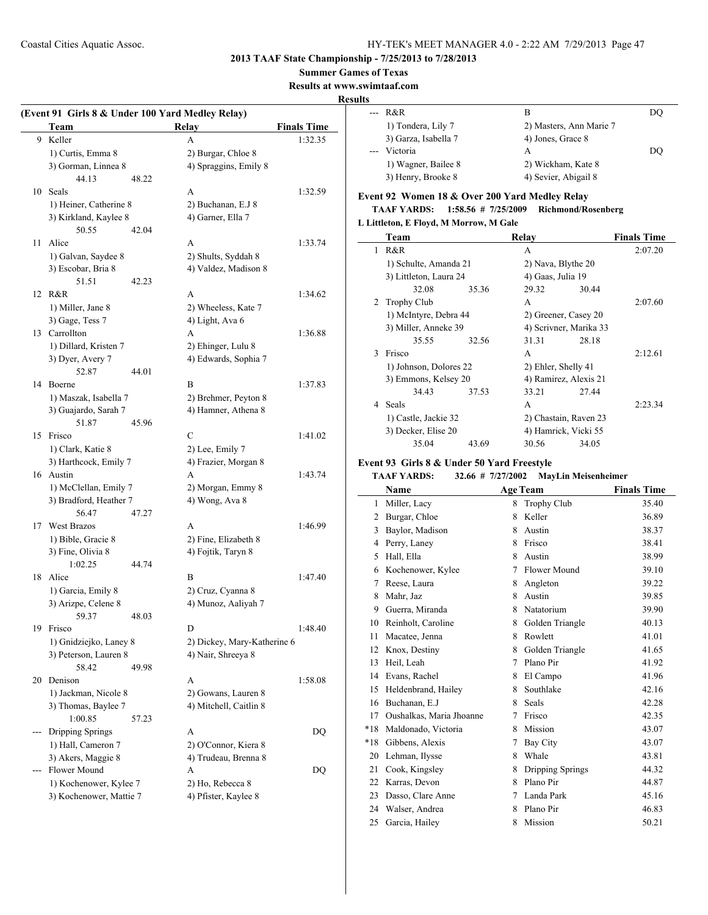## **2013 TAAF State Championship - 7/25/2013 to 7/28/2013**

#### **Summer Games of Texas**

**Results at www.swimtaaf.com**

## **Results**

|       |                         |       | (Event 91 Girls 8 & Under 100 Yard Medley Relay) |                    |
|-------|-------------------------|-------|--------------------------------------------------|--------------------|
|       | Team                    |       | Relay                                            | <b>Finals Time</b> |
|       | 9 Keller                |       | A                                                | 1:32.35            |
|       | 1) Curtis, Emma 8       |       | 2) Burgar, Chloe 8                               |                    |
|       | 3) Gorman, Linnea 8     |       | 4) Spraggins, Emily 8                            |                    |
|       | 44.13                   | 48.22 |                                                  |                    |
|       | 10 Seals                |       | A                                                | 1:32.59            |
|       | 1) Heiner, Catherine 8  |       | 2) Buchanan, E.J 8                               |                    |
|       | 3) Kirkland, Kaylee 8   |       | 4) Garner, Ella 7                                |                    |
|       | 50.55                   | 42.04 |                                                  |                    |
| 11    | Alice                   |       | A                                                | 1:33.74            |
|       | 1) Galvan, Saydee 8     |       | 2) Shults, Syddah 8                              |                    |
|       | 3) Escobar, Bria 8      |       | 4) Valdez, Madison 8                             |                    |
|       | 51.51                   | 42.23 |                                                  |                    |
| 12    | R&R                     |       | A                                                | 1:34.62            |
|       | 1) Miller, Jane 8       |       | 2) Wheeless, Kate 7                              |                    |
|       | 3) Gage, Tess 7         |       | 4) Light, Ava 6                                  |                    |
|       | 13 Carrollton           |       | A                                                | 1:36.88            |
|       |                         |       |                                                  |                    |
|       | 1) Dillard, Kristen 7   |       | 2) Ehinger, Lulu 8                               |                    |
|       | 3) Dyer, Avery 7        |       | 4) Edwards, Sophia 7                             |                    |
|       | 52.87                   | 44.01 |                                                  |                    |
| 14    | Boerne                  |       | B                                                | 1:37.83            |
|       | 1) Maszak, Isabella 7   |       | 2) Brehmer, Peyton 8                             |                    |
|       | 3) Guajardo, Sarah 7    |       | 4) Hamner, Athena 8                              |                    |
|       | 51.87                   | 45.96 |                                                  |                    |
| 15    | Frisco                  |       | C                                                | 1:41.02            |
|       | 1) Clark, Katie 8       |       | 2) Lee, Emily 7                                  |                    |
|       | 3) Harthcock, Emily 7   |       | 4) Frazier, Morgan 8                             |                    |
|       | 16 Austin               |       | А                                                | 1:43.74            |
|       | 1) McClellan, Emily 7   |       | 2) Morgan, Emmy 8                                |                    |
|       | 3) Bradford, Heather 7  |       | 4) Wong, Ava 8                                   |                    |
|       | 56.47                   | 47.27 |                                                  |                    |
| 17    | West Brazos             |       | A                                                | 1:46.99            |
|       | 1) Bible, Gracie 8      |       | 2) Fine, Elizabeth 8                             |                    |
|       | 3) Fine, Olivia 8       |       | 4) Fojtik, Taryn 8                               |                    |
|       | 1:02.25                 | 44.74 |                                                  |                    |
| 18    | Alice                   |       | B                                                | 1:47.40            |
|       | 1) Garcia, Emily 8      |       | 2) Cruz, Cyanna 8                                |                    |
|       | 3) Arizpe, Celene 8     |       | 4) Munoz, Aaliyah 7                              |                    |
|       | 59.37                   | 48.03 |                                                  |                    |
|       | 19 Frisco               |       | D                                                | 1:48.40            |
|       | 1) Gnidziejko, Laney 8  |       | 2) Dickey, Mary-Katherine 6                      |                    |
|       | 3) Peterson, Lauren 8   |       | 4) Nair, Shreeya 8                               |                    |
|       | 58.42                   | 49.98 |                                                  |                    |
| 20    | Denison                 |       | A                                                | 1:58.08            |
|       | 1) Jackman, Nicole 8    |       | 2) Gowans, Lauren 8                              |                    |
|       |                         |       |                                                  |                    |
|       | 3) Thomas, Baylee 7     |       | 4) Mitchell, Caitlin 8                           |                    |
|       | 1:00.85                 | 57.23 |                                                  |                    |
| $---$ | Dripping Springs        |       | A                                                | DQ                 |
|       | 1) Hall, Cameron 7      |       | 2) O'Connor, Kiera 8                             |                    |
|       | 3) Akers, Maggie 8      |       | 4) Trudeau, Brenna 8                             |                    |
| $---$ | Flower Mound            |       | A                                                | DQ                 |
|       | 1) Kochenower, Kylee 7  |       | 2) Ho, Rebecca 8                                 |                    |
|       | 3) Kochenower, Mattie 7 |       | 4) Pfister, Kaylee 8                             |                    |
|       |                         |       |                                                  |                    |

|      | R&R                  | в                       | DO |
|------|----------------------|-------------------------|----|
|      | 1) Tondera, Lily 7   | 2) Masters, Ann Marie 7 |    |
|      | 3) Garza, Isabella 7 | 4) Jones, Grace 8       |    |
| $ -$ | Victoria             | A                       | DO |
|      | 1) Wagner, Bailee 8  | 2) Wickham, Kate 8      |    |
|      | 3) Henry, Brooke 8   | 4) Sevier, Abigail 8    |    |

## **Event 92 Women 18 & Over 200 Yard Medley Relay TAAF YARDS: 1:58.56 # 7/25/2009 Richmond/Rosenberg**

## **L Littleton, E Floyd, M Morrow, M Gale**

|   | Team                   |       | Relay                  |       | <b>Finals Time</b> |
|---|------------------------|-------|------------------------|-------|--------------------|
| 1 | R&R                    |       | А                      |       | 2:07.20            |
|   | 1) Schulte, Amanda 21  |       | 2) Nava, Blythe 20     |       |                    |
|   | 3) Littleton, Laura 24 |       | 4) Gaas, Julia 19      |       |                    |
|   | 32.08                  | 35.36 | 29.32                  | 30.44 |                    |
|   | 2 Trophy Club          |       | A                      |       | 2:07.60            |
|   | 1) McIntyre, Debra 44  |       | 2) Greener, Casey 20   |       |                    |
|   | 3) Miller, Anneke 39   |       | 4) Scrivner, Marika 33 |       |                    |
|   | 35.55                  | 32.56 | 31.31                  | 28.18 |                    |
| 3 | Frisco                 |       | A                      |       | 2:12.61            |
|   | 1) Johnson, Dolores 22 |       | 2) Ehler, Shelly 41    |       |                    |
|   | 3) Emmons, Kelsey 20   |       | 4) Ramirez, Alexis 21  |       |                    |
|   | 34.43                  | 37.53 | 33.21                  | 27.44 |                    |
| 4 | Seals                  |       | A                      |       | 2:23.34            |
|   | 1) Castle, Jackie 32   |       | 2) Chastain, Raven 23  |       |                    |
|   | 3) Decker, Elise 20    |       | 4) Hamrick, Vicki 55   |       |                    |
|   | 35.04                  | 43.69 | 30.56                  | 34.05 |                    |

## **Event 93 Girls 8 & Under 50 Yard Freestyle**

| <b>TAAF YARDS:</b> |  | 32.66 # 7/27/2002 MayLin Meisenheimer |
|--------------------|--|---------------------------------------|
|                    |  |                                       |

|       | Name                     |   | <b>Age Team</b>    | <b>Finals Time</b> |
|-------|--------------------------|---|--------------------|--------------------|
| 1     | Miller, Lacy             | 8 | <b>Trophy Club</b> | 35.40              |
| 2     | Burgar, Chloe            | 8 | Keller             | 36.89              |
| 3     | Baylor, Madison          | 8 | Austin             | 38.37              |
| 4     | Perry, Laney             | 8 | Frisco             | 38.41              |
| 5     | Hall, Ella               | 8 | Austin             | 38.99              |
| 6     | Kochenower, Kylee        | 7 | Flower Mound       | 39.10              |
| 7     | Reese, Laura             | 8 | Angleton           | 39.22              |
| 8     | Mahr, Jaz                | 8 | Austin             | 39.85              |
| 9     | Guerra, Miranda          | 8 | Natatorium         | 39.90              |
| 10    | Reinholt, Caroline       | 8 | Golden Triangle    | 40.13              |
| 11    | Macatee, Jenna           | 8 | Rowlett            | 41.01              |
| 12    | Knox, Destiny            | 8 | Golden Triangle    | 41.65              |
| 13    | Heil, Leah               | 7 | Plano Pir          | 41.92              |
| 14    | Evans, Rachel            | 8 | El Campo           | 41.96              |
| 15    | Heldenbrand, Hailey      | 8 | Southlake          | 42.16              |
| 16    | Buchanan, E.J            | 8 | Seals              | 42.28              |
| 17    | Oushalkas, Maria Jhoanne | 7 | Frisco             | 42.35              |
| $*18$ | Maldonado, Victoria      | 8 | Mission            | 43.07              |
| $*18$ | Gibbens, Alexis          | 7 | <b>Bay City</b>    | 43.07              |
| 20    | Lehman, Ilysse           | 8 | Whale              | 43.81              |
| 21    | Cook, Kingsley           | 8 | Dripping Springs   | 44.32              |
| 22    | Karras, Devon            | 8 | Plano Pir          | 44.87              |
| 23    | Dasso, Clare Anne        | 7 | Landa Park         | 45.16              |
| 24    | Walser, Andrea           | 8 | Plano Pir          | 46.83              |
| 25    | Garcia, Hailey           | 8 | Mission            | 50.21              |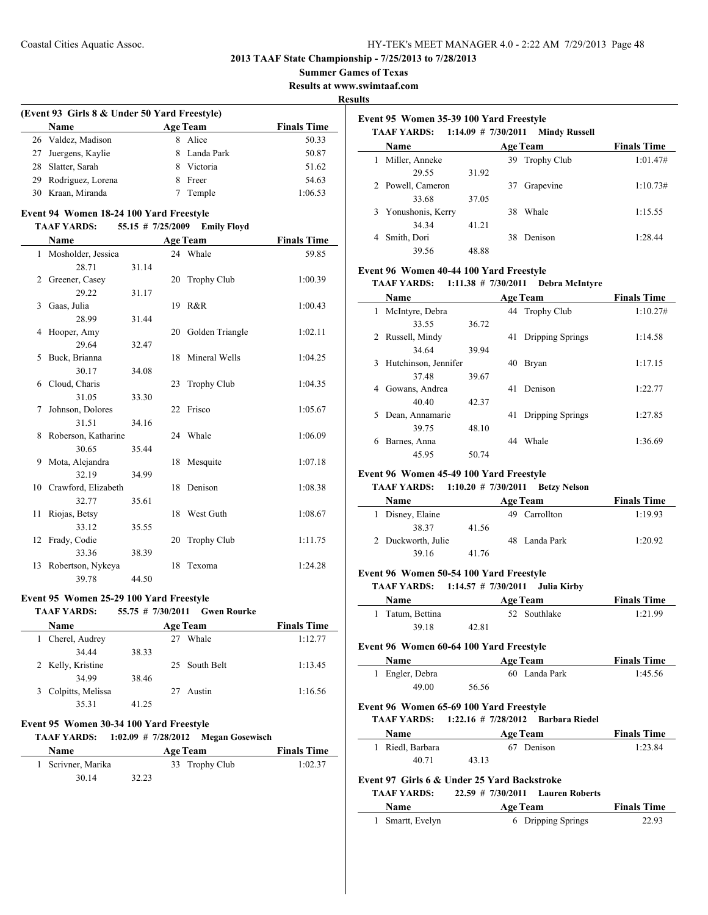**2013 TAAF State Championship - 7/25/2013 to 7/28/2013**

**Summer Games of Texas**

**Results at www.swimtaaf.com**

**Results**

## **(Event 93 Girls 8 & Under 50 Yard Freestyle) Name Age Team Finals Time** 26 Valdez, Madison 8 Alice 50.33 27 Juergens, Kaylie 8 Landa Park 50.87 28 Slatter, Sarah 8 Victoria 51.62 29 Rodriguez, Lorena 8 Freer 54.63 30 Kraan, Miranda 7 Temple 1:06.53

#### **Event 94 Women 18-24 100 Yard Freestyle**

#### **TAAF YARDS: 55.15 # 7/25/2009 Emily Floyd**

|              | Name                   |       |    | <b>Age Team</b>    | <b>Finals Time</b> |
|--------------|------------------------|-------|----|--------------------|--------------------|
| $\mathbf{1}$ | Mosholder, Jessica     |       |    | 24 Whale           | 59.85              |
|              | 28.71                  | 31.14 |    |                    |                    |
| 2            | Greener, Casey         |       | 20 | <b>Trophy Club</b> | 1:00.39            |
|              | 29.22                  | 31.17 |    |                    |                    |
| 3            | Gaas, Julia            |       |    | 19 R&R             | 1:00.43            |
|              | 28.99                  | 31.44 |    |                    |                    |
| 4            | Hooper, Amy            |       |    | 20 Golden Triangle | 1:02.11            |
|              | 29.64                  | 32.47 |    |                    |                    |
| 5            | Buck, Brianna          |       | 18 | Mineral Wells      | 1:04.25            |
|              | 30.17                  | 34.08 |    |                    |                    |
| 6            | Cloud, Charis          |       | 23 | <b>Trophy Club</b> | 1:04.35            |
|              | 31.05                  | 33.30 |    |                    |                    |
| 7            | Johnson, Dolores       |       |    | 22 Frisco          | 1:05.67            |
|              | 31.51                  | 34.16 |    |                    |                    |
| 8            | Roberson, Katharine    |       |    | 24 Whale           | 1:06.09            |
|              | 30.65                  | 35.44 |    |                    |                    |
| 9            | Mota, Alejandra        |       |    | 18 Mesquite        | 1:07.18            |
|              | 32.19                  | 34.99 |    |                    |                    |
|              | 10 Crawford, Elizabeth |       | 18 | Denison            | 1:08.38            |
|              | 32.77                  | 35.61 |    |                    |                    |
| 11           | Riojas, Betsy          |       | 18 | West Guth          | 1:08.67            |
|              | 33.12                  | 35.55 |    |                    |                    |
| 12           | Frady, Codie           |       | 20 | <b>Trophy Club</b> | 1:11.75            |
|              | 33.36                  | 38.39 |    |                    |                    |
| 13           | Robertson, Nykeya      |       | 18 | Texoma             | 1:24.28            |
|              | 39.78                  | 44.50 |    |                    |                    |

#### **Event 95 Women 25-29 100 Yard Freestyle**

| <b>TAAF YARDS:</b> |       | 55.75 # 7/30/2011 Gwen Rourke |                    |
|--------------------|-------|-------------------------------|--------------------|
| Name               |       | <b>Age Team</b>               | <b>Finals Time</b> |
| 1 Cherel, Audrey   |       | Whale<br>27                   | 1:12.77            |
| 34 44              | 38.33 |                               |                    |
| 2 Kelly, Kristine  |       | 25 South Belt                 | 1:13.45            |
| 34.99              | 38.46 |                               |                    |
| 3 Colpitts Melissa |       | Austin                        | 1.1656             |

| $\sigma$ Colpius, Melissa |       | 27 Ausun |
|---------------------------|-------|----------|
| 35.31                     | 41.25 |          |
|                           |       |          |

## **Event 95 Women 30-34 100 Yard Freestyle**

# **TAAF YARDS: 1:02.09 # 7/28/2012 Megan Gosewisch**

| Name               |       | <b>Age Team</b> | <b>Finals Time</b> |
|--------------------|-------|-----------------|--------------------|
| 1 Scrivner, Marika |       | 33 Trophy Club  | 1:02.37            |
| 30.14              | 32.23 |                 |                    |

|   | Event 95 Women 35-39 100 Yard Freestyle<br>TAAF YARDS: 1:14.09 # 7/30/2011<br><b>Mindy Russell</b> |       |    |                 |                    |  |
|---|----------------------------------------------------------------------------------------------------|-------|----|-----------------|--------------------|--|
|   | Name                                                                                               |       |    | <b>Age Team</b> | <b>Finals Time</b> |  |
| 1 | Miller, Anneke                                                                                     |       |    | 39 Trophy Club  | 1:01.47#           |  |
|   | 29.55                                                                                              | 31.92 |    |                 |                    |  |
|   | 2 Powell, Cameron                                                                                  |       | 37 | Grapevine       | 1:10.73#           |  |
|   | 33.68                                                                                              | 37.05 |    |                 |                    |  |
|   | 3 Yonushonis, Kerry                                                                                |       | 38 | Whale           | 1:15.55            |  |
|   | 34.34                                                                                              | 41.21 |    |                 |                    |  |
|   | Smith, Dori                                                                                        |       | 38 | Denison         | 1:28.44            |  |
|   | 39.56                                                                                              | 48.88 |    |                 |                    |  |

## **Event 96 Women 40-44 100 Yard Freestyle**

#### **TAAF YARDS: 1:11.38 # 7/30/2011 Debra McIntyre**

|   | <b>Name</b>          |       |    | <b>Age Team</b>  | <b>Finals Time</b> |
|---|----------------------|-------|----|------------------|--------------------|
| 1 | McIntyre, Debra      |       |    | 44 Trophy Club   | 1:10.27#           |
|   | 33.55                | 36.72 |    |                  |                    |
| 2 | Russell, Mindy       |       | 41 | Dripping Springs | 1:14.58            |
|   | 34.64                | 39.94 |    |                  |                    |
| 3 | Hutchinson, Jennifer |       | 40 | <b>Bryan</b>     | 1:17.15            |
|   | 37.48                | 39.67 |    |                  |                    |
| 4 | Gowans, Andrea       |       | 41 | Denison          | 1:22.77            |
|   | 40.40                | 42.37 |    |                  |                    |
| 5 | Dean, Annamarie      |       | 41 | Dripping Springs | 1:27.85            |
|   | 39.75                | 48.10 |    |                  |                    |
| 6 | Barnes, Anna         |       | 44 | Whale            | 1:36.69            |
|   | 45.95                | 50.74 |    |                  |                    |

#### **Event 96 Women 45-49 100 Yard Freestyle**

#### **TAAF YARDS: 1:10.20 # 7/30/2011 Betzy Nelson**

| Name               |       | <b>Age Team</b> | <b>Finals Time</b> |
|--------------------|-------|-----------------|--------------------|
| 1 Disney, Elaine   |       | 49 Carrollton   | 1:19.93            |
| 38 37              | 41.56 |                 |                    |
| 2 Duckworth, Julie |       | 48 Landa Park   | 1:20.92            |
| 39.16              | 41.76 |                 |                    |

#### **Event 96 Women 50-54 100 Yard Freestyle**

#### **TAAF YARDS: 1:14.57 # 7/30/2011 Julia Kirby**

| <b>Name</b>      | <b>Age Team</b> | <b>Finals Time</b> |
|------------------|-----------------|--------------------|
| 1 Tatum, Bettina | 52 Southlake    | 1:21.99            |
| 39.18            | 42.81           |                    |

## **Event 96 Women 60-64 100 Yard Freestyle**

| Name            |       | <b>Age Team</b> | <b>Finals Time</b> |
|-----------------|-------|-----------------|--------------------|
| 1 Engler, Debra |       | 60 Landa Park   | 1:45.56            |
| 49.00           | 56.56 |                 |                    |

#### **Event 96 Women 65-69 100 Yard Freestyle**

#### **TAAF YARDS: 1:22.16 # 7/28/2012 Barbara Riedel**

| <b>Name</b>      | <b>Age Team</b> | <b>Finals Time</b> |
|------------------|-----------------|--------------------|
| 1 Riedl, Barbara | 67 Denison      | 1:23.84            |
| 40.71            | 43.13           |                    |

#### **Event 97 Girls 6 & Under 25 Yard Backstroke**

| <b>TAAF YARDS:</b> | $22.59$ # $7/30/2011$ Lauren Roberts |                    |
|--------------------|--------------------------------------|--------------------|
| <b>Name</b>        | Age Team                             | <b>Finals Time</b> |
| 1 Smartt, Evelyn   | 6 Dripping Springs                   | 22.93              |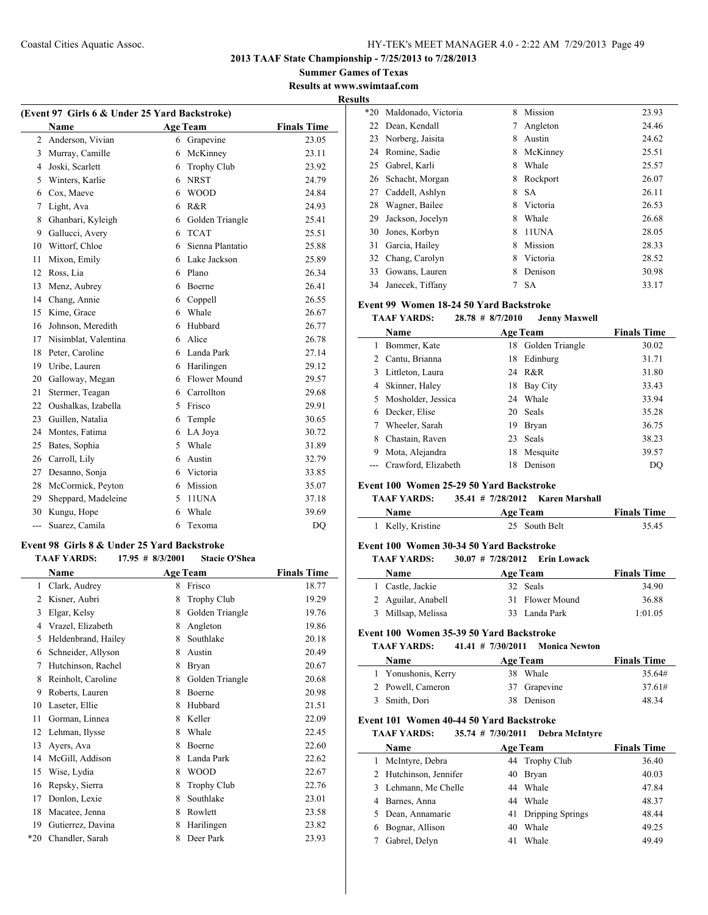**2013 TAAF State Championship - 7/25/2013 to 7/28/2013**

**Summer Games of Texas Results at www.swimtaaf.com**

**Results**

 $\overline{\phantom{0}}$ 

| (Event 97 Girls 6 & Under 25 Yard Backstroke) |                      |   |                  |                    |  |
|-----------------------------------------------|----------------------|---|------------------|--------------------|--|
|                                               | Name                 |   | <b>Age Team</b>  | <b>Finals Time</b> |  |
| $\overline{c}$                                | Anderson, Vivian     | 6 | Grapevine        | 23.05              |  |
| 3                                             | Murray, Camille      | 6 | McKinney         | 23.11              |  |
| $\overline{4}$                                | Joski, Scarlett      | 6 | Trophy Club      | 23.92              |  |
| 5                                             | Winters, Karlie      | 6 | <b>NRST</b>      | 24.79              |  |
| 6                                             | Cox, Maeve           | 6 | <b>WOOD</b>      | 24.84              |  |
| 7                                             | Light, Ava           | 6 | R&R              | 24.93              |  |
| 8                                             | Ghanbari, Kyleigh    | 6 | Golden Triangle  | 25.41              |  |
| 9                                             | Gallucci, Avery      | 6 | <b>TCAT</b>      | 25.51              |  |
| 10                                            | Wittorf, Chloe       | 6 | Sienna Plantatio | 25.88              |  |
| 11                                            | Mixon, Emily         | 6 | Lake Jackson     | 25.89              |  |
| 12                                            | Ross, Lia            | 6 | Plano            | 26.34              |  |
| 13                                            | Menz, Aubrey         | 6 | Boerne           | 26.41              |  |
| 14                                            | Chang, Annie         | 6 | Coppell          | 26.55              |  |
| 15                                            | Kime, Grace          | 6 | Whale            | 26.67              |  |
| 16                                            | Johnson, Meredith    | 6 | Hubbard          | 26.77              |  |
| 17                                            | Nisimblat, Valentina | 6 | Alice            | 26.78              |  |
| 18                                            | Peter, Caroline      | 6 | Landa Park       | 27.14              |  |
| 19                                            | Uribe, Lauren        | 6 | Harilingen       | 29.12              |  |
| 20                                            | Galloway, Megan      | 6 | Flower Mound     | 29.57              |  |
| 21                                            | Stermer, Teagan      | 6 | Carrollton       | 29.68              |  |
| 22                                            | Oushalkas, Izabella  | 5 | Frisco           | 29.91              |  |
| 23                                            | Guillen, Natalia     | 6 | Temple           | 30.65              |  |
| 24                                            | Montes, Fatima       | 6 | LA Joya          | 30.72              |  |
| 25                                            | Bates, Sophia        | 5 | Whale            | 31.89              |  |
| 26                                            | Carroll, Lily        | 6 | Austin           | 32.79              |  |
| 27                                            | Desanno, Sonja       | 6 | Victoria         | 33.85              |  |
| 28                                            | McCormick, Peyton    | 6 | Mission          | 35.07              |  |
| 29                                            | Sheppard, Madeleine  | 5 | 11UNA            | 37.18              |  |
| 30                                            | Kungu, Hope          | 6 | Whale            | 39.69              |  |
| ---                                           | Suarez, Camila       | 6 | Texoma           | DQ                 |  |

## **Event 98 Girls 8 & Under 25 Yard Backstroke**

#### **TAAF YARDS: 17.95 # 8/3/2001 Stacie O'Shea**

|       | Name                |   | <b>Age Team</b>    | <b>Finals Time</b> |
|-------|---------------------|---|--------------------|--------------------|
| 1     | Clark, Audrey       | 8 | Frisco             | 18.77              |
| 2     | Kisner, Aubri       | 8 | <b>Trophy Club</b> | 19.29              |
| 3     | Elgar, Kelsy        | 8 | Golden Triangle    | 19.76              |
| 4     | Vrazel, Elizabeth   | 8 | Angleton           | 19.86              |
| 5     | Heldenbrand, Hailey | 8 | Southlake          | 20.18              |
| 6     | Schneider, Allyson  | 8 | Austin             | 20.49              |
| 7     | Hutchinson, Rachel  | 8 | Bryan              | 20.67              |
| 8     | Reinholt, Caroline  | 8 | Golden Triangle    | 20.68              |
| 9     | Roberts, Lauren     | 8 | Boerne             | 20.98              |
| 10    | Laseter, Ellie      | 8 | Hubbard            | 21.51              |
| 11    | Gorman, Linnea      | 8 | Keller             | 22.09              |
| 12    | Lehman, Ilysse      | 8 | Whale              | 22.45              |
| 13    | Ayers, Ava          | 8 | Boerne             | 22.60              |
| 14    | McGill, Addison     | 8 | Landa Park         | 22.62              |
| 15    | Wise, Lydia         | 8 | <b>WOOD</b>        | 22.67              |
| 16    | Repsky, Sierra      | 8 | <b>Trophy Club</b> | 22.76              |
| 17    | Donlon, Lexie       | 8 | Southlake          | 23.01              |
| 18    | Macatee, Jenna      | 8 | Rowlett            | 23.58              |
| 19    | Gutierrez, Davina   | 8 | Harilingen         | 23.82              |
| $*20$ | Chandler, Sarah     | 8 | Deer Park          | 23.93              |

| .     |                     |   |           |       |
|-------|---------------------|---|-----------|-------|
| $*20$ | Maldonado, Victoria | 8 | Mission   | 23.93 |
| 22    | Dean, Kendall       |   | Angleton  | 24.46 |
| 23    | Norberg, Jaisita    | 8 | Austin    | 24.62 |
| 24    | Romine, Sadie       | 8 | McKinney  | 25.51 |
| 25    | Gabrel, Karli       | 8 | Whale     | 25.57 |
| 26    | Schacht, Morgan     | 8 | Rockport  | 26.07 |
| 27    | Caddell, Ashlyn     | 8 | <b>SA</b> | 26.11 |
| 28    | Wagner, Bailee      | 8 | Victoria  | 26.53 |
| 29    | Jackson, Jocelyn    | 8 | Whale     | 26.68 |
| 30    | Jones, Korbyn       | 8 | 11UNA     | 28.05 |
| 31    | Garcia, Hailey      | 8 | Mission   | 28.33 |
| 32    | Chang, Carolyn      | 8 | Victoria  | 28.52 |
| 33    | Gowans, Lauren      | 8 | Denison   | 30.98 |
| 34    | Janecek, Tiffany    |   | <b>SA</b> | 33.17 |

#### **Event 99 Women 18-24 50 Yard Backstroke**

## **TAAF YARDS: 28.78 # 8/7/2010 Jenny Maxwell**

|   | Name                 |    | <b>Age Team</b> | <b>Finals Time</b> |
|---|----------------------|----|-----------------|--------------------|
|   | Bommer, Kate         | 18 | Golden Triangle | 30.02              |
|   | 2 Cantu, Brianna     | 18 | Edinburg        | 31.71              |
|   | 3 Littleton, Laura   |    | 24 R&R          | 31.80              |
| 4 | Skinner, Haley       | 18 | Bay City        | 33.43              |
|   | 5 Mosholder, Jessica | 24 | Whale           | 33.94              |
| 6 | Decker, Elise        |    | 20 Seals        | 35.28              |
| 7 | Wheeler, Sarah       | 19 | Bryan           | 36.75              |
| 8 | Chastain, Raven      | 23 | <b>Seals</b>    | 38.23              |
| 9 | Mota, Alejandra      | 18 | Mesquite        | 39.57              |
|   | Crawford, Elizabeth  | 18 | Denison         | DO                 |

#### **Event 100 Women 25-29 50 Yard Backstroke**

## **TAAF YARDS: 35.41 # 7/28/2012 Karen Marshall**

| <b>Name</b>       | Age Team      | <b>Finals Time</b> |
|-------------------|---------------|--------------------|
| 1 Kelly, Kristine | 25 South Belt | 35.45              |

#### **Event 100 Women 30-34 50 Yard Backstroke**

**TAAF YARDS: 30.07 # 7/28/2012 Erin Lowack**

| <b>Name</b>        | <b>Age Team</b> | <b>Finals Time</b> |
|--------------------|-----------------|--------------------|
| 1 Castle, Jackie   | 32 Seals        | 34.90              |
| 2 Aguilar, Anabell | 31 Flower Mound | 36.88              |
| 3 Millsap, Melissa | 33 Landa Park   | 1:01.05            |

#### **Event 100 Women 35-39 50 Yard Backstroke**

| <b>TAAF YARDS:</b> | $41.41 \# 7/30/2011$ Monica Newton |                                       |
|--------------------|------------------------------------|---------------------------------------|
| $\blacksquare$     | $\blacksquare$                     | $\mathbf{E}$ . The state $\mathbf{E}$ |

| <b>Name</b>         | Age Team     | <b>Finals Time</b> |
|---------------------|--------------|--------------------|
| 1 Yonushonis, Kerry | 38 Whale     | 35.64#             |
| 2 Powell, Cameron   | 37 Grapevine | 37.61#             |
| 3 Smith, Dori       | 38 Denison   | 48.34              |

#### **Event 101 Women 40-44 50 Yard Backstroke**

**TAAF YARDS: 35.74 # 7/30/2011 Debra McIntyre**

|    | Name                   |    | <b>Age Team</b>     | <b>Finals Time</b> |
|----|------------------------|----|---------------------|--------------------|
| 1. | McIntyre, Debra        |    | 44 Trophy Club      | 36.40              |
|    | 2 Hutchinson, Jennifer | 40 | Bryan               | 40.03              |
|    | 3 Lehmann, Me Chelle   | 44 | Whale               | 47.84              |
| 4  | Barnes, Anna           | 44 | Whale               | 48.37              |
|    | 5 Dean, Annamarie      |    | 41 Dripping Springs | 48.44              |
| 6  | Bognar, Allison        | 40 | Whale               | 49.25              |
|    | Gabrel, Delyn          | 41 | Whale               | 49.49              |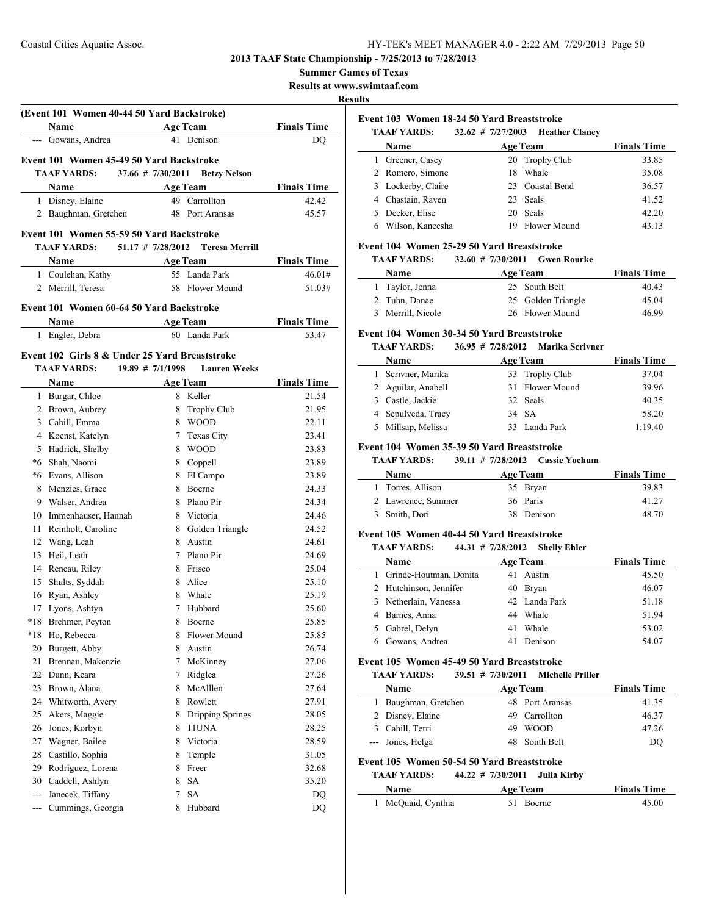**Summer Games of Texas**

**Results at www.swimtaaf.com**

#### **Results**

 $\overline{a}$ 

|               | (Event 101 Women 40-44 50 Yard Backstroke)<br>Name             |                       | <b>Age Team</b>                  | <b>Finals Time</b>          |
|---------------|----------------------------------------------------------------|-----------------------|----------------------------------|-----------------------------|
|               | --- Gowans, Andrea                                             |                       | 41 Denison                       | DO                          |
|               |                                                                |                       |                                  |                             |
|               | Event 101 Women 45-49 50 Yard Backstroke<br><b>TAAF YARDS:</b> | $37.66$ # $7/30/2011$ |                                  |                             |
|               |                                                                |                       | <b>Betzy Nelson</b>              |                             |
|               | <b>Name</b><br>1 Disney, Elaine                                |                       | <b>Age Team</b><br>49 Carrollton | <b>Finals Time</b><br>42.42 |
|               | 2 Baughman, Gretchen                                           |                       | 48 Port Aransas                  | 45.57                       |
|               |                                                                |                       |                                  |                             |
|               | Event 101 Women 55-59 50 Yard Backstroke                       |                       |                                  |                             |
|               | <b>TAAF YARDS:</b>                                             | $51.17$ # 7/28/2012   | <b>Teresa Merrill</b>            |                             |
|               | <b>Name</b>                                                    |                       | <b>Age Team</b>                  | <b>Finals Time</b>          |
|               | 1 Coulehan, Kathy                                              |                       | 55 Landa Park                    | 46.01#                      |
|               | 2 Merrill, Teresa                                              | 58                    | <b>Flower Mound</b>              | 51.03#                      |
|               | Event 101 Women 60-64 50 Yard Backstroke                       |                       |                                  |                             |
|               | Name                                                           |                       | <b>Age Team</b>                  | <b>Finals Time</b>          |
|               | 1 Engler, Debra                                                |                       | 60 Landa Park                    | 53.47                       |
|               |                                                                |                       |                                  |                             |
|               | Event 102 Girls 8 & Under 25 Yard Breaststroke                 |                       |                                  |                             |
|               | <b>TAAF YARDS:</b>                                             | $19.89$ # 7/1/1998    | <b>Lauren Weeks</b>              |                             |
|               | Name                                                           |                       | <b>Age Team</b>                  | <b>Finals Time</b>          |
|               | 1 Burgar, Chloe                                                |                       | 8 Keller                         | 21.54                       |
|               | 2 Brown, Aubrey                                                |                       | 8 Trophy Club                    | 21.95                       |
|               | 3 Cahill, Emma                                                 |                       | 8 WOOD                           | 22.11                       |
|               | 4 Koenst, Katelyn                                              |                       | 7 Texas City                     | 23.41                       |
|               | 5 Hadrick, Shelby                                              |                       | 8 WOOD                           | 23.83                       |
|               | *6 Shah, Naomi                                                 |                       | 8 Coppell                        | 23.89                       |
| 8             | *6 Evans, Allison<br>Menzies, Grace                            |                       | 8 El Campo<br>8 Boerne           | 23.89<br>24.33              |
|               | 9 Walser, Andrea                                               |                       | 8 Plano Pir                      | 24.34                       |
|               | 10 Immenhauser, Hannah                                         |                       | 8 Victoria                       | 24.46                       |
| 11            | Reinholt, Caroline                                             |                       | 8 Golden Triangle                | 24.52                       |
| 12            | Wang, Leah                                                     |                       | 8 Austin                         | 24.61                       |
| 13            | Heil, Leah                                                     |                       | 7 Plano Pir                      | 24.69                       |
| 14            | Reneau, Riley                                                  |                       | 8 Frisco                         | 25.04                       |
| 15            | Shults, Syddah                                                 |                       | 8 Alice                          | 25.10                       |
| 16            | Ryan, Ashley                                                   |                       | 8 Whale                          | 25.19                       |
| 17            | Lyons, Ashtyn                                                  | 7                     | Hubbard                          | 25.60                       |
| *18           | Brehmer, Peyton                                                | 8                     | Boerne                           | 25.85                       |
| $*18$         | Ho, Rebecca                                                    | 8                     | Flower Mound                     | 25.85                       |
| 20            | Burgett, Abby                                                  | 8                     | Austin                           | 26.74                       |
| 21            | Brennan, Makenzie                                              | 7                     | McKinney                         | 27.06                       |
| 22            | Dunn, Keara                                                    | 7                     | Ridglea                          | 27.26                       |
| 23            | Brown, Alana                                                   |                       | 8 McAlllen                       | 27.64                       |
| 24            | Whitworth, Avery                                               | 8                     | Rowlett                          | 27.91                       |
| 25            | Akers, Maggie                                                  | 8                     | Dripping Springs                 | 28.05                       |
| 26            | Jones, Korbyn                                                  | 8                     | 11UNA                            | 28.25                       |
| 27            | Wagner, Bailee                                                 | 8                     | Victoria                         | 28.59                       |
| 28            | Castillo, Sophia                                               | 8                     | Temple                           | 31.05                       |
| 29            | Rodriguez, Lorena                                              | 8                     | Freer                            | 32.68                       |
| 30            | Caddell, Ashlyn                                                | 8                     | <b>SA</b>                        | 35.20                       |
| $\frac{1}{2}$ | Janecek, Tiffany                                               | 7                     | <b>SA</b>                        | DQ                          |
| $ -$          | Cummings, Georgia                                              | 8                     | Hubbard                          | DQ                          |

|  | Event 103 Women 18-24 50 Yard Breaststroke |
|--|--------------------------------------------|
|  |                                            |

| <b>TAAF YARDS:</b>    |     | 32.62 # 7/27/2003 Heather Claney |                    |
|-----------------------|-----|----------------------------------|--------------------|
| Name                  |     | <b>Age Team</b>                  | <b>Finals Time</b> |
| Greener, Casey        |     | 20 Trophy Club                   | 33.85              |
| 2 Romero, Simone      | 18. | Whale                            | 35.08              |
| Lockerby, Claire<br>3 |     | 23 Coastal Bend                  | 36.57              |
| 4 Chastain, Raven     |     | 23 Seals                         | 41.52              |
| Decker, Elise         |     | 20 Seals                         | 42.20              |
| Wilson, Kaneesha      | 19  | Flower Mound                     | 43.13              |

#### **Event 104 Women 25-29 50 Yard Breaststroke**

**TAAF YARDS: 32.60 # 7/30/2011 Gwen Rourke**

| <b>Name</b>       | <b>Age Team</b>    | <b>Finals Time</b> |
|-------------------|--------------------|--------------------|
| 1 Taylor, Jenna   | 25 South Belt      | 40.43              |
| 2 Tuhn, Danae     | 25 Golden Triangle | 45.04              |
| 3 Merrill, Nicole | 26 Flower Mound    | 46.99              |

#### **Event 104 Women 30-34 50 Yard Breaststroke**

#### **TAAF YARDS: 36.95 # 7/28/2012 Marika Scrivner**

| <b>Name</b>        | <b>Age Team</b> | <b>Finals Time</b> |
|--------------------|-----------------|--------------------|
| 1 Scrivner, Marika | 33 Trophy Club  | 37.04              |
| 2 Aguilar, Anabell | 31 Flower Mound | 39.96              |
| 3 Castle, Jackie   | 32 Seals        | 40.35              |
| 4 Sepulveda, Tracy | 34 SA           | 58.20              |
| 5 Millsap, Melissa | 33 Landa Park   | 1:19.40            |

#### **Event 104 Women 35-39 50 Yard Breaststroke**

#### **TAAF YARDS: 39.11 # 7/28/2012 Cassie Yochum**

| <b>Name</b>        | <b>Age Team</b> | <b>Finals Time</b> |
|--------------------|-----------------|--------------------|
| 1 Torres, Allison  | 35 Bryan        | 39.83              |
| 2 Lawrence, Summer | 36 Paris        | 41.27              |
| 3 Smith, Dori      | 38 Denison      | 48.70              |

#### **Event 105 Women 40-44 50 Yard Breaststroke**

## **TAAF YARDS: 44.31 # 7/28/2012 Shelly Ehler**

| Name                     |    | <b>Age Team</b> | <b>Finals Time</b> |
|--------------------------|----|-----------------|--------------------|
| 1 Grinde-Houtman, Donita |    | 41 Austin       | 45.50              |
| 2 Hutchinson, Jennifer   |    | 40 Bryan        | 46.07              |
| 3 Netherlain, Vanessa    |    | 42 Landa Park   | 51.18              |
| 4 Barnes, Anna           |    | 44 Whale        | 51.94              |
| 5 Gabrel, Delyn          | 41 | Whale           | 53.02              |
| 6 Gowans, Andrea         | 41 | Denison         | 54.07              |

#### **Event 105 Women 45-49 50 Yard Breaststroke**

#### **TAAF YARDS: 39.51 # 7/30/2011 Michelle Priller**

| <b>Name</b>          | <b>Age Team</b> |                 | <b>Finals Time</b> |
|----------------------|-----------------|-----------------|--------------------|
| 1 Baughman, Gretchen |                 | 48 Port Aransas | 41.35              |
| 2 Disney, Elaine     |                 | 49 Carrollton   | 46.37              |
| 3 Cahill, Terri      |                 | 49 WOOD         | 47.26              |
| --- Jones, Helga     |                 | 48 South Belt   | DO                 |

#### **Event 105 Women 50-54 50 Yard Breaststroke**

 $\overline{\phantom{a}}$ 

#### **TAAF YARDS: 44.22 # 7/30/2011 Julia Kirby**

| <b>Name</b>        | <b>Age Team</b> | <b>Finals Time</b> |
|--------------------|-----------------|--------------------|
| 1 McQuaid, Cynthia | 51 Boerne       | 45.00              |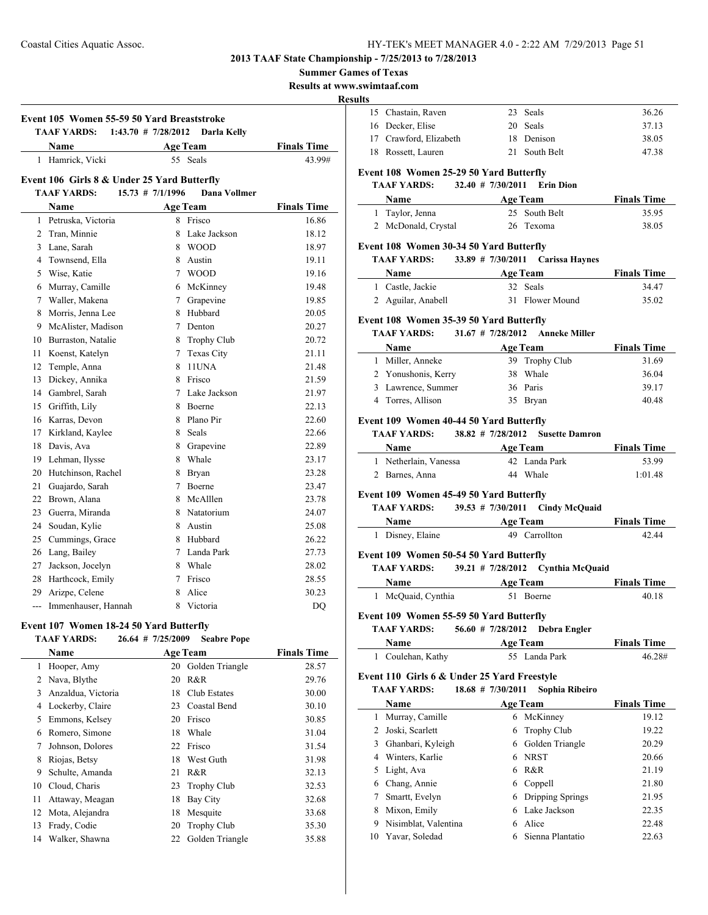**Summer Games of Texas**

**Results at www.swimtaaf.com**

#### **Results**

 $\overline{a}$ 

| Event 105 Women 55-59 50 Yard Breaststroke |                                             |                         |                 |                    |
|--------------------------------------------|---------------------------------------------|-------------------------|-----------------|--------------------|
|                                            | <b>TAAF YARDS:</b>                          | $1:43.70$ # $7/28/2012$ | Darla Kelly     |                    |
|                                            | Name                                        |                         | <b>Age Team</b> | <b>Finals Time</b> |
|                                            | 1 Hamrick, Vicki                            |                         | 55 Seals        | 43.99#             |
|                                            | Event 106 Girls 8 & Under 25 Yard Butterfly |                         |                 |                    |
|                                            | <b>TAAF YARDS:</b>                          | $15.73$ # $7/1/1996$    | Dana Vollmer    |                    |
|                                            | Name                                        |                         | <b>Age Team</b> | <b>Finals Time</b> |
| 1                                          | Petruska, Victoria                          |                         | 8 Frisco        | 16.86              |
| $\overline{c}$                             | Tran, Minnie                                |                         | 8 Lake Jackson  | 18.12              |
|                                            | 3 Lane, Sarah                               |                         | 8 WOOD          | 18.97              |
| 4                                          | Townsend, Ella                              |                         | 8 Austin        | 19.11              |
| 5                                          | Wise, Katie                                 |                         | 7 WOOD          | 19.16              |
| 6                                          | Murray, Camille                             |                         | 6 McKinney      | 19.48              |
| 7                                          | Waller, Makena                              |                         | 7 Grapevine     | 19.85              |
| 8                                          | Morris, Jenna Lee                           |                         | 8 Hubbard       | 20.05              |
| 9                                          | McAlister, Madison                          | 7                       | Denton          | 20.27              |
| 10                                         | Burraston, Natalie                          |                         | 8 Trophy Club   | 20.72              |
| 11                                         | Koenst, Katelyn                             | $\tau$                  | Texas City      | 21.11              |
| 12                                         | Temple, Anna                                | 8                       | 11UNA           | 21.48              |
| 13                                         | Dickey, Annika                              | 8                       | Frisco          | 21.59              |
| 14                                         | Gambrel, Sarah                              | $\tau$                  | Lake Jackson    | 21.97              |
| 15                                         | Griffith, Lily                              | 8                       | <b>Boerne</b>   | 22.13              |
| 16                                         | Karras, Devon                               |                         | 8 Plano Pir     | 22.60              |
| 17                                         | Kirkland, Kaylee                            | 8                       | Seals           | 22.66              |
| 18                                         | Davis, Ava                                  |                         | 8 Grapevine     | 22.89              |
| 19                                         | Lehman, Ilysse                              |                         | 8 Whale         | 23.17              |
| 20                                         | Hutchinson, Rachel                          | 8                       | Bryan           | 23.28              |
| 21                                         | Guajardo, Sarah                             | $7^{\circ}$             | Boerne          | 23.47              |
| 22                                         | Brown, Alana                                |                         | 8 McAlllen      | 23.78              |
| 23                                         | Guerra, Miranda                             |                         | 8 Natatorium    | 24.07              |
| 24                                         | Soudan, Kylie                               |                         | 8 Austin        | 25.08              |
| 25                                         | Cummings, Grace                             |                         | 8 Hubbard       | 26.22              |
| 26                                         | Lang, Bailey                                |                         | 7 Landa Park    | 27.73              |
| 27                                         | Jackson, Jocelyn                            |                         | 8 Whale         | 28.02              |
| 28                                         | Harthcock, Emily                            |                         | 7 Frisco        | 28.55              |
| 29                                         | Arizpe, Celene                              | 8                       | Alice           | 30.23              |
|                                            | --- Immenhauser, Hannah                     | 8                       | Victoria        | <b>DQ</b>          |

#### **Event 107 Women 18-24 50 Yard Butterfly TAAF YARDS: 26.64 # 7/25/2009 Seabre Pope**

|    | <b>Name</b>        |    | <b>Age Team</b>    | <b>Finals Time</b> |
|----|--------------------|----|--------------------|--------------------|
| 1  | Hooper, Amy        |    | 20 Golden Triangle | 28.57              |
| 2  | Nava, Blythe       | 20 | R&R                | 29.76              |
| 3  | Anzaldua, Victoria | 18 | Club Estates       | 30.00              |
| 4  | Lockerby, Claire   |    | 23 Coastal Bend    | 30.10              |
| 5  | Emmons, Kelsey     | 20 | Frisco             | 30.85              |
| 6  | Romero, Simone     | 18 | Whale              | 31.04              |
| 7  | Johnson, Dolores   |    | 22 Frisco          | 31.54              |
| 8  | Riojas, Betsy      | 18 | West Guth          | 31.98              |
| 9  | Schulte, Amanda    | 21 | R&R                | 32.13              |
| 10 | Cloud, Charis      | 23 | Trophy Club        | 32.53              |
| 11 | Attaway, Meagan    | 18 | <b>Bay City</b>    | 32.68              |
| 12 | Mota, Alejandra    | 18 | Mesquite           | 33.68              |
| 13 | Frady, Codie       | 20 | <b>Trophy Club</b> | 35.30              |
| 14 | Walker, Shawna     | 22 | Golden Triangle    | 35.88              |
|    |                    |    |                    |                    |

| S |                        |               |       |
|---|------------------------|---------------|-------|
|   | 15 Chastain, Raven     | 23 Seals      | 36.26 |
|   | 16 Decker, Elise       | 20 Seals      | 37.13 |
|   | 17 Crawford, Elizabeth | 18 Denison    | 38.05 |
|   | 18 Rossett, Lauren     | 21 South Belt | 47.38 |
|   |                        |               |       |

## **Event 108 Women 25-29 50 Yard Butterfly**

## **TAAF YARDS: 32.40 # 7/30/2011 Erin Dion**

| <b>Name</b>         | <b>Age Team</b> | <b>Finals Time</b> |
|---------------------|-----------------|--------------------|
| 1 Taylor, Jenna     | 25 South Belt   | 35.95              |
| 2 McDonald, Crystal | 26 Texoma       | 38.05              |

#### **Event 108 Women 30-34 50 Yard Butterfly**

#### **TAAF YARDS: 33.89 # 7/30/2011 Carissa Haynes**

| <b>Name</b>        | <b>Age Team</b> | <b>Finals Time</b> |
|--------------------|-----------------|--------------------|
| 1 Castle, Jackie   | 32 Seals        | 34.47              |
| 2 Aguilar, Anabell | 31 Flower Mound | 35.02              |

#### **Event 108 Women 35-39 50 Yard Butterfly**

#### **TAAF YARDS: 31.67 # 7/28/2012 Anneke Miller**

| <b>Name</b>         | <b>Age Team</b> | <b>Finals Time</b> |
|---------------------|-----------------|--------------------|
| 1 Miller, Anneke    | 39 Trophy Club  | 31.69              |
| 2 Yonushonis, Kerry | 38 Whale        | 36.04              |
| 3 Lawrence, Summer  | 36 Paris        | 39.17              |
| 4 Torres, Allison   | 35 Bryan        | 40.48              |
|                     |                 |                    |

#### **Event 109 Women 40-44 50 Yard Butterfly**

## **TAAF YARDS: 38.82 # 7/28/2012 Susette Damron**

| <b>Name</b>           | <b>Age Team</b> | <b>Finals Time</b> |  |
|-----------------------|-----------------|--------------------|--|
| 1 Netherlain, Vanessa | 42 Landa Park   | 53.99              |  |
| 2 Barnes, Anna        | 44 Whale        | 1:01.48            |  |

#### **Event 109 Women 45-49 50 Yard Butterfly**

#### **TAAF YARDS: 39.53 # 7/30/2011 Cindy McQuaid**

| <b>Name</b> | <b>Age Team</b> | <b>Finals Time</b> |
|-------------|-----------------|--------------------|
|             |                 |                    |

# Disney, Elaine 49 Carrollton 42.44

## **Event 109 Women 50-54 50 Yard Butterfly**

#### **TAAF YARDS: 39.21 # 7/28/2012 Cynthia McQuaid**

| Name               | <b>Age Team</b> | <b>Finals Time</b> |  |
|--------------------|-----------------|--------------------|--|
| 1 McQuaid, Cynthia | 51 Boerne       | 40.18              |  |

#### **Event 109 Women 55-59 50 Yard Butterfly**

## **TAAF YARDS: 56.60 # 7/28/2012 Debra Engler**

| <b>Name</b>       | <b>Age Team</b> | <b>Finals Time</b> |
|-------------------|-----------------|--------------------|
| 1 Coulehan, Kathy | 55 Landa Park   | 46.28#             |

#### **Event 110 Girls 6 & Under 25 Yard Freestyle**

#### **TAAF YARDS: 18.68 # 7/30/2011 Sophia Ribeiro**

|    | <b>Name</b>          |    | <b>Age Team</b>    | <b>Finals Time</b> |
|----|----------------------|----|--------------------|--------------------|
| 1  | Murray, Camille      | 6  | McKinney           | 19.12              |
| 2  | Joski, Scarlett      | 6  | <b>Trophy Club</b> | 19.22              |
| 3  | Ghanbari, Kyleigh    | 6  | Golden Triangle    | 20.29              |
| 4  | Winters, Karlie      | 6  | <b>NRST</b>        | 20.66              |
| 5. | Light, Ava           |    | 6 R&R              | 21.19              |
| 6  | Chang, Annie         | 6  | Coppell            | 21.80              |
|    | Smartt, Evelyn       | 6  | Dripping Springs   | 21.95              |
| 8  | Mixon, Emily         | 6. | Lake Jackson       | 22.35              |
| 9  | Nisimblat, Valentina | 6  | Alice              | 22.48              |
| 10 | Yavar, Soledad       | 6  | Sienna Plantatio   | 22.63              |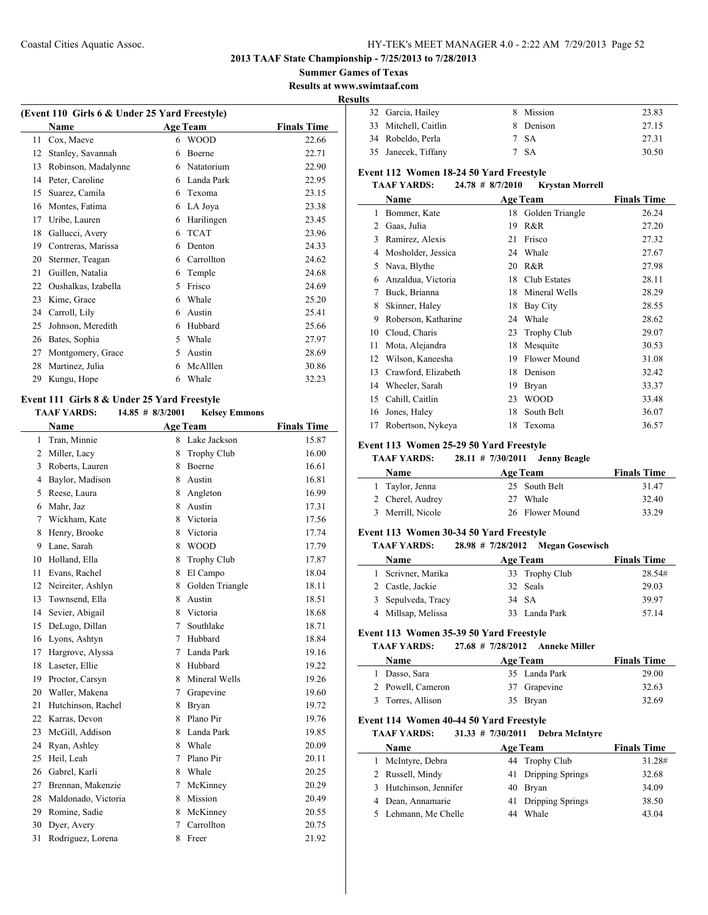#### **2013 TAAF State Championship - 7/25/2013 to 7/28/2013**

**Summer Games of Texas**

**Results at www.swimtaaf.com**

#### **Results**

| (Event 110 Girls 6 & Under 25 Yard Freestyle) |                     |   |                 |                    |  |
|-----------------------------------------------|---------------------|---|-----------------|--------------------|--|
|                                               | Name                |   | <b>Age Team</b> | <b>Finals Time</b> |  |
| 11                                            | Cox, Maeve          | 6 | <b>WOOD</b>     | 22.66              |  |
| 12                                            | Stanley, Savannah   | 6 | <b>Boerne</b>   | 22.71              |  |
| 13                                            | Robinson, Madalynne | 6 | Natatorium      | 22.90              |  |
| 14                                            | Peter, Caroline     | 6 | Landa Park      | 22.95              |  |
| 15                                            | Suarez, Camila      | 6 | Texoma          | 23.15              |  |
| 16                                            | Montes, Fatima      | 6 | LA Joya         | 23.38              |  |
| 17                                            | Uribe, Lauren       | 6 | Harilingen      | 23.45              |  |
| 18                                            | Gallucci, Avery     | 6 | <b>TCAT</b>     | 23.96              |  |
| 19                                            | Contreras, Marissa  | 6 | Denton          | 24.33              |  |
| 20                                            | Stermer, Teagan     | 6 | Carrollton      | 24.62              |  |
| 21                                            | Guillen, Natalia    | 6 | Temple          | 24.68              |  |
| 22                                            | Oushalkas, Izabella | 5 | Frisco          | 24.69              |  |
| 23                                            | Kime, Grace         | 6 | Whale           | 25.20              |  |
| 24                                            | Carroll, Lily       | 6 | Austin          | 25.41              |  |
| 25                                            | Johnson, Meredith   | 6 | Hubbard         | 25.66              |  |
| 26                                            | Bates, Sophia       | 5 | Whale           | 27.97              |  |
| 27                                            | Montgomery, Grace   | 5 | Austin          | 28.69              |  |
| 28                                            | Martinez, Julia     | 6 | McAlllen        | 30.86              |  |
| 29                                            | Kungu, Hope         | 6 | Whale           | 32.23              |  |
|                                               |                     |   |                 |                    |  |

## **Event 111 Girls 8 & Under 25 Yard Freestyle**

 $\frac{1}{2}$ 

## **TAAF YARDS: 14.85 # 8/3/2001 Kelsey Emmons**

| <b>Name</b>         |                |                    | <b>Finals Time</b> |
|---------------------|----------------|--------------------|--------------------|
| Tran, Minnie        | 8              | Lake Jackson       | 15.87              |
| Miller, Lacy        | 8              | <b>Trophy Club</b> | 16.00              |
| Roberts, Lauren     | 8              | Boerne             | 16.61              |
| Baylor, Madison     | 8              | Austin             | 16.81              |
| Reese, Laura        | 8              | Angleton           | 16.99              |
| Mahr, Jaz           | 8              | Austin             | 17.31              |
| Wickham, Kate       | 8              | Victoria           | 17.56              |
| Henry, Brooke       | 8              | Victoria           | 17.74              |
| Lane, Sarah         | 8              | <b>WOOD</b>        | 17.79              |
| Holland, Ella       | 8              | <b>Trophy Club</b> | 17.87              |
| Evans, Rachel       | 8              | El Campo           | 18.04              |
| Neireiter, Ashlyn   | 8              | Golden Triangle    | 18.11              |
| Townsend, Ella      | 8              | Austin             | 18.51              |
| Sevier, Abigail     | 8              | Victoria           | 18.68              |
| DeLugo, Dillan      | 7              | Southlake          | 18.71              |
| Lyons, Ashtyn       | 7              | Hubbard            | 18.84              |
| Hargrove, Alyssa    | 7              | Landa Park         | 19.16              |
| Laseter, Ellie      | 8              | Hubbard            | 19.22              |
| Proctor, Carsyn     | 8              | Mineral Wells      | 19.26              |
| Waller, Makena      | $\overline{7}$ | Grapevine          | 19.60              |
| Hutchinson, Rachel  | 8              | <b>Bryan</b>       | 19.72              |
| Karras, Devon       | 8              | Plano Pir          | 19.76              |
| McGill, Addison     | 8              | Landa Park         | 19.85              |
| Ryan, Ashley        | 8              | Whale              | 20.09              |
| Heil, Leah          | 7              | Plano Pir          | 20.11              |
| Gabrel, Karli       | 8              | Whale              | 20.25              |
| Brennan, Makenzie   | 7              | McKinney           | 20.29              |
| Maldonado, Victoria | 8              | Mission            | 20.49              |
| Romine, Sadie       | 8              | McKinney           | 20.55              |
| Dyer, Avery         | 7              | Carrollton         | 20.75              |
| Rodriguez, Lorena   | 8              | Freer              | 21.92              |
|                     |                |                    | <b>Age Team</b>    |

| 32 Garcia, Hailey    | 8 Mission | 23.83 |
|----------------------|-----------|-------|
| 33 Mitchell, Caitlin | 8 Denison | 27.15 |
| 34 Robeldo, Perla    | 7 SA      | 27.31 |
| 35 Janecek, Tiffany  | 7 SA      | 30.50 |

## **Event 112 Women 18-24 50 Yard Freestyle**

#### **TAAF YARDS: 24.78 # 8/7/2010 Krystan Morrell**

|    | Name                |    | <b>Age Team</b>     | <b>Finals Time</b> |
|----|---------------------|----|---------------------|--------------------|
| 1  | Bommer, Kate        | 18 | Golden Triangle     | 26.24              |
| 2  | Gaas, Julia         | 19 | R&R                 | 27.20              |
| 3  | Ramirez, Alexis     | 21 | Frisco              | 27.32              |
| 4  | Mosholder, Jessica  | 24 | Whale               | 27.67              |
| 5  | Nava, Blythe        | 20 | R&R                 | 27.98              |
| 6  | Anzaldua, Victoria  | 18 | Club Estates        | 28.11              |
| 7  | Buck, Brianna       | 18 | Mineral Wells       | 28.29              |
| 8  | Skinner, Haley      | 18 | Bay City            | 28.55              |
| 9  | Roberson, Katharine | 24 | Whale               | 28.62              |
| 10 | Cloud, Charis       | 23 | <b>Trophy Club</b>  | 29.07              |
| 11 | Mota, Alejandra     | 18 | Mesquite            | 30.53              |
| 12 | Wilson, Kaneesha    | 19 | <b>Flower Mound</b> | 31.08              |
| 13 | Crawford, Elizabeth | 18 | Denison             | 32.42              |
| 14 | Wheeler, Sarah      | 19 | Bryan               | 33.37              |
| 15 | Cahill, Caitlin     | 23 | <b>WOOD</b>         | 33.48              |
| 16 | Jones, Haley        | 18 | South Belt          | 36.07              |
| 17 | Robertson, Nykeya   | 18 | Texoma              | 36.57              |

#### **Event 113 Women 25-29 50 Yard Freestyle**

## **TAAF YARDS: 28.11 # 7/30/2011 Jenny Beagle**

| <b>Name</b>       | <b>Age Team</b> | <b>Finals Time</b> |
|-------------------|-----------------|--------------------|
| 1 Taylor, Jenna   | 25 South Belt   | 31.47              |
| 2 Cherel, Audrey  | 27 Whale        | 32.40              |
| 3 Merrill, Nicole | 26 Flower Mound | 33.29              |

#### **Event 113 Women 30-34 50 Yard Freestyle**

#### **TAAF YARDS: 28.98 # 7/28/2012 Megan Gosewisch**

| <b>Name</b>        | <b>Age Team</b> | <b>Finals Time</b> |
|--------------------|-----------------|--------------------|
| 1 Scrivner, Marika | 33 Trophy Club  | 28.54#             |
| 2 Castle, Jackie   | 32 Seals        | 29.03              |
| 3 Sepulveda, Tracy | 34 SA           | 39.97              |
| 4 Millsap, Melissa | 33 Landa Park   | 57 14              |

#### **Event 113 Women 35-39 50 Yard Freestyle**

#### **TAAF YARDS: 27.68 # 7/28/2012 Anneke Miller**

| <b>Name</b>       |  | <b>Finals Time</b>                                           |
|-------------------|--|--------------------------------------------------------------|
| 1 Dasso, Sara     |  | 29.00                                                        |
| 2 Powell, Cameron |  | 32.63                                                        |
| 3 Torres, Allison |  | 32.69                                                        |
|                   |  | <b>Age Team</b><br>35 Landa Park<br>37 Grapevine<br>35 Bryan |

## **Event 114 Women 40-44 50 Yard Freestyle**

## **TAAF YARDS: 31.33 # 7/30/2011 Debra McIntyre**

| <b>Name</b>            | <b>Age Team</b>     | <b>Finals Time</b> |
|------------------------|---------------------|--------------------|
| 1 McIntyre, Debra      | 44 Trophy Club      | 31.28#             |
| 2 Russell, Mindy       | 41 Dripping Springs | 32.68              |
| 3 Hutchinson, Jennifer | 40 Bryan            | 34.09              |
| 4 Dean, Annamarie      | 41 Dripping Springs | 38.50              |
| 5 Lehmann, Me Chelle   | Whale<br>44         | 43.04              |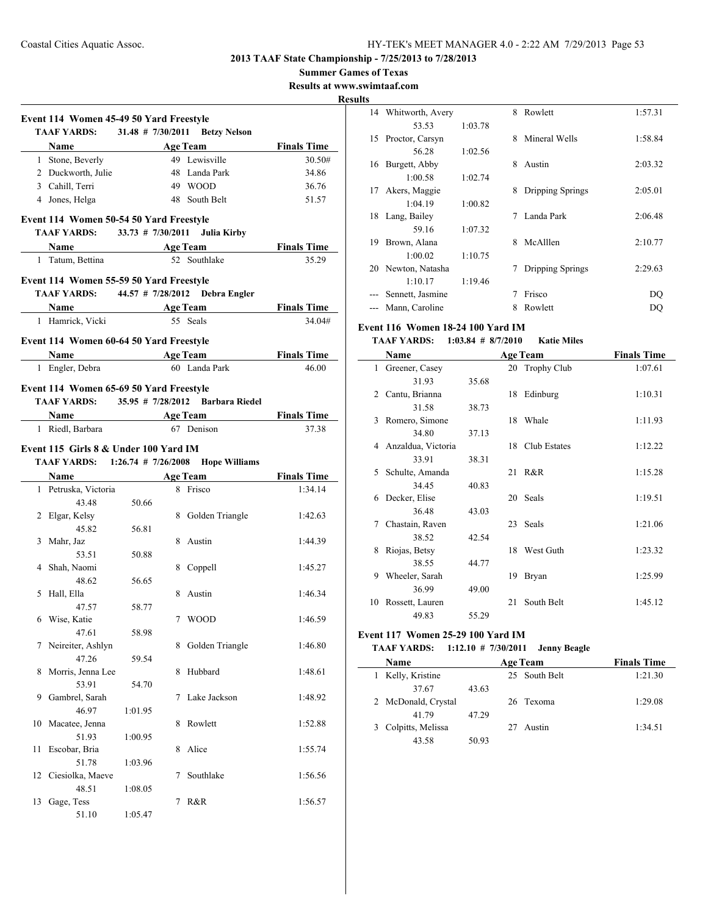**Summer Games of Texas**

**Results at www.swimtaaf.com**

**Results**

|    | Event 114 Women 45-49 50 Yard Freestyle<br><b>TAAF YARDS:</b> |         |   | 31.48 # 7/30/2011 Betzy Nelson                      |                    |
|----|---------------------------------------------------------------|---------|---|-----------------------------------------------------|--------------------|
|    |                                                               |         |   |                                                     |                    |
|    |                                                               |         |   | Name Age Team                                       | <b>Finals Time</b> |
|    | 1 Stone, Beverly                                              |         |   | 49 Lewisville                                       | 30.50#             |
|    | 2 Duckworth, Julie                                            |         |   | 48 Landa Park                                       | 34.86              |
|    | 3 Cahill, Terri                                               |         |   | 49 WOOD                                             | 36.76              |
|    | 4 Jones, Helga                                                |         |   | 48 South Belt                                       | 51.57              |
|    | Event 114 Women 50-54 50 Yard Freestyle                       |         |   |                                                     |                    |
|    | TAAF YARDS: 33.73 # 7/30/2011 Julia Kirby                     |         |   |                                                     |                    |
|    | Name Age Team                                                 |         |   |                                                     | <b>Finals Time</b> |
|    | 1 Tatum, Bettina                                              |         |   | 52 Southlake                                        | 35.29              |
|    | Event 114 Women 55-59 50 Yard Freestyle                       |         |   |                                                     |                    |
|    | TAAF YARDS: 44.57 # 7/28/2012 Debra Engler                    |         |   |                                                     |                    |
|    |                                                               |         |   | Name Age Team                                       | <b>Finals Time</b> |
|    | 1 Hamrick, Vicki                                              |         |   | 55 Seals                                            | 34.04#             |
|    | Event 114 Women 60-64 50 Yard Freestyle                       |         |   |                                                     |                    |
|    | Name Age Team                                                 |         |   |                                                     | <b>Finals Time</b> |
|    | 1 Engler, Debra                                               |         |   | 60 Landa Park                                       | 46.00              |
|    |                                                               |         |   |                                                     |                    |
|    | Event 114 Women 65-69 50 Yard Freestyle                       |         |   |                                                     |                    |
|    |                                                               |         |   | <b>TAAF YARDS:</b> 35.95 # 7/28/2012 Barbara Riedel |                    |
|    | Name                                                          |         |   | <b>Age Team</b>                                     | <b>Finals Time</b> |
|    | 1 Riedl, Barbara                                              |         |   | 67 Denison                                          | 37.38              |
|    | Event 115 Girls 8 & Under 100 Yard IM                         |         |   |                                                     |                    |
|    |                                                               |         |   | TAAF YARDS: 1:26.74 # 7/26/2008 Hope Williams       |                    |
|    | Name                                                          |         |   | <b>Age Team</b>                                     | <b>Finals Time</b> |
|    | 1 Petruska, Victoria                                          |         |   | 8 Frisco                                            | 1:34.14            |
|    | 43.48                                                         | 50.66   |   |                                                     |                    |
|    | 2 Elgar, Kelsy                                                |         |   | 8 Golden Triangle                                   | 1:42.63            |
|    | 45.82                                                         | 56.81   |   |                                                     |                    |
|    | 3 Mahr, Jaz                                                   |         |   | 8 Austin                                            | 1:44.39            |
|    | 53.51                                                         | 50.88   |   |                                                     |                    |
|    | 4 Shah, Naomi                                                 |         |   | 8 Coppell                                           | 1:45.27            |
|    | 48.62                                                         | 56.65   |   |                                                     |                    |
|    | 5 Hall, Ella                                                  |         |   | 8 Austin                                            | 1:46.34            |
|    | 47.57                                                         | 58.77   |   |                                                     |                    |
|    | 6 Wise, Katie                                                 |         |   | 7 WOOD                                              | 1:46.59            |
|    | 47.61                                                         | 58.98   |   |                                                     |                    |
| 7  | Neireiter, Ashlyn                                             |         | 8 | Golden Triangle                                     | 1:46.80            |
|    | 47.26                                                         | 59.54   |   |                                                     |                    |
| 8  | Morris, Jenna Lee                                             |         | 8 | Hubbard                                             | 1:48.61            |
|    | 53.91                                                         | 54.70   |   |                                                     |                    |
| 9  | Gambrel, Sarah                                                |         | 7 | Lake Jackson                                        | 1:48.92            |
|    | 46.97                                                         | 1:01.95 |   |                                                     |                    |
| 10 | Macatee, Jenna                                                |         | 8 | Rowlett                                             | 1:52.88            |
|    | 51.93                                                         | 1:00.95 |   |                                                     |                    |
| 11 | Escobar, Bria                                                 |         | 8 | Alice                                               | 1:55.74            |
|    | 51.78                                                         | 1:03.96 |   |                                                     |                    |
| 12 | Ciesiolka, Maeve                                              |         | 7 | Southlake                                           | 1:56.56            |
|    | 48.51                                                         | 1:08.05 |   |                                                     |                    |
|    |                                                               |         |   |                                                     |                    |
| 13 | Gage, Tess                                                    |         | 7 | R&R                                                 | 1:56.57            |

| s  |                  |         |   |                  |         |
|----|------------------|---------|---|------------------|---------|
| 14 | Whitworth, Avery |         | 8 | Rowlett          | 1:57.31 |
|    | 53.53            | 1:03.78 |   |                  |         |
| 15 | Proctor, Carsyn  |         | 8 | Mineral Wells    | 1:58.84 |
|    | 56.28            | 1:02.56 |   |                  |         |
| 16 | Burgett, Abby    |         | 8 | Austin           | 2:03.32 |
|    | 1:00.58          | 1:02.74 |   |                  |         |
| 17 | Akers, Maggie    |         | 8 | Dripping Springs | 2:05.01 |
|    | 1:04.19          | 1:00.82 |   |                  |         |
| 18 | Lang, Bailey     |         | 7 | Landa Park       | 2:06.48 |
|    | 59.16            | 1:07.32 |   |                  |         |
| 19 | Brown, Alana     |         | 8 | McAlllen         | 2:10.77 |
|    | 1:00.02          | 1:10.75 |   |                  |         |
| 20 | Newton, Natasha  |         | 7 | Dripping Springs | 2:29.63 |
|    | 1:10.17          | 1:19.46 |   |                  |         |
|    | Sennett, Jasmine |         | 7 | Frisco           | DO      |
|    | Mann, Caroline   |         | 8 | Rowlett          | DO      |

## **Event 116 Women 18-24 100 Yard IM**

## **TAAF YARDS: 1:03.84 # 8/7/2010 Katie Miles**

|    | Name               |       |    | <b>Age Team</b> | <b>Finals Time</b> |
|----|--------------------|-------|----|-----------------|--------------------|
| 1  | Greener, Casey     |       |    | 20 Trophy Club  | 1:07.61            |
|    | 31.93              | 35.68 |    |                 |                    |
| 2  | Cantu, Brianna     |       |    | 18 Edinburg     | 1:10.31            |
|    | 31.58              | 38.73 |    |                 |                    |
| 3  | Romero, Simone     |       | 18 | Whale           | 1:11.93            |
|    | 34.80              | 37.13 |    |                 |                    |
| 4  | Anzaldua, Victoria |       | 18 | Club Estates    | 1:12.22            |
|    | 33.91              | 38.31 |    |                 |                    |
| 5  | Schulte, Amanda    |       |    | 21 R&R          | 1:15.28            |
|    | 34.45              | 40.83 |    |                 |                    |
| 6  | Decker, Elise      |       |    | 20 Seals        | 1:19.51            |
|    | 36.48              | 43.03 |    |                 |                    |
| 7  | Chastain, Raven    |       |    | 23 Seals        | 1:21.06            |
|    | 38.52              | 42.54 |    |                 |                    |
| 8  | Riojas, Betsy      |       | 18 | West Guth       | 1:23.32            |
|    | 38.55              | 44.77 |    |                 |                    |
| 9  | Wheeler, Sarah     |       | 19 | <b>Bryan</b>    | 1:25.99            |
|    | 36.99              | 49.00 |    |                 |                    |
| 10 | Rossett, Lauren    |       | 21 | South Belt      | 1:45.12            |
|    | 49.83              | 55.29 |    |                 |                    |

## **Event 117 Women 25-29 100 Yard IM**

## **TAAF YARDS: 1:12.10 # 7/30/2011 Jenny Beagle**

| Name                | <b>Age Team</b> |    |               | <b>Finals Time</b> |  |
|---------------------|-----------------|----|---------------|--------------------|--|
| 1 Kelly, Kristine   |                 |    | 25 South Belt | 1:21.30            |  |
| 37.67               | 43.63           |    |               |                    |  |
| 2 McDonald, Crystal |                 |    | 26 Texoma     | 1:29.08            |  |
| 41 79               | 47.29           |    |               |                    |  |
| 3 Colpitts, Melissa |                 | 27 | Austin        | 1:34.51            |  |
| 43.58               | 50.93           |    |               |                    |  |
|                     |                 |    |               |                    |  |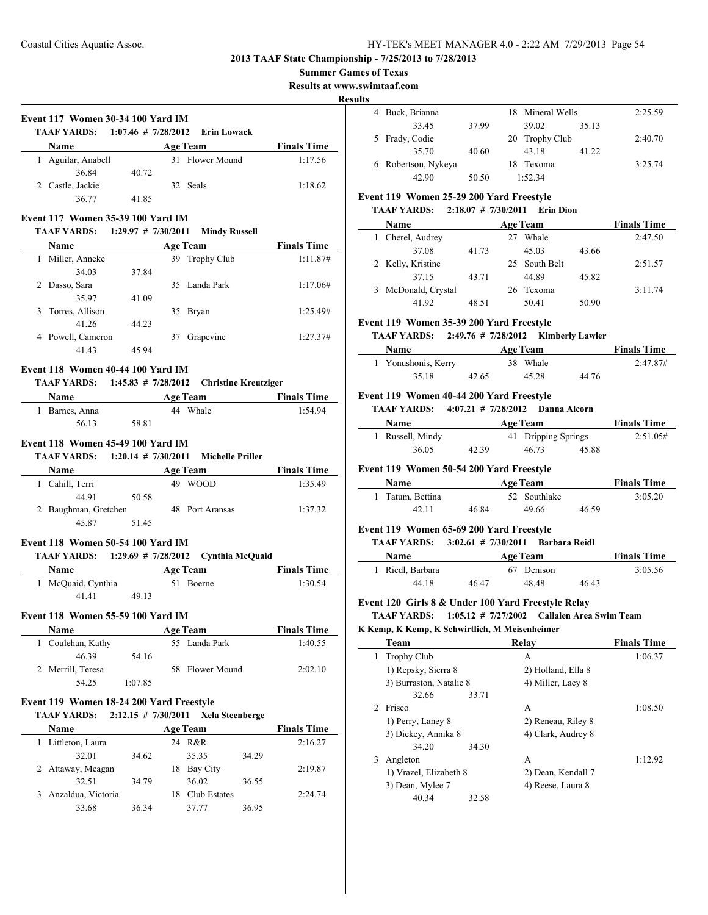**Summer Games of Texas**

**Results at www.swimtaaf.com**

**Results**

| <b>Event 117 Women 30-34 100 Yard IM</b>             |                       |                                   |                                       | 4 Buck, Bri<br>33 |
|------------------------------------------------------|-----------------------|-----------------------------------|---------------------------------------|-------------------|
| TAAF YARDS: 1:07.46 # 7/28/2012 Erin Lowack          |                       |                                   |                                       | 5 Frady, Co       |
| <b>Name</b>                                          |                       |                                   | <b>Example 2 Age Team</b> Finals Time | 35                |
| 1 Aguilar, Anabell                                   |                       | 31 Flower Mound                   | 1:17.56                               | 6 Robertson       |
| 36.84                                                | 40.72                 |                                   |                                       | 42                |
| 2 Castle, Jackie                                     | 41.85                 | 32 Seals                          | 1:18.62                               | Event 119 Wo      |
| 36.77                                                |                       |                                   |                                       | <b>TAAF YARI</b>  |
| Event 117 Women 35-39 100 Yard IM                    |                       |                                   |                                       |                   |
| <b>TAAF YARDS:</b>                                   |                       | 1:29.97 # 7/30/2011 Mindy Russell |                                       | <b>Name</b>       |
|                                                      |                       |                                   | Name Age Team Finals Time             | 1 Cherel, A       |
| 1 Miller, Anneke                                     |                       | 39 Trophy Club                    | 1:11.87#                              | 37                |
| 34.03                                                | 37.84                 |                                   |                                       | 2 Kelly, Kri      |
| 2 Dasso, Sara                                        |                       | 35 Landa Park                     | 1:17.06#                              | 37                |
| 35.97                                                | 41.09                 |                                   |                                       | 3 McDonale        |
| 3 Torres, Allison                                    |                       | 35 Bryan                          | 1:25.49#                              | 41                |
| 41.26                                                | 44.23                 |                                   |                                       | Event 119 Wo      |
| 4 Powell, Cameron                                    |                       | 37 Grapevine                      | 1:27.37#                              | <b>TAAF YARI</b>  |
| 41.43                                                | 45.94                 |                                   |                                       | <b>Name</b>       |
|                                                      |                       |                                   |                                       | 1 Yonushor        |
| Event 118 Women 40-44 100 Yard IM                    |                       |                                   |                                       | 35                |
| TAAF YARDS: 1:45.83 # 7/28/2012 Christine Kreutziger |                       |                                   |                                       |                   |
|                                                      |                       |                                   | Name Age Team Finals Time             | Event 119 Wo      |
| 1 Barnes, Anna 44 Whale                              |                       |                                   | 1:54.94                               | <b>TAAF YARI</b>  |
|                                                      | 56.13 58.81           |                                   |                                       | <b>Name</b>       |
| Event 118 Women 45-49 100 Yard IM                    |                       |                                   |                                       | 1 Russell, N      |
| TAAF YARDS: 1:20.14 # 7/30/2011 Michelle Priller     |                       |                                   |                                       | 36                |
|                                                      |                       |                                   |                                       |                   |
| Name                                                 |                       | Age Team                          | <b>Finals Time</b>                    | Event 119 Wo      |
| 1 Cahill, Terri                                      |                       | 49 WOOD                           | 1:35.49                               | <b>Name</b>       |
| 44.91                                                | 50.58                 |                                   |                                       | 1 Tatum, Bo       |
| 2 Baughman, Gretchen 48 Port Aransas                 |                       |                                   | 1:37.32                               | 42                |
| 45.87                                                | 51.45                 |                                   |                                       | Event 119 Wo      |
| Event 118 Women 50-54 100 Yard IM                    |                       |                                   |                                       | <b>TAAF YARI</b>  |
| TAAF YARDS: 1:29.69 # 7/28/2012 Cynthia McQuaid      |                       |                                   |                                       | <b>Name</b>       |
| <b>Name</b>                                          |                       |                                   | <b>Example 2 Age Team</b> Finals Time | 1 Riedl, Bar      |
| 1 McQuaid, Cynthia 51 Boerne                         |                       |                                   | 1:30.54                               | 44                |
| 41.41                                                | 49.13                 |                                   |                                       |                   |
|                                                      |                       |                                   |                                       | Event 120 Gir     |
| Event 118 Women 55-59 100 Yard IM                    |                       |                                   |                                       | <b>TAAF YARI</b>  |
| Name                                                 |                       | <b>Age Team</b>                   | <b>Finals Time</b>                    | K Kemp, K Ken     |
| 1 Coulehan, Kathy                                    |                       | 55 Landa Park                     | 1:40.55                               | Team              |
| 46.39                                                | 54.16                 |                                   |                                       | 1 Trophy C        |
| 2 Merrill, Teresa                                    |                       | 58 Flower Mound                   | 2:02.10                               | 1) Repsky         |
| 54.25                                                | 1:07.85               |                                   |                                       | 3) Burrast        |
| Event 119 Women 18-24 200 Yard Freestyle             |                       |                                   |                                       | 32                |
| <b>TAAF YARDS:</b>                                   | $2:12.15$ # 7/30/2011 | <b>Xela Steenberge</b>            |                                       | 2 Frisco          |
|                                                      |                       |                                   |                                       | $1)$ Perry,       |
| Name                                                 |                       | <b>Age Team</b>                   | <b>Finals Time</b>                    | 3) Dickey         |
| 1 Littleton, Laura                                   |                       | 24 R&R                            | 2:16.27                               | 34                |
| 32.01                                                | 34.62                 | 35.35                             | 34.29                                 | 3 Angleton        |
| 2 Attaway, Meagan                                    |                       | 18 Bay City                       | 2:19.87                               | 1) Vrazel.        |
| 32.51                                                | 34.79                 | 36.02                             | 36.55                                 | 3) Dean, l        |
| 3 Anzaldua, Victoria                                 |                       | 18 Club Estates                   | 2:24.74                               | 40                |
| 33.68                                                | 36.34                 | 37.77                             | 36.95                                 |                   |
|                                                      |                       |                                   |                                       |                   |
|                                                      |                       |                                   |                                       |                   |
|                                                      |                       |                                   |                                       |                   |
|                                                      |                       |                                   |                                       |                   |
|                                                      |                       |                                   |                                       |                   |

| 4 Buck, Brianna     |       |    | 18 Mineral Wells |       | 2:25.59 |
|---------------------|-------|----|------------------|-------|---------|
| 33.45               | 37.99 |    | 39.02            | 35.13 |         |
| 5 Frady, Codie      |       |    | 20 Trophy Club   |       | 2:40.70 |
| 35.70               | 40.60 |    | 43.18            | 41.22 |         |
| 6 Robertson, Nykeya |       | 18 | Texoma           |       | 3:25.74 |
| 42.90               | 50.50 |    | 1.52.34          |       |         |

## **Event 25-29 200 Yard Freestyle**

#### **TAAF YARDS: 2:18.07 # 7/30/2011 Erin Dion**

| <b>Name</b>         | <b>Age Team</b> |  |               |       | <b>Finals Time</b> |
|---------------------|-----------------|--|---------------|-------|--------------------|
| Cherel, Audrey      |                 |  | Whale         |       | 2:47.50            |
| 37.08               | 41.73           |  | 45.03         | 43.66 |                    |
| 2 Kelly, Kristine   |                 |  | 25 South Belt |       | 2:51.57            |
| 37.15               | 43.71           |  | 44.89         | 45.82 |                    |
| 3 McDonald, Crystal |                 |  | 26 Texoma     |       | 3:11.74            |
| 41.92               | 48.51           |  | 50.41         | 50.90 |                    |

#### **Event 35-39 200 Yard Freestyle**

#### **DS:** 2:49.76 # 7/28/2012 **Kimberly Lawler**

| <b>Name</b>         |       | <b>Age Team</b> | <b>Finals Time</b> |          |  |
|---------------------|-------|-----------------|--------------------|----------|--|
| 1 Yonushonis, Kerry |       | 38 Whale        |                    | 2:47.87# |  |
| 35.18               | 42.65 | 45.28           | 44.76              |          |  |

#### **Event 40-44 200 Yard Freestyle**

**TAAF YARDS: 4:07.21 # 7/28/2012 Danna Alcorn**

| <b>Name</b>      | <b>Age Team</b> |  |       | <b>Finals Time</b>  |          |
|------------------|-----------------|--|-------|---------------------|----------|
| 1 Russell, Mindy |                 |  |       | 41 Dripping Springs | 2:51.05# |
| 36.05            | 42.39           |  | 46.73 | 45.88               |          |

#### **Event 50-54 200 Yard Freestyle**

| <b>Name</b>      |       | <b>Age Team</b> |       | <b>Finals Time</b> |
|------------------|-------|-----------------|-------|--------------------|
| 1 Tatum, Bettina |       | 52 Southlake    |       | 3:05.20            |
| 42.11            | 46.84 | 49.66           | 46.59 |                    |

## **Event 119 200 Yard Freestyle**

**TAAF YARDS: 3:02.61 # 7/30/2011 Barbara Reidl**

| <b>Name</b>      |       | Age Team   |       | <b>Finals Time</b> |
|------------------|-------|------------|-------|--------------------|
| 1 Riedl, Barbara |       | 67 Denison |       | 3:05.56            |
| 44.18            | 46.47 | 48.48      | 46.43 |                    |

## **Example 8 & Under 100 Yard Freestyle Relay**

**DS: 1:05.12** # **7/27/2002 Callalen Area Swim Team** 

#### **K Kemp, K Kemp, K Schwirtlich, M Meisenheimer**

|               | Team                    | Relav              | <b>Finals Time</b> |
|---------------|-------------------------|--------------------|--------------------|
| 1             | <b>Trophy Club</b>      | A                  | 1:06.37            |
|               | 1) Repsky, Sierra 8     | 2) Holland, Ella 8 |                    |
|               | 3) Burraston, Natalie 8 | 4) Miller, Lacy 8  |                    |
|               | 32.66<br>33.71          |                    |                    |
| $\mathcal{L}$ | Frisco                  | A                  | 1:08.50            |
|               | 1) Perry, Laney 8       | 2) Reneau, Riley 8 |                    |
|               | 3) Dickey, Annika 8     | 4) Clark, Audrey 8 |                    |
|               | 34.20<br>34.30          |                    |                    |
| 3             | Angleton                | A                  | 1:12.92            |
|               | 1) Vrazel, Elizabeth 8  | 2) Dean, Kendall 7 |                    |
|               | 3) Dean, Mylee 7        | 4) Reese, Laura 8  |                    |
|               | 40.34<br>32.58          |                    |                    |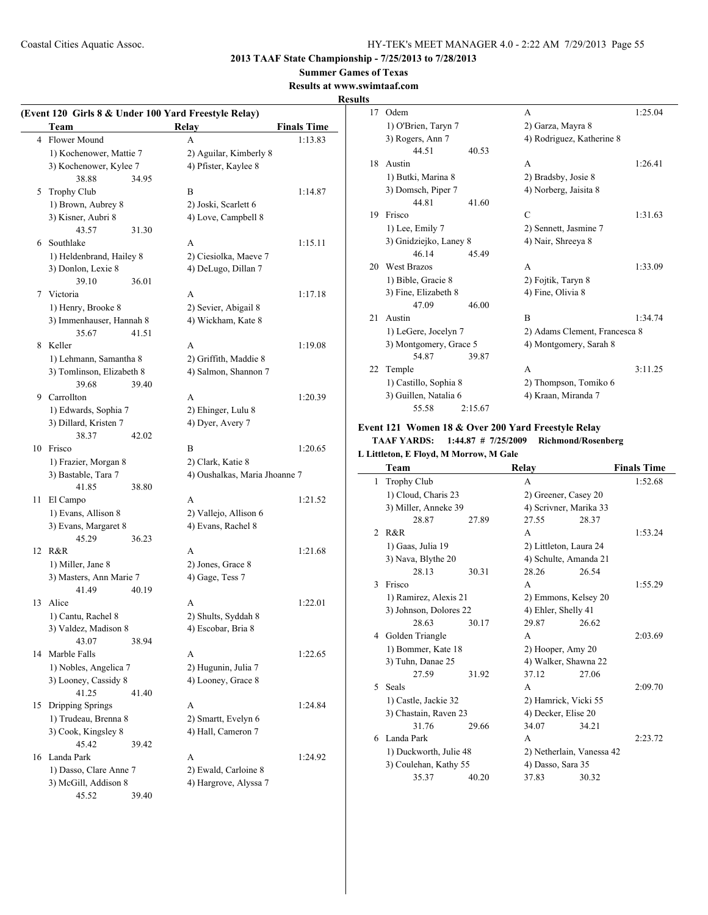**2013 TAAF State Championship - 7/25/2013 to 7/28/2013**

**Summer Games of Texas**

**Results at www.swimtaaf.com**

## **Results**

 $\overline{\phantom{0}}$ 

|                | Team                      |       | (Event 120 Girls 8 & Under 100 Yard Freestyle Relay)<br><b>Relay</b> | <b>Finals Time</b> |
|----------------|---------------------------|-------|----------------------------------------------------------------------|--------------------|
| $\overline{4}$ | <b>Flower Mound</b>       |       | A                                                                    | 1:13.83            |
|                | 1) Kochenower, Mattie 7   |       | 2) Aguilar, Kimberly 8                                               |                    |
|                | 3) Kochenower, Kylee 7    |       | 4) Pfister, Kaylee 8                                                 |                    |
|                | 38.88                     | 34.95 |                                                                      |                    |
| 5              | Trophy Club               |       | B                                                                    | 1:14.87            |
|                | 1) Brown, Aubrey 8        |       | 2) Joski, Scarlett 6                                                 |                    |
|                | 3) Kisner, Aubri 8        |       | 4) Love, Campbell 8                                                  |                    |
|                | 43.57                     | 31.30 |                                                                      |                    |
|                | 6 Southlake               |       | A                                                                    | 1:15.11            |
|                | 1) Heldenbrand, Hailey 8  |       | 2) Ciesiolka, Maeve 7                                                |                    |
|                | 3) Donlon, Lexie 8        |       | 4) DeLugo, Dillan 7                                                  |                    |
|                | 39.10                     | 36.01 |                                                                      |                    |
|                | 7 Victoria                |       | A                                                                    | 1:17.18            |
|                | 1) Henry, Brooke 8        |       | 2) Sevier, Abigail 8                                                 |                    |
|                | 3) Immenhauser, Hannah 8  |       | 4) Wickham, Kate 8                                                   |                    |
|                | 35.67                     | 41.51 |                                                                      |                    |
| 8              | Keller                    |       | A                                                                    | 1:19.08            |
|                | 1) Lehmann, Samantha 8    |       | 2) Griffith, Maddie 8                                                |                    |
|                | 3) Tomlinson, Elizabeth 8 |       | 4) Salmon, Shannon 7                                                 |                    |
|                | 39.68                     | 39.40 |                                                                      |                    |
| 9              | Carrollton                |       | A                                                                    | 1:20.39            |
|                | 1) Edwards, Sophia 7      |       | 2) Ehinger, Lulu 8                                                   |                    |
|                | 3) Dillard, Kristen 7     |       | 4) Dyer, Avery 7                                                     |                    |
|                | 38.37                     | 42.02 |                                                                      |                    |
| 10             | Frisco                    |       | B                                                                    | 1:20.65            |
|                | 1) Frazier, Morgan 8      |       | 2) Clark, Katie 8                                                    |                    |
|                | 3) Bastable, Tara 7       |       | 4) Oushalkas, Maria Jhoanne 7                                        |                    |
|                | 41.85                     | 38.80 |                                                                      |                    |
| 11             | El Campo                  |       | A                                                                    | 1:21.52            |
|                | 1) Evans, Allison 8       |       | 2) Vallejo, Allison 6                                                |                    |
|                | 3) Evans, Margaret 8      |       | 4) Evans, Rachel 8                                                   |                    |
|                | 45.29                     | 36.23 |                                                                      |                    |
| 12             | R&R                       |       | A                                                                    | 1:21.68            |
|                | 1) Miller, Jane 8         |       | 2) Jones, Grace 8                                                    |                    |
|                | 3) Masters, Ann Marie 7   |       | 4) Gage, Tess 7                                                      |                    |
|                | 41.49                     | 40.19 |                                                                      |                    |
| 13             | Alice                     |       | A                                                                    | 1:22.01            |
|                | 1) Cantu, Rachel 8        |       | 2) Shults, Syddah 8                                                  |                    |
|                | 3) Valdez, Madison 8      |       | 4) Escobar, Bria 8                                                   |                    |
|                | 43.07                     | 38.94 |                                                                      |                    |
| 14             | Marble Falls              |       | A                                                                    | 1:22.65            |
|                | 1) Nobles, Angelica 7     |       | 2) Hugunin, Julia 7                                                  |                    |
|                | 3) Looney, Cassidy 8      |       | 4) Looney, Grace 8                                                   |                    |
|                | 41.25                     | 41.40 |                                                                      |                    |
| 15             | Dripping Springs          |       | A                                                                    | 1:24.84            |
|                | 1) Trudeau, Brenna 8      |       | 2) Smartt, Evelyn 6                                                  |                    |
|                | 3) Cook, Kingsley 8       |       | 4) Hall, Cameron 7                                                   |                    |
|                | 45.42                     | 39.42 |                                                                      |                    |
| 16             | Landa Park                |       | A                                                                    | 1:24.92            |
|                | 1) Dasso, Clare Anne 7    |       | 2) Ewald, Carloine 8                                                 |                    |
|                | 3) McGill, Addison 8      |       | 4) Hargrove, Alyssa 7                                                |                    |
|                | 45.52                     | 39.40 |                                                                      |                    |

| Š  |                        |         |                               |         |
|----|------------------------|---------|-------------------------------|---------|
| 17 | Odem                   |         | A                             | 1:25.04 |
|    | 1) O'Brien, Taryn 7    |         | 2) Garza, Mayra 8             |         |
|    | 3) Rogers, Ann 7       |         | 4) Rodriguez, Katherine 8     |         |
|    | 44 51                  | 40.53   |                               |         |
| 18 | Austin                 |         | A                             | 1:26.41 |
|    | 1) Butki, Marina 8     |         | 2) Bradsby, Josie 8           |         |
|    | 3) Domsch, Piper 7     |         | 4) Norberg, Jaisita 8         |         |
|    | 44.81                  | 41.60   |                               |         |
| 19 | Frisco                 |         | C                             | 1:31.63 |
|    | 1) Lee, Emily 7        |         | 2) Sennett, Jasmine 7         |         |
|    | 3) Gnidziejko, Laney 8 |         | 4) Nair, Shreeya 8            |         |
|    | 46.14                  | 45.49   |                               |         |
| 20 | <b>West Brazos</b>     |         | A                             | 1:33.09 |
|    | 1) Bible, Gracie 8     |         | 2) Fojtik, Taryn 8            |         |
|    | 3) Fine, Elizabeth 8   |         | 4) Fine, Olivia 8             |         |
|    | 47.09                  | 46.00   |                               |         |
| 21 | Austin                 |         | B                             | 1:34.74 |
|    | 1) LeGere, Jocelyn 7   |         | 2) Adams Clement, Francesca 8 |         |
|    | 3) Montgomery, Grace 5 |         | 4) Montgomery, Sarah 8        |         |
|    | 54.87                  | 39.87   |                               |         |
| 22 | Temple                 |         | A                             | 3:11.25 |
|    | 1) Castillo, Sophia 8  |         | 2) Thompson, Tomiko 6         |         |
|    | 3) Guillen, Natalia 6  |         | 4) Kraan, Miranda 7           |         |
|    | 55.58                  | 2:15.67 |                               |         |
|    |                        |         |                               |         |

## **Event 121 Women 18 & Over 200 Yard Freestyle Relay**

**TAAF YARDS: 1:44.87 # 7/25/2009 Richmond/Rosenberg**

#### **L Littleton, E Floyd, M Morrow, M Gale**

|    | Team                   |       | Relay                     |       | <b>Finals Time</b> |
|----|------------------------|-------|---------------------------|-------|--------------------|
| 1  | <b>Trophy Club</b>     |       | A                         |       | 1:52.68            |
|    | 1) Cloud, Charis 23    |       | 2) Greener, Casey 20      |       |                    |
|    | 3) Miller, Anneke 39   |       | 4) Scrivner, Marika 33    |       |                    |
|    | 28.87                  | 27.89 | 27.55                     | 28.37 |                    |
| 2  | R&R                    |       | A                         |       | 1:53.24            |
|    | 1) Gaas, Julia 19      |       | 2) Littleton, Laura 24    |       |                    |
|    | 3) Nava, Blythe 20     |       | 4) Schulte, Amanda 21     |       |                    |
|    | 28.13                  | 30.31 | 28.26                     | 26.54 |                    |
| 3  | Frisco                 |       | A                         |       | 1:55.29            |
|    | 1) Ramirez, Alexis 21  |       | 2) Emmons, Kelsey 20      |       |                    |
|    | 3) Johnson, Dolores 22 |       | 4) Ehler, Shelly 41       |       |                    |
|    | 28.63                  | 30.17 | 29.87                     | 26.62 |                    |
| 4  | Golden Triangle        |       | A                         |       | 2:03.69            |
|    | 1) Bommer, Kate 18     |       | 2) Hooper, Amy 20         |       |                    |
|    | 3) Tuhn, Danae 25      |       | 4) Walker, Shawna 22      |       |                    |
|    | 27.59                  | 31.92 | 37.12                     | 27.06 |                    |
| 5. | <b>Seals</b>           |       | A                         |       | 2:09.70            |
|    | 1) Castle, Jackie 32   |       | 2) Hamrick, Vicki 55      |       |                    |
|    | 3) Chastain, Raven 23  |       | 4) Decker, Elise 20       |       |                    |
|    | 31.76                  | 29.66 | 34.07                     | 34.21 |                    |
| 6  | Landa Park             |       | A                         |       | 2:23.72            |
|    | 1) Duckworth, Julie 48 |       | 2) Netherlain, Vanessa 42 |       |                    |
|    | 3) Coulehan, Kathy 55  |       | 4) Dasso, Sara 35         |       |                    |
|    | 35.37                  | 40.20 | 37.83                     | 30.32 |                    |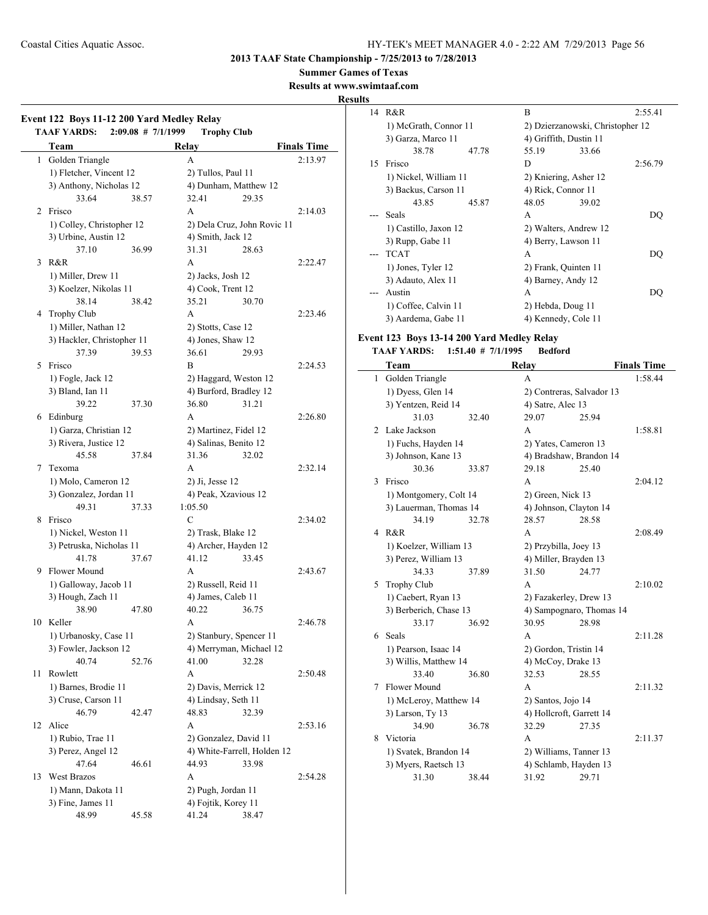**2013 TAAF State Championship - 7/25/2013 to 7/28/2013**

**Summer Games of Texas**

**Results at www.swimtaaf.com**

## **Results**

|    | Team                            |       | Relay                      |                                                | <b>Finals Time</b> |
|----|---------------------------------|-------|----------------------------|------------------------------------------------|--------------------|
| 1  | Golden Triangle                 |       | А                          |                                                | 2:13.97            |
|    | 1) Fletcher, Vincent 12         |       | 2) Tullos, Paul 11         |                                                |                    |
|    | 3) Anthony, Nicholas 12         |       |                            | 4) Dunham, Matthew 12                          |                    |
|    | 33.64                           | 38.57 | 32.41                      | 29.35                                          |                    |
| 2  | Frisco                          |       | A                          |                                                | 2:14.03            |
|    | 1) Colley, Christopher 12       |       |                            | 2) Dela Cruz, John Rovic 11                    |                    |
|    | 3) Urbine, Austin 12            |       | 4) Smith, Jack 12          |                                                |                    |
|    | 37.10                           | 36.99 | 31.31                      | 28.63                                          |                    |
| 3  | R&R                             |       | A                          |                                                | 2:22.47            |
|    |                                 |       |                            |                                                |                    |
|    | 1) Miller, Drew 11              |       | 2) Jacks, Josh 12          |                                                |                    |
|    | 3) Koelzer, Nikolas 11<br>38.14 |       | 4) Cook, Trent 12<br>35.21 | 30.70                                          |                    |
|    |                                 | 38.42 |                            |                                                |                    |
|    | 4 Trophy Club                   |       | A                          |                                                | 2:23.46            |
|    | 1) Miller, Nathan 12            |       | 2) Stotts, Case 12         |                                                |                    |
|    | 3) Hackler, Christopher 11      |       | 4) Jones, Shaw 12          |                                                |                    |
|    | 37.39                           | 39.53 | 36.61                      | 29.93                                          |                    |
| 5  | Frisco                          |       | B                          |                                                | 2:24.53            |
|    | 1) Fogle, Jack 12               |       |                            | 2) Haggard, Weston 12                          |                    |
|    | 3) Bland, Ian 11                |       |                            | 4) Burford, Bradley 12                         |                    |
|    | 39.22                           | 37.30 | 36.80                      | 31.21                                          |                    |
| 6  | Edinburg                        |       | А                          |                                                | 2:26.80            |
|    | 1) Garza, Christian 12          |       |                            | 2) Martinez, Fidel 12<br>4) Salinas, Benito 12 |                    |
|    | 3) Rivera, Justice 12           |       |                            |                                                |                    |
|    | 45.58                           | 37.84 | 31.36                      | 32.02                                          |                    |
| 7  | Texoma                          |       | A                          |                                                | 2:32.14            |
|    | 1) Molo, Cameron 12             |       | 2) Ji, Jesse 12            |                                                |                    |
|    | 3) Gonzalez, Jordan 11          |       | 4) Peak, Xzavious 12       |                                                |                    |
|    | 49.31                           | 37.33 | 1:05.50                    |                                                |                    |
| 8  | Frisco                          |       | C                          |                                                | 2:34.02            |
|    | 1) Nickel, Weston 11            |       | 2) Trask, Blake 12         |                                                |                    |
|    | 3) Petruska, Nicholas 11        |       | 4) Archer, Hayden 12       |                                                |                    |
|    | 41.78                           | 37.67 | 41.12                      | 33.45                                          |                    |
| 9  | <b>Flower Mound</b>             |       | A                          |                                                | 2:43.67            |
|    | 1) Galloway, Jacob 11           |       | 2) Russell, Reid 11        |                                                |                    |
|    | 3) Hough, Zach 11               |       | 4) James, Caleb 11         |                                                |                    |
|    | 38.90                           | 47.80 | 40.22                      | 36.75                                          |                    |
|    | 10 Keller                       |       | A                          |                                                | 2:46.78            |
|    | 1) Urbanosky, Case 11           |       |                            | 2) Stanbury, Spencer 11                        |                    |
|    | 3) Fowler, Jackson 12           |       |                            | 4) Merryman, Michael 12                        |                    |
|    | 40.74                           | 52.76 | 41.00                      | 32.28                                          |                    |
| 11 | Rowlett                         |       | A                          |                                                | 2:50.48            |
|    | 1) Barnes, Brodie 11            |       | 2) Davis, Merrick 12       |                                                |                    |
|    | 3) Cruse, Carson 11             |       | 4) Lindsay, Seth 11        |                                                |                    |
|    | 46.79                           | 42.47 | 48.83                      | 32.39                                          |                    |
| 12 | Alice                           |       | A                          |                                                | 2:53.16            |
|    | 1) Rubio, Trae 11               |       | 2) Gonzalez, David 11      |                                                |                    |
|    | 3) Perez, Angel 12              |       |                            | 4) White-Farrell, Holden 12                    |                    |
|    | 47.64                           | 46.61 | 44.93                      | 33.98                                          |                    |
| 13 | West Brazos                     |       | A                          |                                                | 2:54.28            |
|    | 1) Mann, Dakota 11              |       | 2) Pugh, Jordan 11         |                                                |                    |
|    | 3) Fine, James 11               |       | 4) Fojtik, Korey 11        |                                                |                    |
|    | 48.99                           | 45.58 | 41.24                      | 38.47                                          |                    |

| 14 | R&R                   | B                                | 2:55.41 |  |
|----|-----------------------|----------------------------------|---------|--|
|    | 1) McGrath, Connor 11 | 2) Dzierzanowski, Christopher 12 |         |  |
|    | 3) Garza, Marco 11    | 4) Griffith, Dustin 11           |         |  |
|    | 38.78<br>47.78        | 55.19<br>33.66                   |         |  |
| 15 | Frisco                | D                                | 2:56.79 |  |
|    | 1) Nickel, William 11 | 2) Kniering, Asher 12            |         |  |
|    | 3) Backus, Carson 11  | 4) Rick, Connor 11               |         |  |
|    | 43.85<br>45.87        | 48.05<br>39.02                   |         |  |
|    | Seals                 | A                                | DO      |  |
|    | 1) Castillo, Jaxon 12 | 2) Walters, Andrew 12            |         |  |
|    | 3) Rupp, Gabe 11      | 4) Berry, Lawson 11              |         |  |
|    | <b>TCAT</b>           | A                                | DO      |  |
|    | 1) Jones, Tyler 12    | 2) Frank, Quinten 11             |         |  |
|    | 3) Adauto, Alex 11    | 4) Barney, Andy 12               |         |  |
|    | Austin                | A                                | DO      |  |
|    | 1) Coffee, Calvin 11  | 2) Hebda, Doug 11                |         |  |
|    | 3) Aardema, Gabe 11   | 4) Kennedy, Cole 11              |         |  |

## **Event 123 Boys 13-14 200 Yard Medley Relay**

|   | Team                   |       | Relay                     |                          | <b>Finals Time</b> |
|---|------------------------|-------|---------------------------|--------------------------|--------------------|
| 1 | Golden Triangle        |       | A                         |                          | 1:58.44            |
|   | 1) Dyess, Glen 14      |       | 2) Contreras, Salvador 13 |                          |                    |
|   | 3) Yentzen, Reid 14    |       | 4) Satre, Alec 13         |                          |                    |
|   | 31.03                  | 32.40 | 29.07                     | 25.94                    |                    |
| 2 | Lake Jackson           |       | A                         |                          | 1:58.81            |
|   | 1) Fuchs, Hayden 14    |       | 2) Yates, Cameron 13      |                          |                    |
|   | 3) Johnson, Kane 13    |       | 4) Bradshaw, Brandon 14   |                          |                    |
|   | 30.36                  | 33.87 | 29.18                     | 25.40                    |                    |
| 3 | Frisco                 |       | A                         |                          | 2:04.12            |
|   | 1) Montgomery, Colt 14 |       | 2) Green, Nick 13         |                          |                    |
|   | 3) Lauerman, Thomas 14 |       | 4) Johnson, Clayton 14    |                          |                    |
|   | 34.19                  | 32.78 | 28.57                     | 28.58                    |                    |
| 4 | R&R                    |       | А                         |                          | 2:08.49            |
|   | 1) Koelzer, William 13 |       | 2) Przybilla, Joey 13     |                          |                    |
|   | 3) Perez, William 13   |       | 4) Miller, Brayden 13     |                          |                    |
|   | 34.33                  | 37.89 | 31.50                     | 24.77                    |                    |
| 5 | <b>Trophy Club</b>     |       | A                         |                          | 2:10.02            |
|   | 1) Caebert, Ryan 13    |       | 2) Fazakerley, Drew 13    |                          |                    |
|   | 3) Berberich, Chase 13 |       |                           | 4) Sampognaro, Thomas 14 |                    |
|   | 33.17                  | 36.92 | 30.95                     | 28.98                    |                    |
| 6 | Seals                  |       | A                         |                          | 2:11.28            |
|   | 1) Pearson, Isaac 14   |       | 2) Gordon, Tristin 14     |                          |                    |
|   | 3) Willis, Matthew 14  |       | 4) McCoy, Drake 13        |                          |                    |
|   | 33.40                  | 36.80 | 32.53                     | 28.55                    |                    |
| 7 | Flower Mound           |       | A                         |                          | 2:11.32            |
|   | 1) McLeroy, Matthew 14 |       | 2) Santos, Jojo 14        |                          |                    |
|   | 3) Larson, Ty 13       |       | 4) Hollcroft, Garrett 14  |                          |                    |
|   | 34.90                  | 36.78 | 32.29                     | 27.35                    |                    |
| 8 | Victoria               |       | A                         |                          | 2:11.37            |
|   | 1) Svatek, Brandon 14  |       | 2) Williams, Tanner 13    |                          |                    |
|   | 3) Myers, Raetsch 13   |       | 4) Schlamb, Hayden 13     |                          |                    |
|   | 31.30                  | 38.44 | 31.92                     | 29.71                    |                    |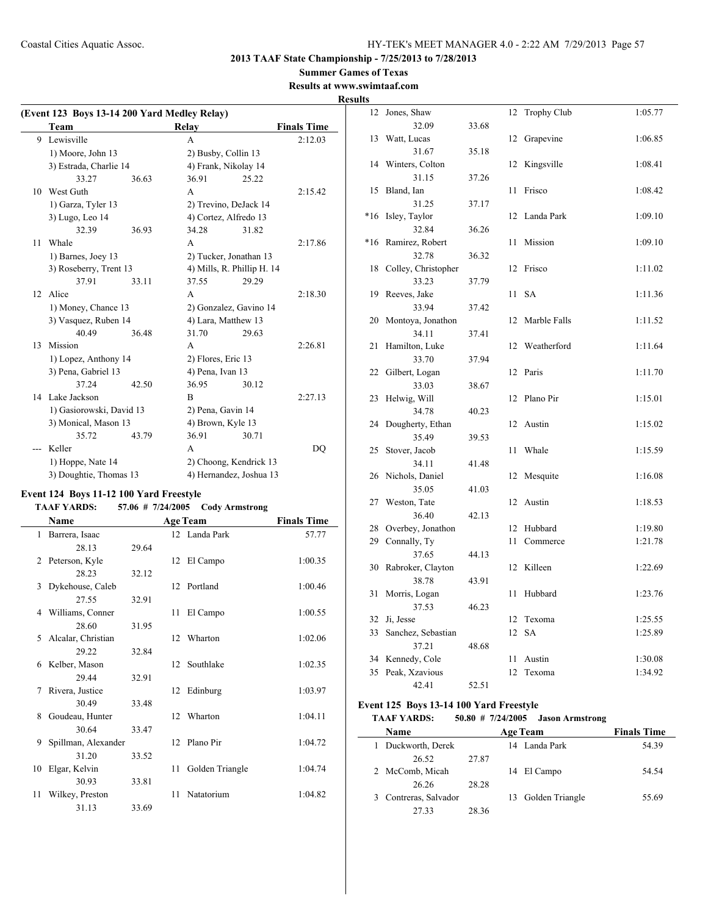**2013 TAAF State Championship - 7/25/2013 to 7/28/2013**

## **Summer Games of Texas**

**Results at www.swimtaaf.com Results**

|                 | (Event 123 Boys 13-14 200 Yard Medley Relay) |       |                        |                            |                    |  |
|-----------------|----------------------------------------------|-------|------------------------|----------------------------|--------------------|--|
|                 | Team                                         |       | Relay                  |                            | <b>Finals Time</b> |  |
| 9               | Lewisville                                   |       | A                      |                            | 2:12.03            |  |
|                 | 1) Moore, John 13                            |       | 2) Busby, Collin 13    |                            |                    |  |
|                 | 3) Estrada, Charlie 14                       |       | 4) Frank, Nikolay 14   |                            |                    |  |
|                 | 33.27                                        | 36.63 | 36.91                  | 25.22                      |                    |  |
| 10              | West Guth                                    |       | A                      |                            | 2:15.42            |  |
|                 | 1) Garza, Tyler 13                           |       | 2) Trevino, DeJack 14  |                            |                    |  |
|                 | 3) Lugo, Leo 14                              |       | 4) Cortez, Alfredo 13  |                            |                    |  |
|                 | 32.39                                        | 36.93 | 34.28                  | 31.82                      |                    |  |
| 11              | Whale                                        |       | A                      |                            | 2:17.86            |  |
|                 | 1) Barnes, Joey 13                           |       | 2) Tucker, Jonathan 13 |                            |                    |  |
|                 | 3) Roseberry, Trent 13                       |       |                        | 4) Mills, R. Phillip H. 14 |                    |  |
|                 | 37.91                                        | 33.11 | 37.55                  | 29.29                      |                    |  |
| 12 <sup>7</sup> | Alice                                        |       | A                      |                            | 2:18.30            |  |
|                 | 1) Money, Chance 13                          |       |                        | 2) Gonzalez, Gavino 14     |                    |  |
|                 | 3) Vasquez, Ruben 14                         |       | 4) Lara, Matthew 13    |                            |                    |  |
|                 | 40.49                                        | 36.48 | 31.70                  | 29.63                      |                    |  |
| 13              | Mission                                      |       | A                      |                            | 2:26.81            |  |
|                 | 1) Lopez, Anthony 14                         |       | 2) Flores, Eric 13     |                            |                    |  |
|                 | 3) Pena, Gabriel 13                          |       |                        | 4) Pena, Ivan 13           |                    |  |
|                 | 37.24                                        | 42.50 | 36.95                  | 30.12                      |                    |  |
|                 | 14 Lake Jackson                              |       | B                      |                            | 2:27.13            |  |
|                 | 1) Gasiorowski, David 13                     |       | 2) Pena, Gavin 14      |                            |                    |  |
|                 | 3) Monical, Mason 13                         |       | 4) Brown, Kyle 13      |                            |                    |  |
|                 | 35.72                                        | 43.79 | 36.91                  | 30.71                      |                    |  |
|                 | Keller                                       |       | A                      |                            | DO                 |  |
|                 | 1) Hoppe, Nate 14                            |       |                        | 2) Choong, Kendrick 13     |                    |  |
|                 | 3) Doughtie, Thomas 13                       |       |                        | 4) Hernandez, Joshua 13    |                    |  |

## **Event 124 Boys 11-12 100 Yard Freestyle**

## **TAAF YARDS: 57.06 # 7/24/2005 Cody Armstrong**

|    | Name                |       |                  | <b>Age Team</b> | <b>Finals Time</b> |
|----|---------------------|-------|------------------|-----------------|--------------------|
|    | 1 Barrera, Isaac    |       |                  | 12 Landa Park   | 57.77              |
|    | 28.13               | 29.64 |                  |                 |                    |
| 2  | Peterson, Kyle      |       |                  | 12 El Campo     | 1:00.35            |
|    | 28.23               | 32.12 |                  |                 |                    |
| 3  | Dykehouse, Caleb    |       |                  | 12 Portland     | 1:00.46            |
|    | 27.55               | 32.91 |                  |                 |                    |
| 4  | Williams, Conner    |       | 11               | El Campo        | 1:00.55            |
|    | 28.60               | 31.95 |                  |                 |                    |
| 5  | Alcalar, Christian  |       |                  | 12 Wharton      | 1:02.06            |
|    | 29.22               | 32.84 |                  |                 |                    |
| 6  | Kelber, Mason       |       | 12 <sup>12</sup> | Southlake       | 1:02.35            |
|    | 29.44               | 32.91 |                  |                 |                    |
| 7  | Rivera, Justice     |       | 12               | Edinburg        | 1:03.97            |
|    | 30.49               | 33.48 |                  |                 |                    |
| 8  | Goudeau, Hunter     |       |                  | 12 Wharton      | 1:04.11            |
|    | 30.64               | 33.47 |                  |                 |                    |
| 9  | Spillman, Alexander |       |                  | 12 Plano Pir    | 1:04.72            |
|    | 31.20               | 33.52 |                  |                 |                    |
| 10 | Elgar, Kelvin       |       | 11               | Golden Triangle | 1:04.74            |
|    | 30.93               | 33.81 |                  |                 |                    |
| 11 | Wilkey, Preston     |       | 11               | Natatorium      | 1:04.82            |
|    | 31.13               | 33.69 |                  |                 |                    |

| 12    | Jones, Shaw           |       | 12 | <b>Trophy Club</b> | 1:05.77 |
|-------|-----------------------|-------|----|--------------------|---------|
|       | 32.09                 | 33.68 |    |                    |         |
| 13    | Watt, Lucas           |       | 12 | Grapevine          | 1:06.85 |
|       | 31.67                 | 35.18 |    |                    |         |
|       | 14 Winters, Colton    |       | 12 | Kingsville         | 1:08.41 |
|       | 31.15                 | 37.26 |    |                    |         |
| 15    | Bland, Ian            |       | 11 | Frisco             | 1:08.42 |
|       | 31.25                 | 37.17 |    |                    |         |
| $*16$ | Isley, Taylor         |       | 12 | Landa Park         | 1:09.10 |
|       | 32.84                 | 36.26 |    |                    |         |
| $*16$ | Ramirez, Robert       |       | 11 | Mission            | 1:09.10 |
|       | 32.78                 | 36.32 |    |                    |         |
| 18    | Colley, Christopher   |       | 12 | Frisco             | 1:11.02 |
|       | 33.23                 | 37.79 |    |                    |         |
| 19    | Reeves, Jake          |       | 11 | <b>SA</b>          | 1:11.36 |
|       | 33.94                 | 37.42 |    |                    |         |
| 20    | Montoya, Jonathon     |       | 12 | Marble Falls       | 1:11.52 |
|       | 34.11                 | 37.41 |    |                    |         |
| 21    | Hamilton, Luke        |       | 12 | Weatherford        | 1:11.64 |
|       | 33.70                 | 37.94 |    |                    |         |
| 22    | Gilbert, Logan        |       | 12 | Paris              | 1:11.70 |
|       | 33.03                 | 38.67 |    |                    |         |
| 23    | Helwig, Will<br>34.78 |       | 12 | Plano Pir          | 1:15.01 |
| 24    | Dougherty, Ethan      | 40.23 | 12 | Austin             | 1:15.02 |
|       | 35.49                 | 39.53 |    |                    |         |
| 25    | Stover, Jacob         |       | 11 | Whale              | 1:15.59 |
|       | 34.11                 | 41.48 |    |                    |         |
| 26    | Nichols, Daniel       |       | 12 | Mesquite           | 1:16.08 |
|       | 35.05                 | 41.03 |    |                    |         |
| 27    | Weston, Tate          |       | 12 | Austin             | 1:18.53 |
|       | 36.40                 | 42.13 |    |                    |         |
| 28    | Overbey, Jonathon     |       | 12 | Hubbard            | 1:19.80 |
| 29    | Connally, Ty          |       | 11 | Commerce           | 1:21.78 |
|       | 37.65                 | 44.13 |    |                    |         |
| 30    | Rabroker, Clayton     |       | 12 | Killeen            | 1:22.69 |
|       | 38.78                 | 43.91 |    |                    |         |
| 31    | Morris, Logan         |       | 11 | Hubbard            | 1:23.76 |
|       | 37.53                 | 46.23 |    |                    |         |
| 32    | Ji, Jesse             |       | 12 | Texoma             | 1:25.55 |
| 33    | Sanchez, Sebastian    |       | 12 | <b>SA</b>          | 1:25.89 |
|       | 37.21                 | 48.68 |    |                    |         |
| 34    | Kennedy, Cole         |       | 11 | Austin             | 1:30.08 |
| 35    | Peak, Xzavious        |       | 12 | Texoma             | 1:34.92 |
|       | 42.41                 | 52.51 |    |                    |         |

## **Event 125 Boys 13-14 100 Yard Freestyle**

 $\overline{a}$ 

| <b>TAAF YARDS:</b> |  | $50.80 \# 7/24/2005$ | <b>Jason Armstrong</b> |
|--------------------|--|----------------------|------------------------|
|--------------------|--|----------------------|------------------------|

| <b>Name</b>         | <b>Age Team</b> |  |                    | <b>Finals Time</b> |
|---------------------|-----------------|--|--------------------|--------------------|
| Duckworth, Derek    |                 |  | 14 Landa Park      | 54.39              |
| 26.52               | 27.87           |  |                    |                    |
| 2 McComb, Micah     |                 |  | 14 El Campo        | 54 54              |
| 26.26               | 28.28           |  |                    |                    |
| Contreras, Salvador |                 |  | 13 Golden Triangle | 55.69              |
| 27.33               | 28.36           |  |                    |                    |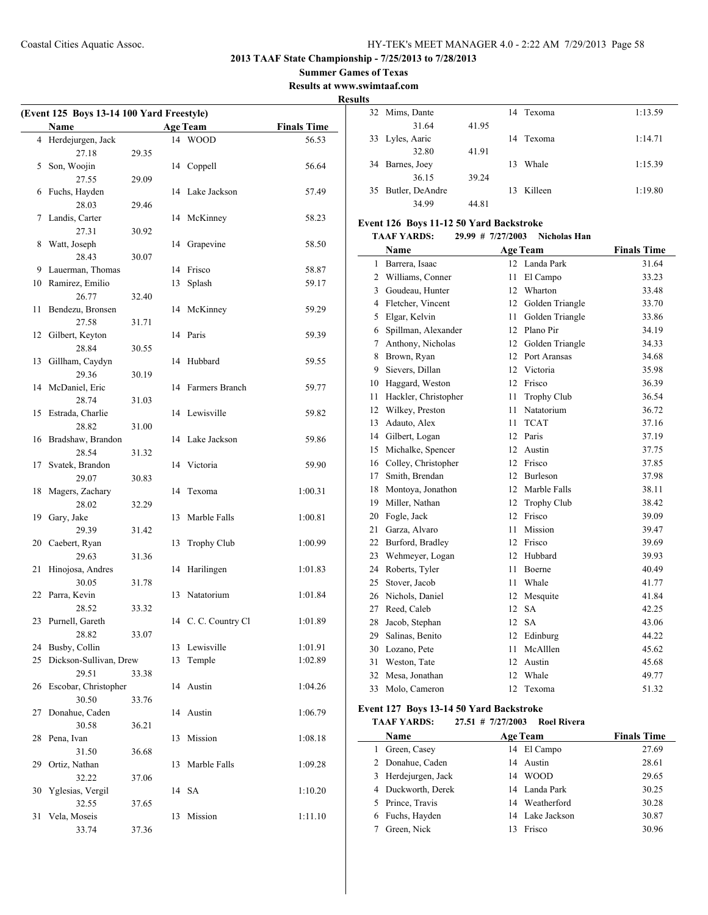**Summer Games of Texas**

**Results at www.swimtaaf.com**

#### **Results**

| (Event 125 Boys 13-14 100 Yard Freestyle) |                           |       |    |                     |                    |
|-------------------------------------------|---------------------------|-------|----|---------------------|--------------------|
|                                           | Name                      |       |    | <b>Age Team</b>     | <b>Finals Time</b> |
|                                           | 4 Herdejurgen, Jack       |       |    | 14 WOOD             | 56.53              |
|                                           | 27.18                     | 29.35 |    |                     |                    |
| 5                                         | Son, Woojin               |       |    | 14 Coppell          | 56.64              |
|                                           | 27.55                     | 29.09 |    |                     |                    |
| 6                                         | Fuchs, Hayden             |       |    | 14 Lake Jackson     | 57.49              |
|                                           | 28.03                     | 29.46 |    |                     |                    |
| 7                                         | Landis, Carter            |       |    | 14 McKinney         | 58.23              |
|                                           | 27.31                     | 30.92 |    |                     |                    |
| 8                                         | Watt, Joseph              |       |    | 14 Grapevine        | 58.50              |
|                                           | 28.43                     | 30.07 |    |                     |                    |
| 9                                         | Lauerman, Thomas          |       |    | 14 Frisco           | 58.87              |
| 10                                        | Ramirez, Emilio           |       | 13 | Splash              | 59.17              |
|                                           | 26.77                     | 32.40 |    |                     |                    |
| 11                                        | Bendezu, Bronsen          |       | 14 | McKinney            | 59.29              |
|                                           | 27.58                     | 31.71 |    |                     |                    |
| 12                                        | Gilbert, Keyton           |       |    | 14 Paris            | 59.39              |
|                                           | 28.84                     | 30.55 |    |                     |                    |
| 13                                        | Gillham, Caydyn           |       | 14 | Hubbard             | 59.55              |
|                                           | 29.36                     | 30.19 |    |                     |                    |
| 14                                        | McDaniel, Eric            |       |    | 14 Farmers Branch   | 59.77              |
|                                           | 28.74                     | 31.03 |    |                     |                    |
| 15                                        | Estrada, Charlie          |       |    | 14 Lewisville       | 59.82              |
|                                           | 28.82                     | 31.00 |    |                     |                    |
| 16                                        | Bradshaw, Brandon         |       |    | 14 Lake Jackson     | 59.86              |
|                                           | 28.54                     | 31.32 |    |                     |                    |
| 17                                        | Svatek, Brandon           |       | 14 | Victoria            | 59.90              |
|                                           | 29.07                     | 30.83 |    |                     |                    |
| 18                                        | Magers, Zachary           |       | 14 | Texoma              | 1:00.31            |
|                                           | 28.02                     | 32.29 |    |                     |                    |
| 19                                        | Gary, Jake                |       | 13 | Marble Falls        | 1:00.81            |
|                                           | 29.39                     | 31.42 |    |                     |                    |
| 20                                        | Caebert, Ryan             |       | 13 | Trophy Club         | 1:00.99            |
|                                           | 29.63                     | 31.36 |    |                     |                    |
| 21                                        | Hinojosa, Andres          |       | 14 | Harilingen          | 1:01.83            |
|                                           | 30.05                     | 31.78 |    |                     |                    |
| 22                                        | Parra, Kevin              |       | 13 | Natatorium          | 1:01.84            |
|                                           | 28.52                     | 33.32 |    |                     |                    |
|                                           | 23 Purnell, Gareth        |       |    | 14 C. C. Country Cl | 1:01.89            |
|                                           | 28.82                     | 33.07 |    |                     |                    |
| 24                                        | Busby, Collin             |       |    | 13 Lewisville       | 1:01.91            |
| 25                                        | Dickson-Sullivan, Drew    |       | 13 | Temple              | 1:02.89            |
|                                           | 29.51                     | 33.38 |    |                     |                    |
| 26                                        | Escobar, Christopher      |       | 14 | Austin              | 1:04.26            |
|                                           | 30.50                     | 33.76 |    |                     |                    |
| 27                                        | Donahue, Caden            |       | 14 | Austin              | 1:06.79            |
|                                           | 30.58                     | 36.21 |    |                     |                    |
| 28                                        | Pena, Ivan                |       | 13 | Mission             | 1:08.18            |
|                                           | 31.50                     | 36.68 |    |                     |                    |
| 29                                        | Ortiz, Nathan             |       | 13 | Marble Falls        | 1:09.28            |
| 30                                        | 32.22<br>Yglesias, Vergil | 37.06 | 14 | <b>SA</b>           | 1:10.20            |
|                                           | 32.55                     | 37.65 |    |                     |                    |
| 31                                        | Vela, Moseis              |       | 13 | Mission             | 1:11.10            |
|                                           | 33.74                     | 37.36 |    |                     |                    |
|                                           |                           |       |    |                     |                    |

|    | 32 Mims, Dante  |       |    | 14 Texoma | 1:13.59 |
|----|-----------------|-------|----|-----------|---------|
|    | 31.64           | 41.95 |    |           |         |
|    | 33 Lyles, Aaric |       |    | 14 Texoma | 1:14.71 |
|    | 32.80           | 41.91 |    |           |         |
| 34 | Barnes, Joey    |       | 13 | Whale     | 1:15.39 |
|    | 36.15           | 39.24 |    |           |         |
| 35 | Butler, DeAndre |       | 13 | Killeen   | 1:19.80 |
|    | 34.99           | 44.81 |    |           |         |

## **Event 126 Boys 11-12 50 Yard Backstroke**

#### **TAAF YARDS: 29.99 # 7/27/2003 Nicholas Han**

|    | Name                 |    | <b>Age Team</b>    | <b>Finals Time</b> |
|----|----------------------|----|--------------------|--------------------|
| 1  | Barrera, Isaac       | 12 | Landa Park         | 31.64              |
| 2  | Williams, Conner     | 11 | El Campo           | 33.23              |
| 3  | Goudeau, Hunter      | 12 | Wharton            | 33.48              |
| 4  | Fletcher, Vincent    | 12 | Golden Triangle    | 33.70              |
| 5  | Elgar, Kelvin        | 11 | Golden Triangle    | 33.86              |
| 6  | Spillman, Alexander  | 12 | Plano Pir          | 34.19              |
| 7  | Anthony, Nicholas    | 12 | Golden Triangle    | 34.33              |
| 8  | Brown, Ryan          | 12 | Port Aransas       | 34.68              |
| 9  | Sievers, Dillan      | 12 | Victoria           | 35.98              |
| 10 | Haggard, Weston      | 12 | Frisco             | 36.39              |
| 11 | Hackler, Christopher | 11 | <b>Trophy Club</b> | 36.54              |
| 12 | Wilkey, Preston      | 11 | Natatorium         | 36.72              |
| 13 | Adauto, Alex         | 11 | <b>TCAT</b>        | 37.16              |
| 14 | Gilbert, Logan       | 12 | Paris              | 37.19              |
| 15 | Michalke, Spencer    | 12 | Austin             | 37.75              |
| 16 | Colley, Christopher  | 12 | Frisco             | 37.85              |
| 17 | Smith, Brendan       | 12 | Burleson           | 37.98              |
| 18 | Montoya, Jonathon    | 12 | Marble Falls       | 38.11              |
| 19 | Miller, Nathan       | 12 | <b>Trophy Club</b> | 38.42              |
| 20 | Fogle, Jack          | 12 | Frisco             | 39.09              |
| 21 | Garza, Alvaro        | 11 | Mission            | 39.47              |
| 22 | Burford, Bradley     | 12 | Frisco             | 39.69              |
| 23 | Wehmeyer, Logan      | 12 | Hubbard            | 39.93              |
| 24 | Roberts, Tyler       | 11 | Boerne             | 40.49              |
| 25 | Stover, Jacob        | 11 | Whale              | 41.77              |
| 26 | Nichols, Daniel      | 12 | Mesquite           | 41.84              |
| 27 | Reed, Caleb          | 12 | <b>SA</b>          | 42.25              |
| 28 | Jacob, Stephan       | 12 | <b>SA</b>          | 43.06              |
| 29 | Salinas, Benito      | 12 | Edinburg           | 44.22              |
| 30 | Lozano, Pete         | 11 | McAlllen           | 45.62              |
| 31 | Weston, Tate         | 12 | Austin             | 45.68              |
| 32 | Mesa, Jonathan       | 12 | Whale              | 49.77              |
| 33 | Molo, Cameron        | 12 | Texoma             | 51.32              |

## **Event 127 Boys 13-14 50 Yard Backstroke**

**TAAF YARDS: 27.51 # 7/27/2003 Roel Rivera**

|   | <b>Name</b>         | <b>Age Team</b>   | <b>Finals Time</b> |
|---|---------------------|-------------------|--------------------|
| 1 | Green, Casey        | 14 El Campo       | 27.69              |
|   | 2 Donahue, Caden    | Austin<br>14      | 28.61              |
|   | 3 Herdejurgen, Jack | <b>WOOD</b><br>14 | 29.65              |
|   | 4 Duckworth, Derek  | 14 Landa Park     | 30.25              |
|   | 5 Prince, Travis    | 14 Weatherford    | 30.28              |
|   | 6 Fuchs, Hayden     | 14 Lake Jackson   | 30.87              |
|   | Green, Nick         | Frisco            | 30.96              |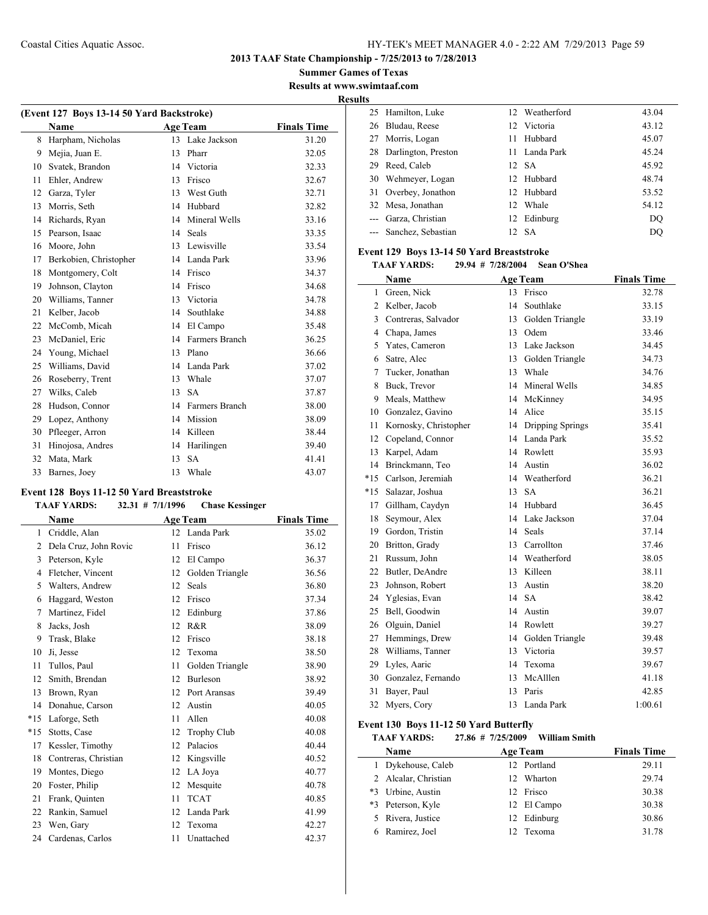**Summer Games of Texas Results at www.swimtaaf.com**

**Results**

|    | (Event 127 Boys 13-14 50 Yard Backstroke) |    |                 |                    |  |  |  |
|----|-------------------------------------------|----|-----------------|--------------------|--|--|--|
|    | Name                                      |    | <b>Age Team</b> | <b>Finals Time</b> |  |  |  |
| 8  | Harpham, Nicholas                         |    | 13 Lake Jackson | 31.20              |  |  |  |
| 9  | Mejia, Juan E.                            | 13 | Pharr           | 32.05              |  |  |  |
| 10 | Svatek, Brandon                           | 14 | Victoria        | 32.33              |  |  |  |
| 11 | Ehler, Andrew                             | 13 | Frisco          | 32.67              |  |  |  |
| 12 | Garza, Tyler                              | 13 | West Guth       | 32.71              |  |  |  |
| 13 | Morris, Seth                              | 14 | Hubbard         | 32.82              |  |  |  |
| 14 | Richards, Ryan                            | 14 | Mineral Wells   | 33.16              |  |  |  |
| 15 | Pearson, Isaac                            | 14 | Seals           | 33.35              |  |  |  |
| 16 | Moore, John                               | 13 | Lewisville      | 33.54              |  |  |  |
| 17 | Berkobien, Christopher                    | 14 | Landa Park      | 33.96              |  |  |  |
| 18 | Montgomery, Colt                          | 14 | Frisco          | 34.37              |  |  |  |
| 19 | Johnson, Clayton                          | 14 | Frisco          | 34.68              |  |  |  |
| 20 | Williams, Tanner                          | 13 | Victoria        | 34.78              |  |  |  |
| 21 | Kelber, Jacob                             | 14 | Southlake       | 34.88              |  |  |  |
| 22 | McComb, Micah                             | 14 | El Campo        | 35.48              |  |  |  |
| 23 | McDaniel, Eric                            | 14 | Farmers Branch  | 36.25              |  |  |  |
| 24 | Young, Michael                            | 13 | Plano           | 36.66              |  |  |  |
| 25 | Williams, David                           | 14 | Landa Park      | 37.02              |  |  |  |
| 26 | Roseberry, Trent                          | 13 | Whale           | 37.07              |  |  |  |
| 27 | Wilks, Caleb                              | 13 | <b>SA</b>       | 37.87              |  |  |  |
| 28 | Hudson, Connor                            | 14 | Farmers Branch  | 38.00              |  |  |  |
| 29 | Lopez, Anthony                            | 14 | Mission         | 38.09              |  |  |  |
| 30 | Pfleeger, Arron                           | 14 | Killeen         | 38.44              |  |  |  |
| 31 | Hinojosa, Andres                          | 14 | Harilingen      | 39.40              |  |  |  |
| 32 | Mata, Mark                                | 13 | <b>SA</b>       | 41.41              |  |  |  |
| 33 | Barnes, Joey                              | 13 | Whale           | 43.07              |  |  |  |

## **Event 128 Boys 11-12 50 Yard Breaststroke**

## **TAAF YARDS: 32.31 # 7/1/1996 Chase Kessinger**

|       | Name                  |     | <b>Age Team</b>    | <b>Finals Time</b> |
|-------|-----------------------|-----|--------------------|--------------------|
| 1     | Criddle, Alan         | 12. | Landa Park         | 35.02              |
| 2     | Dela Cruz, John Rovic | 11  | Frisco             | 36.12              |
| 3     | Peterson, Kyle        | 12  | El Campo           | 36.37              |
| 4     | Fletcher, Vincent     | 12  | Golden Triangle    | 36.56              |
| 5     | Walters, Andrew       | 12  | Seals              | 36.80              |
| 6     | Haggard, Weston       | 12  | Frisco             | 37.34              |
| 7     | Martinez, Fidel       | 12  | Edinburg           | 37.86              |
| 8     | Jacks, Josh           | 12  | R&R                | 38.09              |
| 9     | Trask, Blake          | 12  | Frisco             | 38.18              |
| 10    | Ji, Jesse             | 12  | Texoma             | 38.50              |
| 11    | Tullos, Paul          | 11  | Golden Triangle    | 38.90              |
| 12    | Smith, Brendan        | 12  | Burleson           | 38.92              |
| 13    | Brown, Ryan           | 12  | Port Aransas       | 39.49              |
| 14    | Donahue, Carson       | 12  | Austin             | 40.05              |
| $*15$ | Laforge, Seth         | 11  | Allen              | 40.08              |
| $*15$ | Stotts, Case          | 12  | <b>Trophy Club</b> | 40.08              |
| 17    | Kessler, Timothy      | 12  | Palacios           | 40.44              |
| 18    | Contreras, Christian  | 12  | Kingsville         | 40.52              |
| 19    | Montes, Diego         | 12  | LA Joya            | 40.77              |
| 20    | Foster, Philip        | 12  | Mesquite           | 40.78              |
| 21    | Frank, Quinten        | 11  | <b>TCAT</b>        | 40.85              |
| 22    | Rankin, Samuel        | 12  | Landa Park         | 41.99              |
| 23    | Wen, Gary             | 12  | Texoma             | 42.27              |
| 24    | Cardenas, Carlos      | 11  | Unattached         | 42.37              |

|    | 25 Hamilton, Luke      |     | 12 Weatherford | 43.04 |
|----|------------------------|-----|----------------|-------|
|    | 26 Bludau, Reese       |     | 12 Victoria    | 43.12 |
| 27 | Morris, Logan          | 11. | Hubbard        | 45.07 |
|    | 28 Darlington, Preston |     | 11 Landa Park  | 45.24 |
| 29 | Reed, Caleb            |     | 12 SA          | 45.92 |
|    | 30 Wehmeyer, Logan     |     | 12 Hubbard     | 48.74 |
|    | 31 Overbey, Jonathon   |     | 12 Hubbard     | 53.52 |
|    | 32 Mesa, Jonathan      | 12  | Whale          | 54.12 |
|    | --- Garza, Christian   |     | 12 Edinburg    | DO    |
|    | --- Sanchez, Sebastian |     | 12 SA          | DO    |

## **Event 129 Boys 13-14 50 Yard Breaststroke**

#### **TAAF YARDS: 29.94 # 7/28/2004 Sean O'Shea**

|       | Name                  |    | <b>Age Team</b>  | <b>Finals Time</b> |
|-------|-----------------------|----|------------------|--------------------|
| 1     | Green, Nick           | 13 | Frisco           | 32.78              |
| 2     | Kelber, Jacob         | 14 | Southlake        | 33.15              |
| 3     | Contreras, Salvador   | 13 | Golden Triangle  | 33.19              |
| 4     | Chapa, James          | 13 | Odem             | 33.46              |
| 5     | Yates, Cameron        | 13 | Lake Jackson     | 34.45              |
| 6     | Satre, Alec           | 13 | Golden Triangle  | 34.73              |
| 7     | Tucker, Jonathan      | 13 | Whale            | 34.76              |
| 8     | Buck, Trevor          | 14 | Mineral Wells    | 34.85              |
| 9     | Meals, Matthew        |    | 14 McKinney      | 34.95              |
| 10    | Gonzalez, Gavino      | 14 | Alice            | 35.15              |
| 11    | Kornosky, Christopher | 14 | Dripping Springs | 35.41              |
| 12    | Copeland, Connor      | 14 | Landa Park       | 35.52              |
| 13    | Karpel, Adam          |    | 14 Rowlett       | 35.93              |
| 14    | Brinckmann, Teo       | 14 | Austin           | 36.02              |
| $*15$ | Carlson, Jeremiah     | 14 | Weatherford      | 36.21              |
| $*15$ | Salazar, Joshua       | 13 | <b>SA</b>        | 36.21              |
| 17    | Gillham, Caydyn       |    | 14 Hubbard       | 36.45              |
| 18    | Seymour, Alex         | 14 | Lake Jackson     | 37.04              |
| 19    | Gordon, Tristin       | 14 | Seals            | 37.14              |
| 20    | Britton, Grady        | 13 | Carrollton       | 37.46              |
| 21    | Russum, John          |    | 14 Weatherford   | 38.05              |
| 22    | Butler, DeAndre       | 13 | Killeen          | 38.11              |
| 23    | Johnson, Robert       | 13 | Austin           | 38.20              |
| 24    | Yglesias, Evan        | 14 | <b>SA</b>        | 38.42              |
| 25    | Bell, Goodwin         | 14 | Austin           | 39.07              |
| 26    | Olguin, Daniel        | 14 | Rowlett          | 39.27              |
| 27    | Hemmings, Drew        | 14 | Golden Triangle  | 39.48              |
| 28    | Williams, Tanner      | 13 | Victoria         | 39.57              |
| 29    | Lyles, Aaric          | 14 | Texoma           | 39.67              |
| 30    | Gonzalez, Fernando    | 13 | McAlllen         | 41.18              |
| 31    | Bayer, Paul           | 13 | Paris            | 42.85              |
| 32    | Myers, Cory           | 13 | Landa Park       | 1:00.61            |

## **Event 130 Boys 11-12 50 Yard Butterfly**

## **TAAF YARDS: 27.86 # 7/25/2009 William Smith**

| <b>Name</b>          | <b>Age Team</b> | <b>Finals Time</b> |
|----------------------|-----------------|--------------------|
| 1 Dykehouse, Caleb   | 12 Portland     | 29.11              |
| 2 Alcalar, Christian | 12 Wharton      | 29.74              |
| *3 Urbine, Austin    | 12 Frisco       | 30.38              |
| *3 Peterson, Kyle    | 12 El Campo     | 30.38              |
| 5 Rivera, Justice    | 12 Edinburg     | 30.86              |
| Ramirez, Joel        | 12 Texoma       | 31.78              |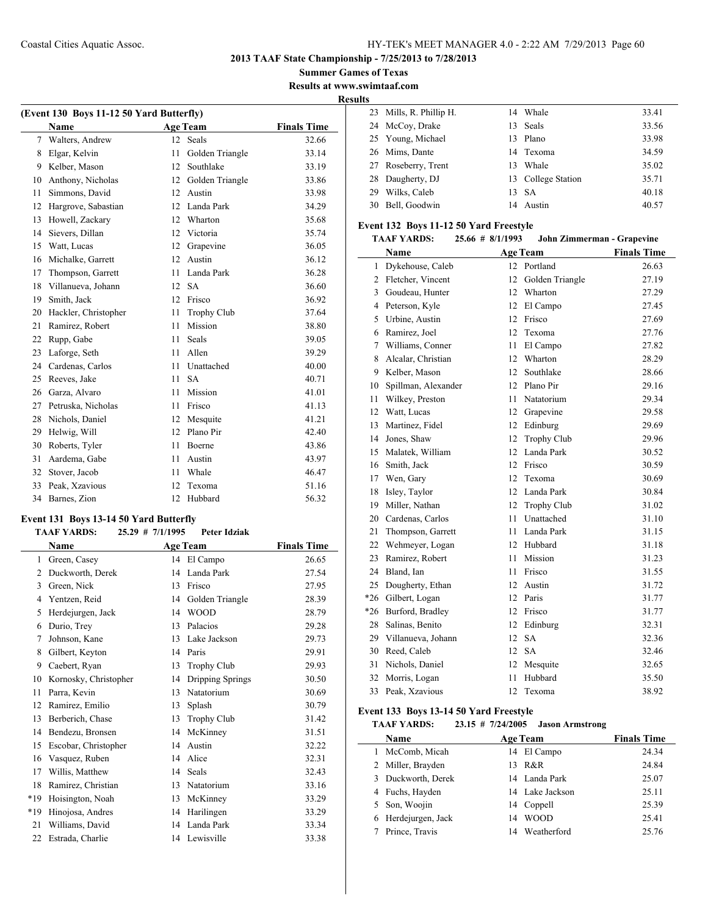**Summer Games of Texas**

**Results at www.swimtaaf.com Results**

l.

| (Event 130 Boys 11-12 50 Yard Butterfly) |                      |    |                    |                    |  |
|------------------------------------------|----------------------|----|--------------------|--------------------|--|
|                                          | Name                 |    | <b>Age Team</b>    | <b>Finals Time</b> |  |
| $\tau$                                   | Walters, Andrew      | 12 | <b>Seals</b>       | 32.66              |  |
| 8                                        | Elgar, Kelvin        | 11 | Golden Triangle    | 33.14              |  |
| 9                                        | Kelber, Mason        | 12 | Southlake          | 33.19              |  |
| 10                                       | Anthony, Nicholas    | 12 | Golden Triangle    | 33.86              |  |
| 11                                       | Simmons, David       | 12 | Austin             | 33.98              |  |
| 12                                       | Hargrove, Sabastian  | 12 | Landa Park         | 34.29              |  |
| 13                                       | Howell, Zackary      | 12 | Wharton            | 35.68              |  |
| 14                                       | Sievers, Dillan      | 12 | Victoria           | 35.74              |  |
| 15                                       | Watt, Lucas          | 12 | Grapevine          | 36.05              |  |
| 16                                       | Michalke, Garrett    | 12 | Austin             | 36.12              |  |
| 17                                       | Thompson, Garrett    | 11 | Landa Park         | 36.28              |  |
| 18                                       | Villanueva, Johann   | 12 | <b>SA</b>          | 36.60              |  |
| 19                                       | Smith, Jack          | 12 | Frisco             | 36.92              |  |
| 20                                       | Hackler, Christopher | 11 | <b>Trophy Club</b> | 37.64              |  |
| 21                                       | Ramirez, Robert      | 11 | Mission            | 38.80              |  |
| 22                                       | Rupp, Gabe           | 11 | Seals              | 39.05              |  |
| 23                                       | Laforge, Seth        | 11 | Allen              | 39.29              |  |
| 24                                       | Cardenas, Carlos     | 11 | Unattached         | 40.00              |  |
| 25                                       | Reeves, Jake         | 11 | <b>SA</b>          | 40.71              |  |
| 26                                       | Garza, Alvaro        | 11 | Mission            | 41.01              |  |
| 27                                       | Petruska, Nicholas   | 11 | Frisco             | 41.13              |  |
| 28                                       | Nichols, Daniel      | 12 | Mesquite           | 41.21              |  |
| 29                                       | Helwig, Will         | 12 | Plano Pir          | 42.40              |  |
| 30                                       | Roberts, Tyler       | 11 | Boerne             | 43.86              |  |
| 31                                       | Aardema, Gabe        | 11 | Austin             | 43.97              |  |
| 32                                       | Stover, Jacob        | 11 | Whale              | 46.47              |  |
| 33                                       | Peak, Xzavious       | 12 | Texoma             | 51.16              |  |
| 34                                       | Barnes, Zion         | 12 | Hubbard            | 56.32              |  |

#### **Event 131 Boys 13-14 50 Yard Butterfly TAAF YARDS: 25.29 # 7/1/1995 Peter Idziak**

|     | і ААГ І АКРЭ.<br>$2.3.27$ # 11111773<br>I CICI IULIAR |    |                    |                    |  |  |  |
|-----|-------------------------------------------------------|----|--------------------|--------------------|--|--|--|
|     | Name                                                  |    | <b>Age Team</b>    | <b>Finals Time</b> |  |  |  |
| 1   | Green, Casey                                          |    | 14 El Campo        | 26.65              |  |  |  |
| 2   | Duckworth, Derek                                      | 14 | Landa Park         | 27.54              |  |  |  |
| 3   | Green, Nick                                           | 13 | Frisco             | 27.95              |  |  |  |
| 4   | Yentzen, Reid                                         | 14 | Golden Triangle    | 28.39              |  |  |  |
| 5   | Herdejurgen, Jack                                     | 14 | <b>WOOD</b>        | 28.79              |  |  |  |
| 6   | Durio, Trey                                           | 13 | Palacios           | 29.28              |  |  |  |
| 7   | Johnson, Kane                                         | 13 | Lake Jackson       | 29.73              |  |  |  |
| 8   | Gilbert, Keyton                                       | 14 | Paris              | 29.91              |  |  |  |
| 9   | Caebert, Ryan                                         | 13 | <b>Trophy Club</b> | 29.93              |  |  |  |
| 10  | Kornosky, Christopher                                 | 14 | Dripping Springs   | 30.50              |  |  |  |
| 11  | Parra, Kevin                                          | 13 | Natatorium         | 30.69              |  |  |  |
| 12  | Ramirez, Emilio                                       | 13 | Splash             | 30.79              |  |  |  |
| 13  | Berberich, Chase                                      | 13 | <b>Trophy Club</b> | 31.42              |  |  |  |
| 14  | Bendezu, Bronsen                                      | 14 | McKinney           | 31.51              |  |  |  |
| 15  | Escobar, Christopher                                  | 14 | Austin             | 32.22              |  |  |  |
| 16  | Vasquez, Ruben                                        | 14 | Alice              | 32.31              |  |  |  |
| 17  | Willis, Matthew                                       | 14 | Seals              | 32.43              |  |  |  |
| 18  | Ramirez, Christian                                    | 13 | Natatorium         | 33.16              |  |  |  |
| *19 | Hoisington, Noah                                      | 13 | McKinney           | 33.29              |  |  |  |
| *19 | Hinojosa, Andres                                      | 14 | Harilingen         | 33.29              |  |  |  |
| 21  | Williams, David                                       | 14 | Landa Park         | 33.34              |  |  |  |
| 22  | Estrada, Charlie                                      | 14 | Lewisville         | 33.38              |  |  |  |
|     |                                                       |    |                    |                    |  |  |  |

| 23 Mills, R. Phillip H. |     | 14 Whale           | 33.41 |
|-------------------------|-----|--------------------|-------|
| 24 McCoy, Drake         |     | 13 Seals           | 33.56 |
| 25 Young, Michael       |     | 13 Plano           | 33.98 |
| 26 Mims, Dante          |     | 14 Texoma          | 34.59 |
| 27 Roseberry, Trent     | 13. | Whale              | 35.02 |
| 28 Daugherty, DJ        |     | 13 College Station | 35.71 |
| 29 Wilks, Caleb         |     | 13 SA              | 40.18 |
| 30 Bell, Goodwin        |     | 14 Austin          | 40.57 |

#### **Event 132 Boys 11-12 50 Yard Freestyle**

#### **TAAF YARDS: 25.66 # 8/1/1993 John Zimmerman - Grapevine**

|       | <b>Name</b>         |    | <b>Age Team</b>    | <b>Finals Time</b> |
|-------|---------------------|----|--------------------|--------------------|
| 1     | Dykehouse, Caleb    |    | 12 Portland        | 26.63              |
| 2     | Fletcher, Vincent   | 12 | Golden Triangle    | 27.19              |
| 3     | Goudeau, Hunter     | 12 | Wharton            | 27.29              |
| 4     | Peterson, Kyle      | 12 | El Campo           | 27.45              |
| 5     | Urbine, Austin      | 12 | Frisco             | 27.69              |
| 6     | Ramirez, Joel       | 12 | Texoma             | 27.76              |
| 7     | Williams, Conner    | 11 | El Campo           | 27.82              |
| 8     | Alcalar, Christian  | 12 | Wharton            | 28.29              |
| 9     | Kelber, Mason       | 12 | Southlake          | 28.66              |
| 10    | Spillman, Alexander | 12 | Plano Pir          | 29.16              |
| 11    | Wilkey, Preston     | 11 | Natatorium         | 29.34              |
| 12    | Watt, Lucas         | 12 | Grapevine          | 29.58              |
| 13    | Martinez, Fidel     | 12 | Edinburg           | 29.69              |
| 14    | Jones, Shaw         | 12 | <b>Trophy Club</b> | 29.96              |
| 15    | Malatek, William    | 12 | Landa Park         | 30.52              |
| 16    | Smith, Jack         | 12 | Frisco             | 30.59              |
| 17    | Wen, Gary           | 12 | Texoma             | 30.69              |
| 18    | Isley, Taylor       | 12 | Landa Park         | 30.84              |
| 19    | Miller, Nathan      | 12 | Trophy Club        | 31.02              |
| 20    | Cardenas, Carlos    | 11 | Unattached         | 31.10              |
| 21    | Thompson, Garrett   | 11 | Landa Park         | 31.15              |
| 22    | Wehmeyer, Logan     | 12 | Hubbard            | 31.18              |
| 23    | Ramirez, Robert     | 11 | Mission            | 31.23              |
| 24    | Bland, Ian          | 11 | Frisco             | 31.55              |
| 25    | Dougherty, Ethan    | 12 | Austin             | 31.72              |
| $*26$ | Gilbert, Logan      | 12 | Paris              | 31.77              |
| $*26$ | Burford, Bradley    | 12 | Frisco             | 31.77              |
| 28    | Salinas, Benito     | 12 | Edinburg           | 32.31              |
| 29    | Villanueva, Johann  | 12 | <b>SA</b>          | 32.36              |
| 30    | Reed, Caleb         | 12 | <b>SA</b>          | 32.46              |
| 31    | Nichols, Daniel     | 12 | Mesquite           | 32.65              |
| 32    | Morris, Logan       | 11 | Hubbard            | 35.50              |
| 33    | Peak, Xzavious      | 12 | Texoma             | 38.92              |

# **Event 133 Boys 13-14 50 Yard Freestyle<br>TAAF YARDS:** 23.15 # 7/24/2005

**TAAF YARDS: 23.15 # 7/24/2005 Jason Armstrong**

| Name                |    | <b>Age Team</b> | <b>Finals Time</b> |
|---------------------|----|-----------------|--------------------|
| 1 McComb, Micah     |    | 14 El Campo     | 24.34              |
| 2 Miller, Brayden   |    | 13 R&R          | 24.84              |
| 3 Duckworth, Derek  |    | 14 Landa Park   | 25.07              |
| 4 Fuchs, Hayden     |    | 14 Lake Jackson | 25.11              |
| 5 Son, Woojin       |    | 14 Coppell      | 25.39              |
| 6 Herdejurgen, Jack | 14 | <b>WOOD</b>     | 25.41              |
| Prince, Travis      |    | 14 Weatherford  | 25.76              |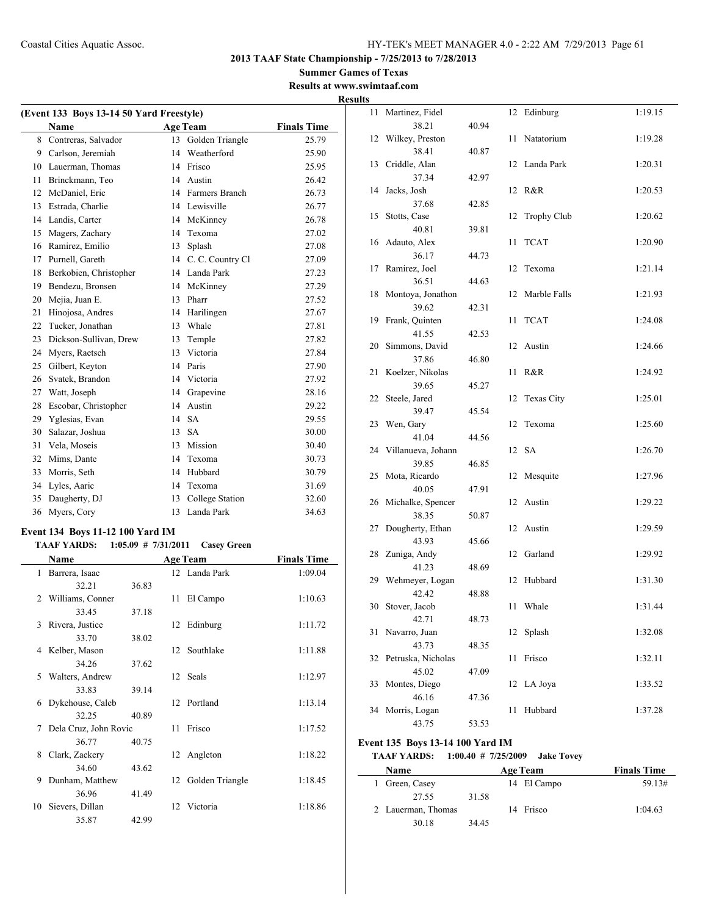#### **Summer Games of Texas Results at www.swimtaaf.com**

| (Event 133 Boys 13-14 50 Yard Freestyle) |                        |    |                  |                    |  |  |  |
|------------------------------------------|------------------------|----|------------------|--------------------|--|--|--|
|                                          | <b>Name</b>            |    | <b>Age Team</b>  | <b>Finals Time</b> |  |  |  |
| 8                                        | Contreras, Salvador    | 13 | Golden Triangle  | 25.79              |  |  |  |
| 9                                        | Carlson, Jeremiah      | 14 | Weatherford      | 25.90              |  |  |  |
| 10                                       | Lauerman, Thomas       | 14 | Frisco           | 25.95              |  |  |  |
| 11                                       | Brinckmann, Teo        | 14 | Austin           | 26.42              |  |  |  |
| 12                                       | McDaniel, Eric         | 14 | Farmers Branch   | 26.73              |  |  |  |
| 13                                       | Estrada, Charlie       | 14 | Lewisville       | 26.77              |  |  |  |
| 14                                       | Landis, Carter         | 14 | McKinney         | 26.78              |  |  |  |
| 15                                       | Magers, Zachary        | 14 | Texoma           | 27.02              |  |  |  |
| 16                                       | Ramirez, Emilio        | 13 | Splash           | 27.08              |  |  |  |
| 17                                       | Purnell, Gareth        | 14 | C. C. Country Cl | 27.09              |  |  |  |
| 18                                       | Berkobien, Christopher | 14 | Landa Park       | 27.23              |  |  |  |
| 19                                       | Bendezu, Bronsen       | 14 | McKinney         | 27.29              |  |  |  |
| 20                                       | Mejia, Juan E.         | 13 | Pharr            | 27.52              |  |  |  |
| 21                                       | Hinojosa, Andres       | 14 | Harilingen       | 27.67              |  |  |  |
| 22                                       | Tucker, Jonathan       | 13 | Whale            | 27.81              |  |  |  |
| 23                                       | Dickson-Sullivan, Drew | 13 | Temple           | 27.82              |  |  |  |
| 24                                       | Myers, Raetsch         | 13 | Victoria         | 27.84              |  |  |  |
| 25                                       | Gilbert, Keyton        | 14 | Paris            | 27.90              |  |  |  |
| 26                                       | Svatek, Brandon        | 14 | Victoria         | 27.92              |  |  |  |
| 27                                       | Watt, Joseph           | 14 | Grapevine        | 28.16              |  |  |  |
| 28                                       | Escobar, Christopher   | 14 | Austin           | 29.22              |  |  |  |
| 29                                       | Yglesias, Evan         | 14 | <b>SA</b>        | 29.55              |  |  |  |
| 30                                       | Salazar, Joshua        | 13 | <b>SA</b>        | 30.00              |  |  |  |
| 31                                       | Vela, Moseis           | 13 | Mission          | 30.40              |  |  |  |
| 32                                       | Mims, Dante            | 14 | Texoma           | 30.73              |  |  |  |
| 33                                       | Morris, Seth           | 14 | Hubbard          | 30.79              |  |  |  |
| 34                                       | Lyles, Aaric           | 14 | Texoma           | 31.69              |  |  |  |
| 35                                       | Daugherty, DJ          | 13 | College Station  | 32.60              |  |  |  |
| 36                                       | Myers, Cory            | 13 | Landa Park       | 34.63              |  |  |  |

## **Event 134 Boys 11-12 100 Yard IM**

#### **TAAF YARDS: 1:05.09 # 7/31/2011 Casey Green**

|    | Name                  |       |    | <b>Age Team</b>    | <b>Finals Time</b> |  |
|----|-----------------------|-------|----|--------------------|--------------------|--|
| 1  | Barrera, Isaac        |       |    | 12 Landa Park      | 1:09.04            |  |
|    | 32.21                 | 36.83 |    |                    |                    |  |
| 2  | Williams, Conner      |       |    | 11 El Campo        | 1:10.63            |  |
|    | 33.45                 | 37.18 |    |                    |                    |  |
| 3  | Rivera, Justice       |       |    | 12 Edinburg        | 1:11.72            |  |
|    | 33.70                 | 38.02 |    |                    |                    |  |
|    | 4 Kelber, Mason       |       |    | 12 Southlake       | 1:11.88            |  |
|    | 34.26                 | 37.62 |    |                    |                    |  |
| 5  | Walters, Andrew       |       |    | 12 Seals           | 1:12.97            |  |
|    | 33.83                 | 39.14 |    |                    |                    |  |
| 6  | Dykehouse, Caleb      |       |    | 12 Portland        | 1:13.14            |  |
|    | 32.25                 | 40.89 |    |                    |                    |  |
| 7  | Dela Cruz, John Rovic |       | 11 | Frisco             | 1:17.52            |  |
|    | 36.77                 | 40.75 |    |                    |                    |  |
| 8  | Clark, Zackery        |       |    | 12 Angleton        | 1:18.22            |  |
|    | 34.60                 | 43.62 |    |                    |                    |  |
| 9  | Dunham, Matthew       |       |    | 12 Golden Triangle | 1:18.45            |  |
|    | 36.96                 | 41.49 |    |                    |                    |  |
| 10 | Sievers, Dillan       |       | 12 | Victoria           | 1:18.86            |  |
|    | 35.87                 | 42.99 |    |                    |                    |  |

|   | <b>Results</b> |                           |       |    |                    |         |
|---|----------------|---------------------------|-------|----|--------------------|---------|
|   |                | 11 Martinez, Fidel        |       |    | 12 Edinburg        | 1:19.15 |
| - |                | 38.21                     | 40.94 |    |                    |         |
|   |                | 12 Wilkey, Preston        |       | 11 | Natatorium         | 1:19.28 |
|   |                | 38.41                     | 40.87 |    |                    |         |
|   |                | 13 Criddle, Alan          |       |    | 12 Landa Park      | 1:20.31 |
|   |                | 37.34                     | 42.97 |    |                    |         |
|   |                | 14 Jacks, Josh            |       |    | 12 R&R             | 1:20.53 |
|   |                | 37.68                     | 42.85 |    |                    |         |
|   |                | 15 Stotts, Case           |       | 12 | <b>Trophy Club</b> | 1:20.62 |
|   |                | 40.81                     | 39.81 |    |                    |         |
|   |                | 16 Adauto, Alex<br>36.17  | 44.73 | 11 | <b>TCAT</b>        | 1:20.90 |
|   |                | 17 Ramirez, Joel          |       | 12 | Texoma             | 1:21.14 |
|   |                | 36.51                     | 44.63 |    |                    |         |
|   |                | 18 Montoya, Jonathon      |       | 12 | Marble Falls       | 1:21.93 |
|   |                | 39.62                     | 42.31 |    |                    |         |
|   |                | 19 Frank, Quinten         |       | 11 | <b>TCAT</b>        | 1:24.08 |
|   |                | 41.55                     | 42.53 |    |                    |         |
|   |                | 20 Simmons, David         |       |    | 12 Austin          | 1:24.66 |
|   |                | 37.86                     | 46.80 |    |                    |         |
|   |                | 21 Koelzer, Nikolas       |       | 11 | R&R                | 1:24.92 |
|   |                | 39.65                     | 45.27 |    |                    |         |
|   |                | 22 Steele, Jared          |       | 12 | Texas City         | 1:25.01 |
|   |                | 39.47                     | 45.54 |    |                    |         |
|   |                | 23 Wen, Gary              |       | 12 | Texoma             | 1:25.60 |
|   |                | 41.04                     | 44.56 |    |                    |         |
|   |                | 24 Villanueva, Johann     |       |    | 12 SA              | 1:26.70 |
|   |                | 39.85                     | 46.85 |    |                    |         |
|   |                | 25 Mota, Ricardo<br>40.05 | 47.91 | 12 | Mesquite           | 1:27.96 |
|   |                | 26 Michalke, Spencer      |       |    | 12 Austin          | 1:29.22 |
|   |                | 38.35                     | 50.87 |    |                    |         |
|   |                | 27 Dougherty, Ethan       |       |    | 12 Austin          | 1:29.59 |
|   |                | 43.93                     | 45.66 |    |                    |         |
|   |                | 28 Zuniga, Andy           |       |    | 12 Garland         | 1:29.92 |
|   |                | 41.23                     | 48.69 |    |                    |         |
|   |                | 29 Wehmeyer, Logan        |       | 12 | Hubbard            | 1:31.30 |
|   |                | 42.42                     | 48.88 |    |                    |         |
|   |                | 30 Stover, Jacob          |       | 11 | Whale              | 1:31.44 |
|   |                | 42.71                     | 48.73 |    |                    |         |
|   | 31             | Navarro, Juan             |       | 12 | Splash             | 1:32.08 |
|   |                | 43.73                     | 48.35 |    |                    |         |
|   | 32             | Petruska, Nicholas        |       | 11 | Frisco             | 1:32.11 |
|   |                | 45.02                     | 47.09 |    |                    |         |
|   | 33             | Montes, Diego<br>46.16    |       | 12 | LA Joya            | 1:33.52 |
|   | 34             | Morris, Logan             | 47.36 | 11 | Hubbard            | 1:37.28 |
|   |                | 43.75                     | 53.53 |    |                    |         |
|   |                |                           |       |    |                    |         |

## **Event 135 Boys 13-14 100 Yard IM**

 $\frac{1}{2}$ 

## **TAAF YARDS: 1:00.40 # 7/25/2009 Jake Tovey**

| <b>Name</b>        |       | <b>Age Team</b> | <b>Finals Time</b> |
|--------------------|-------|-----------------|--------------------|
| Green, Casey       |       | 14 El Campo     | 59.13#             |
| 27.55              | 31.58 |                 |                    |
| 2 Lauerman, Thomas |       | 14 Frisco       | 1:04.63            |
| 30.18              | 34.45 |                 |                    |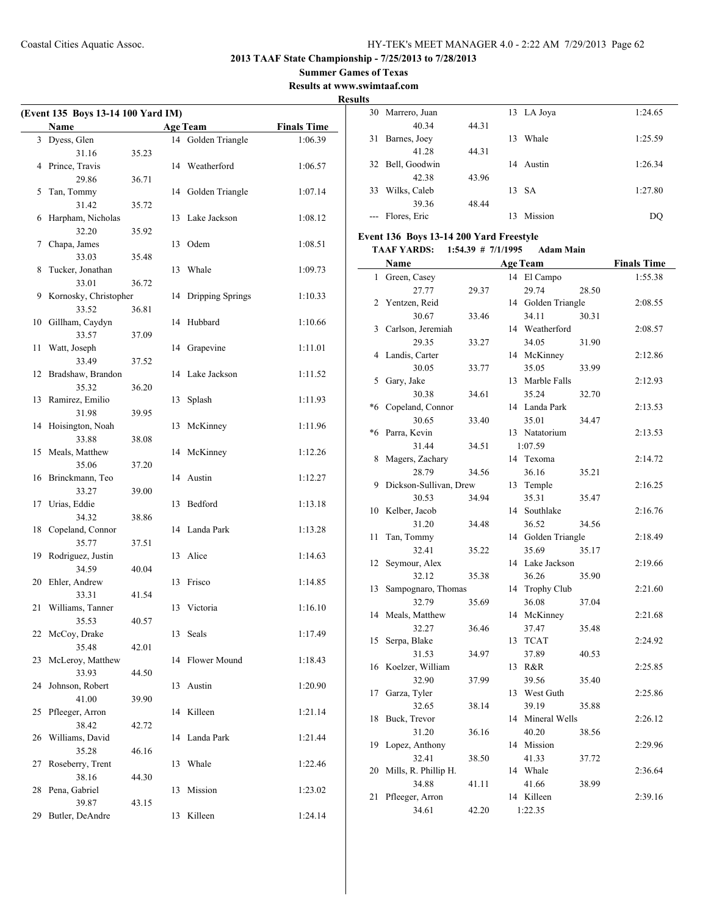## **Summer Games of Texas**

**Results at www.swimtaaf.com**

|    |                                    |       |    |                     |                    | <b>Results</b> |
|----|------------------------------------|-------|----|---------------------|--------------------|----------------|
|    | (Event 135 Boys 13-14 100 Yard IM) |       |    |                     |                    |                |
|    | Name                               |       |    | <b>Age Team</b>     | <b>Finals Time</b> |                |
|    | 3 Dyess, Glen                      |       |    | 14 Golden Triangle  | 1:06.39            |                |
|    | 31.16                              | 35.23 |    |                     |                    |                |
|    | 4 Prince, Travis                   |       |    | 14 Weatherford      | 1:06.57            |                |
|    | 29.86                              | 36.71 |    |                     |                    |                |
| 5  | Tan, Tommy                         |       |    | 14 Golden Triangle  | 1:07.14            |                |
|    | 31.42                              | 35.72 |    |                     |                    |                |
| 6  | Harpham, Nicholas                  |       |    | 13 Lake Jackson     | 1:08.12            |                |
|    | 32.20                              | 35.92 |    |                     |                    | Ev             |
| 7  | Chapa, James                       |       |    | 13 Odem             | 1:08.51            |                |
|    | 33.03                              | 35.48 |    |                     |                    |                |
| 8  | Tucker, Jonathan                   |       |    | 13 Whale            | 1:09.73            |                |
|    | 33.01                              | 36.72 |    |                     |                    |                |
| 9  | Kornosky, Christopher              |       |    | 14 Dripping Springs | 1:10.33            |                |
|    | 33.52                              | 36.81 |    |                     |                    |                |
|    | 10 Gillham, Caydyn                 |       |    | 14 Hubbard          | 1:10.66            |                |
|    | 33.57                              | 37.09 |    |                     |                    |                |
| 11 | Watt, Joseph                       |       |    | 14 Grapevine        | 1:11.01            |                |
|    | 33.49                              | 37.52 |    |                     |                    |                |
|    | 12 Bradshaw, Brandon               |       |    | 14 Lake Jackson     | 1:11.52            |                |
|    | 35.32                              | 36.20 |    |                     |                    |                |
|    | 13 Ramirez, Emilio                 |       | 13 | Splash              | 1:11.93            |                |
|    |                                    | 39.95 |    |                     |                    |                |
|    | 31.98                              |       |    |                     |                    |                |
|    | 14 Hoisington, Noah                |       |    | 13 McKinney         | 1:11.96            |                |
|    | 33.88                              | 38.08 |    |                     |                    |                |
|    | 15 Meals, Matthew                  |       |    | 14 McKinney         | 1:12.26            |                |
|    | 35.06                              | 37.20 |    |                     |                    |                |
|    | 16 Brinckmann, Teo                 |       |    | 14 Austin           | 1:12.27            |                |
|    | 33.27                              | 39.00 |    |                     |                    |                |
|    | 17 Urias, Eddie                    |       |    | 13 Bedford          | 1:13.18            |                |
|    | 34.32                              | 38.86 |    |                     |                    |                |
|    | 18 Copeland, Connor                |       |    | 14 Landa Park       | 1:13.28            |                |
|    | 35.77                              | 37.51 |    |                     |                    |                |
| 19 | Rodriguez, Justin                  |       |    | 13 Alice            | 1:14.63            |                |
|    | 34.59                              | 40.04 |    |                     |                    |                |
|    | 20 Ehler, Andrew                   |       |    | 13 Frisco           | 1:14.85            |                |
|    | 33.31                              | 41.54 |    |                     |                    |                |
|    | 21 Williams, Tanner                |       |    | 13 Victoria         | 1:16.10            |                |
|    | 35.53                              | 40.57 |    |                     |                    |                |
|    | 22 McCoy, Drake                    |       |    | 13 Seals            | 1:17.49            |                |
|    | 35.48                              | 42.01 |    |                     |                    |                |
| 23 | McLeroy, Matthew                   |       |    | 14 Flower Mound     | 1:18.43            |                |
|    | 33.93                              | 44.50 |    |                     |                    |                |
|    |                                    |       |    |                     |                    |                |
|    | 24 Johnson, Robert                 |       |    | 13 Austin           | 1:20.90            |                |
|    | 41.00                              | 39.90 |    |                     |                    |                |
|    | 25 Pfleeger, Arron                 |       |    | 14 Killeen          | 1:21.14            |                |
|    | 38.42                              | 42.72 |    |                     |                    |                |
|    | 26 Williams, David                 |       |    | 14 Landa Park       | 1:21.44            |                |
|    | 35.28                              | 46.16 |    |                     |                    |                |
| 27 | Roseberry, Trent                   |       |    | 13 Whale            | 1:22.46            |                |
|    | 38.16                              | 44.30 |    |                     |                    |                |
|    | 28 Pena, Gabriel                   |       |    | 13 Mission          | 1:23.02            |                |
|    | 39.87                              | 43.15 |    |                     |                    |                |
|    | 29 Butler, DeAndre                 |       |    | 13 Killeen          | 1:24.14            |                |

| 30           | Marrero, Juan                           |                        |    | 13 LA Joya         |       | 1:24.65            |
|--------------|-----------------------------------------|------------------------|----|--------------------|-------|--------------------|
|              | 40.34                                   | 44.31                  |    |                    |       |                    |
| 31           | Barnes, Joey                            |                        | 13 | Whale              |       | 1:25.59            |
|              | 41.28                                   | 44.31                  |    |                    |       |                    |
| 32           | Bell, Goodwin                           |                        |    | 14 Austin          |       | 1:26.34            |
|              | 42.38                                   | 43.96                  |    |                    |       |                    |
|              | 33 Wilks, Caleb                         |                        | 13 | <b>SA</b>          |       | 1:27.80            |
|              | 39.36                                   | 48.44                  |    |                    |       |                    |
|              | --- Flores, Eric                        |                        |    | 13 Mission         |       | DQ                 |
|              | Event 136 Boys 13-14 200 Yard Freestyle |                        |    |                    |       |                    |
|              | <b>TAAF YARDS:</b>                      | $1:54.39$ # $7/1/1995$ |    | <b>Adam Main</b>   |       |                    |
|              | Name                                    |                        |    | <b>Age Team</b>    |       | <b>Finals Time</b> |
| $\mathbf{1}$ | Green, Casey                            |                        |    | 14 El Campo        |       | 1:55.38            |
|              | 27.77                                   | 29.37                  |    | 29.74              | 28.50 |                    |
| 2            | Yentzen, Reid                           |                        |    | 14 Golden Triangle |       | 2:08.55            |
|              | 30.67                                   | 33.46                  |    | 34.11              | 30.31 |                    |
|              | 3 Carlson, Jeremiah                     |                        |    | 14 Weatherford     |       | 2:08.57            |
|              | 29.35                                   | 33.27                  |    | 34.05              | 31.90 |                    |
| 4            | Landis, Carter                          |                        |    | 14 McKinney        |       | 2:12.86            |
|              | 30.05                                   | 33.77                  |    | 35.05              | 33.99 |                    |
| 5            | Gary, Jake                              |                        |    | 13 Marble Falls    |       | 2:12.93            |
|              | 30.38                                   | 34.61                  |    | 35.24              | 32.70 |                    |
| *6           | Copeland, Connor                        |                        |    | 14 Landa Park      |       | 2:13.53            |
|              | 30.65                                   | 33.40                  |    | 35.01              | 34.47 |                    |
| $*6$         | Parra, Kevin                            |                        |    | 13 Natatorium      |       | 2:13.53            |
|              | 31.44                                   | 34.51                  |    | 1:07.59            |       |                    |
| 8            | Magers, Zachary                         |                        |    | 14 Texoma          |       | 2:14.72            |
|              | 28.79                                   | 34.56                  |    | 36.16              | 35.21 |                    |
| 9            | Dickson-Sullivan, Drew                  |                        |    | 13 Temple          |       | 2:16.25            |
|              | 30.53                                   | 34.94                  |    | 35.31              | 35.47 |                    |
| 10           | Kelber, Jacob                           |                        |    | 14 Southlake       |       | 2:16.76            |
|              | 31.20                                   | 34.48                  |    | 36.52              | 34.56 |                    |
| 11           | Tan, Tommy                              |                        |    | 14 Golden Triangle |       | 2:18.49            |
|              | 32.41                                   | 35.22                  |    | 35.69              | 35.17 |                    |
| 12           | Seymour, Alex                           |                        |    | 14 Lake Jackson    |       | 2:19.66            |
|              | 32.12                                   | 35.38                  |    | 36.26              | 35.90 |                    |
| 13           | Sampognaro, Thomas                      |                        |    | 14 Trophy Club     |       | 2:21.60            |
|              | 32.79                                   | 35.69                  |    | 36.08              | 37.04 |                    |
|              | 14 Meals, Matthew                       |                        |    | 14 McKinney        |       | 2:21.68            |
|              | 32.27                                   | 36.46                  |    | 37.47              | 35.48 |                    |
| 15           | Serpa, Blake                            |                        | 13 | <b>TCAT</b>        |       | 2:24.92            |
|              | 31.53                                   | 34.97                  |    | 37.89              | 40.53 |                    |
| 16           | Koelzer, William                        |                        |    | 13 R&R             |       | 2:25.85            |
|              | 32.90                                   | 37.99                  |    | 39.56              | 35.40 |                    |
| 17           | Garza, Tyler                            |                        |    | 13 West Guth       |       | 2:25.86            |
|              | 32.65                                   | 38.14                  |    | 39.19              | 35.88 |                    |
| 18           | Buck, Trevor                            |                        |    | 14 Mineral Wells   |       | 2:26.12            |
|              | 31.20                                   | 36.16                  |    | 40.20              | 38.56 |                    |
| 19           | Lopez, Anthony                          |                        |    | 14 Mission         |       | 2:29.96            |
|              | 32.41                                   | 38.50                  |    | 41.33              | 37.72 |                    |
| 20           | Mills, R. Phillip H.                    |                        |    | 14 Whale           |       | 2:36.64            |
|              | 34.88                                   | 41.11                  |    | 41.66              | 38.99 |                    |
| 21           | Pfleeger, Arron                         |                        |    | 14 Killeen         |       | 2:39.16            |
|              | 34.61                                   | 42.20                  |    | 1:22.35            |       |                    |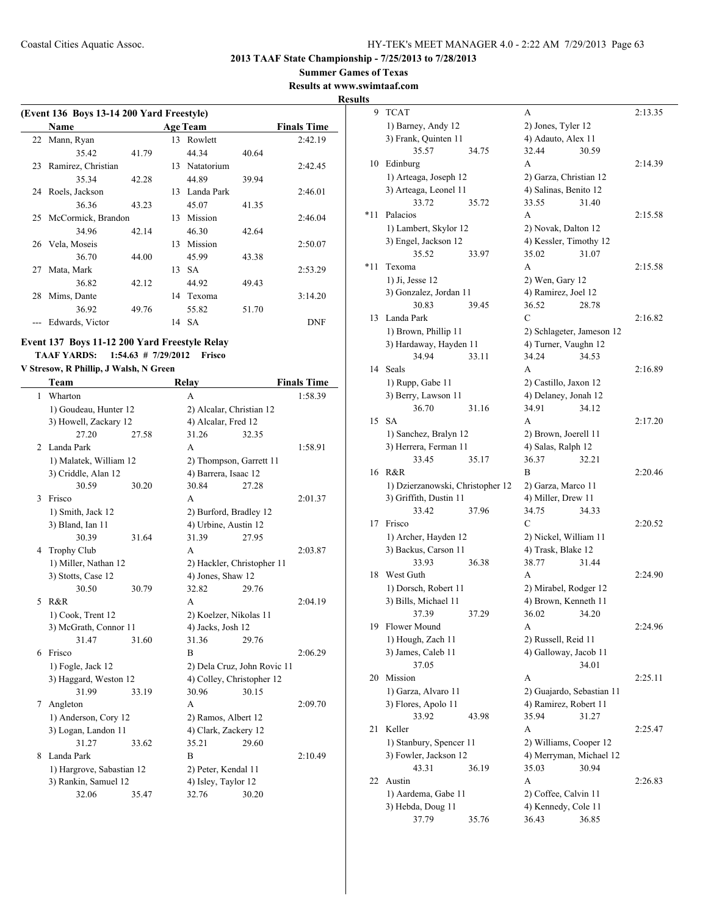**Summer Games of Texas**

**Results at www.swimtaaf.com**

**Results**

|    | (Event 136 Boys 13-14 200 Yard Freestyle) |       |    |                 |       |                    |  |  |  |  |
|----|-------------------------------------------|-------|----|-----------------|-------|--------------------|--|--|--|--|
|    | <b>Name</b>                               |       |    | <b>Age Team</b> |       | <b>Finals Time</b> |  |  |  |  |
| 22 | Mann, Ryan                                |       | 13 | Rowlett         |       | 2:42.19            |  |  |  |  |
|    | 35.42                                     | 41.79 |    | 44.34           | 40.64 |                    |  |  |  |  |
| 23 | Ramirez, Christian                        |       | 13 | Natatorium      |       | 2:42.45            |  |  |  |  |
|    | 35.34                                     | 42.28 |    | 44.89           | 39.94 |                    |  |  |  |  |
| 24 | Roels, Jackson                            |       | 13 | Landa Park      |       | 2:46.01            |  |  |  |  |
|    | 36.36                                     | 43.23 |    | 45.07           | 41.35 |                    |  |  |  |  |
|    | 25 McCormick, Brandon                     |       | 13 | Mission         |       | 2:46.04            |  |  |  |  |
|    | 34.96                                     | 42.14 |    | 46.30           | 42.64 |                    |  |  |  |  |
| 26 | Vela, Moseis                              |       | 13 | Mission         |       | 2:50.07            |  |  |  |  |
|    | 36.70                                     | 44.00 |    | 45.99           | 43.38 |                    |  |  |  |  |
| 27 | Mata, Mark                                |       | 13 | <b>SA</b>       |       | 2:53.29            |  |  |  |  |
|    | 36.82                                     | 42.12 |    | 44.92           | 49.43 |                    |  |  |  |  |
| 28 | Mims, Dante                               |       | 14 | Texoma          |       | 3:14.20            |  |  |  |  |
|    | 36.92                                     | 49.76 |    | 55.82           | 51.70 |                    |  |  |  |  |
|    | Edwards, Victor                           |       |    | 14 SA           |       | <b>DNF</b>         |  |  |  |  |

## **Event 137 Boys 11-12 200 Yard Freestyle Relay TAAF YARDS: 1:54.63 # 7/29/2012 Frisco**

**V Stresow, R Phillip, J Walsh, N Green**

|   | Team                      |       | Relay                      |                             | <b>Finals Time</b> |
|---|---------------------------|-------|----------------------------|-----------------------------|--------------------|
| 1 | Wharton                   |       | A                          |                             | 1:58.39            |
|   | 1) Goudeau, Hunter 12     |       | 2) Alcalar, Christian 12   |                             |                    |
|   | 3) Howell, Zackary 12     |       | 4) Alcalar, Fred 12        |                             |                    |
|   | 27.20                     | 27.58 | 31.26                      | 32.35                       |                    |
| 2 | Landa Park                |       | A                          |                             | 1:58.91            |
|   | 1) Malatek, William 12    |       | 2) Thompson, Garrett 11    |                             |                    |
|   | 3) Criddle, Alan 12       |       | 4) Barrera, Isaac 12       |                             |                    |
|   | 30.59                     | 30.20 | 30.84                      | 27.28                       |                    |
| 3 | Frisco                    |       | A                          |                             | 2:01.37            |
|   | 1) Smith, Jack 12         |       | 2) Burford, Bradley 12     |                             |                    |
|   | 3) Bland, Ian 11          |       | 4) Urbine, Austin 12       |                             |                    |
|   | 30.39                     | 31.64 | 31.39                      | 27.95                       |                    |
| 4 | <b>Trophy Club</b>        |       | A                          |                             | 2:03.87            |
|   | 1) Miller, Nathan 12      |       | 2) Hackler, Christopher 11 |                             |                    |
|   | 3) Stotts, Case 12        |       | 4) Jones, Shaw 12          |                             |                    |
|   | 30.50                     | 30.79 | 32.82                      | 29.76                       |                    |
| 5 | R&R                       |       | A                          |                             | 2:04.19            |
|   | 1) Cook, Trent 12         |       | 2) Koelzer, Nikolas 11     |                             |                    |
|   | 3) McGrath, Connor 11     |       | 4) Jacks, Josh 12          |                             |                    |
|   | 31.47                     | 31.60 | 31.36                      | 29.76                       |                    |
| 6 | Frisco                    |       | B                          |                             | 2:06.29            |
|   | 1) Fogle, Jack 12         |       |                            | 2) Dela Cruz, John Rovic 11 |                    |
|   | 3) Haggard, Weston 12     |       | 4) Colley, Christopher 12  |                             |                    |
|   | 31.99                     | 33.19 | 30.96                      | 30.15                       |                    |
| 7 | Angleton                  |       | A                          |                             | 2:09.70            |
|   | 1) Anderson, Cory 12      |       | 2) Ramos, Albert 12        |                             |                    |
|   | 3) Logan, Landon 11       |       | 4) Clark, Zackery 12       |                             |                    |
|   | 31.27                     | 33.62 | 35.21                      | 29.60                       |                    |
| 8 | Landa Park                |       | B                          |                             | 2:10.49            |
|   | 1) Hargrove, Sabastian 12 |       | 2) Peter, Kendal 11        |                             |                    |
|   | 3) Rankin, Samuel 12      |       | 4) Isley, Taylor 12        |                             |                    |
|   | 32.06                     | 35.47 | 32.76                      | 30.20                       |                    |
|   |                           |       |                            |                             |                    |

| <u>s</u> |                                                |       |                                            |       |         |
|----------|------------------------------------------------|-------|--------------------------------------------|-------|---------|
| 9        | <b>TCAT</b>                                    |       | А                                          |       | 2:13.35 |
|          | 1) Barney, Andy 12                             |       | 2) Jones, Tyler 12                         |       |         |
|          | 3) Frank, Quinten 11                           |       | 4) Adauto, Alex 11                         |       |         |
|          | 35.57                                          | 34.75 | 32.44                                      | 30.59 |         |
| 10       | Edinburg                                       |       | A                                          |       | 2:14.39 |
|          | 1) Arteaga, Joseph 12                          |       | 2) Garza, Christian 12                     |       |         |
|          | 3) Arteaga, Leonel 11                          |       | 4) Salinas, Benito 12                      |       |         |
|          | 33.72                                          | 35.72 | 33.55                                      | 31.40 |         |
| *11      | Palacios                                       |       | A                                          |       | 2:15.58 |
|          | 1) Lambert, Skylor 12                          |       | 2) Novak, Dalton 12                        |       |         |
|          | 3) Engel, Jackson 12                           |       | 4) Kessler, Timothy 12                     |       |         |
|          | 35.52                                          | 33.97 | 35.02                                      | 31.07 |         |
| $*11$    | Texoma                                         |       | A                                          |       | 2:15.58 |
|          | 1) Ji, Jesse 12                                |       | 2) Wen, Gary 12                            |       |         |
|          | 3) Gonzalez, Jordan 11                         |       | 4) Ramirez, Joel 12                        |       |         |
|          | 30.83                                          | 39.45 | 36.52                                      | 28.78 |         |
| 13       | Landa Park                                     |       | С                                          |       | 2:16.82 |
|          | 1) Brown, Phillip 11                           |       | 2) Schlageter, Jameson 12                  |       |         |
|          | 3) Hardaway, Hayden 11                         |       | 4) Turner, Vaughn 12                       |       |         |
|          | 34.94                                          | 33.11 | 34.24                                      | 34.53 |         |
| 14       | Seals                                          |       | A                                          |       | 2:16.89 |
|          | 1) Rupp, Gabe 11                               |       | 2) Castillo, Jaxon 12                      |       |         |
|          | 3) Berry, Lawson 11<br>36.70                   |       | 4) Delaney, Jonah 12<br>34.91              | 34.12 |         |
| 15       | SА                                             | 31.16 | A                                          |       |         |
|          |                                                |       |                                            |       | 2:17.20 |
|          | 1) Sanchez, Bralyn 12<br>3) Herrera, Ferman 11 |       | 2) Brown, Joerell 11<br>4) Salas, Ralph 12 |       |         |
|          | 33.45                                          | 35.17 | 36.37                                      | 32.21 |         |
| 16       | R&R                                            |       | В                                          |       | 2:20.46 |
|          | 1) Dzierzanowski, Christopher 12               |       | 2) Garza, Marco 11                         |       |         |
|          | 3) Griffith, Dustin 11                         |       | 4) Miller, Drew 11                         |       |         |
|          | 33.42                                          | 37.96 | 34.75                                      | 34.33 |         |
| 17       | Frisco                                         |       | С                                          |       | 2:20.52 |
|          | 1) Archer, Hayden 12                           |       | 2) Nickel, William 11                      |       |         |
|          | 3) Backus, Carson 11                           |       | 4) Trask, Blake 12                         |       |         |
|          | 33.93                                          | 36.38 | 38.77                                      | 31.44 |         |
| 18       | West Guth                                      |       | A                                          |       | 2:24.90 |
|          | 1) Dorsch, Robert 11                           |       | 2) Mirabel, Rodger 12                      |       |         |
|          | 3) Bills, Michael 11                           |       | 4) Brown, Kenneth 11                       |       |         |
|          | 37.39                                          | 37.29 | 36.02 34.20                                |       |         |
| 19       | Flower Mound                                   |       | А                                          |       | 2:24.96 |
|          | 1) Hough, Zach 11                              |       | 2) Russell, Reid 11                        |       |         |
|          | 3) James, Caleb 11                             |       | 4) Galloway, Jacob 11                      |       |         |
|          | 37.05                                          |       |                                            | 34.01 |         |
| 20       | Mission                                        |       | А                                          |       | 2:25.11 |
|          | 1) Garza, Alvaro 11                            |       | 2) Guajardo, Sebastian 11                  |       |         |
|          | 3) Flores, Apolo 11                            |       | 4) Ramirez, Robert 11                      |       |         |
|          | 33.92                                          | 43.98 | 35.94                                      | 31.27 |         |
| 21       | Keller                                         |       | A                                          |       | 2:25.47 |
|          | 1) Stanbury, Spencer 11                        |       | 2) Williams, Cooper 12                     |       |         |
|          | 3) Fowler, Jackson 12                          |       | 4) Merryman, Michael 12                    |       |         |
|          | 43.31                                          | 36.19 | 35.03                                      | 30.94 |         |
| 22       | Austin                                         |       | A                                          |       | 2:26.83 |
|          | 1) Aardema, Gabe 11                            |       | 2) Coffee, Calvin 11                       |       |         |
|          | 3) Hebda, Doug 11                              |       | 4) Kennedy, Cole 11                        |       |         |
|          | 37.79                                          | 35.76 | 36.43                                      | 36.85 |         |